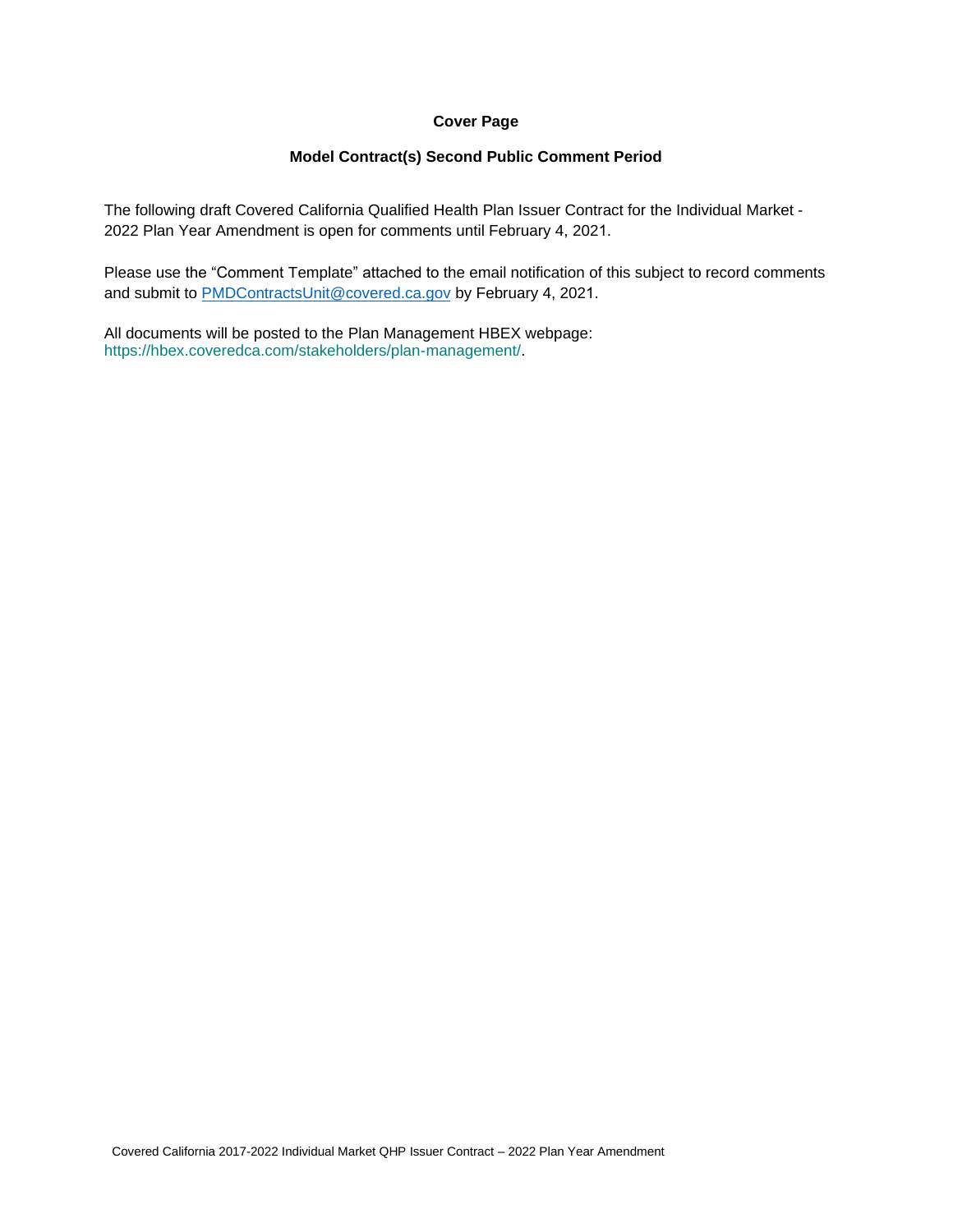#### **Cover Page**

#### **Model Contract(s) Second Public Comment Period**

The following draft Covered California Qualified Health Plan Issuer Contract for the Individual Market - 2022 Plan Year Amendment is open for comments until February 4, 2021.

Please use the "Comment Template" attached to the email notification of this subject to record comments and submit to [PMDContractsUnit@covered.ca.gov](mailto:PMDContractsUnit@covered.ca.gov) by February 4, 2021.

All documents will be posted to the Plan Management HBEX webpage: https://hbex.coveredca.com/stakeholders/plan-management/.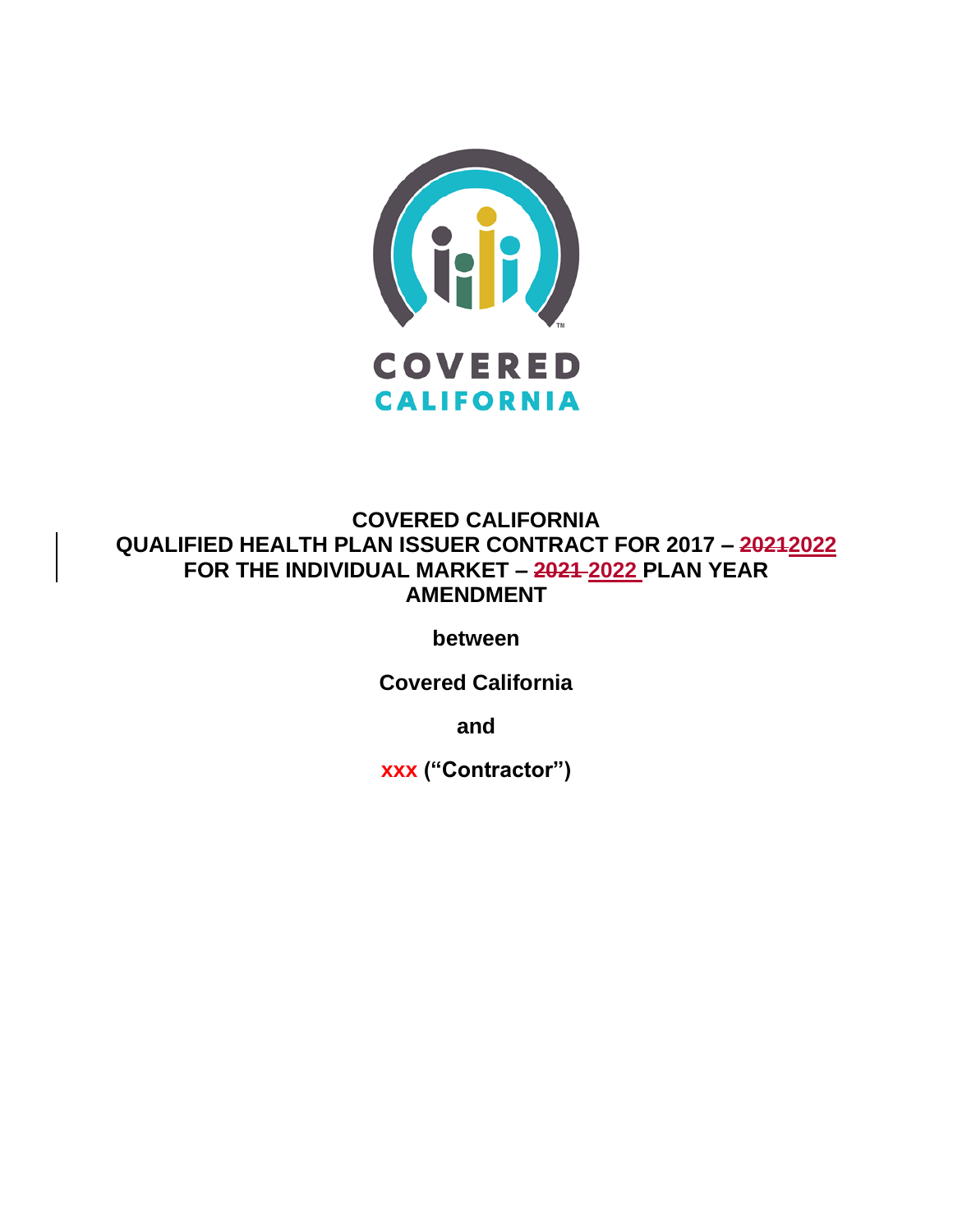

# **COVERED CALIFORNIA QUALIFIED HEALTH PLAN ISSUER CONTRACT FOR 2017 – 20212022 FOR THE INDIVIDUAL MARKET – 2021 2022 PLAN YEAR AMENDMENT**

**between**

**Covered California**

**and**

**xxx ("Contractor")**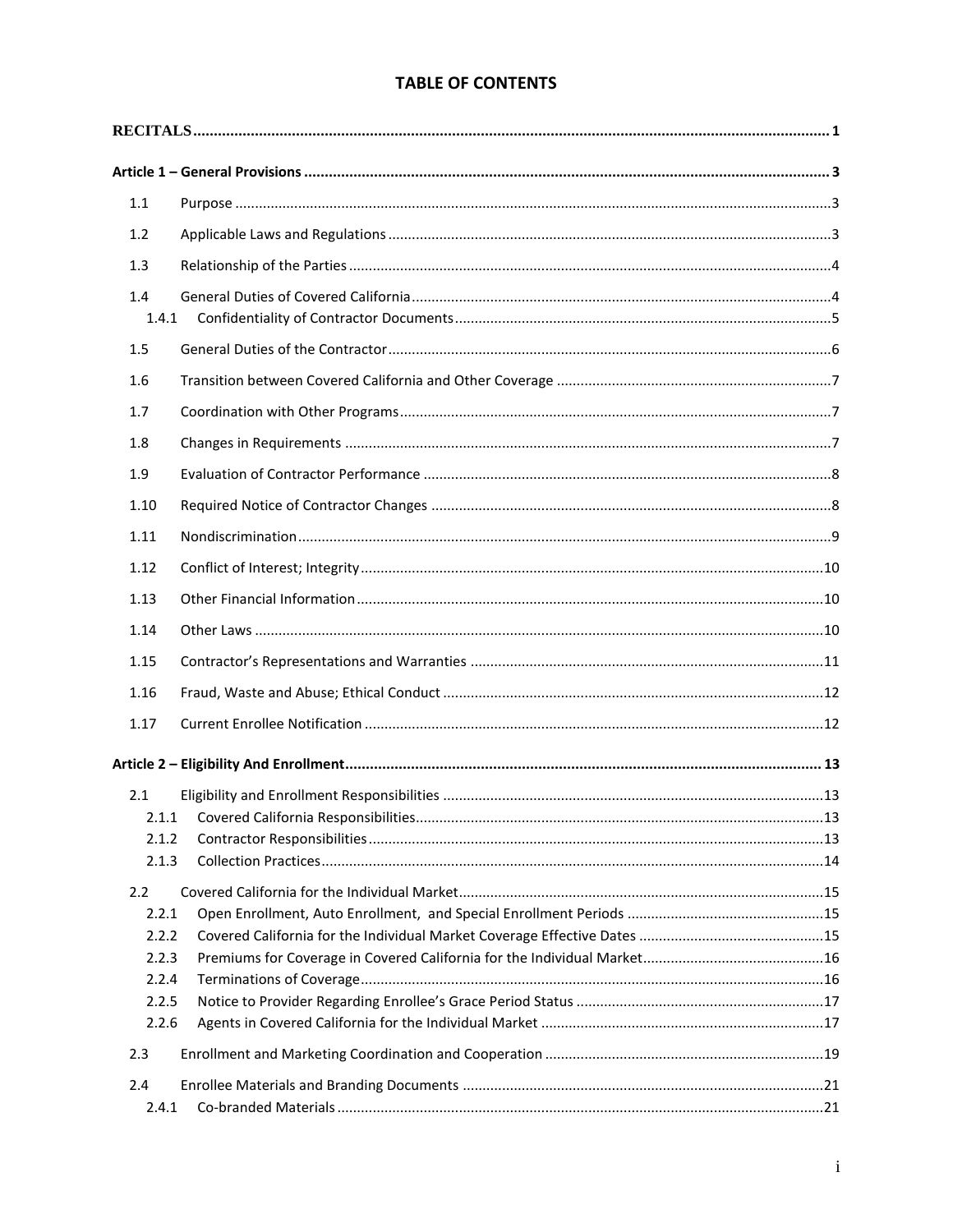# **TABLE OF CONTENTS**

| 1.1              |  |
|------------------|--|
| 1.2              |  |
| 1.3              |  |
| 1.4<br>1.4.1     |  |
| 1.5              |  |
| 1.6              |  |
| 1.7              |  |
| 1.8              |  |
| 1.9              |  |
| 1.10             |  |
| 1.11             |  |
| 1.12             |  |
| 1.13             |  |
| 1.14             |  |
| 1.15             |  |
|                  |  |
| 1.16             |  |
| 1.17             |  |
|                  |  |
| 2.1              |  |
|                  |  |
| 2.1.2            |  |
| 2.1.3            |  |
| $2.2\phantom{0}$ |  |
| 2.2.1            |  |
| 2.2.2            |  |
| 2.2.3            |  |
| 2.2.4            |  |
| 2.2.5<br>2.2.6   |  |
|                  |  |
| 2.3              |  |
| 2.4              |  |
| 2.4.1            |  |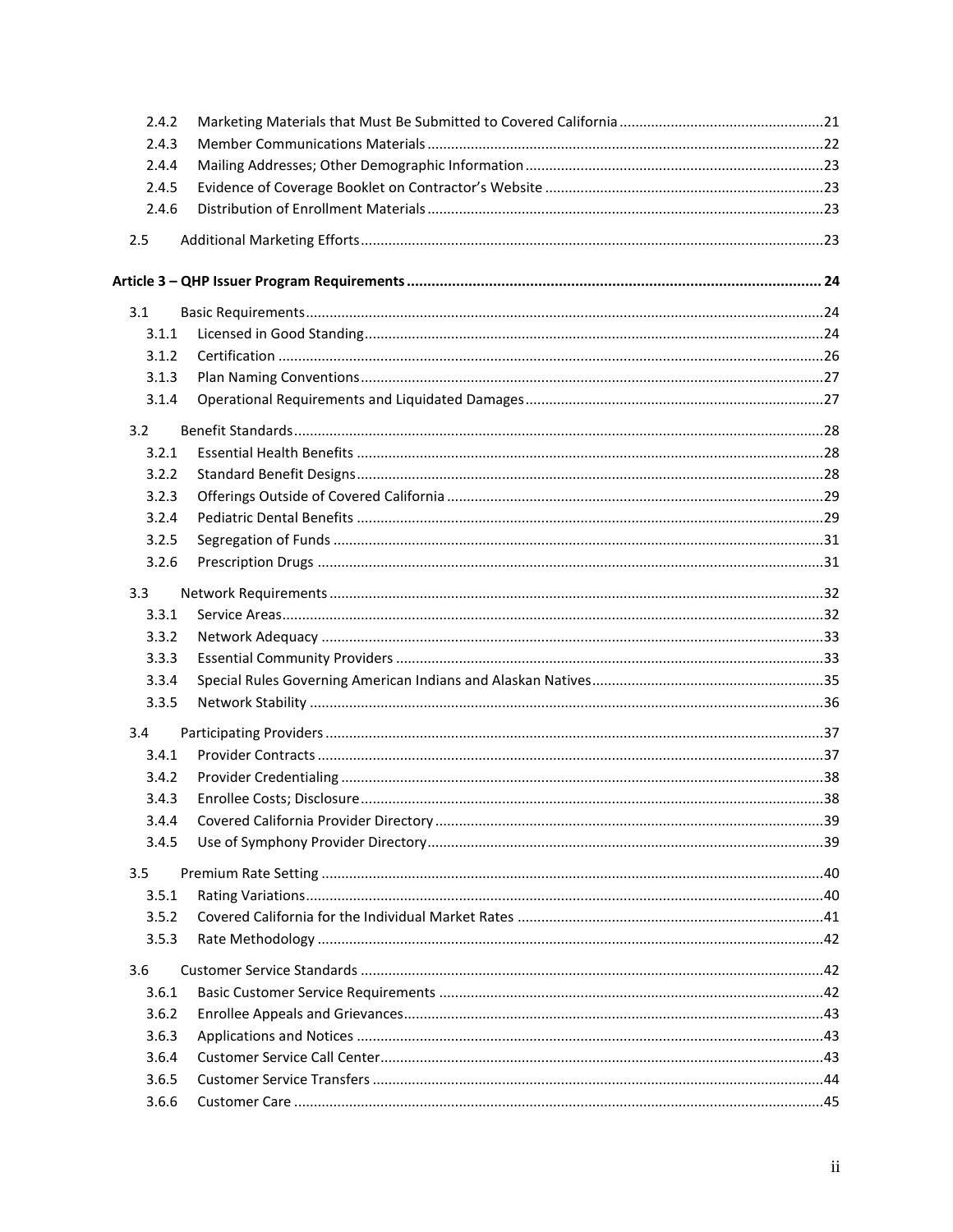| 2.4.2 |  |
|-------|--|
| 2.4.3 |  |
| 2.4.4 |  |
| 2.4.5 |  |
| 2.4.6 |  |
| 2.5   |  |
|       |  |
| 3.1   |  |
| 3.1.1 |  |
| 3.1.2 |  |
| 3.1.3 |  |
| 3.1.4 |  |
| 3.2   |  |
| 3.2.1 |  |
| 3.2.2 |  |
| 3.2.3 |  |
| 3.2.4 |  |
| 3.2.5 |  |
| 3.2.6 |  |
| 3.3   |  |
| 3.3.1 |  |
| 3.3.2 |  |
| 3.3.3 |  |
| 3.3.4 |  |
| 3.3.5 |  |
| 3.4   |  |
| 3.4.1 |  |
| 3.4.2 |  |
| 3.4.3 |  |
| 3.4.4 |  |
| 3.4.5 |  |
| 3.5   |  |
| 3.5.1 |  |
| 3.5.2 |  |
| 3.5.3 |  |
| 3.6   |  |
| 3.6.1 |  |
| 3.6.2 |  |
| 3.6.3 |  |
| 3.6.4 |  |
| 3.6.5 |  |
| 3.6.6 |  |
|       |  |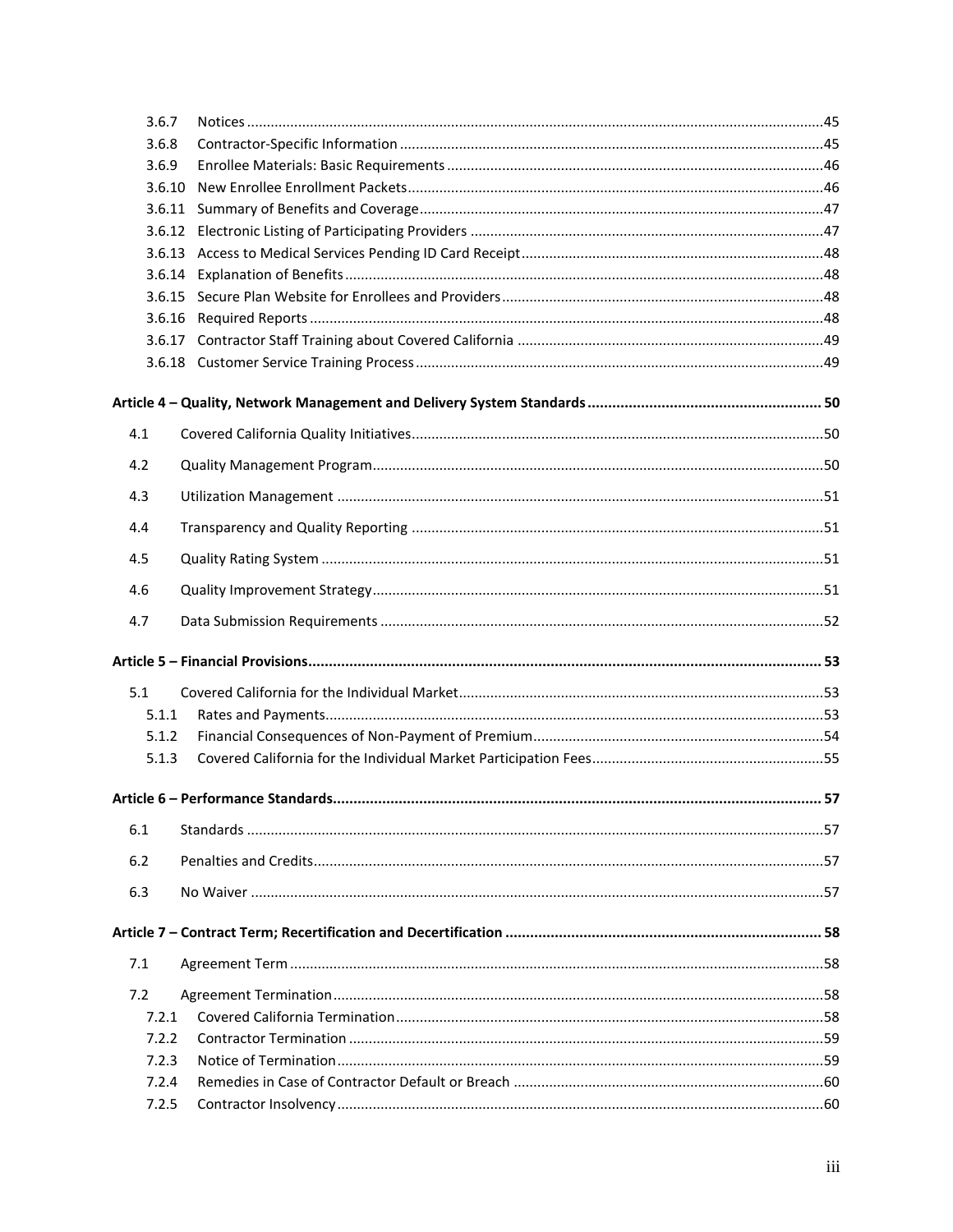| 3.6.7  |  |
|--------|--|
| 3.6.8  |  |
| 3.6.9  |  |
| 3.6.10 |  |
| 3.6.11 |  |
|        |  |
|        |  |
|        |  |
|        |  |
|        |  |
|        |  |
|        |  |
|        |  |
| 4.1    |  |
| 4.2    |  |
| 4.3    |  |
| 4.4    |  |
| 4.5    |  |
| 4.6    |  |
| 4.7    |  |
|        |  |
| 5.1    |  |
| 5.1.1  |  |
| 5.1.2  |  |
| 5.1.3  |  |
|        |  |
| 6.1    |  |
| 6.2    |  |
| 6.3    |  |
|        |  |
| 7.1    |  |
| 7.2    |  |
| 7.2.1  |  |
| 7.2.2  |  |
| 7.2.3  |  |
| 7.2.4  |  |
| 7.2.5  |  |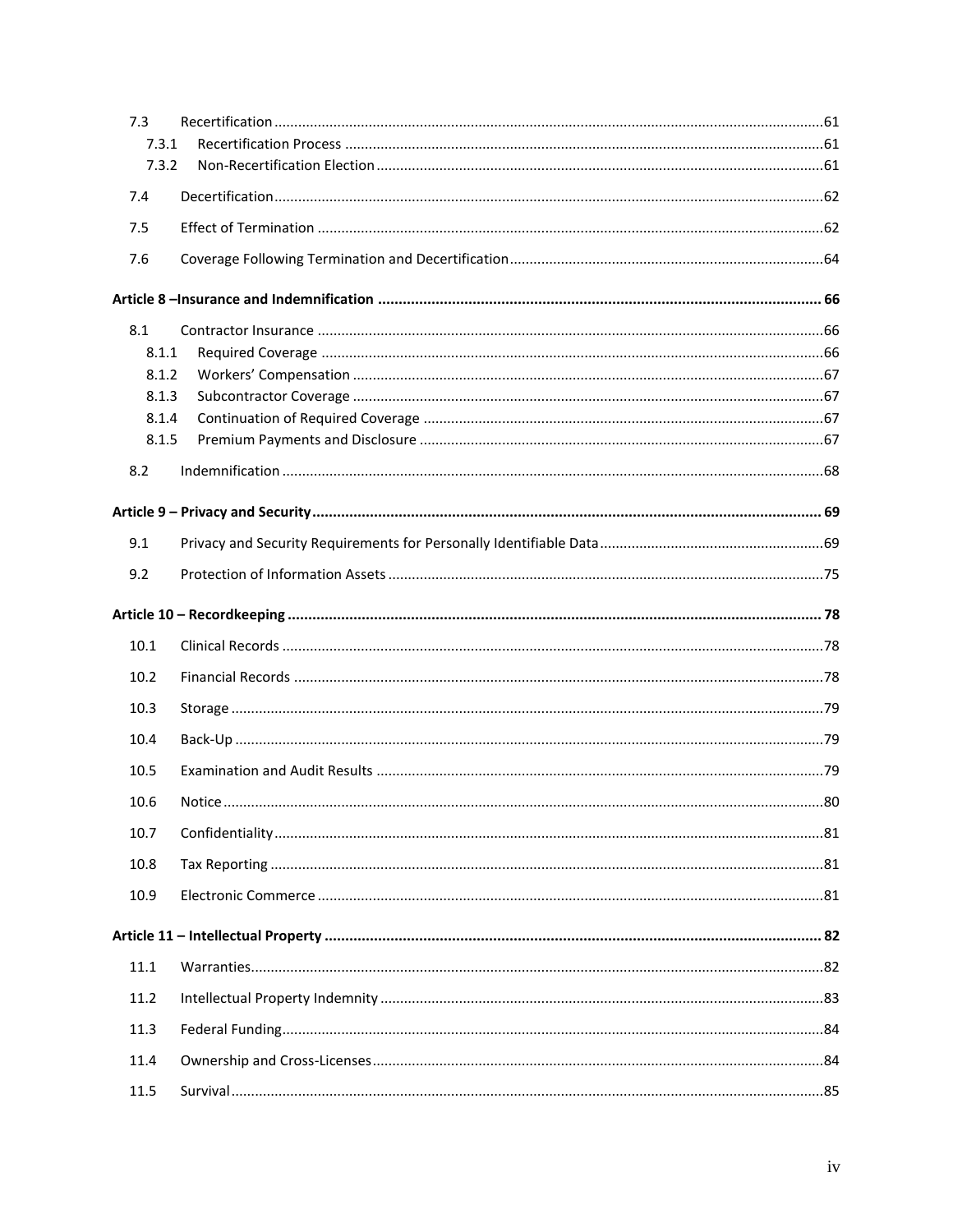| 7.3   |  |
|-------|--|
| 7.3.1 |  |
| 7.3.2 |  |
| 7.4   |  |
| 7.5   |  |
| 7.6   |  |
|       |  |
| 8.1   |  |
| 8.1.1 |  |
| 8.1.2 |  |
| 8.1.3 |  |
| 8.1.4 |  |
| 8.1.5 |  |
| 8.2   |  |
|       |  |
|       |  |
| 9.1   |  |
| 9.2   |  |
|       |  |
| 10.1  |  |
| 10.2  |  |
| 10.3  |  |
| 10.4  |  |
| 10.5  |  |
| 10.6  |  |
| 10.7  |  |
| 10.8  |  |
| 10.9  |  |
|       |  |
|       |  |
| 11.1  |  |
| 11.2  |  |
| 11.3  |  |
| 11.4  |  |
| 11.5  |  |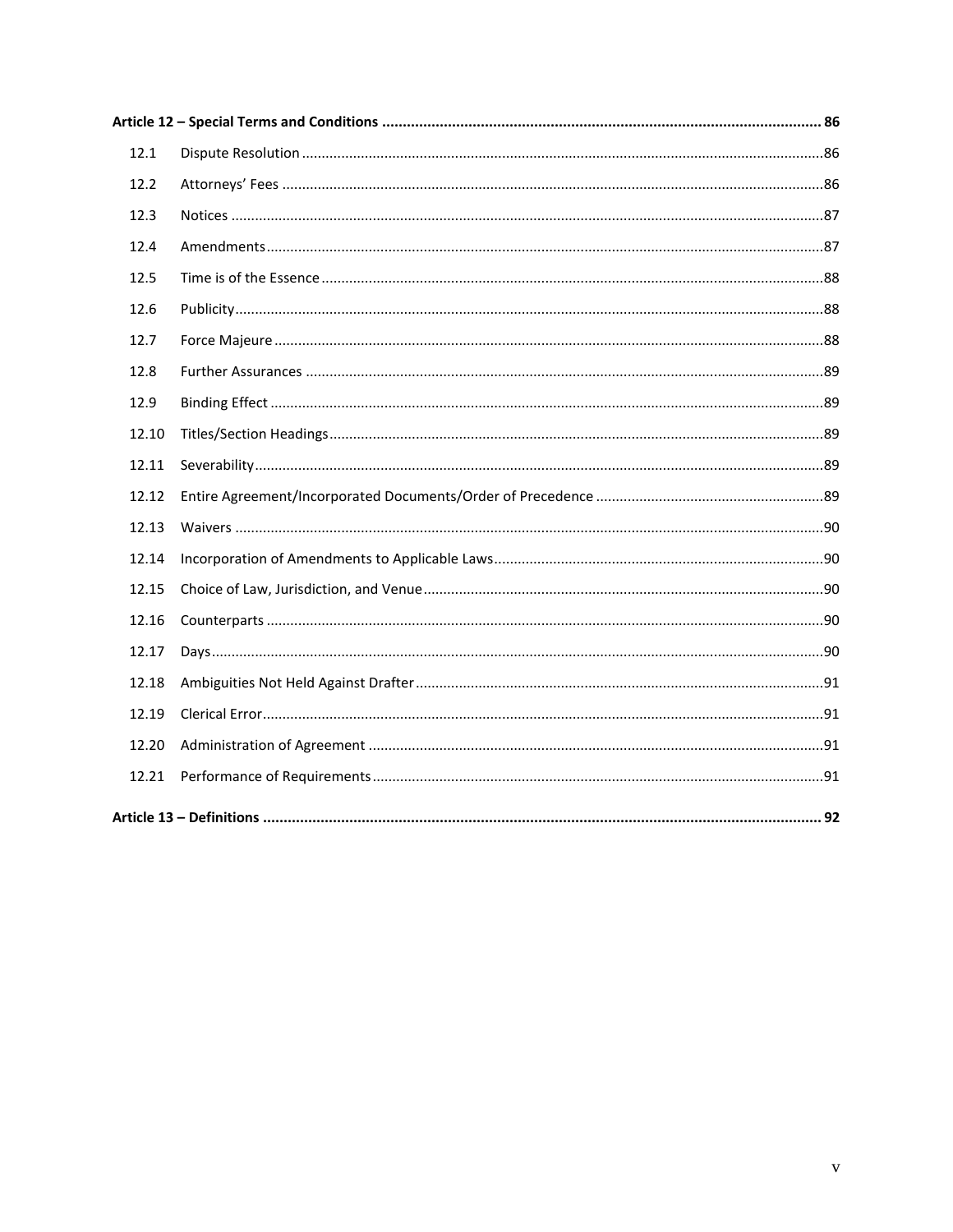| 12.1  |  |
|-------|--|
| 12.2  |  |
| 12.3  |  |
| 12.4  |  |
| 12.5  |  |
| 12.6  |  |
| 12.7  |  |
| 12.8  |  |
| 12.9  |  |
| 12.10 |  |
| 12.11 |  |
| 12.12 |  |
| 12.13 |  |
| 12.14 |  |
| 12.15 |  |
| 12.16 |  |
| 12.17 |  |
| 12.18 |  |
| 12.19 |  |
| 12.20 |  |
| 12.21 |  |
|       |  |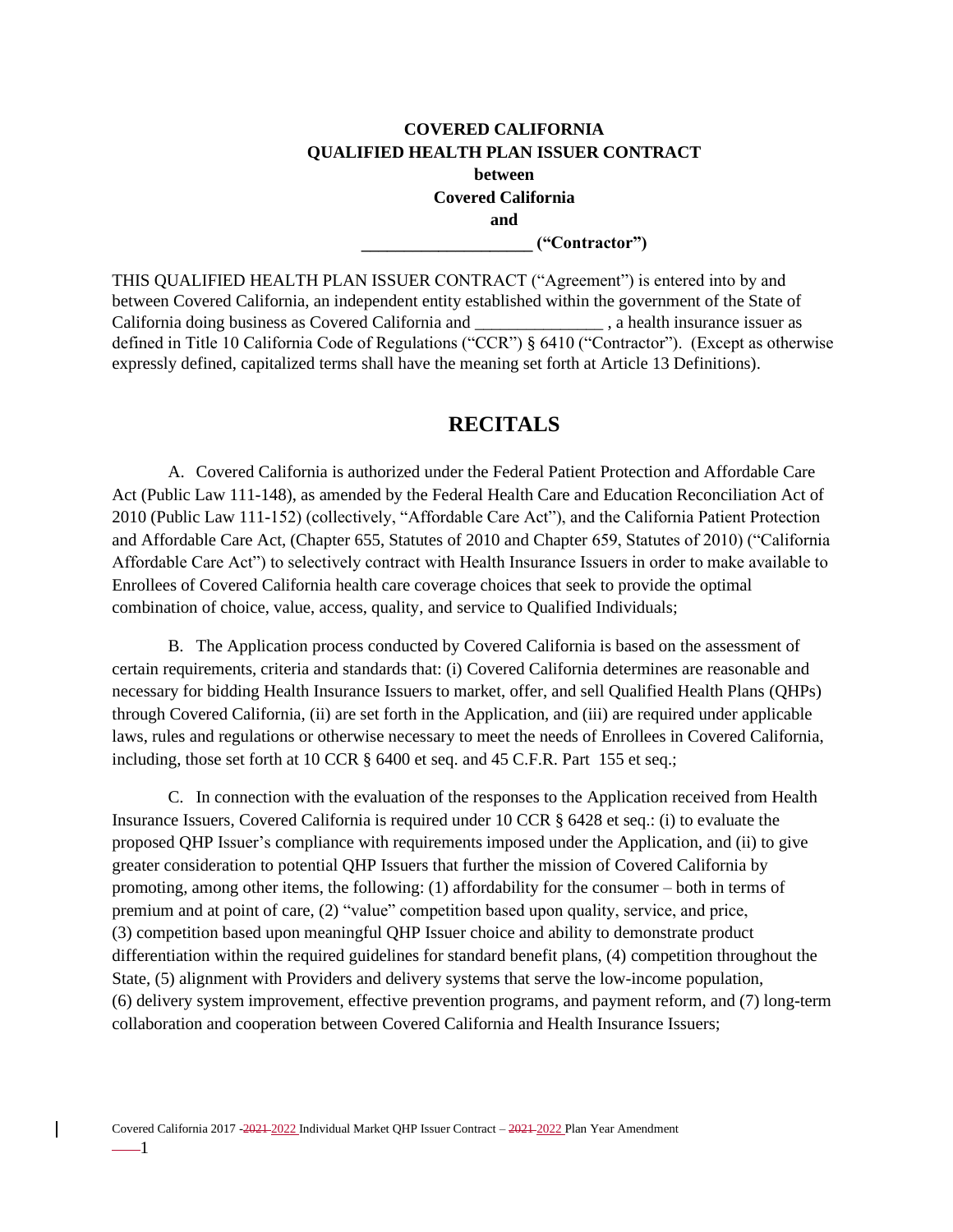# **COVERED CALIFORNIA QUALIFIED HEALTH PLAN ISSUER CONTRACT between Covered California and**

**\_\_\_\_\_\_\_\_\_\_\_\_\_\_\_\_\_\_\_\_ ("Contractor")**

THIS QUALIFIED HEALTH PLAN ISSUER CONTRACT ("Agreement") is entered into by and between Covered California, an independent entity established within the government of the State of California doing business as Covered California and \_\_\_\_\_\_\_\_\_\_\_\_\_\_\_ , a health insurance issuer as defined in Title 10 California Code of Regulations ("CCR") § 6410 ("Contractor"). (Except as otherwise expressly defined, capitalized terms shall have the meaning set forth at Article 13 Definitions).

## **RECITALS**

<span id="page-8-0"></span>A. Covered California is authorized under the Federal Patient Protection and Affordable Care Act (Public Law 111-148), as amended by the Federal Health Care and Education Reconciliation Act of 2010 (Public Law 111-152) (collectively, "Affordable Care Act"), and the California Patient Protection and Affordable Care Act, (Chapter 655, Statutes of 2010 and Chapter 659, Statutes of 2010) ("California Affordable Care Act") to selectively contract with Health Insurance Issuers in order to make available to Enrollees of Covered California health care coverage choices that seek to provide the optimal combination of choice, value, access, quality, and service to Qualified Individuals;

B. The Application process conducted by Covered California is based on the assessment of certain requirements, criteria and standards that: (i) Covered California determines are reasonable and necessary for bidding Health Insurance Issuers to market, offer, and sell Qualified Health Plans (QHPs) through Covered California, (ii) are set forth in the Application, and (iii) are required under applicable laws, rules and regulations or otherwise necessary to meet the needs of Enrollees in Covered California, including, those set forth at 10 CCR § 6400 et seq. and 45 C.F.R. Part 155 et seq.;

C. In connection with the evaluation of the responses to the Application received from Health Insurance Issuers, Covered California is required under 10 CCR § 6428 et seq.: (i) to evaluate the proposed QHP Issuer's compliance with requirements imposed under the Application, and (ii) to give greater consideration to potential QHP Issuers that further the mission of Covered California by promoting, among other items, the following: (1) affordability for the consumer – both in terms of premium and at point of care, (2) "value" competition based upon quality, service, and price, (3) competition based upon meaningful QHP Issuer choice and ability to demonstrate product differentiation within the required guidelines for standard benefit plans, (4) competition throughout the State, (5) alignment with Providers and delivery systems that serve the low-income population, (6) delivery system improvement, effective prevention programs, and payment reform, and (7) long-term collaboration and cooperation between Covered California and Health Insurance Issuers;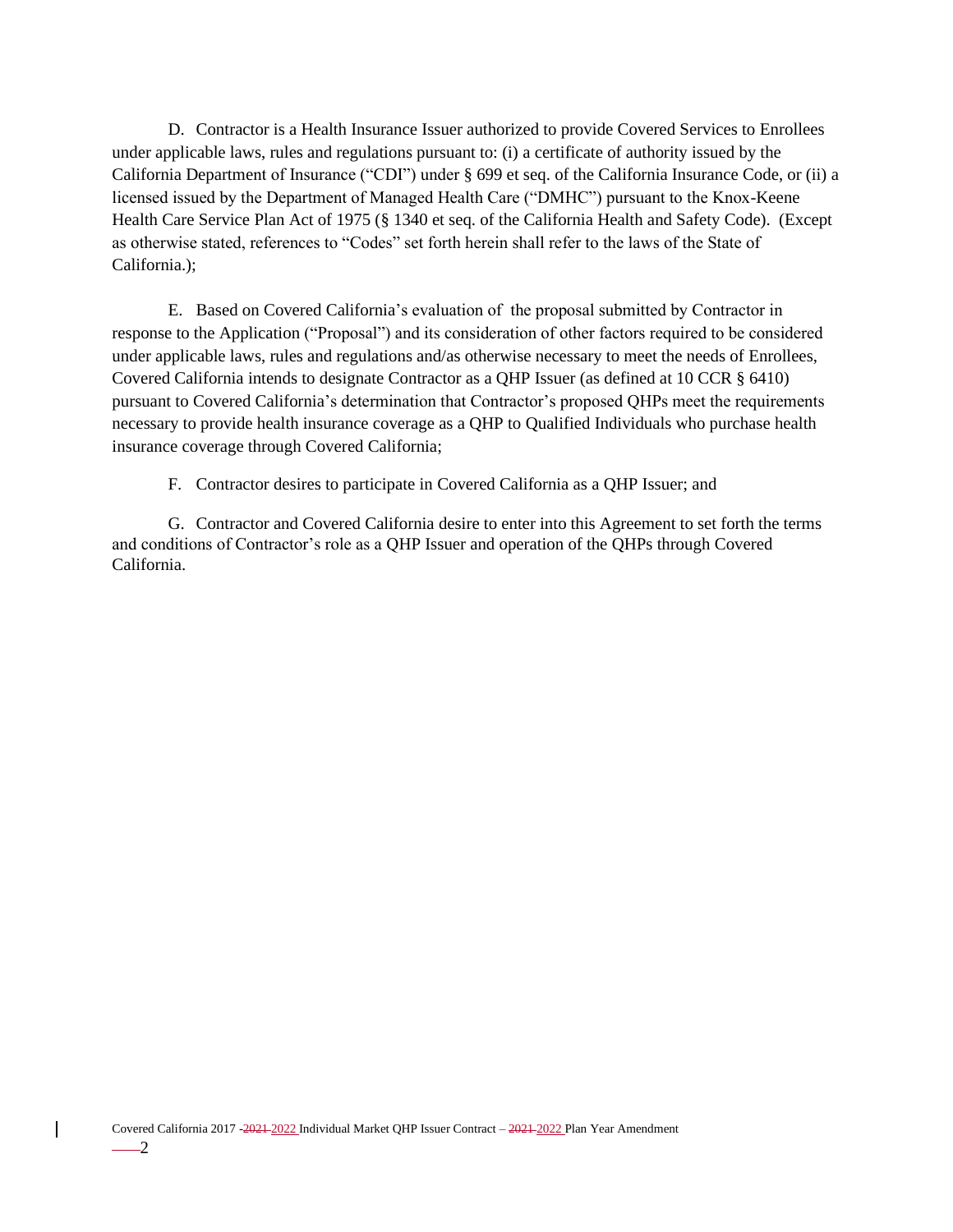D. Contractor is a Health Insurance Issuer authorized to provide Covered Services to Enrollees under applicable laws, rules and regulations pursuant to: (i) a certificate of authority issued by the California Department of Insurance ("CDI") under § 699 et seq. of the California Insurance Code, or (ii) a licensed issued by the Department of Managed Health Care ("DMHC") pursuant to the Knox-Keene Health Care Service Plan Act of 1975 (§ 1340 et seq. of the California Health and Safety Code). (Except as otherwise stated, references to "Codes" set forth herein shall refer to the laws of the State of California.);

E. Based on Covered California's evaluation of the proposal submitted by Contractor in response to the Application ("Proposal") and its consideration of other factors required to be considered under applicable laws, rules and regulations and/as otherwise necessary to meet the needs of Enrollees, Covered California intends to designate Contractor as a QHP Issuer (as defined at 10 CCR § 6410) pursuant to Covered California's determination that Contractor's proposed QHPs meet the requirements necessary to provide health insurance coverage as a QHP to Qualified Individuals who purchase health insurance coverage through Covered California;

F. Contractor desires to participate in Covered California as a QHP Issuer; and

G. Contractor and Covered California desire to enter into this Agreement to set forth the terms and conditions of Contractor's role as a QHP Issuer and operation of the QHPs through Covered California.

 $\mathsf{l}$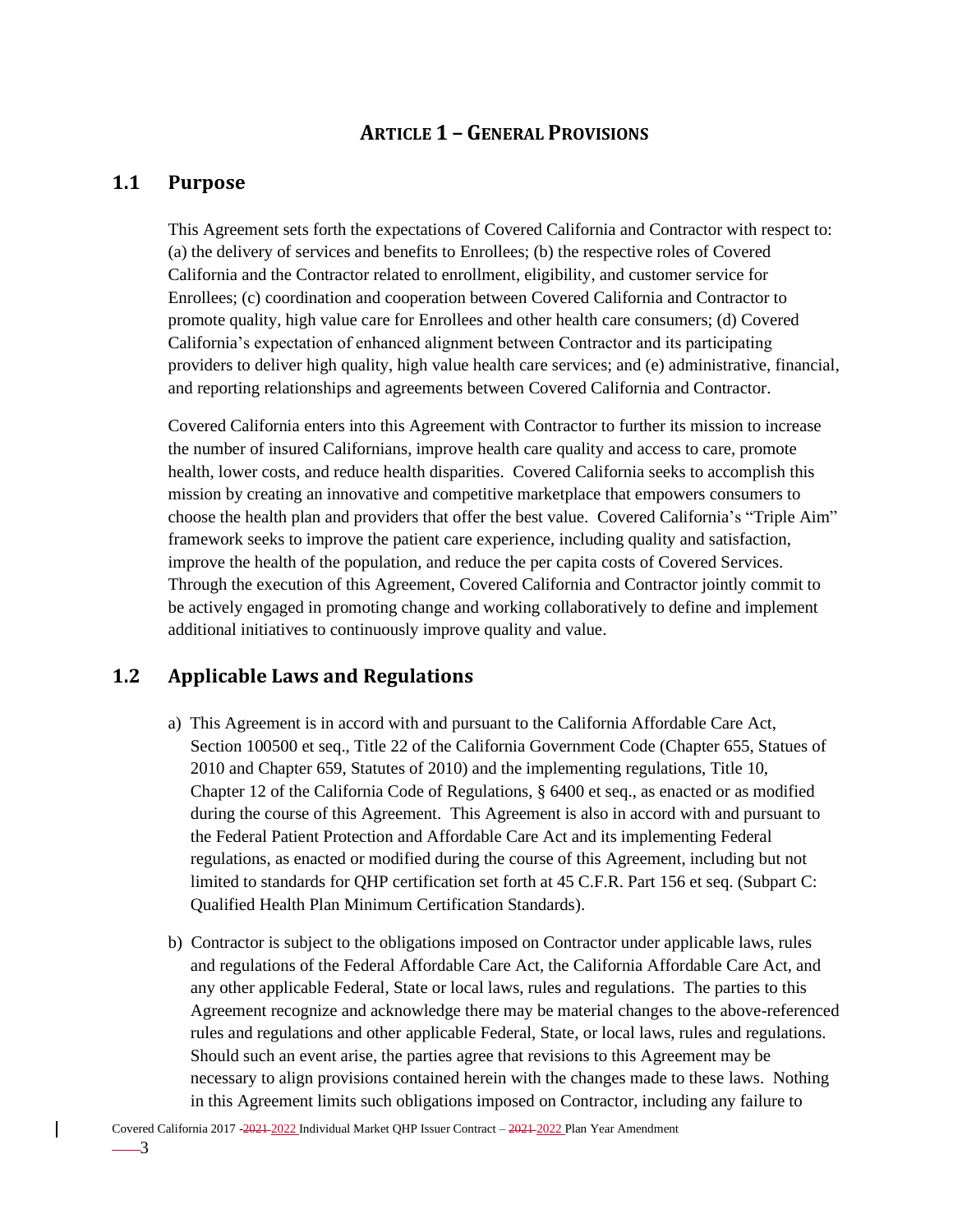# **ARTICLE 1 – GENERAL PROVISIONS**

## <span id="page-10-1"></span><span id="page-10-0"></span>**1.1 Purpose**

This Agreement sets forth the expectations of Covered California and Contractor with respect to: (a) the delivery of services and benefits to Enrollees; (b) the respective roles of Covered California and the Contractor related to enrollment, eligibility, and customer service for Enrollees; (c) coordination and cooperation between Covered California and Contractor to promote quality, high value care for Enrollees and other health care consumers; (d) Covered California's expectation of enhanced alignment between Contractor and its participating providers to deliver high quality, high value health care services; and (e) administrative, financial, and reporting relationships and agreements between Covered California and Contractor.

Covered California enters into this Agreement with Contractor to further its mission to increase the number of insured Californians, improve health care quality and access to care, promote health, lower costs, and reduce health disparities. Covered California seeks to accomplish this mission by creating an innovative and competitive marketplace that empowers consumers to choose the health plan and providers that offer the best value. Covered California's "Triple Aim" framework seeks to improve the patient care experience, including quality and satisfaction, improve the health of the population, and reduce the per capita costs of Covered Services. Through the execution of this Agreement, Covered California and Contractor jointly commit to be actively engaged in promoting change and working collaboratively to define and implement additional initiatives to continuously improve quality and value.

# <span id="page-10-2"></span>**1.2 Applicable Laws and Regulations**

- a) This Agreement is in accord with and pursuant to the California Affordable Care Act, Section 100500 et seq., Title 22 of the California Government Code (Chapter 655, Statues of 2010 and Chapter 659, Statutes of 2010) and the implementing regulations, Title 10, Chapter 12 of the California Code of Regulations, § 6400 et seq., as enacted or as modified during the course of this Agreement. This Agreement is also in accord with and pursuant to the Federal Patient Protection and Affordable Care Act and its implementing Federal regulations, as enacted or modified during the course of this Agreement, including but not limited to standards for QHP certification set forth at 45 C.F.R. Part 156 et seq. (Subpart C: Qualified Health Plan Minimum Certification Standards).
- b) Contractor is subject to the obligations imposed on Contractor under applicable laws, rules and regulations of the Federal Affordable Care Act, the California Affordable Care Act, and any other applicable Federal, State or local laws, rules and regulations. The parties to this Agreement recognize and acknowledge there may be material changes to the above-referenced rules and regulations and other applicable Federal, State, or local laws, rules and regulations. Should such an event arise, the parties agree that revisions to this Agreement may be necessary to align provisions contained herein with the changes made to these laws. Nothing in this Agreement limits such obligations imposed on Contractor, including any failure to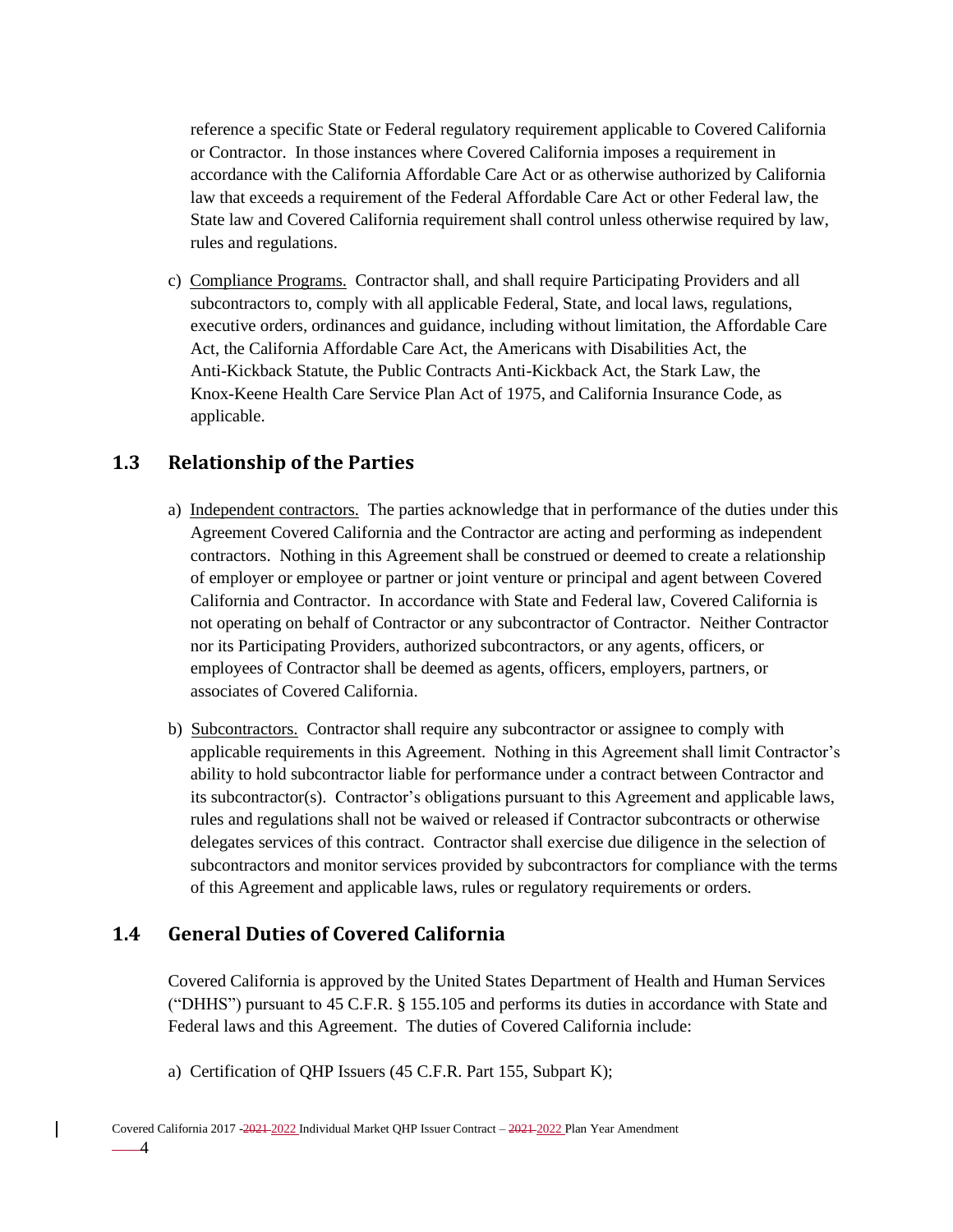reference a specific State or Federal regulatory requirement applicable to Covered California or Contractor. In those instances where Covered California imposes a requirement in accordance with the California Affordable Care Act or as otherwise authorized by California law that exceeds a requirement of the Federal Affordable Care Act or other Federal law, the State law and Covered California requirement shall control unless otherwise required by law, rules and regulations.

c) Compliance Programs. Contractor shall, and shall require Participating Providers and all subcontractors to, comply with all applicable Federal, State, and local laws, regulations, executive orders, ordinances and guidance, including without limitation, the Affordable Care Act, the California Affordable Care Act, the Americans with Disabilities Act, the Anti-Kickback Statute, the Public Contracts Anti-Kickback Act, the Stark Law, the Knox-Keene Health Care Service Plan Act of 1975, and California Insurance Code, as applicable.

# <span id="page-11-0"></span>**1.3 Relationship of the Parties**

- a) Independent contractors. The parties acknowledge that in performance of the duties under this Agreement Covered California and the Contractor are acting and performing as independent contractors. Nothing in this Agreement shall be construed or deemed to create a relationship of employer or employee or partner or joint venture or principal and agent between Covered California and Contractor. In accordance with State and Federal law, Covered California is not operating on behalf of Contractor or any subcontractor of Contractor. Neither Contractor nor its Participating Providers, authorized subcontractors, or any agents, officers, or employees of Contractor shall be deemed as agents, officers, employers, partners, or associates of Covered California.
- b) Subcontractors. Contractor shall require any subcontractor or assignee to comply with applicable requirements in this Agreement. Nothing in this Agreement shall limit Contractor's ability to hold subcontractor liable for performance under a contract between Contractor and its subcontractor(s). Contractor's obligations pursuant to this Agreement and applicable laws, rules and regulations shall not be waived or released if Contractor subcontracts or otherwise delegates services of this contract. Contractor shall exercise due diligence in the selection of subcontractors and monitor services provided by subcontractors for compliance with the terms of this Agreement and applicable laws, rules or regulatory requirements or orders.

# <span id="page-11-1"></span>**1.4 General Duties of Covered California**

Covered California is approved by the United States Department of Health and Human Services ("DHHS") pursuant to 45 C.F.R. § 155.105 and performs its duties in accordance with State and Federal laws and this Agreement. The duties of Covered California include:

a) Certification of QHP Issuers (45 C.F.R. Part 155, Subpart K);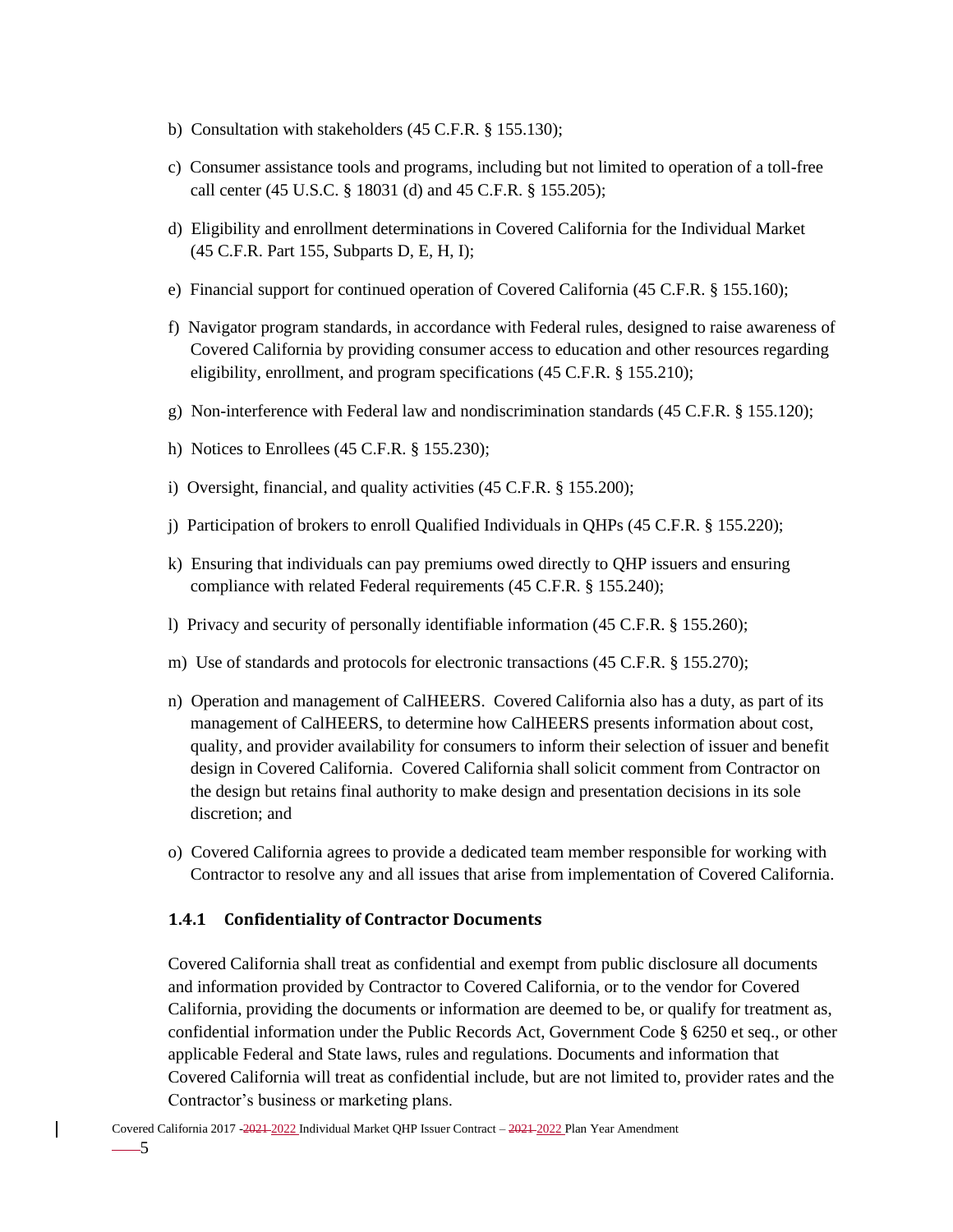- b) Consultation with stakeholders (45 C.F.R. § 155.130);
- c) Consumer assistance tools and programs, including but not limited to operation of a toll-free call center (45 U.S.C. § 18031 (d) and 45 C.F.R. § 155.205);
- d) Eligibility and enrollment determinations in Covered California for the Individual Market (45 C.F.R. Part 155, Subparts D, E, H, I);
- e) Financial support for continued operation of Covered California (45 C.F.R. § 155.160);
- f) Navigator program standards, in accordance with Federal rules, designed to raise awareness of Covered California by providing consumer access to education and other resources regarding eligibility, enrollment, and program specifications (45 C.F.R. § 155.210);
- g) Non-interference with Federal law and nondiscrimination standards (45 C.F.R. § 155.120);
- h) Notices to Enrollees (45 C.F.R. § 155.230);
- i) Oversight, financial, and quality activities (45 C.F.R. § 155.200);
- j) Participation of brokers to enroll Qualified Individuals in QHPs (45 C.F.R. § 155.220);
- k) Ensuring that individuals can pay premiums owed directly to QHP issuers and ensuring compliance with related Federal requirements (45 C.F.R. § 155.240);
- l) Privacy and security of personally identifiable information (45 C.F.R. § 155.260);
- m) Use of standards and protocols for electronic transactions (45 C.F.R. § 155.270);
- n) Operation and management of CalHEERS. Covered California also has a duty, as part of its management of CalHEERS, to determine how CalHEERS presents information about cost, quality, and provider availability for consumers to inform their selection of issuer and benefit design in Covered California. Covered California shall solicit comment from Contractor on the design but retains final authority to make design and presentation decisions in its sole discretion; and
- o) Covered California agrees to provide a dedicated team member responsible for working with Contractor to resolve any and all issues that arise from implementation of Covered California.

#### <span id="page-12-0"></span>**1.4.1 Confidentiality of Contractor Documents**

Covered California shall treat as confidential and exempt from public disclosure all documents and information provided by Contractor to Covered California, or to the vendor for Covered California, providing the documents or information are deemed to be, or qualify for treatment as, confidential information under the Public Records Act, Government Code § 6250 et seq., or other applicable Federal and State laws, rules and regulations. Documents and information that Covered California will treat as confidential include, but are not limited to, provider rates and the Contractor's business or marketing plans.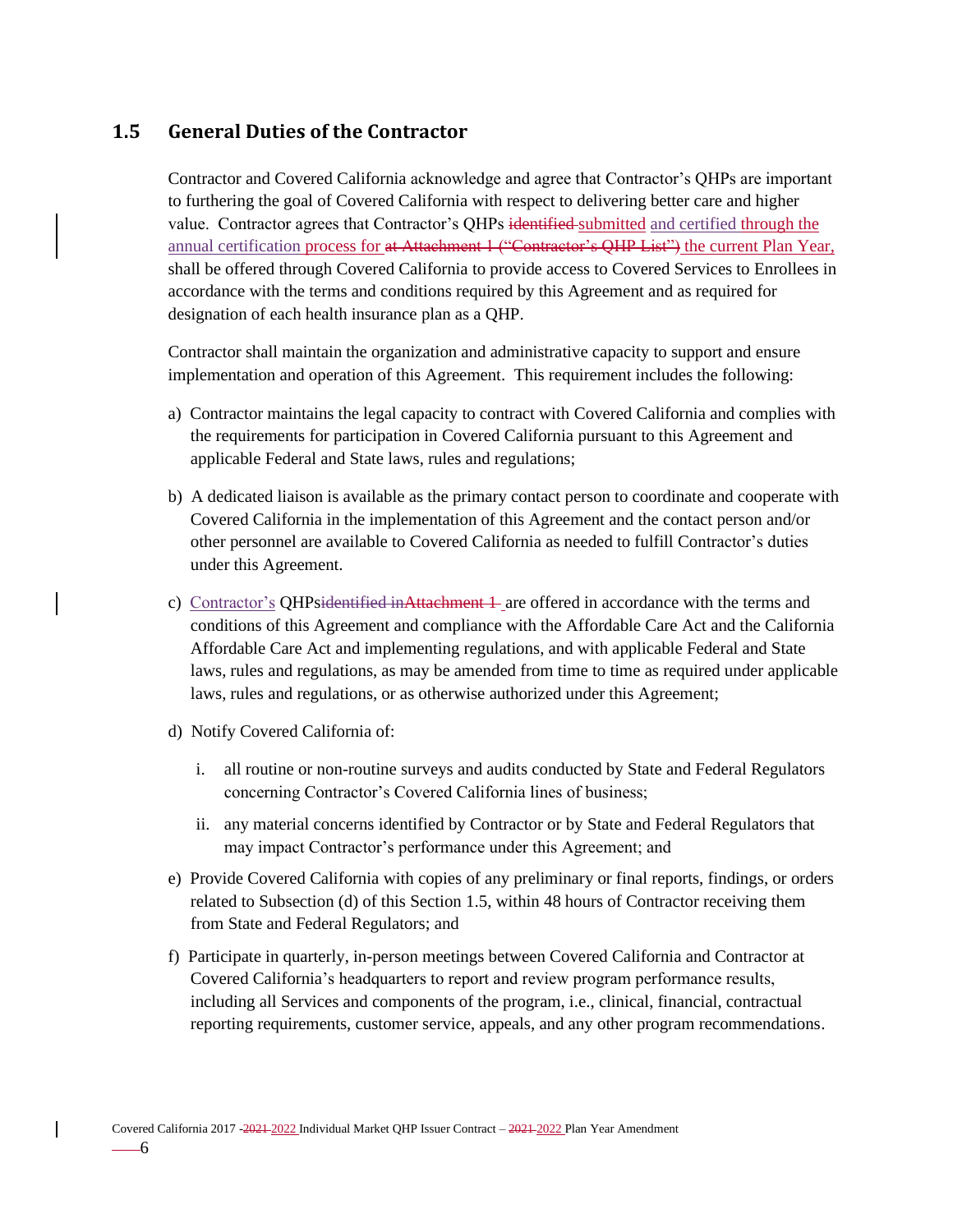## <span id="page-13-0"></span>**1.5 General Duties of the Contractor**

Contractor and Covered California acknowledge and agree that Contractor's QHPs are important to furthering the goal of Covered California with respect to delivering better care and higher value. Contractor agrees that Contractor's QHPs identified submitted and certified through the annual certification process for at Attachment 1 ("Contractor's QHP List") the current Plan Year, shall be offered through Covered California to provide access to Covered Services to Enrollees in accordance with the terms and conditions required by this Agreement and as required for designation of each health insurance plan as a QHP.

Contractor shall maintain the organization and administrative capacity to support and ensure implementation and operation of this Agreement. This requirement includes the following:

- a) Contractor maintains the legal capacity to contract with Covered California and complies with the requirements for participation in Covered California pursuant to this Agreement and applicable Federal and State laws, rules and regulations;
- b) A dedicated liaison is available as the primary contact person to coordinate and cooperate with Covered California in the implementation of this Agreement and the contact person and/or other personnel are available to Covered California as needed to fulfill Contractor's duties under this Agreement.
- c) Contractor's QHPsidentified inAttachment 1 are offered in accordance with the terms and conditions of this Agreement and compliance with the Affordable Care Act and the California Affordable Care Act and implementing regulations, and with applicable Federal and State laws, rules and regulations, as may be amended from time to time as required under applicable laws, rules and regulations, or as otherwise authorized under this Agreement;
- d) Notify Covered California of:
	- i. all routine or non-routine surveys and audits conducted by State and Federal Regulators concerning Contractor's Covered California lines of business;
	- ii. any material concerns identified by Contractor or by State and Federal Regulators that may impact Contractor's performance under this Agreement; and
- e) Provide Covered California with copies of any preliminary or final reports, findings, or orders related to Subsection (d) of this Section 1.5, within 48 hours of Contractor receiving them from State and Federal Regulators; and
- f) Participate in quarterly, in-person meetings between Covered California and Contractor at Covered California's headquarters to report and review program performance results, including all Services and components of the program, i.e., clinical, financial, contractual reporting requirements, customer service, appeals, and any other program recommendations.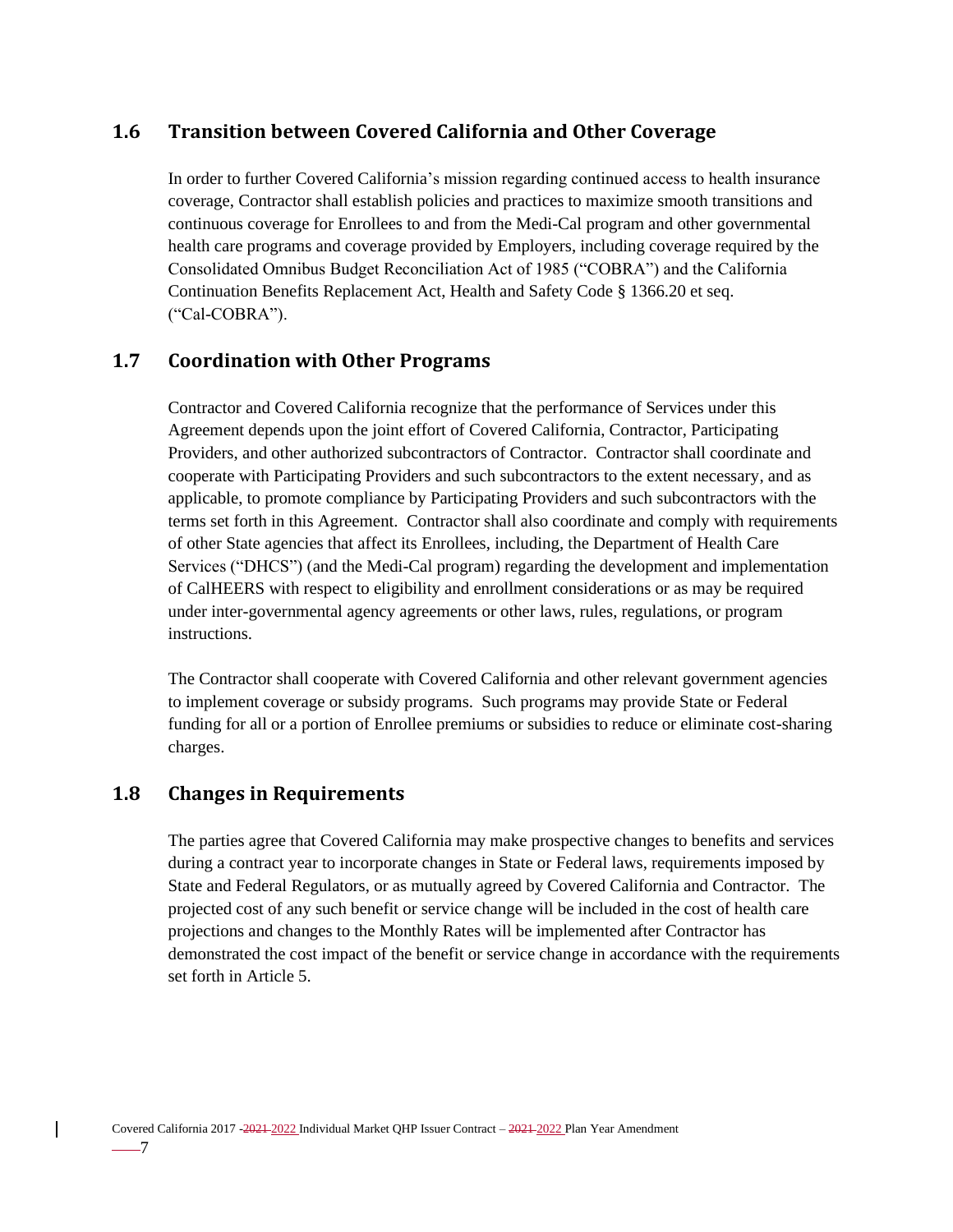# <span id="page-14-0"></span>**1.6 Transition between Covered California and Other Coverage**

In order to further Covered California's mission regarding continued access to health insurance coverage, Contractor shall establish policies and practices to maximize smooth transitions and continuous coverage for Enrollees to and from the Medi-Cal program and other governmental health care programs and coverage provided by Employers, including coverage required by the Consolidated Omnibus Budget Reconciliation Act of 1985 ("COBRA") and the California Continuation Benefits Replacement Act, Health and Safety Code § 1366.20 et seq. ("Cal-COBRA").

## <span id="page-14-1"></span>**1.7 Coordination with Other Programs**

Contractor and Covered California recognize that the performance of Services under this Agreement depends upon the joint effort of Covered California, Contractor, Participating Providers, and other authorized subcontractors of Contractor. Contractor shall coordinate and cooperate with Participating Providers and such subcontractors to the extent necessary, and as applicable, to promote compliance by Participating Providers and such subcontractors with the terms set forth in this Agreement. Contractor shall also coordinate and comply with requirements of other State agencies that affect its Enrollees, including, the Department of Health Care Services ("DHCS") (and the Medi-Cal program) regarding the development and implementation of CalHEERS with respect to eligibility and enrollment considerations or as may be required under inter-governmental agency agreements or other laws, rules, regulations, or program instructions.

The Contractor shall cooperate with Covered California and other relevant government agencies to implement coverage or subsidy programs. Such programs may provide State or Federal funding for all or a portion of Enrollee premiums or subsidies to reduce or eliminate cost-sharing charges.

### <span id="page-14-2"></span>**1.8 Changes in Requirements**

The parties agree that Covered California may make prospective changes to benefits and services during a contract year to incorporate changes in State or Federal laws, requirements imposed by State and Federal Regulators, or as mutually agreed by Covered California and Contractor. The projected cost of any such benefit or service change will be included in the cost of health care projections and changes to the Monthly Rates will be implemented after Contractor has demonstrated the cost impact of the benefit or service change in accordance with the requirements set forth in Article 5.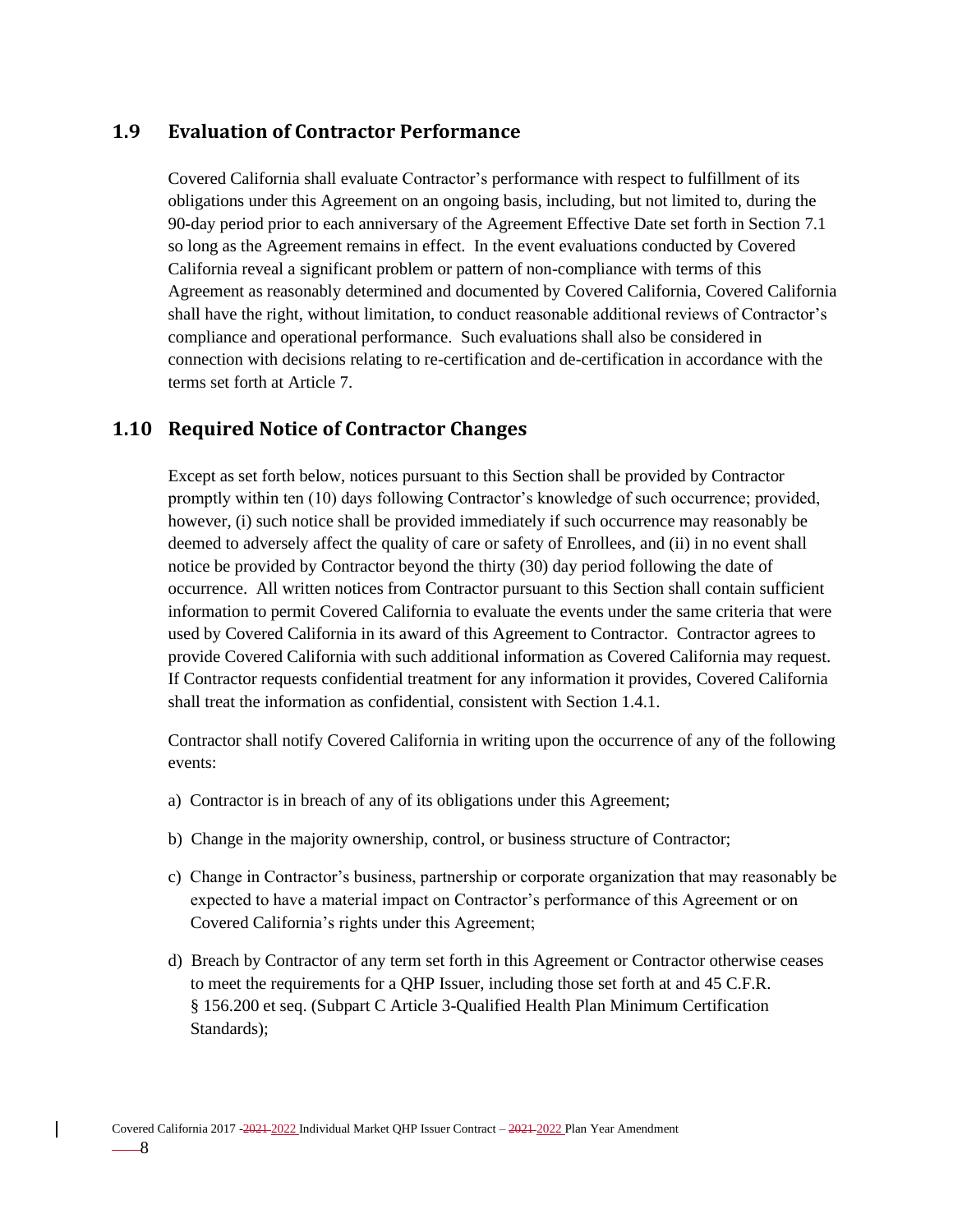## <span id="page-15-0"></span>**1.9 Evaluation of Contractor Performance**

Covered California shall evaluate Contractor's performance with respect to fulfillment of its obligations under this Agreement on an ongoing basis, including, but not limited to, during the 90-day period prior to each anniversary of the Agreement Effective Date set forth in Section 7.1 so long as the Agreement remains in effect. In the event evaluations conducted by Covered California reveal a significant problem or pattern of non-compliance with terms of this Agreement as reasonably determined and documented by Covered California, Covered California shall have the right, without limitation, to conduct reasonable additional reviews of Contractor's compliance and operational performance. Such evaluations shall also be considered in connection with decisions relating to re-certification and de-certification in accordance with the terms set forth at Article 7.

## <span id="page-15-1"></span>**1.10 Required Notice of Contractor Changes**

Except as set forth below, notices pursuant to this Section shall be provided by Contractor promptly within ten (10) days following Contractor's knowledge of such occurrence; provided, however, (i) such notice shall be provided immediately if such occurrence may reasonably be deemed to adversely affect the quality of care or safety of Enrollees, and (ii) in no event shall notice be provided by Contractor beyond the thirty (30) day period following the date of occurrence. All written notices from Contractor pursuant to this Section shall contain sufficient information to permit Covered California to evaluate the events under the same criteria that were used by Covered California in its award of this Agreement to Contractor. Contractor agrees to provide Covered California with such additional information as Covered California may request. If Contractor requests confidential treatment for any information it provides, Covered California shall treat the information as confidential, consistent with Section 1.4.1.

Contractor shall notify Covered California in writing upon the occurrence of any of the following events:

- a) Contractor is in breach of any of its obligations under this Agreement;
- b) Change in the majority ownership, control, or business structure of Contractor;
- c) Change in Contractor's business, partnership or corporate organization that may reasonably be expected to have a material impact on Contractor's performance of this Agreement or on Covered California's rights under this Agreement;
- d) Breach by Contractor of any term set forth in this Agreement or Contractor otherwise ceases to meet the requirements for a QHP Issuer, including those set forth at and 45 C.F.R. § 156.200 et seq. (Subpart C Article 3-Qualified Health Plan Minimum Certification Standards);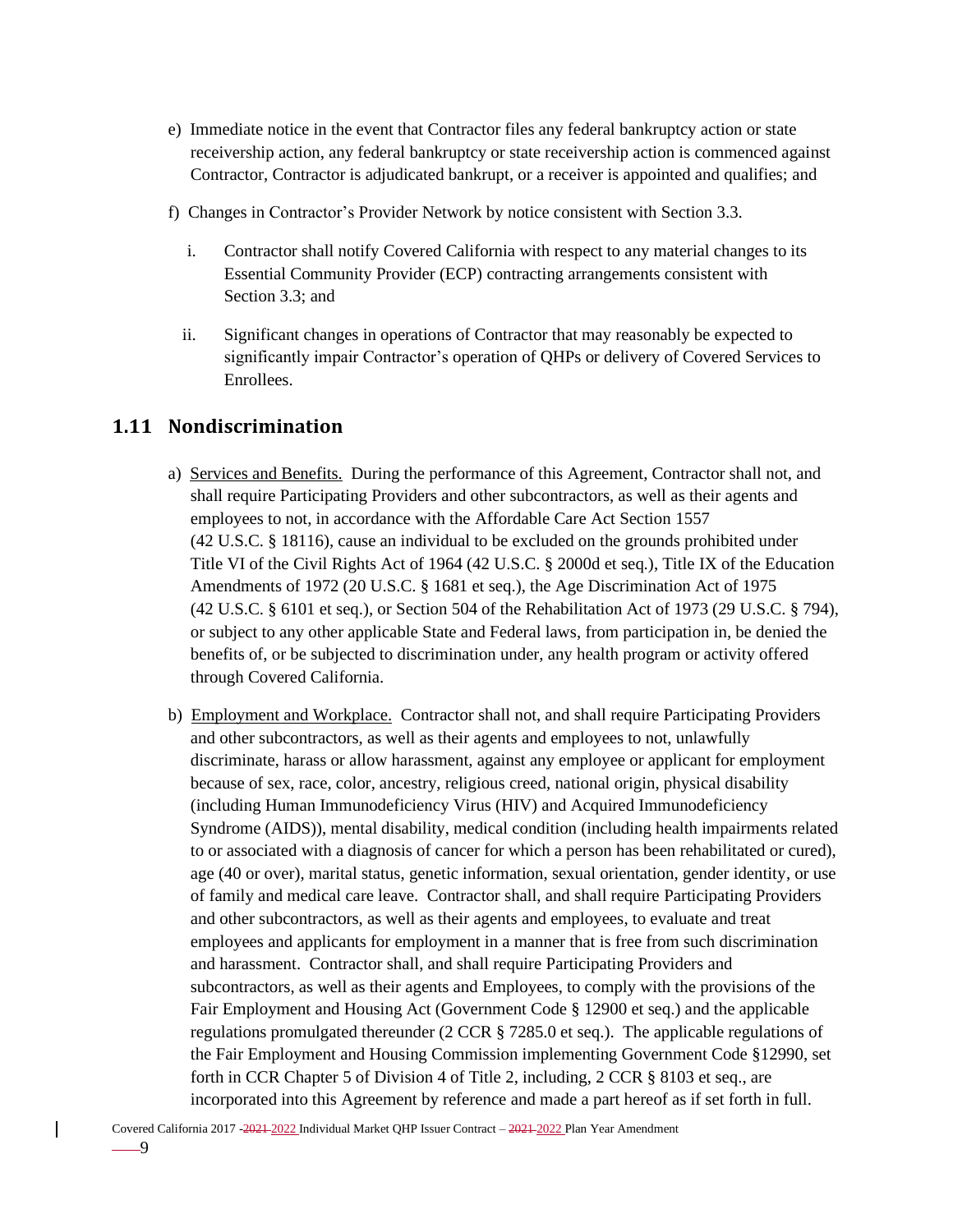- e) Immediate notice in the event that Contractor files any federal bankruptcy action or state receivership action, any federal bankruptcy or state receivership action is commenced against Contractor, Contractor is adjudicated bankrupt, or a receiver is appointed and qualifies; and
- f) Changes in Contractor's Provider Network by notice consistent with Section 3.3.
	- i. Contractor shall notify Covered California with respect to any material changes to its Essential Community Provider (ECP) contracting arrangements consistent with Section 3.3; and
	- ii. Significant changes in operations of Contractor that may reasonably be expected to significantly impair Contractor's operation of QHPs or delivery of Covered Services to Enrollees.

# <span id="page-16-0"></span>**1.11 Nondiscrimination**

- a) Services and Benefits. During the performance of this Agreement, Contractor shall not, and shall require Participating Providers and other subcontractors, as well as their agents and employees to not, in accordance with the Affordable Care Act Section 1557 (42 U.S.C. § 18116), cause an individual to be excluded on the grounds prohibited under Title VI of the Civil Rights Act of 1964 (42 U.S.C. § 2000d et seq.), Title IX of the Education Amendments of 1972 (20 U.S.C. § 1681 et seq.), the Age Discrimination Act of 1975 (42 U.S.C. § 6101 et seq.), or Section 504 of the Rehabilitation Act of 1973 (29 U.S.C. § 794), or subject to any other applicable State and Federal laws, from participation in, be denied the benefits of, or be subjected to discrimination under, any health program or activity offered through Covered California.
- b) Employment and Workplace. Contractor shall not, and shall require Participating Providers and other subcontractors, as well as their agents and employees to not, unlawfully discriminate, harass or allow harassment, against any employee or applicant for employment because of sex, race, color, ancestry, religious creed, national origin, physical disability (including Human Immunodeficiency Virus (HIV) and Acquired Immunodeficiency Syndrome (AIDS)), mental disability, medical condition (including health impairments related to or associated with a diagnosis of cancer for which a person has been rehabilitated or cured), age (40 or over), marital status, genetic information, sexual orientation, gender identity, or use of family and medical care leave. Contractor shall, and shall require Participating Providers and other subcontractors, as well as their agents and employees, to evaluate and treat employees and applicants for employment in a manner that is free from such discrimination and harassment. Contractor shall, and shall require Participating Providers and subcontractors, as well as their agents and Employees, to comply with the provisions of the Fair Employment and Housing Act (Government Code § 12900 et seq.) and the applicable regulations promulgated thereunder (2 CCR § 7285.0 et seq.). The applicable regulations of the Fair Employment and Housing Commission implementing Government Code §12990, set forth in CCR Chapter 5 of Division 4 of Title 2, including, 2 CCR § 8103 et seq., are incorporated into this Agreement by reference and made a part hereof as if set forth in full.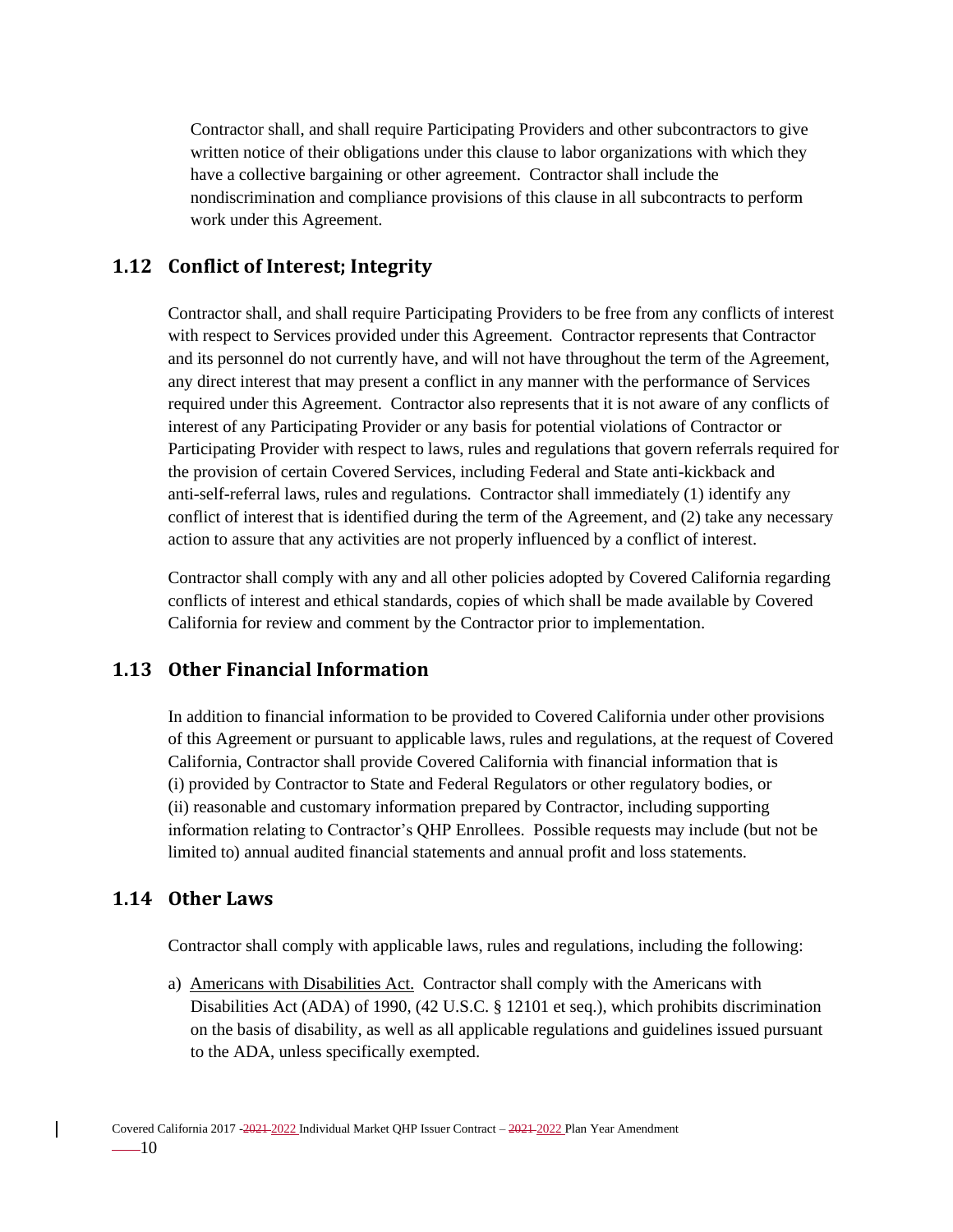Contractor shall, and shall require Participating Providers and other subcontractors to give written notice of their obligations under this clause to labor organizations with which they have a collective bargaining or other agreement. Contractor shall include the nondiscrimination and compliance provisions of this clause in all subcontracts to perform work under this Agreement.

## <span id="page-17-0"></span>**1.12 Conflict of Interest; Integrity**

Contractor shall, and shall require Participating Providers to be free from any conflicts of interest with respect to Services provided under this Agreement. Contractor represents that Contractor and its personnel do not currently have, and will not have throughout the term of the Agreement, any direct interest that may present a conflict in any manner with the performance of Services required under this Agreement. Contractor also represents that it is not aware of any conflicts of interest of any Participating Provider or any basis for potential violations of Contractor or Participating Provider with respect to laws, rules and regulations that govern referrals required for the provision of certain Covered Services, including Federal and State anti-kickback and anti-self-referral laws, rules and regulations. Contractor shall immediately (1) identify any conflict of interest that is identified during the term of the Agreement, and (2) take any necessary action to assure that any activities are not properly influenced by a conflict of interest.

Contractor shall comply with any and all other policies adopted by Covered California regarding conflicts of interest and ethical standards, copies of which shall be made available by Covered California for review and comment by the Contractor prior to implementation.

## <span id="page-17-1"></span>**1.13 Other Financial Information**

In addition to financial information to be provided to Covered California under other provisions of this Agreement or pursuant to applicable laws, rules and regulations, at the request of Covered California, Contractor shall provide Covered California with financial information that is (i) provided by Contractor to State and Federal Regulators or other regulatory bodies, or (ii) reasonable and customary information prepared by Contractor, including supporting information relating to Contractor's QHP Enrollees. Possible requests may include (but not be limited to) annual audited financial statements and annual profit and loss statements.

## <span id="page-17-2"></span>**1.14 Other Laws**

Contractor shall comply with applicable laws, rules and regulations, including the following:

a) Americans with Disabilities Act. Contractor shall comply with the Americans with Disabilities Act (ADA) of 1990, (42 U.S.C. § 12101 et seq.), which prohibits discrimination on the basis of disability, as well as all applicable regulations and guidelines issued pursuant to the ADA, unless specifically exempted.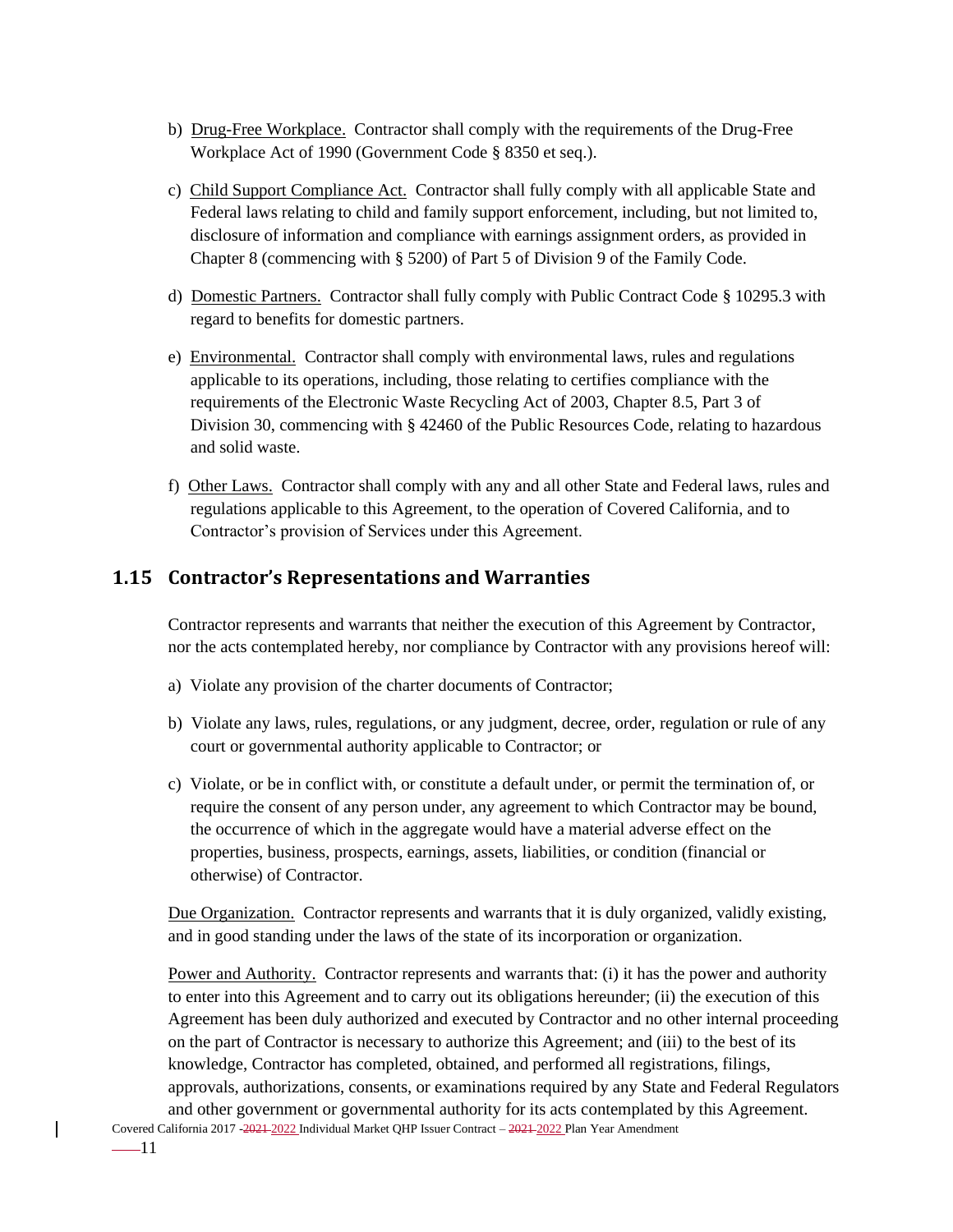- b) Drug-Free Workplace. Contractor shall comply with the requirements of the Drug-Free Workplace Act of 1990 (Government Code § 8350 et seq.).
- c) Child Support Compliance Act. Contractor shall fully comply with all applicable State and Federal laws relating to child and family support enforcement, including, but not limited to, disclosure of information and compliance with earnings assignment orders, as provided in Chapter 8 (commencing with § 5200) of Part 5 of Division 9 of the Family Code.
- d) Domestic Partners. Contractor shall fully comply with Public Contract Code § 10295.3 with regard to benefits for domestic partners.
- e) Environmental. Contractor shall comply with environmental laws, rules and regulations applicable to its operations, including, those relating to certifies compliance with the requirements of the Electronic Waste Recycling Act of 2003, Chapter 8.5, Part 3 of Division 30, commencing with § 42460 of the Public Resources Code, relating to hazardous and solid waste.
- f) Other Laws. Contractor shall comply with any and all other State and Federal laws, rules and regulations applicable to this Agreement, to the operation of Covered California, and to Contractor's provision of Services under this Agreement.

# <span id="page-18-0"></span>**1.15 Contractor's Representations and Warranties**

Contractor represents and warrants that neither the execution of this Agreement by Contractor, nor the acts contemplated hereby, nor compliance by Contractor with any provisions hereof will:

- a) Violate any provision of the charter documents of Contractor;
- b) Violate any laws, rules, regulations, or any judgment, decree, order, regulation or rule of any court or governmental authority applicable to Contractor; or
- c) Violate, or be in conflict with, or constitute a default under, or permit the termination of, or require the consent of any person under, any agreement to which Contractor may be bound, the occurrence of which in the aggregate would have a material adverse effect on the properties, business, prospects, earnings, assets, liabilities, or condition (financial or otherwise) of Contractor.

Due Organization. Contractor represents and warrants that it is duly organized, validly existing, and in good standing under the laws of the state of its incorporation or organization.

Power and Authority. Contractor represents and warrants that: (i) it has the power and authority to enter into this Agreement and to carry out its obligations hereunder; (ii) the execution of this Agreement has been duly authorized and executed by Contractor and no other internal proceeding on the part of Contractor is necessary to authorize this Agreement; and (iii) to the best of its knowledge, Contractor has completed, obtained, and performed all registrations, filings, approvals, authorizations, consents, or examinations required by any State and Federal Regulators and other government or governmental authority for its acts contemplated by this Agreement.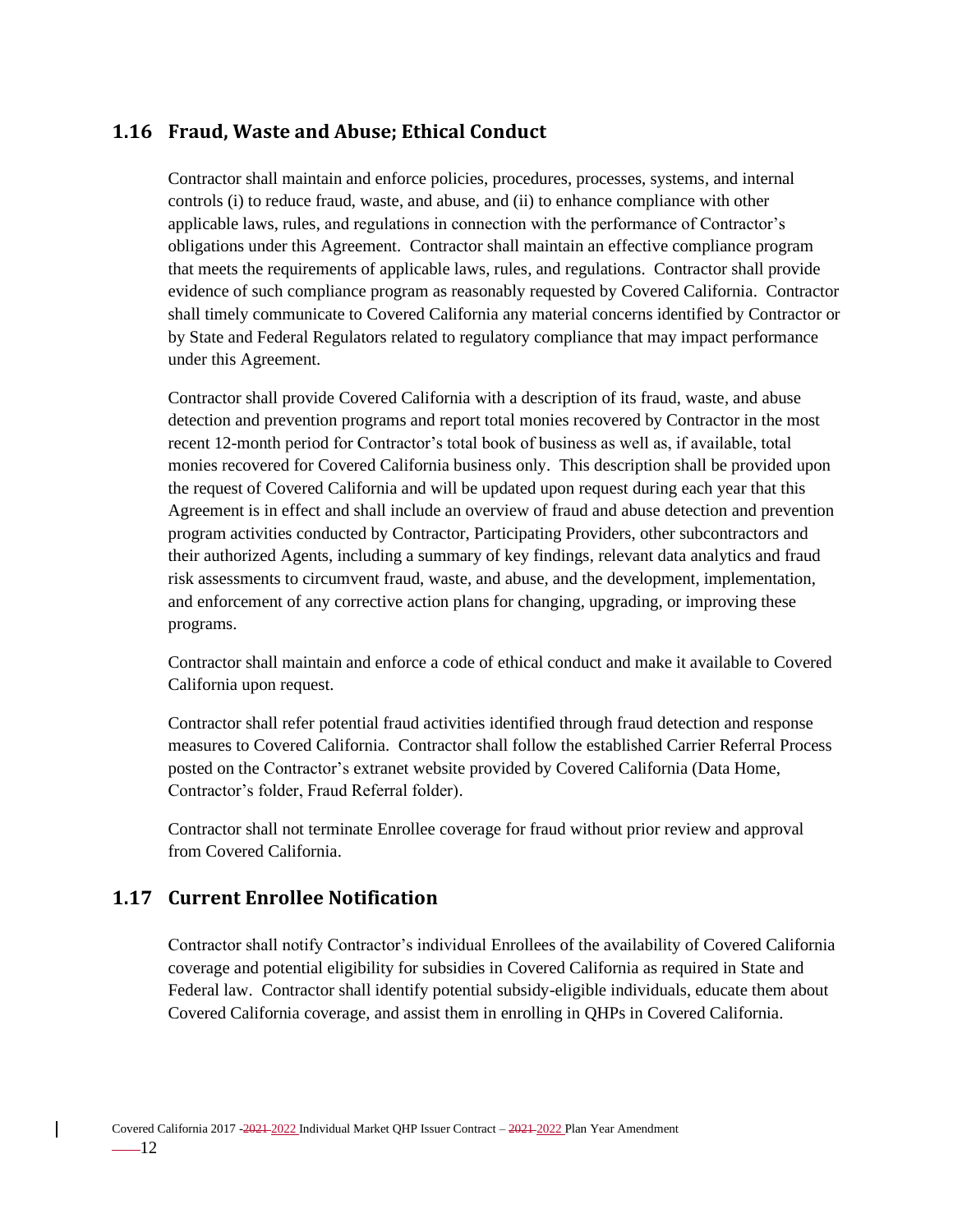# <span id="page-19-0"></span>**1.16 Fraud, Waste and Abuse; Ethical Conduct**

Contractor shall maintain and enforce policies, procedures, processes, systems, and internal controls (i) to reduce fraud, waste, and abuse, and (ii) to enhance compliance with other applicable laws, rules, and regulations in connection with the performance of Contractor's obligations under this Agreement. Contractor shall maintain an effective compliance program that meets the requirements of applicable laws, rules, and regulations. Contractor shall provide evidence of such compliance program as reasonably requested by Covered California. Contractor shall timely communicate to Covered California any material concerns identified by Contractor or by State and Federal Regulators related to regulatory compliance that may impact performance under this Agreement.

Contractor shall provide Covered California with a description of its fraud, waste, and abuse detection and prevention programs and report total monies recovered by Contractor in the most recent 12-month period for Contractor's total book of business as well as, if available, total monies recovered for Covered California business only. This description shall be provided upon the request of Covered California and will be updated upon request during each year that this Agreement is in effect and shall include an overview of fraud and abuse detection and prevention program activities conducted by Contractor, Participating Providers, other subcontractors and their authorized Agents, including a summary of key findings, relevant data analytics and fraud risk assessments to circumvent fraud, waste, and abuse, and the development, implementation, and enforcement of any corrective action plans for changing, upgrading, or improving these programs.

Contractor shall maintain and enforce a code of ethical conduct and make it available to Covered California upon request.

Contractor shall refer potential fraud activities identified through fraud detection and response measures to Covered California. Contractor shall follow the established Carrier Referral Process posted on the Contractor's extranet website provided by Covered California (Data Home, Contractor's folder, Fraud Referral folder).

Contractor shall not terminate Enrollee coverage for fraud without prior review and approval from Covered California.

## <span id="page-19-1"></span>**1.17 Current Enrollee Notification**

Contractor shall notify Contractor's individual Enrollees of the availability of Covered California coverage and potential eligibility for subsidies in Covered California as required in State and Federal law. Contractor shall identify potential subsidy-eligible individuals, educate them about Covered California coverage, and assist them in enrolling in QHPs in Covered California.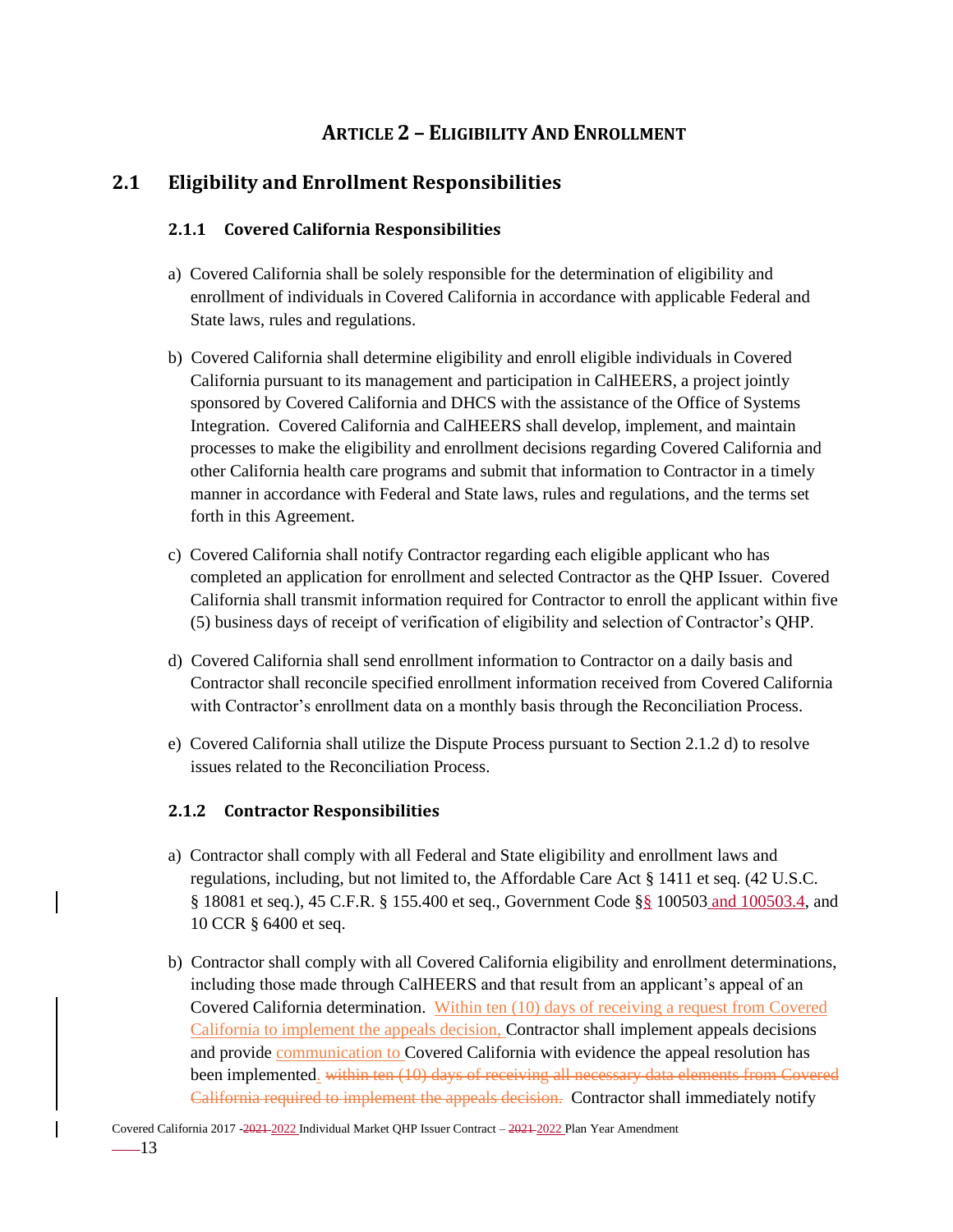# **ARTICLE 2 – ELIGIBILITY AND ENROLLMENT**

# <span id="page-20-2"></span><span id="page-20-1"></span><span id="page-20-0"></span>**2.1 Eligibility and Enrollment Responsibilities**

### **2.1.1 Covered California Responsibilities**

- a) Covered California shall be solely responsible for the determination of eligibility and enrollment of individuals in Covered California in accordance with applicable Federal and State laws, rules and regulations.
- b) Covered California shall determine eligibility and enroll eligible individuals in Covered California pursuant to its management and participation in CalHEERS, a project jointly sponsored by Covered California and DHCS with the assistance of the Office of Systems Integration. Covered California and CalHEERS shall develop, implement, and maintain processes to make the eligibility and enrollment decisions regarding Covered California and other California health care programs and submit that information to Contractor in a timely manner in accordance with Federal and State laws, rules and regulations, and the terms set forth in this Agreement.
- c) Covered California shall notify Contractor regarding each eligible applicant who has completed an application for enrollment and selected Contractor as the QHP Issuer. Covered California shall transmit information required for Contractor to enroll the applicant within five (5) business days of receipt of verification of eligibility and selection of Contractor's QHP.
- d) Covered California shall send enrollment information to Contractor on a daily basis and Contractor shall reconcile specified enrollment information received from Covered California with Contractor's enrollment data on a monthly basis through the Reconciliation Process.
- e) Covered California shall utilize the Dispute Process pursuant to Section 2.1.2 d) to resolve issues related to the Reconciliation Process.

### <span id="page-20-3"></span>**2.1.2 Contractor Responsibilities**

- a) Contractor shall comply with all Federal and State eligibility and enrollment laws and regulations, including, but not limited to, the Affordable Care Act § 1411 et seq. (42 U.S.C. § 18081 et seq.), 45 C.F.R. § 155.400 et seq., Government Code §§ 100503 and 100503.4, and 10 CCR § 6400 et seq.
- b) Contractor shall comply with all Covered California eligibility and enrollment determinations, including those made through CalHEERS and that result from an applicant's appeal of an Covered California determination. Within ten (10) days of receiving a request from Covered California to implement the appeals decision, Contractor shall implement appeals decisions and provide communication to Covered California with evidence the appeal resolution has been implemented. within ten (10) days of receiving all necessary data elements from Covered California required to implement the appeals decision. Contractor shall immediately notify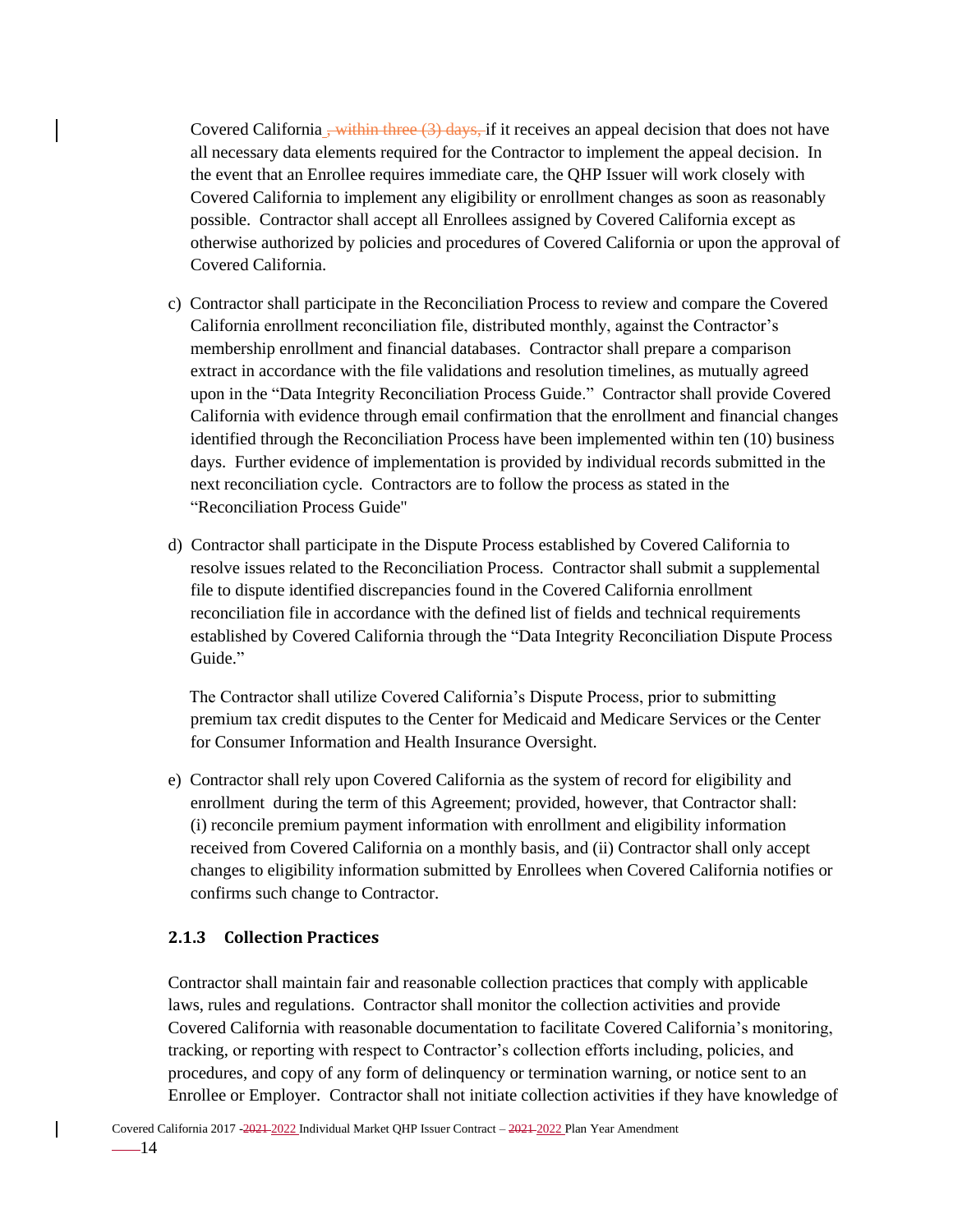Covered California <del>, within three (3) days, i</del>f it receives an appeal decision that does not have all necessary data elements required for the Contractor to implement the appeal decision. In the event that an Enrollee requires immediate care, the QHP Issuer will work closely with Covered California to implement any eligibility or enrollment changes as soon as reasonably possible. Contractor shall accept all Enrollees assigned by Covered California except as otherwise authorized by policies and procedures of Covered California or upon the approval of Covered California.

- c) Contractor shall participate in the Reconciliation Process to review and compare the Covered California enrollment reconciliation file, distributed monthly, against the Contractor's membership enrollment and financial databases. Contractor shall prepare a comparison extract in accordance with the file validations and resolution timelines, as mutually agreed upon in the "Data Integrity Reconciliation Process Guide." Contractor shall provide Covered California with evidence through email confirmation that the enrollment and financial changes identified through the Reconciliation Process have been implemented within ten (10) business days. Further evidence of implementation is provided by individual records submitted in the next reconciliation cycle. Contractors are to follow the process as stated in the "Reconciliation Process Guide"
- d) Contractor shall participate in the Dispute Process established by Covered California to resolve issues related to the Reconciliation Process. Contractor shall submit a supplemental file to dispute identified discrepancies found in the Covered California enrollment reconciliation file in accordance with the defined list of fields and technical requirements established by Covered California through the "Data Integrity Reconciliation Dispute Process Guide."

The Contractor shall utilize Covered California's Dispute Process, prior to submitting premium tax credit disputes to the Center for Medicaid and Medicare Services or the Center for Consumer Information and Health Insurance Oversight.

e) Contractor shall rely upon Covered California as the system of record for eligibility and enrollment during the term of this Agreement; provided, however, that Contractor shall: (i) reconcile premium payment information with enrollment and eligibility information received from Covered California on a monthly basis, and (ii) Contractor shall only accept changes to eligibility information submitted by Enrollees when Covered California notifies or confirms such change to Contractor.

### <span id="page-21-0"></span>**2.1.3 Collection Practices**

Contractor shall maintain fair and reasonable collection practices that comply with applicable laws, rules and regulations. Contractor shall monitor the collection activities and provide Covered California with reasonable documentation to facilitate Covered California's monitoring, tracking, or reporting with respect to Contractor's collection efforts including, policies, and procedures, and copy of any form of delinquency or termination warning, or notice sent to an Enrollee or Employer. Contractor shall not initiate collection activities if they have knowledge of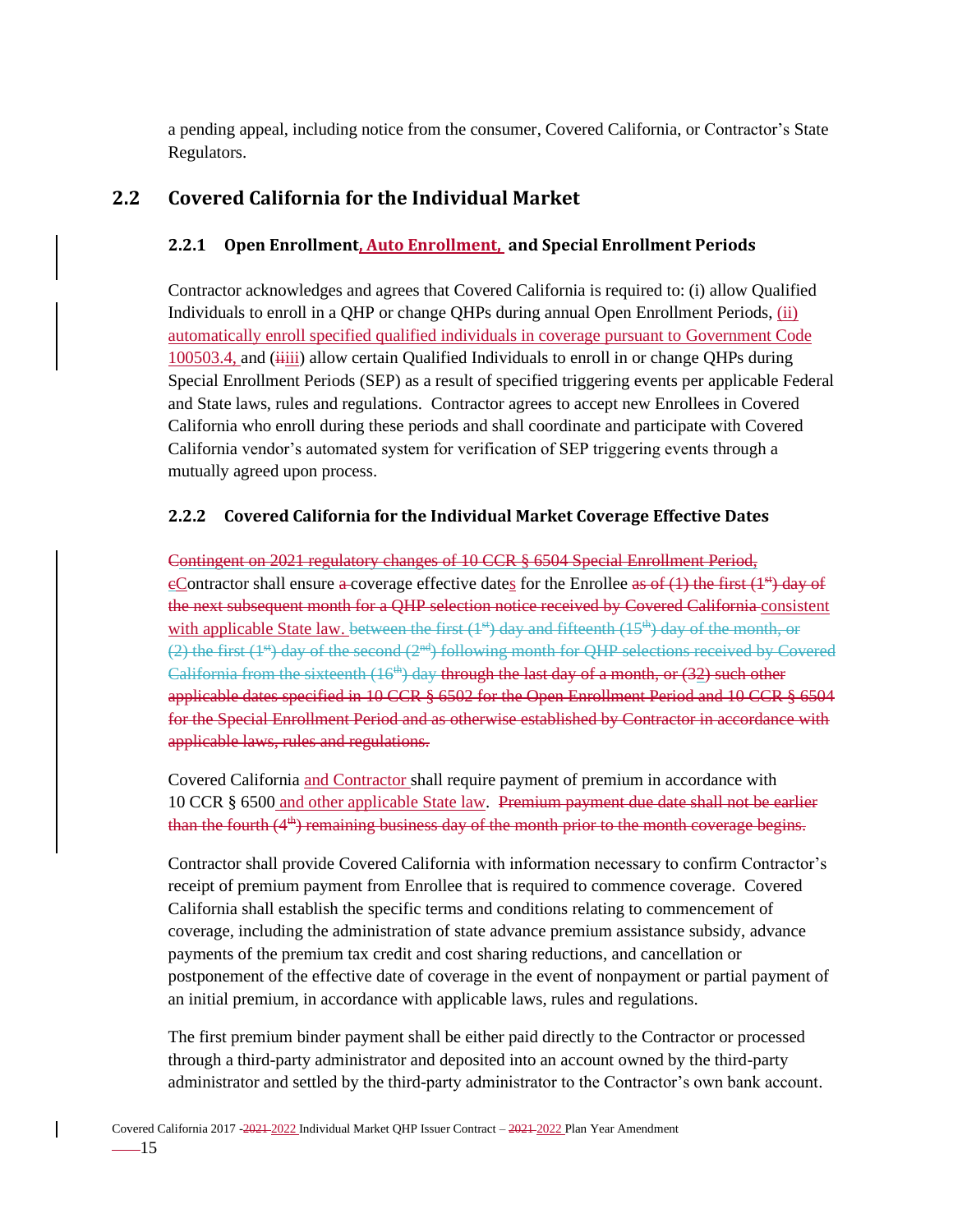a pending appeal, including notice from the consumer, Covered California, or Contractor's State Regulators.

# <span id="page-22-1"></span><span id="page-22-0"></span>**2.2 Covered California for the Individual Market**

## **2.2.1 Open Enrollment, Auto Enrollment, and Special Enrollment Periods**

Contractor acknowledges and agrees that Covered California is required to: (i) allow Qualified Individuals to enroll in a QHP or change QHPs during annual Open Enrollment Periods, (ii) automatically enroll specified qualified individuals in coverage pursuant to Government Code 100503.4, and ( $\frac{1}{1}$ iii) allow certain Qualified Individuals to enroll in or change QHPs during Special Enrollment Periods (SEP) as a result of specified triggering events per applicable Federal and State laws, rules and regulations. Contractor agrees to accept new Enrollees in Covered California who enroll during these periods and shall coordinate and participate with Covered California vendor's automated system for verification of SEP triggering events through a mutually agreed upon process.

## <span id="page-22-2"></span>**2.2.2 Covered California for the Individual Market Coverage Effective Dates**

Contingent on 2021 regulatory changes of 10 CCR § 6504 Special Enrollment Period, eContractor shall ensure a coverage effective dates for the Enrollee as of  $(1)$  the first  $(1^{st})$  day of the next subsequent month for a QHP selection notice received by Covered California consistent with applicable State law. between the first  $(1^{st})$  day and fifteenth  $(15^{th})$  day of the month, or (2) the first  $(1^{st})$  day of the second  $(2^{nd})$  following month for QHP selections received by Covered California from the sixteenth  $(16<sup>th</sup>)$  day through the last day of a month, or  $(32)$  such other applicable dates specified in 10 CCR § 6502 for the Open Enrollment Period and 10 CCR § 6504 for the Special Enrollment Period and as otherwise established by Contractor in accordance with applicable laws, rules and regulations.

Covered California and Contractor shall require payment of premium in accordance with 10 CCR § 6500 and other applicable State law. Premium payment due date shall not be earlier than the fourth  $(4<sup>th</sup>)$  remaining business day of the month prior to the month coverage begins.

Contractor shall provide Covered California with information necessary to confirm Contractor's receipt of premium payment from Enrollee that is required to commence coverage. Covered California shall establish the specific terms and conditions relating to commencement of coverage, including the administration of state advance premium assistance subsidy, advance payments of the premium tax credit and cost sharing reductions, and cancellation or postponement of the effective date of coverage in the event of nonpayment or partial payment of an initial premium, in accordance with applicable laws, rules and regulations.

The first premium binder payment shall be either paid directly to the Contractor or processed through a third-party administrator and deposited into an account owned by the third-party administrator and settled by the third-party administrator to the Contractor's own bank account.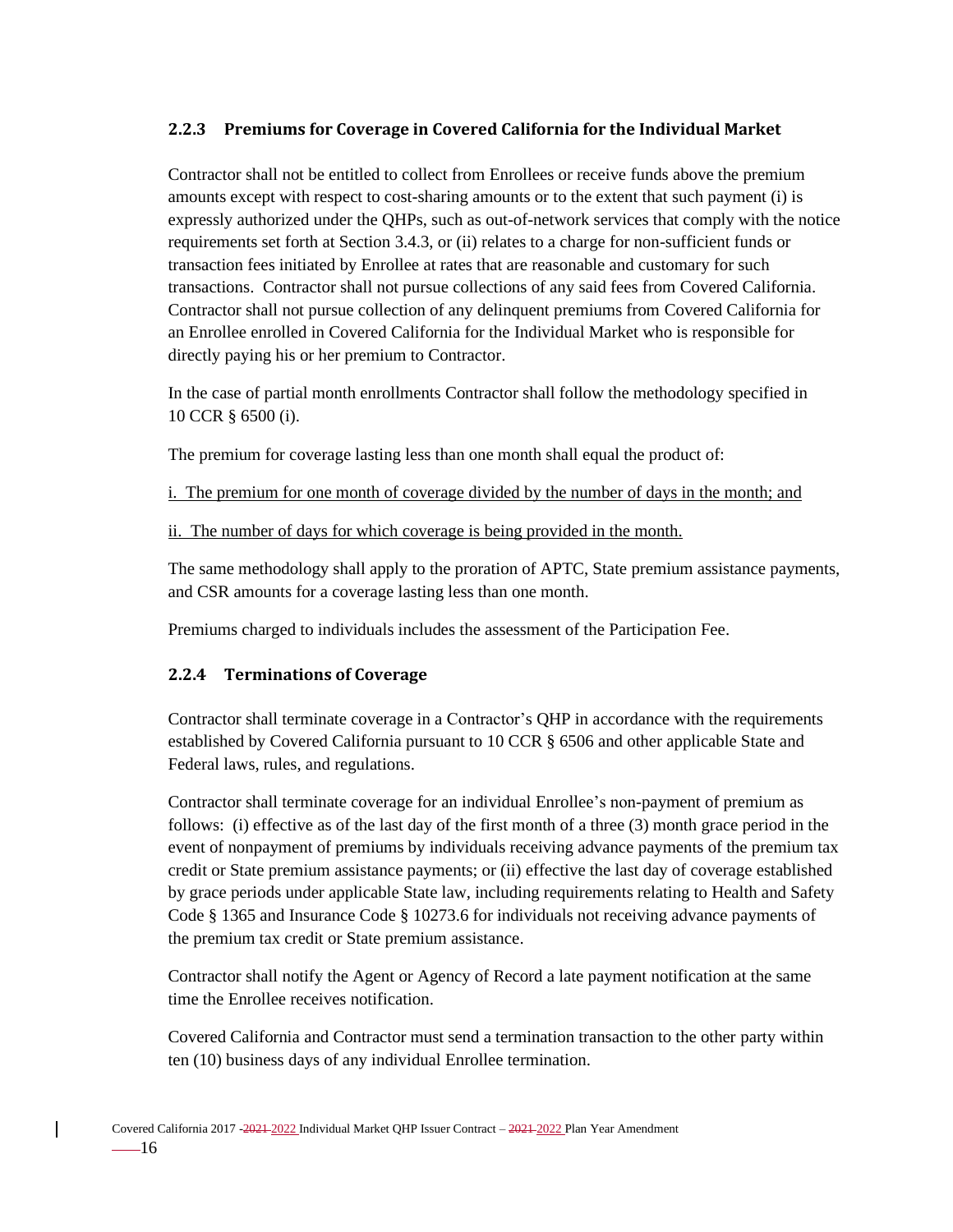### <span id="page-23-0"></span>**2.2.3 Premiums for Coverage in Covered California for the Individual Market**

Contractor shall not be entitled to collect from Enrollees or receive funds above the premium amounts except with respect to cost-sharing amounts or to the extent that such payment (i) is expressly authorized under the QHPs, such as out-of-network services that comply with the notice requirements set forth at Section 3.4.3, or (ii) relates to a charge for non-sufficient funds or transaction fees initiated by Enrollee at rates that are reasonable and customary for such transactions. Contractor shall not pursue collections of any said fees from Covered California. Contractor shall not pursue collection of any delinquent premiums from Covered California for an Enrollee enrolled in Covered California for the Individual Market who is responsible for directly paying his or her premium to Contractor.

In the case of partial month enrollments Contractor shall follow the methodology specified in 10 CCR § 6500 (i).

The premium for coverage lasting less than one month shall equal the product of:

i. The premium for one month of coverage divided by the number of days in the month; and

ii. The number of days for which coverage is being provided in the month.

The same methodology shall apply to the proration of APTC, State premium assistance payments, and CSR amounts for a coverage lasting less than one month.

Premiums charged to individuals includes the assessment of the Participation Fee.

### <span id="page-23-1"></span>**2.2.4 Terminations of Coverage**

Contractor shall terminate coverage in a Contractor's QHP in accordance with the requirements established by Covered California pursuant to 10 CCR § 6506 and other applicable State and Federal laws, rules, and regulations.

Contractor shall terminate coverage for an individual Enrollee's non-payment of premium as follows: (i) effective as of the last day of the first month of a three (3) month grace period in the event of nonpayment of premiums by individuals receiving advance payments of the premium tax credit or State premium assistance payments; or (ii) effective the last day of coverage established by grace periods under applicable State law, including requirements relating to Health and Safety Code § 1365 and Insurance Code § 10273.6 for individuals not receiving advance payments of the premium tax credit or State premium assistance.

Contractor shall notify the Agent or Agency of Record a late payment notification at the same time the Enrollee receives notification.

Covered California and Contractor must send a termination transaction to the other party within ten (10) business days of any individual Enrollee termination.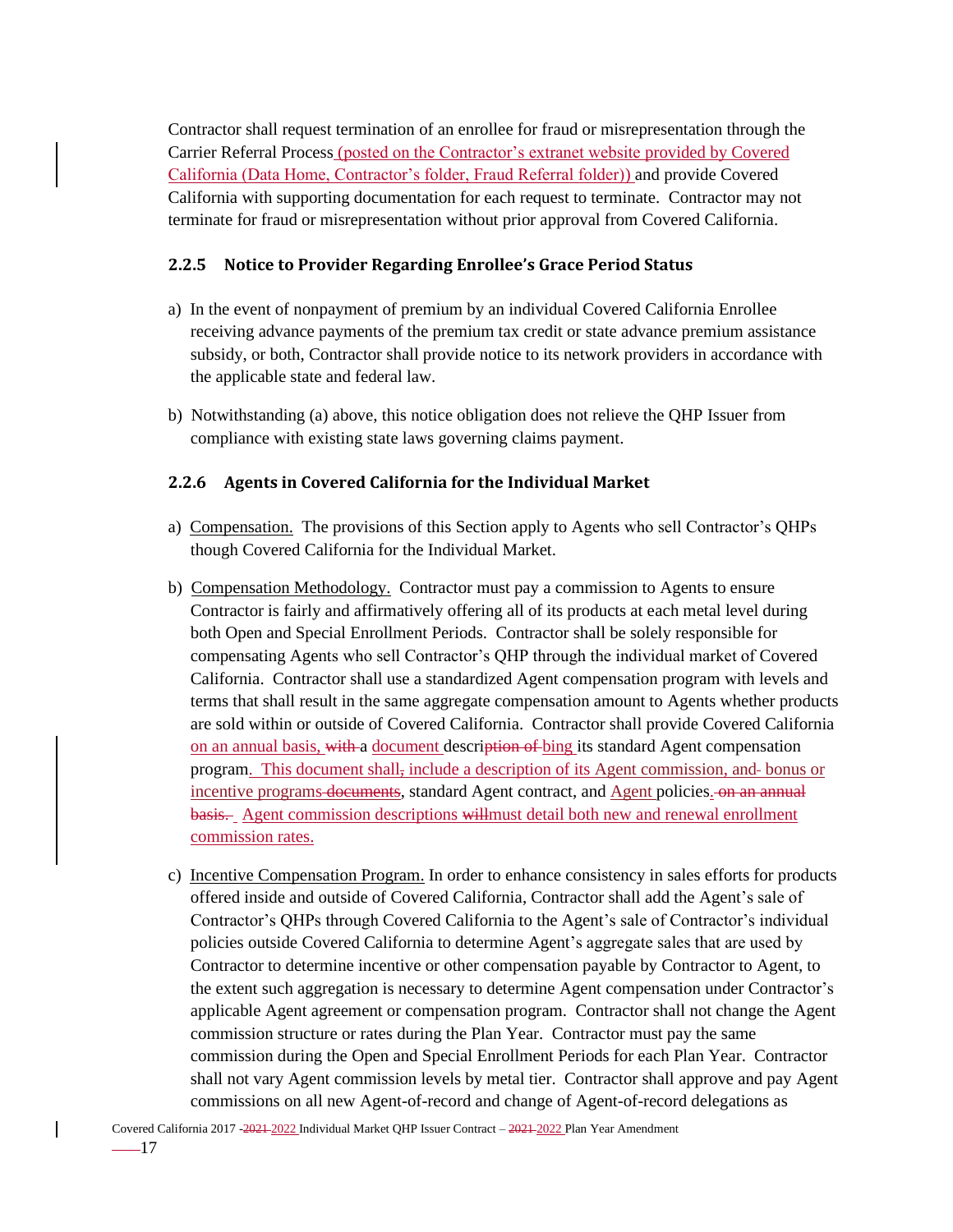Contractor shall request termination of an enrollee for fraud or misrepresentation through the Carrier Referral Process (posted on the Contractor's extranet website provided by Covered California (Data Home, Contractor's folder, Fraud Referral folder)) and provide Covered California with supporting documentation for each request to terminate. Contractor may not terminate for fraud or misrepresentation without prior approval from Covered California.

#### <span id="page-24-0"></span>**2.2.5 Notice to Provider Regarding Enrollee's Grace Period Status**

- a) In the event of nonpayment of premium by an individual Covered California Enrollee receiving advance payments of the premium tax credit or state advance premium assistance subsidy, or both, Contractor shall provide notice to its network providers in accordance with the applicable state and federal law.
- b) Notwithstanding (a) above, this notice obligation does not relieve the QHP Issuer from compliance with existing state laws governing claims payment.

#### <span id="page-24-1"></span>**2.2.6 Agents in Covered California for the Individual Market**

- a) Compensation. The provisions of this Section apply to Agents who sell Contractor's QHPs though Covered California for the Individual Market.
- b) Compensation Methodology. Contractor must pay a commission to Agents to ensure Contractor is fairly and affirmatively offering all of its products at each metal level during both Open and Special Enrollment Periods. Contractor shall be solely responsible for compensating Agents who sell Contractor's QHP through the individual market of Covered California. Contractor shall use a standardized Agent compensation program with levels and terms that shall result in the same aggregate compensation amount to Agents whether products are sold within or outside of Covered California. Contractor shall provide Covered California on an annual basis, with a document description of bing its standard Agent compensation program. This document shall, include a description of its Agent commission, and bonus or incentive programs documents, standard Agent contract, and Agent policies. On an annual basis. Agent commission descriptions willmust detail both new and renewal enrollment commission rates.
- c) Incentive Compensation Program. In order to enhance consistency in sales efforts for products offered inside and outside of Covered California, Contractor shall add the Agent's sale of Contractor's QHPs through Covered California to the Agent's sale of Contractor's individual policies outside Covered California to determine Agent's aggregate sales that are used by Contractor to determine incentive or other compensation payable by Contractor to Agent, to the extent such aggregation is necessary to determine Agent compensation under Contractor's applicable Agent agreement or compensation program. Contractor shall not change the Agent commission structure or rates during the Plan Year. Contractor must pay the same commission during the Open and Special Enrollment Periods for each Plan Year. Contractor shall not vary Agent commission levels by metal tier. Contractor shall approve and pay Agent commissions on all new Agent-of-record and change of Agent-of-record delegations as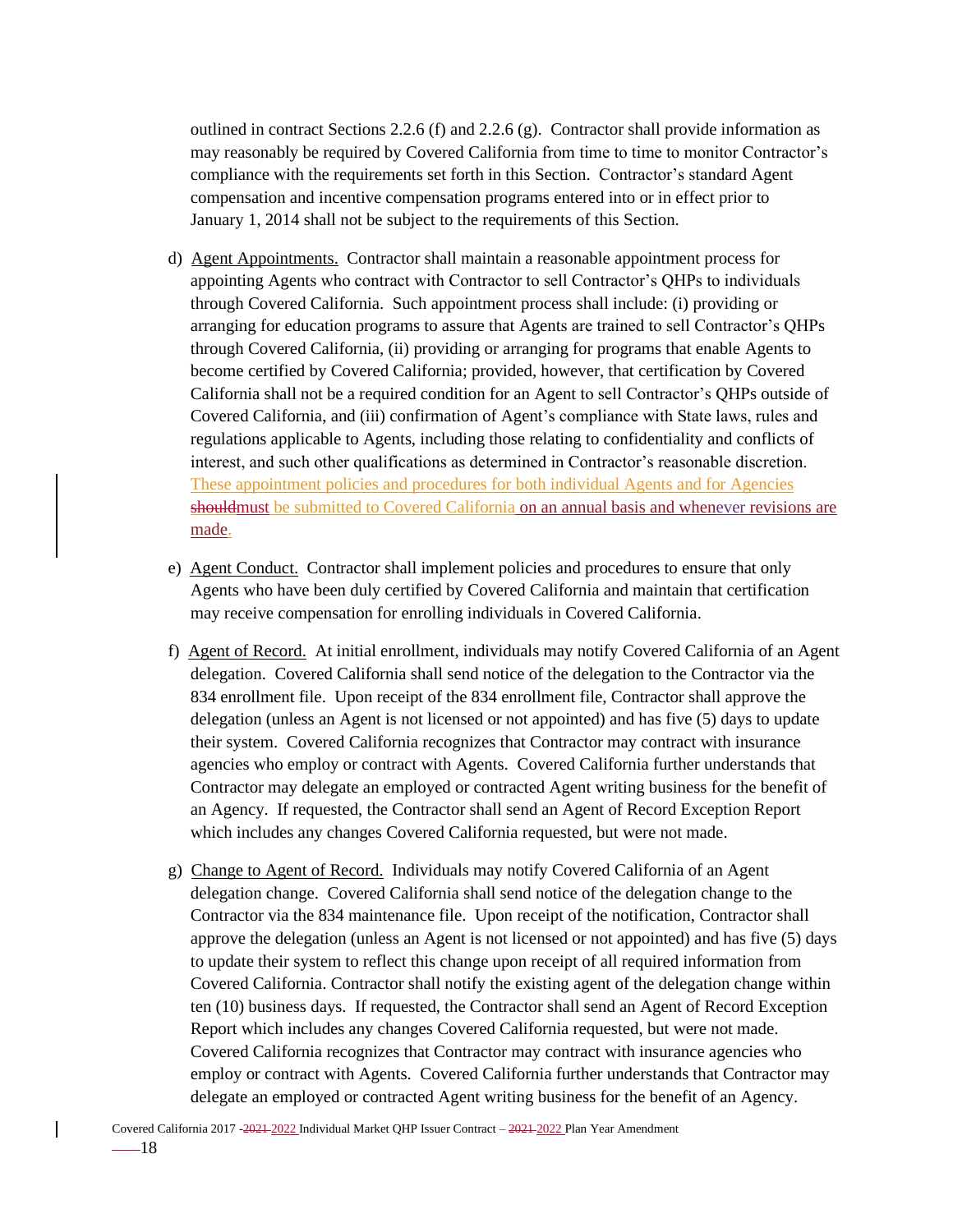outlined in contract Sections 2.2.6 (f) and 2.2.6 (g). Contractor shall provide information as may reasonably be required by Covered California from time to time to monitor Contractor's compliance with the requirements set forth in this Section. Contractor's standard Agent compensation and incentive compensation programs entered into or in effect prior to January 1, 2014 shall not be subject to the requirements of this Section.

- d) Agent Appointments. Contractor shall maintain a reasonable appointment process for appointing Agents who contract with Contractor to sell Contractor's QHPs to individuals through Covered California. Such appointment process shall include: (i) providing or arranging for education programs to assure that Agents are trained to sell Contractor's QHPs through Covered California, (ii) providing or arranging for programs that enable Agents to become certified by Covered California; provided, however, that certification by Covered California shall not be a required condition for an Agent to sell Contractor's QHPs outside of Covered California, and (iii) confirmation of Agent's compliance with State laws, rules and regulations applicable to Agents, including those relating to confidentiality and conflicts of interest, and such other qualifications as determined in Contractor's reasonable discretion. These appointment policies and procedures for both individual Agents and for Agencies should must be submitted to Covered California on an annual basis and whenever revisions are made.
- e) Agent Conduct. Contractor shall implement policies and procedures to ensure that only Agents who have been duly certified by Covered California and maintain that certification may receive compensation for enrolling individuals in Covered California.
- f) Agent of Record. At initial enrollment, individuals may notify Covered California of an Agent delegation. Covered California shall send notice of the delegation to the Contractor via the 834 enrollment file. Upon receipt of the 834 enrollment file, Contractor shall approve the delegation (unless an Agent is not licensed or not appointed) and has five (5) days to update their system. Covered California recognizes that Contractor may contract with insurance agencies who employ or contract with Agents. Covered California further understands that Contractor may delegate an employed or contracted Agent writing business for the benefit of an Agency. If requested, the Contractor shall send an Agent of Record Exception Report which includes any changes Covered California requested, but were not made.
- g) Change to Agent of Record. Individuals may notify Covered California of an Agent delegation change. Covered California shall send notice of the delegation change to the Contractor via the 834 maintenance file. Upon receipt of the notification, Contractor shall approve the delegation (unless an Agent is not licensed or not appointed) and has five (5) days to update their system to reflect this change upon receipt of all required information from Covered California. Contractor shall notify the existing agent of the delegation change within ten (10) business days. If requested, the Contractor shall send an Agent of Record Exception Report which includes any changes Covered California requested, but were not made. Covered California recognizes that Contractor may contract with insurance agencies who employ or contract with Agents. Covered California further understands that Contractor may delegate an employed or contracted Agent writing business for the benefit of an Agency.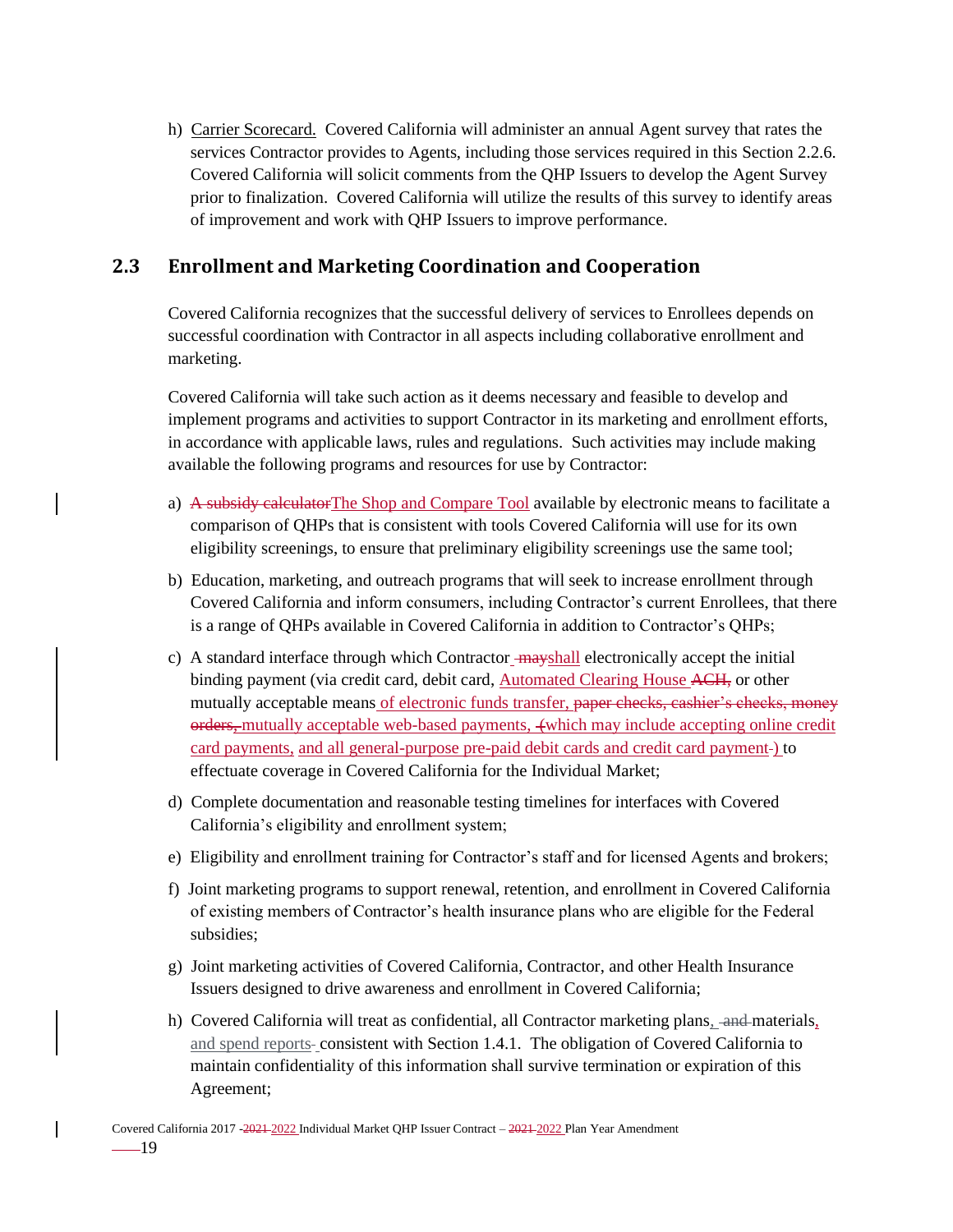h) Carrier Scorecard. Covered California will administer an annual Agent survey that rates the services Contractor provides to Agents, including those services required in this Section 2.2.6. Covered California will solicit comments from the QHP Issuers to develop the Agent Survey prior to finalization. Covered California will utilize the results of this survey to identify areas of improvement and work with QHP Issuers to improve performance.

# <span id="page-26-0"></span>**2.3 Enrollment and Marketing Coordination and Cooperation**

Covered California recognizes that the successful delivery of services to Enrollees depends on successful coordination with Contractor in all aspects including collaborative enrollment and marketing.

Covered California will take such action as it deems necessary and feasible to develop and implement programs and activities to support Contractor in its marketing and enrollment efforts, in accordance with applicable laws, rules and regulations. Such activities may include making available the following programs and resources for use by Contractor:

- a) A subsidy calculatorThe Shop and Compare Tool available by electronic means to facilitate a comparison of QHPs that is consistent with tools Covered California will use for its own eligibility screenings, to ensure that preliminary eligibility screenings use the same tool;
- b) Education, marketing, and outreach programs that will seek to increase enrollment through Covered California and inform consumers, including Contractor's current Enrollees, that there is a range of QHPs available in Covered California in addition to Contractor's QHPs;
- c) A standard interface through which Contractor mayshall electronically accept the initial binding payment (via credit card, debit card, Automated Clearing House ACH, or other mutually acceptable means of electronic funds transfer, paper checks, cashier's checks, money orders, mutually acceptable web-based payments,  $\overline{ }$  (which may include accepting online credit card payments, and all general-purpose pre-paid debit cards and credit card payment ) to effectuate coverage in Covered California for the Individual Market;
- d) Complete documentation and reasonable testing timelines for interfaces with Covered California's eligibility and enrollment system;
- e) Eligibility and enrollment training for Contractor's staff and for licensed Agents and brokers;
- f) Joint marketing programs to support renewal, retention, and enrollment in Covered California of existing members of Contractor's health insurance plans who are eligible for the Federal subsidies;
- g) Joint marketing activities of Covered California, Contractor, and other Health Insurance Issuers designed to drive awareness and enrollment in Covered California;
- h) Covered California will treat as confidential, all Contractor marketing plans, and materials, and spend reports-consistent with Section 1.4.1. The obligation of Covered California to maintain confidentiality of this information shall survive termination or expiration of this Agreement;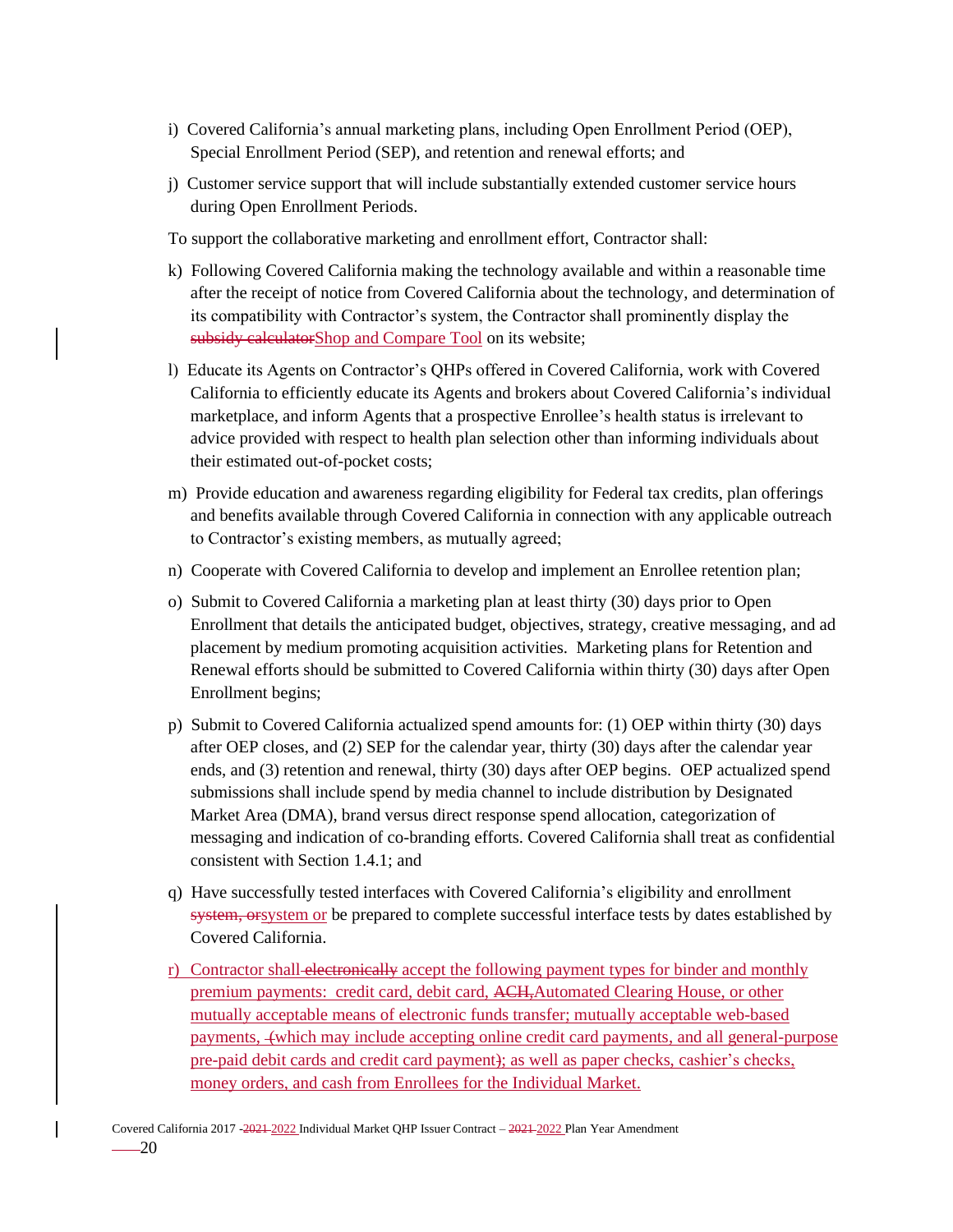- i) Covered California's annual marketing plans, including Open Enrollment Period (OEP), Special Enrollment Period (SEP), and retention and renewal efforts; and
- j) Customer service support that will include substantially extended customer service hours during Open Enrollment Periods.

To support the collaborative marketing and enrollment effort, Contractor shall:

- k) Following Covered California making the technology available and within a reasonable time after the receipt of notice from Covered California about the technology, and determination of its compatibility with Contractor's system, the Contractor shall prominently display the subsidy calculatorShop and Compare Tool on its website;
- l) Educate its Agents on Contractor's QHPs offered in Covered California, work with Covered California to efficiently educate its Agents and brokers about Covered California's individual marketplace, and inform Agents that a prospective Enrollee's health status is irrelevant to advice provided with respect to health plan selection other than informing individuals about their estimated out-of-pocket costs;
- m) Provide education and awareness regarding eligibility for Federal tax credits, plan offerings and benefits available through Covered California in connection with any applicable outreach to Contractor's existing members, as mutually agreed;
- n) Cooperate with Covered California to develop and implement an Enrollee retention plan;
- o) Submit to Covered California a marketing plan at least thirty (30) days prior to Open Enrollment that details the anticipated budget, objectives, strategy, creative messaging, and ad placement by medium promoting acquisition activities. Marketing plans for Retention and Renewal efforts should be submitted to Covered California within thirty (30) days after Open Enrollment begins;
- p) Submit to Covered California actualized spend amounts for: (1) OEP within thirty (30) days after OEP closes, and (2) SEP for the calendar year, thirty (30) days after the calendar year ends, and (3) retention and renewal, thirty (30) days after OEP begins. OEP actualized spend submissions shall include spend by media channel to include distribution by Designated Market Area (DMA), brand versus direct response spend allocation, categorization of messaging and indication of co-branding efforts. Covered California shall treat as confidential consistent with Section 1.4.1; and
- q) Have successfully tested interfaces with Covered California's eligibility and enrollment system, or system or be prepared to complete successful interface tests by dates established by Covered California.
- r) Contractor shall electronically accept the following payment types for binder and monthly premium payments: credit card, debit card, ACH,Automated Clearing House, or other mutually acceptable means of electronic funds transfer; mutually acceptable web-based payments, (which may include accepting online credit card payments, and all general-purpose pre-paid debit cards and credit card payment); as well as paper checks, cashier's checks, money orders, and cash from Enrollees for the Individual Market.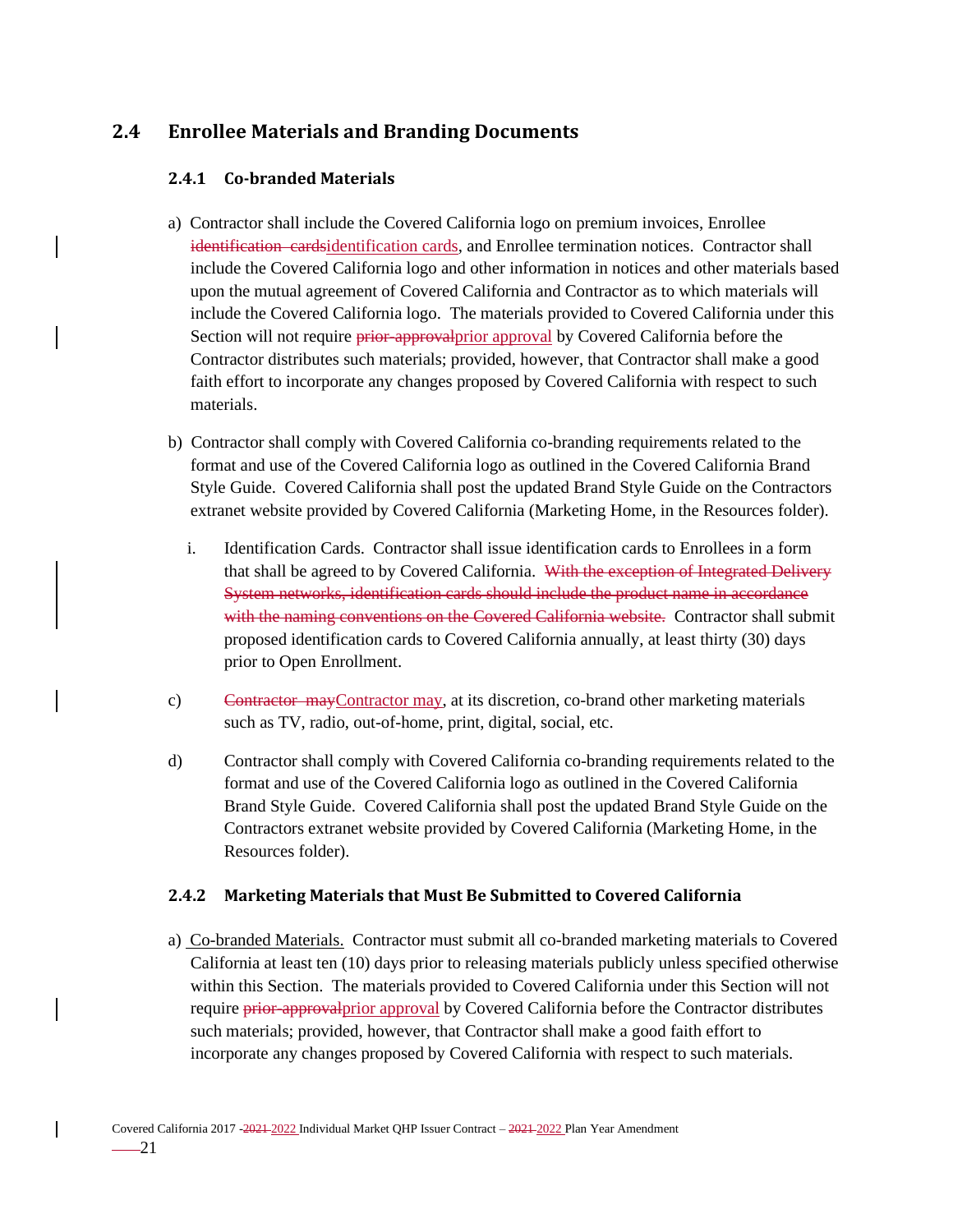# <span id="page-28-1"></span><span id="page-28-0"></span>**2.4 Enrollee Materials and Branding Documents**

## **2.4.1 Co-branded Materials**

- a) Contractor shall include the Covered California logo on premium invoices, Enrollee identification cardsidentification cards, and Enrollee termination notices. Contractor shall include the Covered California logo and other information in notices and other materials based upon the mutual agreement of Covered California and Contractor as to which materials will include the Covered California logo. The materials provided to Covered California under this Section will not require prior-approvalprior approval by Covered California before the Contractor distributes such materials; provided, however, that Contractor shall make a good faith effort to incorporate any changes proposed by Covered California with respect to such materials.
- b) Contractor shall comply with Covered California co-branding requirements related to the format and use of the Covered California logo as outlined in the Covered California Brand Style Guide. Covered California shall post the updated Brand Style Guide on the Contractors extranet website provided by Covered California (Marketing Home, in the Resources folder).
	- i. Identification Cards. Contractor shall issue identification cards to Enrollees in a form that shall be agreed to by Covered California. With the exception of Integrated Delivery System networks, identification cards should include the product name in accordance with the naming conventions on the Covered California website. Contractor shall submit proposed identification cards to Covered California annually, at least thirty (30) days prior to Open Enrollment.
- c) Contractor mayContractor may, at its discretion, co-brand other marketing materials such as TV, radio, out-of-home, print, digital, social, etc.
- d) Contractor shall comply with Covered California co-branding requirements related to the format and use of the Covered California logo as outlined in the Covered California Brand Style Guide. Covered California shall post the updated Brand Style Guide on the Contractors extranet website provided by Covered California (Marketing Home, in the Resources folder).

### <span id="page-28-2"></span>**2.4.2 Marketing Materials that Must Be Submitted to Covered California**

a) Co-branded Materials. Contractor must submit all co-branded marketing materials to Covered California at least ten (10) days prior to releasing materials publicly unless specified otherwise within this Section. The materials provided to Covered California under this Section will not require prior-approval prior approval by Covered California before the Contractor distributes such materials; provided, however, that Contractor shall make a good faith effort to incorporate any changes proposed by Covered California with respect to such materials.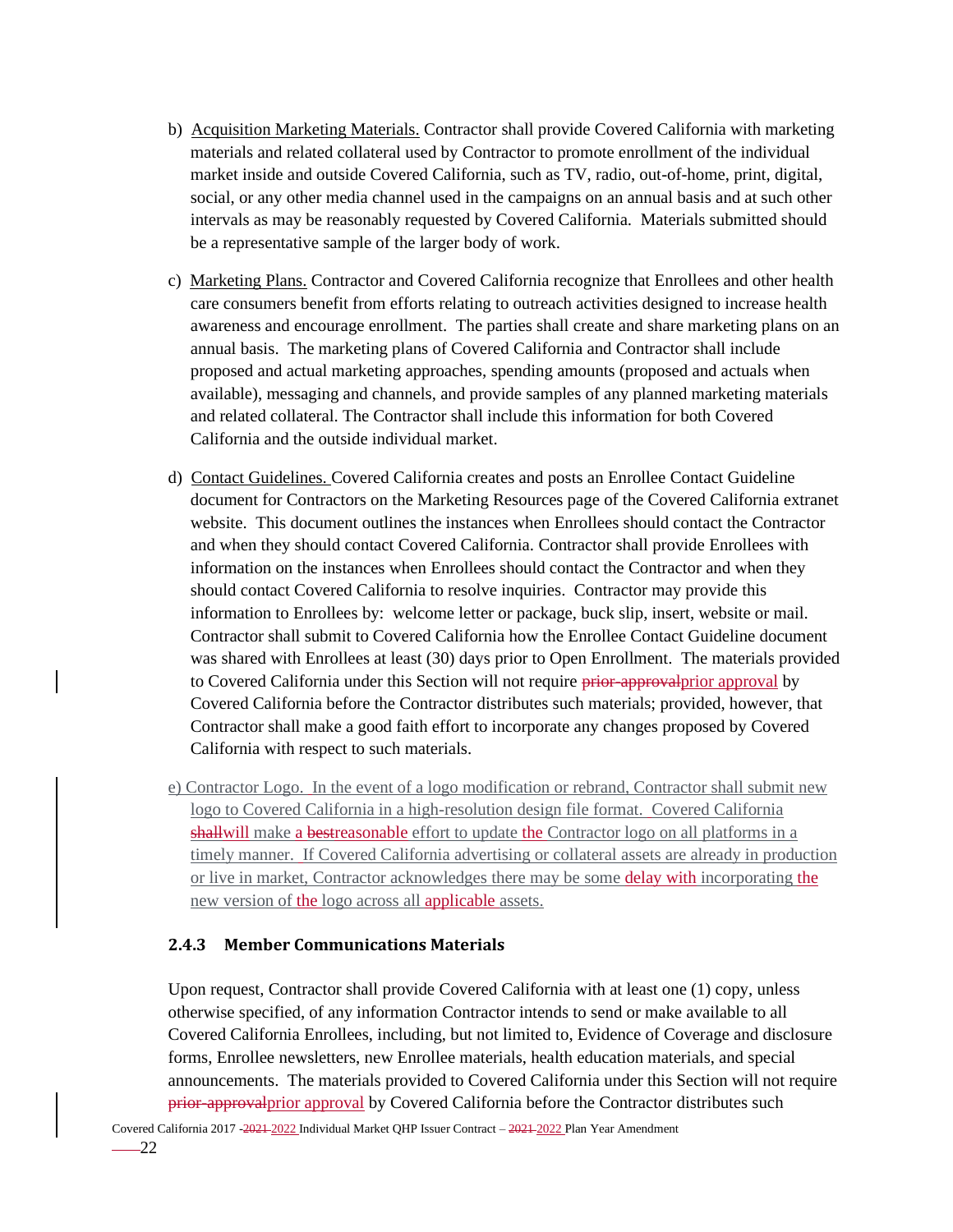- b) Acquisition Marketing Materials. Contractor shall provide Covered California with marketing materials and related collateral used by Contractor to promote enrollment of the individual market inside and outside Covered California, such as TV, radio, out-of-home, print, digital, social, or any other media channel used in the campaigns on an annual basis and at such other intervals as may be reasonably requested by Covered California. Materials submitted should be a representative sample of the larger body of work.
- c) Marketing Plans. Contractor and Covered California recognize that Enrollees and other health care consumers benefit from efforts relating to outreach activities designed to increase health awareness and encourage enrollment. The parties shall create and share marketing plans on an annual basis. The marketing plans of Covered California and Contractor shall include proposed and actual marketing approaches, spending amounts (proposed and actuals when available), messaging and channels, and provide samples of any planned marketing materials and related collateral. The Contractor shall include this information for both Covered California and the outside individual market.
- d) Contact Guidelines. Covered California creates and posts an Enrollee Contact Guideline document for Contractors on the Marketing Resources page of the Covered California extranet website. This document outlines the instances when Enrollees should contact the Contractor and when they should contact Covered California. Contractor shall provide Enrollees with information on the instances when Enrollees should contact the Contractor and when they should contact Covered California to resolve inquiries. Contractor may provide this information to Enrollees by: welcome letter or package, buck slip, insert, website or mail. Contractor shall submit to Covered California how the Enrollee Contact Guideline document was shared with Enrollees at least (30) days prior to Open Enrollment. The materials provided to Covered California under this Section will not require prior-approvalprior approval by Covered California before the Contractor distributes such materials; provided, however, that Contractor shall make a good faith effort to incorporate any changes proposed by Covered California with respect to such materials.
- e) Contractor Logo. In the event of a logo modification or rebrand, Contractor shall submit new logo to Covered California in a high-resolution design file format. Covered California shall will make a bestreasonable effort to update the Contractor logo on all platforms in a timely manner. If Covered California advertising or collateral assets are already in production or live in market, Contractor acknowledges there may be some delay with incorporating the new version of the logo across all applicable assets.

#### <span id="page-29-0"></span>**2.4.3 Member Communications Materials**

Upon request, Contractor shall provide Covered California with at least one (1) copy, unless otherwise specified, of any information Contractor intends to send or make available to all Covered California Enrollees, including, but not limited to, Evidence of Coverage and disclosure forms, Enrollee newsletters, new Enrollee materials, health education materials, and special announcements. The materials provided to Covered California under this Section will not require prior-approvalprior approval by Covered California before the Contractor distributes such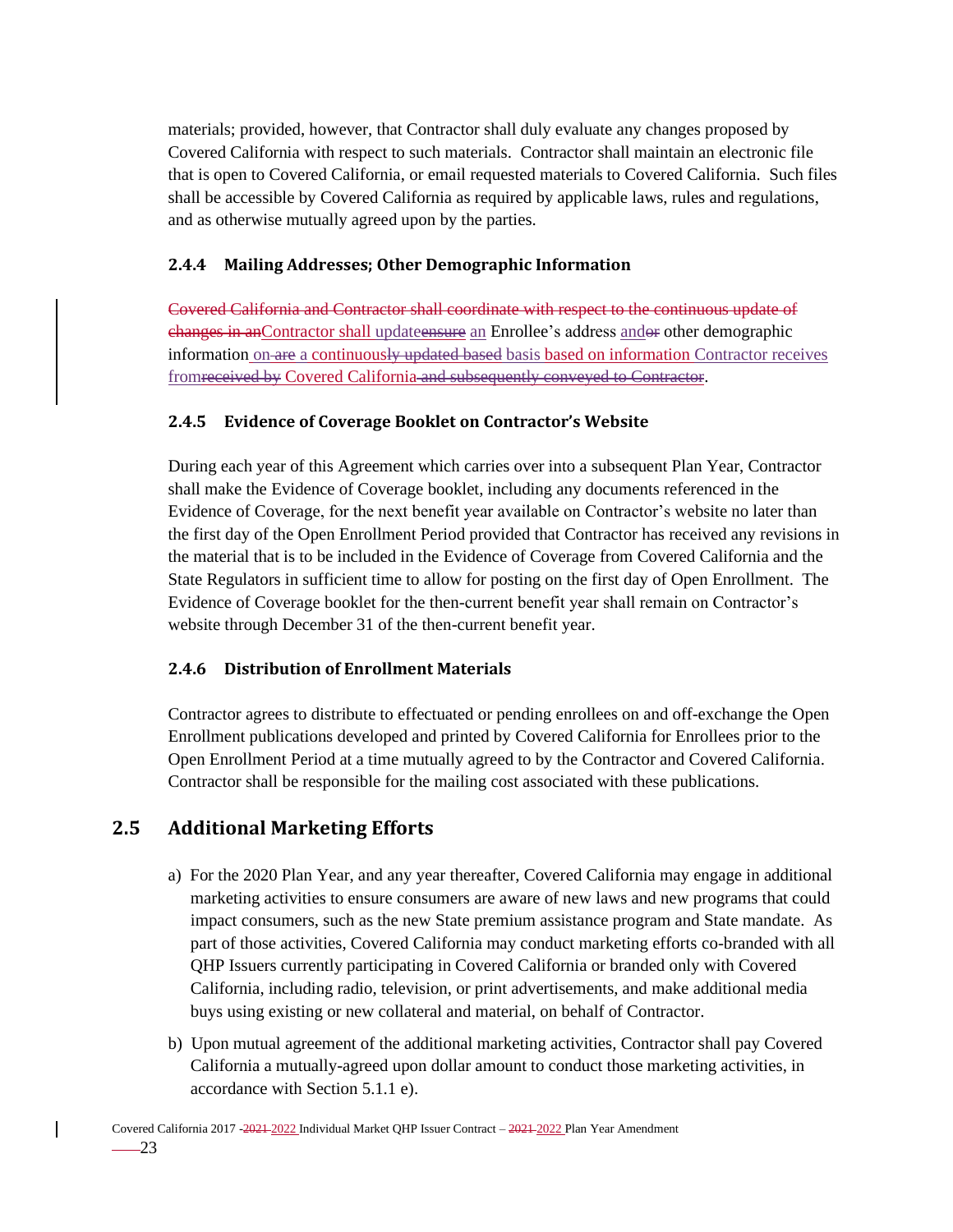materials; provided, however, that Contractor shall duly evaluate any changes proposed by Covered California with respect to such materials. Contractor shall maintain an electronic file that is open to Covered California, or email requested materials to Covered California. Such files shall be accessible by Covered California as required by applicable laws, rules and regulations, and as otherwise mutually agreed upon by the parties.

## <span id="page-30-0"></span>**2.4.4 Mailing Addresses; Other Demographic Information**

Covered California and Contractor shall coordinate with respect to the continuous update of changes in anContractor shall updateensure an Enrollee's address andor other demographic information on are a continuously updated based basis based on information Contractor receives fromreceived by Covered California and subsequently conveyed to Contractor.

## <span id="page-30-1"></span>**2.4.5 Evidence of Coverage Booklet on Contractor's Website**

During each year of this Agreement which carries over into a subsequent Plan Year, Contractor shall make the Evidence of Coverage booklet, including any documents referenced in the Evidence of Coverage, for the next benefit year available on Contractor's website no later than the first day of the Open Enrollment Period provided that Contractor has received any revisions in the material that is to be included in the Evidence of Coverage from Covered California and the State Regulators in sufficient time to allow for posting on the first day of Open Enrollment. The Evidence of Coverage booklet for the then-current benefit year shall remain on Contractor's website through December 31 of the then-current benefit year.

### <span id="page-30-2"></span>**2.4.6 Distribution of Enrollment Materials**

Contractor agrees to distribute to effectuated or pending enrollees on and off-exchange the Open Enrollment publications developed and printed by Covered California for Enrollees prior to the Open Enrollment Period at a time mutually agreed to by the Contractor and Covered California. Contractor shall be responsible for the mailing cost associated with these publications.

# <span id="page-30-3"></span>**2.5 Additional Marketing Efforts**

- a) For the 2020 Plan Year, and any year thereafter, Covered California may engage in additional marketing activities to ensure consumers are aware of new laws and new programs that could impact consumers, such as the new State premium assistance program and State mandate. As part of those activities, Covered California may conduct marketing efforts co-branded with all QHP Issuers currently participating in Covered California or branded only with Covered California, including radio, television, or print advertisements, and make additional media buys using existing or new collateral and material, on behalf of Contractor.
- b) Upon mutual agreement of the additional marketing activities, Contractor shall pay Covered California a mutually-agreed upon dollar amount to conduct those marketing activities, in accordance with Section 5.1.1 e).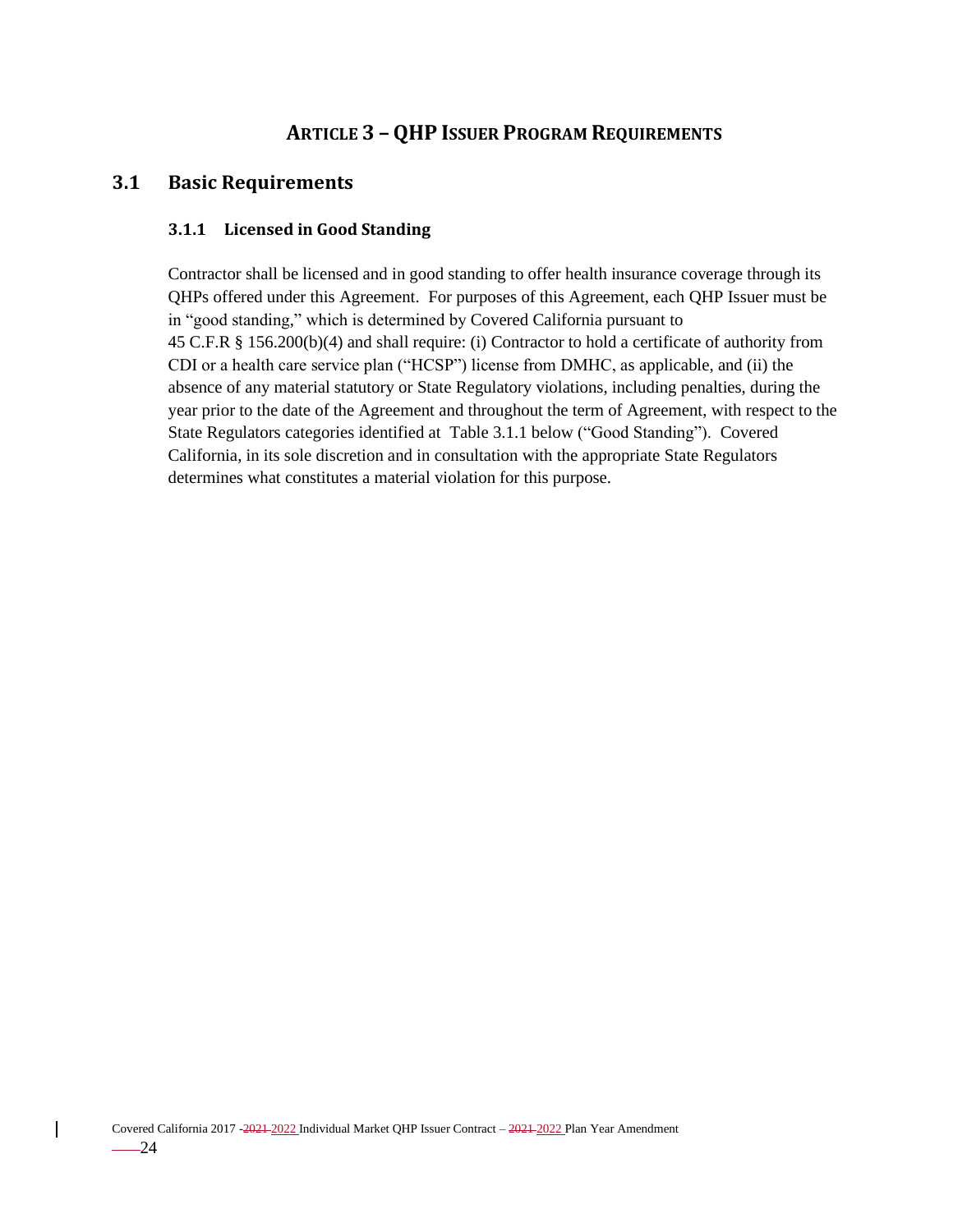# **ARTICLE 3 – QHP ISSUER PROGRAM REQUIREMENTS**

## <span id="page-31-2"></span><span id="page-31-1"></span><span id="page-31-0"></span>**3.1 Basic Requirements**

### **3.1.1 Licensed in Good Standing**

Contractor shall be licensed and in good standing to offer health insurance coverage through its QHPs offered under this Agreement. For purposes of this Agreement, each QHP Issuer must be in "good standing," which is determined by Covered California pursuant to 45 C.F.R § 156.200(b)(4) and shall require: (i) Contractor to hold a certificate of authority from CDI or a health care service plan ("HCSP") license from DMHC, as applicable, and (ii) the absence of any material statutory or State Regulatory violations, including penalties, during the year prior to the date of the Agreement and throughout the term of Agreement, with respect to the State Regulators categories identified at Table 3.1.1 below ("Good Standing"). Covered California, in its sole discretion and in consultation with the appropriate State Regulators determines what constitutes a material violation for this purpose.

 $\overline{\phantom{a}}$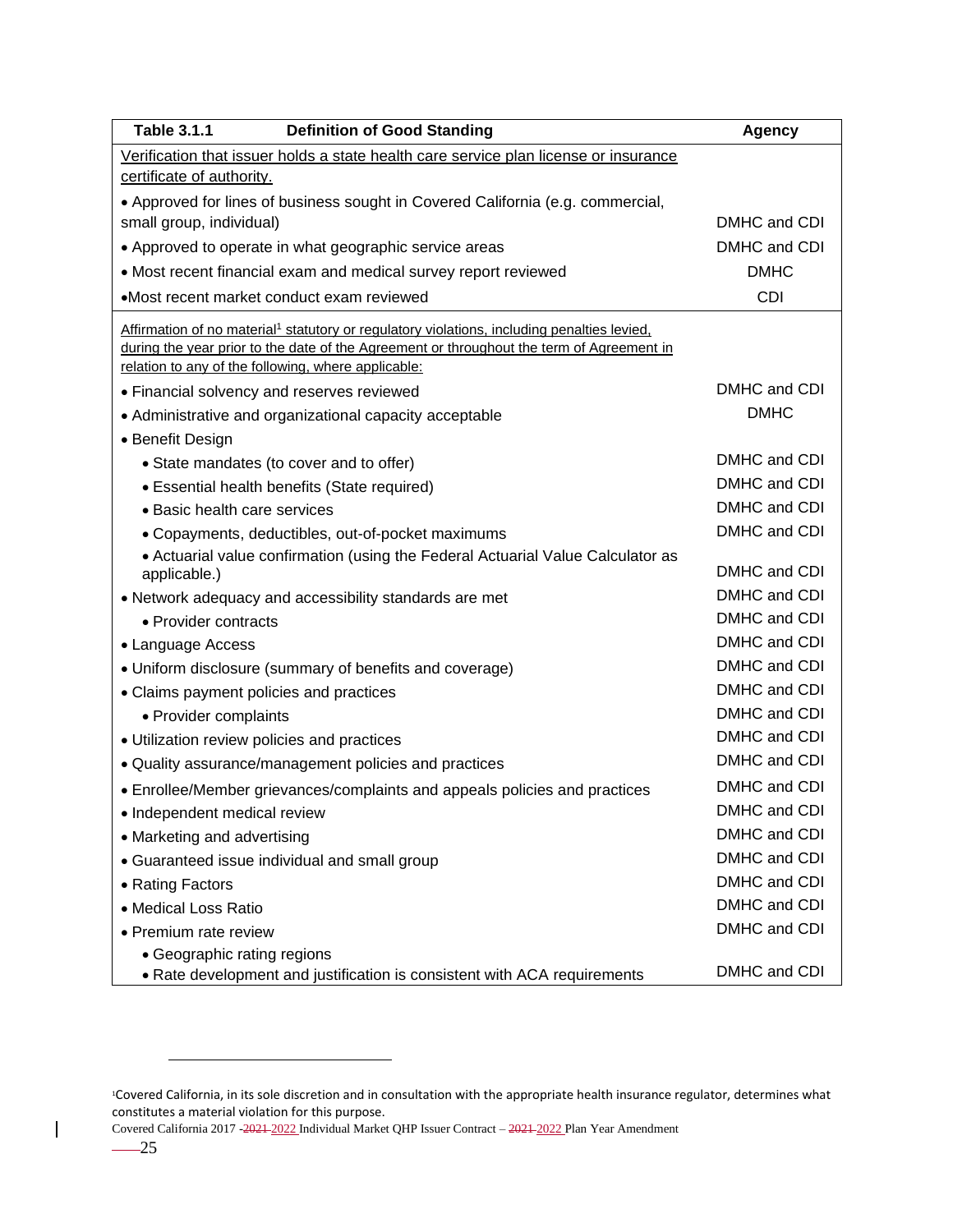| <b>Table 3.1.1</b><br><b>Definition of Good Standing</b>                                                | Agency       |
|---------------------------------------------------------------------------------------------------------|--------------|
| Verification that issuer holds a state health care service plan license or insurance                    |              |
| certificate of authority.                                                                               |              |
| • Approved for lines of business sought in Covered California (e.g. commercial,                         |              |
| small group, individual)                                                                                | DMHC and CDI |
| • Approved to operate in what geographic service areas                                                  | DMHC and CDI |
| • Most recent financial exam and medical survey report reviewed                                         | <b>DMHC</b>  |
| •Most recent market conduct exam reviewed                                                               | <b>CDI</b>   |
| Affirmation of no material <sup>1</sup> statutory or regulatory violations, including penalties levied, |              |
| during the year prior to the date of the Agreement or throughout the term of Agreement in               |              |
| relation to any of the following, where applicable:                                                     |              |
| • Financial solvency and reserves reviewed                                                              | DMHC and CDI |
| • Administrative and organizational capacity acceptable                                                 | <b>DMHC</b>  |
| • Benefit Design                                                                                        |              |
| • State mandates (to cover and to offer)                                                                | DMHC and CDI |
| • Essential health benefits (State required)                                                            | DMHC and CDI |
| • Basic health care services                                                                            | DMHC and CDI |
| • Copayments, deductibles, out-of-pocket maximums                                                       | DMHC and CDI |
| • Actuarial value confirmation (using the Federal Actuarial Value Calculator as<br>applicable.)         | DMHC and CDI |
| • Network adequacy and accessibility standards are met                                                  | DMHC and CDI |
| • Provider contracts                                                                                    | DMHC and CDI |
| • Language Access                                                                                       | DMHC and CDI |
| • Uniform disclosure (summary of benefits and coverage)                                                 | DMHC and CDI |
| • Claims payment policies and practices                                                                 | DMHC and CDI |
| • Provider complaints                                                                                   | DMHC and CDI |
| • Utilization review policies and practices                                                             | DMHC and CDI |
| • Quality assurance/management policies and practices                                                   | DMHC and CDI |
| • Enrollee/Member grievances/complaints and appeals policies and practices                              | DMHC and CDI |
| • Independent medical review                                                                            | DMHC and CDI |
| • Marketing and advertising                                                                             | DMHC and CDI |
| • Guaranteed issue individual and small group                                                           | DMHC and CDI |
| • Rating Factors                                                                                        | DMHC and CDI |
| • Medical Loss Ratio                                                                                    | DMHC and CDI |
| • Premium rate review                                                                                   | DMHC and CDI |
| • Geographic rating regions                                                                             |              |
| • Rate development and justification is consistent with ACA requirements                                | DMHC and CDI |

Covered California 2017 -2021 2022 Individual Market QHP Issuer Contract – 2021 2022 Plan Year Amendment

 $\overline{\phantom{a}}$ 

<sup>1</sup>Covered California, in its sole discretion and in consultation with the appropriate health insurance regulator, determines what constitutes a material violation for this purpose.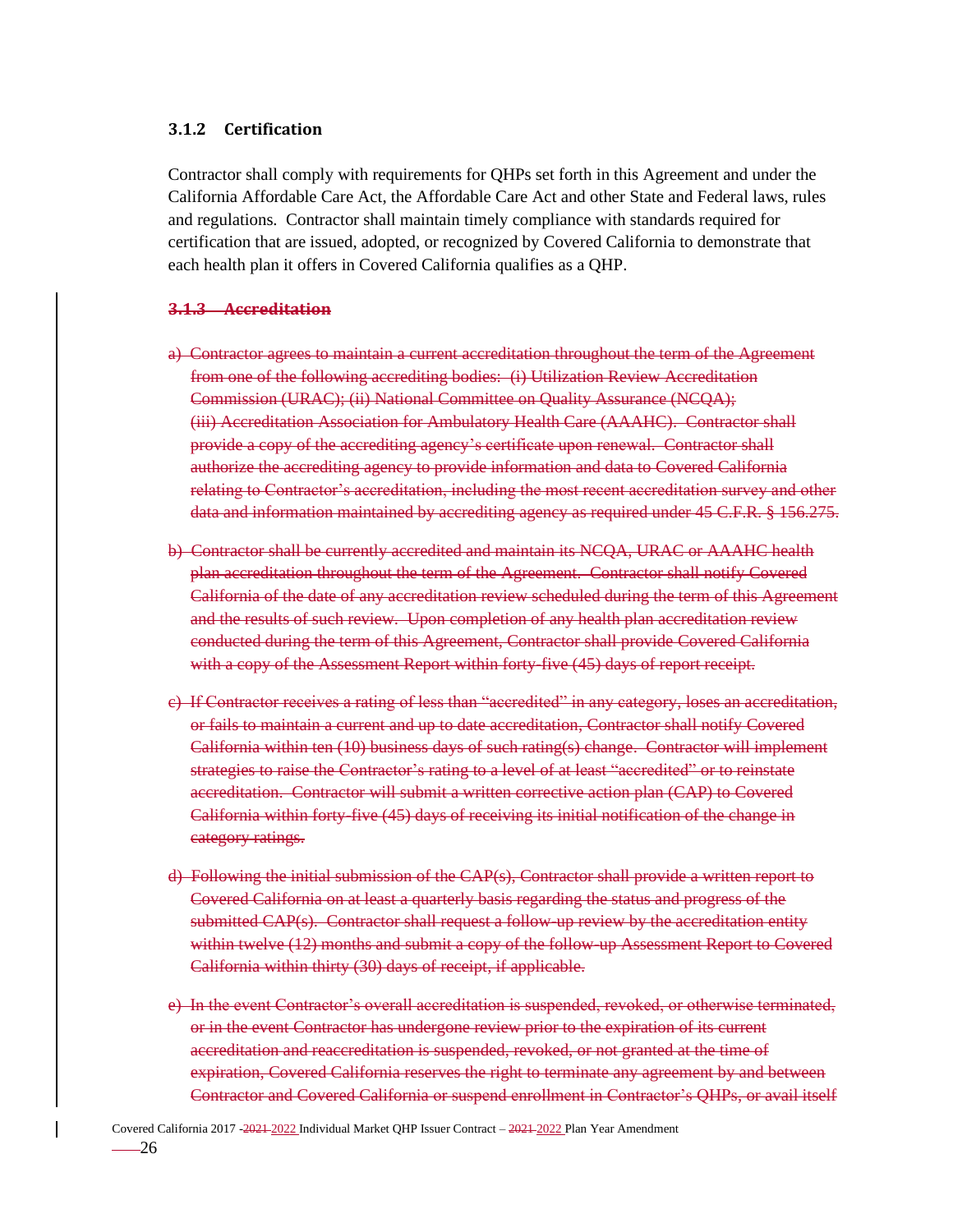#### <span id="page-33-0"></span>**3.1.2 Certification**

Contractor shall comply with requirements for QHPs set forth in this Agreement and under the California Affordable Care Act, the Affordable Care Act and other State and Federal laws, rules and regulations*.* Contractor shall maintain timely compliance with standards required for certification that are issued, adopted, or recognized by Covered California to demonstrate that each health plan it offers in Covered California qualifies as a QHP.

#### **3.1.3 Accreditation**

- a) Contractor agrees to maintain a current accreditation throughout the term of the Agreement from one of the following accrediting bodies: (i) Utilization Review Accreditation Commission (URAC); (ii) National Committee on Quality Assurance (NCQA); (iii) Accreditation Association for Ambulatory Health Care (AAAHC). Contractor shall provide a copy of the accrediting agency's certificate upon renewal. Contractor shall authorize the accrediting agency to provide information and data to Covered California relating to Contractor's accreditation, including the most recent accreditation survey and other data and information maintained by accrediting agency as required under 45 C.F.R. § 156.275.
- b) Contractor shall be currently accredited and maintain its NCQA, URAC or AAAHC health plan accreditation throughout the term of the Agreement. Contractor shall notify Covered California of the date of any accreditation review scheduled during the term of this Agreement and the results of such review. Upon completion of any health plan accreditation review conducted during the term of this Agreement, Contractor shall provide Covered California with a copy of the Assessment Report within forty-five (45) days of report receipt.
- c) If Contractor receives a rating of less than "accredited" in any category, loses an accreditation, or fails to maintain a current and up to date accreditation, Contractor shall notify Covered California within ten (10) business days of such rating(s) change. Contractor will implement strategies to raise the Contractor's rating to a level of at least "accredited" or to reinstate accreditation. Contractor will submit a written corrective action plan (CAP) to Covered California within forty-five (45) days of receiving its initial notification of the change in category ratings.
- d) Following the initial submission of the CAP(s), Contractor shall provide a written report to Covered California on at least a quarterly basis regarding the status and progress of the submitted CAP(s). Contractor shall request a follow-up review by the accreditation entity within twelve (12) months and submit a copy of the follow-up Assessment Report to Covered California within thirty (30) days of receipt, if applicable.
- e) In the event Contractor's overall accreditation is suspended, revoked, or otherwise terminated, or in the event Contractor has undergone review prior to the expiration of its current accreditation and reaccreditation is suspended, revoked, or not granted at the time of expiration, Covered California reserves the right to terminate any agreement by and between Contractor and Covered California or suspend enrollment in Contractor's QHPs, or avail itself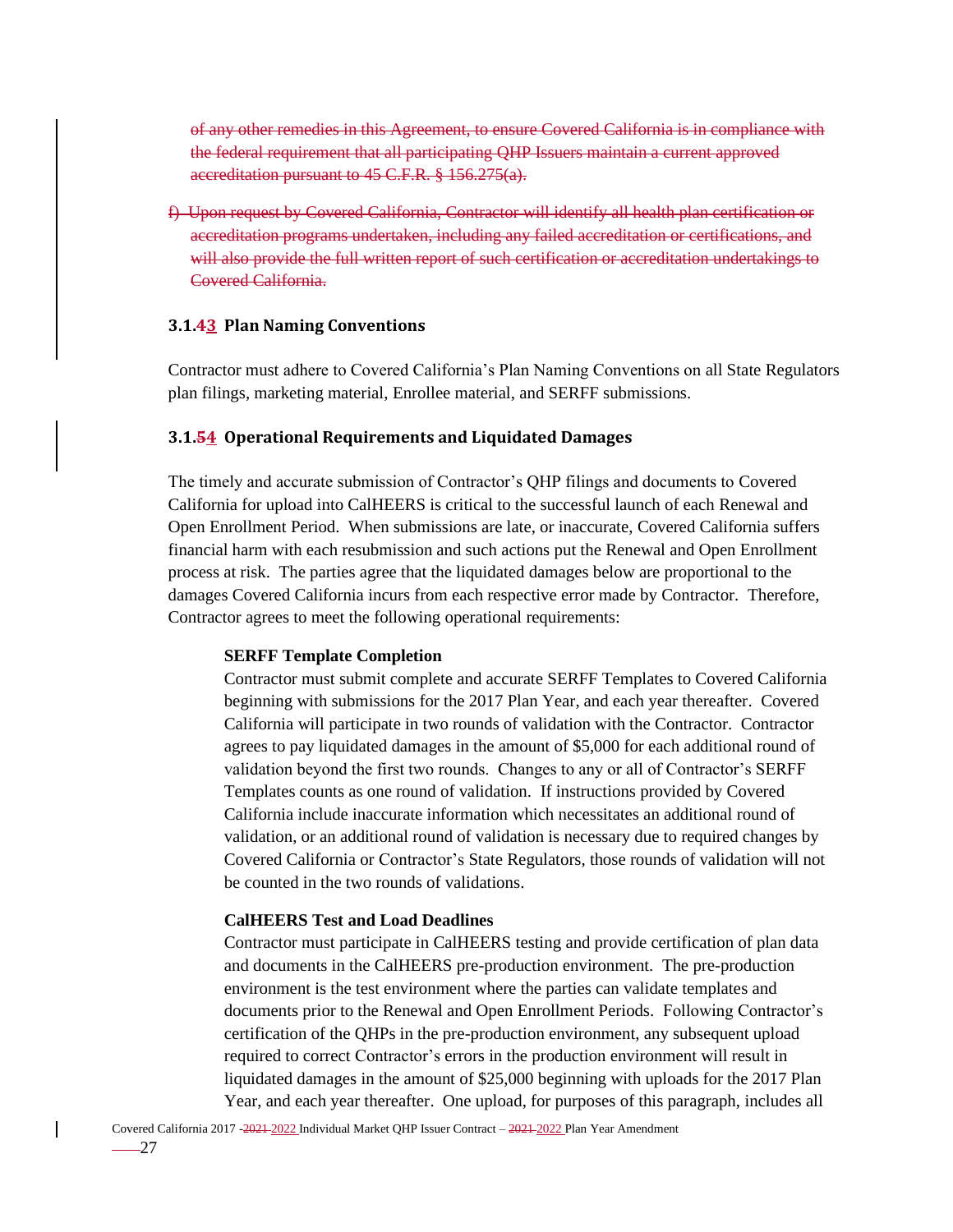of any other remedies in this Agreement, to ensure Covered California is in compliance with the federal requirement that all participating QHP Issuers maintain a current approved accreditation pursuant to 45 C.F.R. § 156.275(a).

f) Upon request by Covered California, Contractor will identify all health plan certification or accreditation programs undertaken, including any failed accreditation or certifications, and will also provide the full written report of such certification or accreditation undertakings to Covered California.

#### <span id="page-34-0"></span>**3.1.43 Plan Naming Conventions**

Contractor must adhere to Covered California's Plan Naming Conventions on all State Regulators plan filings, marketing material, Enrollee material, and SERFF submissions.

#### <span id="page-34-1"></span>**3.1.54 Operational Requirements and Liquidated Damages**

The timely and accurate submission of Contractor's QHP filings and documents to Covered California for upload into CalHEERS is critical to the successful launch of each Renewal and Open Enrollment Period. When submissions are late, or inaccurate, Covered California suffers financial harm with each resubmission and such actions put the Renewal and Open Enrollment process at risk. The parties agree that the liquidated damages below are proportional to the damages Covered California incurs from each respective error made by Contractor. Therefore, Contractor agrees to meet the following operational requirements:

#### **SERFF Template Completion**

Contractor must submit complete and accurate SERFF Templates to Covered California beginning with submissions for the 2017 Plan Year, and each year thereafter. Covered California will participate in two rounds of validation with the Contractor. Contractor agrees to pay liquidated damages in the amount of \$5,000 for each additional round of validation beyond the first two rounds. Changes to any or all of Contractor's SERFF Templates counts as one round of validation. If instructions provided by Covered California include inaccurate information which necessitates an additional round of validation, or an additional round of validation is necessary due to required changes by Covered California or Contractor's State Regulators, those rounds of validation will not be counted in the two rounds of validations.

#### **CalHEERS Test and Load Deadlines**

Contractor must participate in CalHEERS testing and provide certification of plan data and documents in the CalHEERS pre-production environment. The pre-production environment is the test environment where the parties can validate templates and documents prior to the Renewal and Open Enrollment Periods. Following Contractor's certification of the QHPs in the pre-production environment, any subsequent upload required to correct Contractor's errors in the production environment will result in liquidated damages in the amount of \$25,000 beginning with uploads for the 2017 Plan Year, and each year thereafter. One upload, for purposes of this paragraph, includes all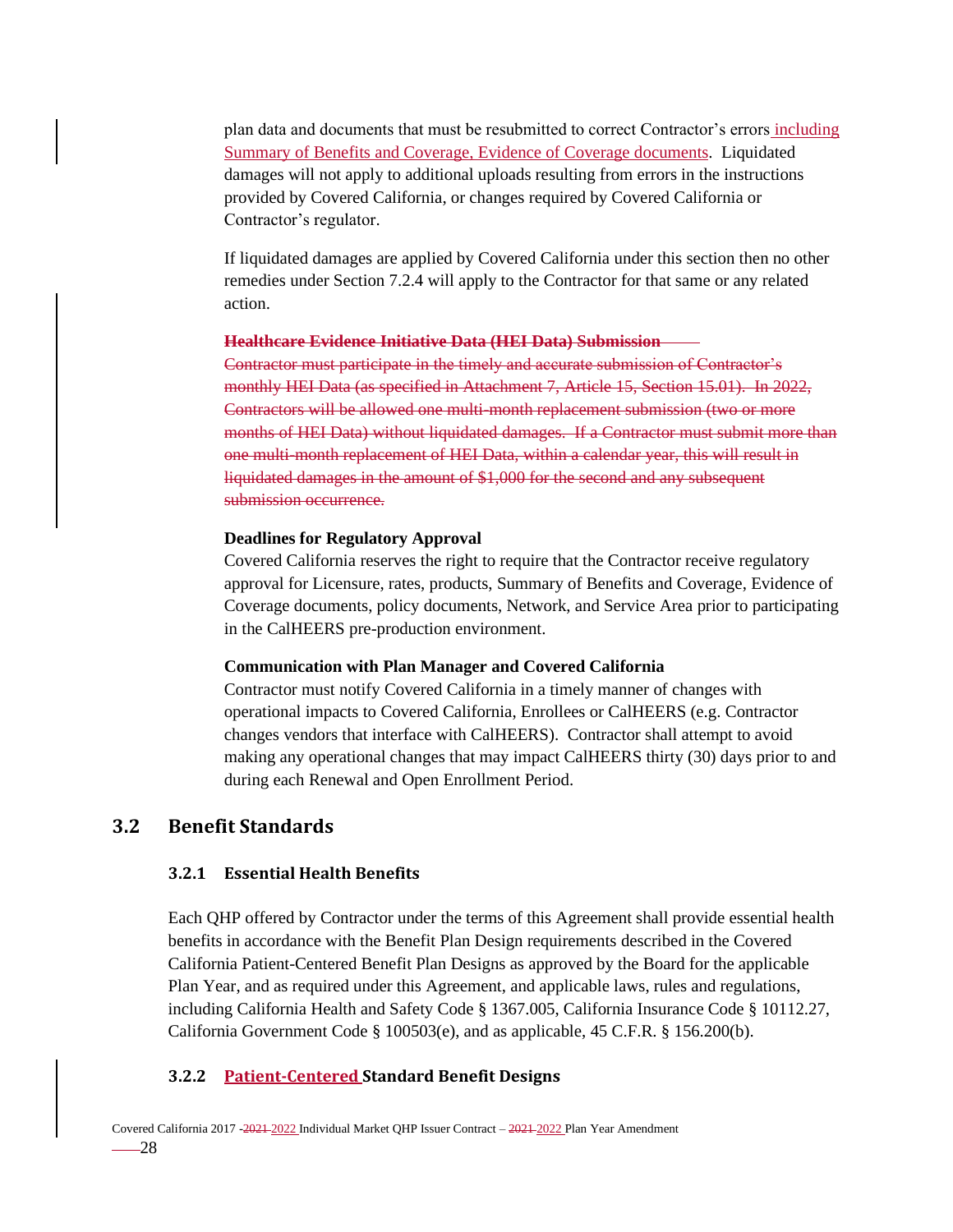plan data and documents that must be resubmitted to correct Contractor's errors including Summary of Benefits and Coverage, Evidence of Coverage documents. Liquidated damages will not apply to additional uploads resulting from errors in the instructions provided by Covered California, or changes required by Covered California or Contractor's regulator.

If liquidated damages are applied by Covered California under this section then no other remedies under Section 7.2.4 will apply to the Contractor for that same or any related action.

#### **Healthcare Evidence Initiative Data (HEI Data) Submission**

Contractor must participate in the timely and accurate submission of Contractor's monthly HEI Data (as specified in Attachment 7, Article 15, Section 15.01). In 2022, Contractors will be allowed one multi-month replacement submission (two or more months of HEI Data) without liquidated damages. If a Contractor must submit more than one multi-month replacement of HEI Data, within a calendar year, this will result in liquidated damages in the amount of \$1,000 for the second and any subsequent submission occurrence.

#### **Deadlines for Regulatory Approval**

Covered California reserves the right to require that the Contractor receive regulatory approval for Licensure, rates, products, Summary of Benefits and Coverage, Evidence of Coverage documents, policy documents, Network, and Service Area prior to participating in the CalHEERS pre-production environment.

#### **Communication with Plan Manager and Covered California**

Contractor must notify Covered California in a timely manner of changes with operational impacts to Covered California, Enrollees or CalHEERS (e.g. Contractor changes vendors that interface with CalHEERS). Contractor shall attempt to avoid making any operational changes that may impact CalHEERS thirty (30) days prior to and during each Renewal and Open Enrollment Period.

### <span id="page-35-1"></span><span id="page-35-0"></span>**3.2 Benefit Standards**

#### **3.2.1 Essential Health Benefits**

Each QHP offered by Contractor under the terms of this Agreement shall provide essential health benefits in accordance with the Benefit Plan Design requirements described in the Covered California Patient-Centered Benefit Plan Designs as approved by the Board for the applicable Plan Year, and as required under this Agreement, and applicable laws, rules and regulations, including California Health and Safety Code § 1367.005, California Insurance Code § 10112.27, California Government Code § 100503(e), and as applicable, 45 C.F.R. § 156.200(b).

#### <span id="page-35-2"></span>**3.2.2 Patient-Centered Standard Benefit Designs**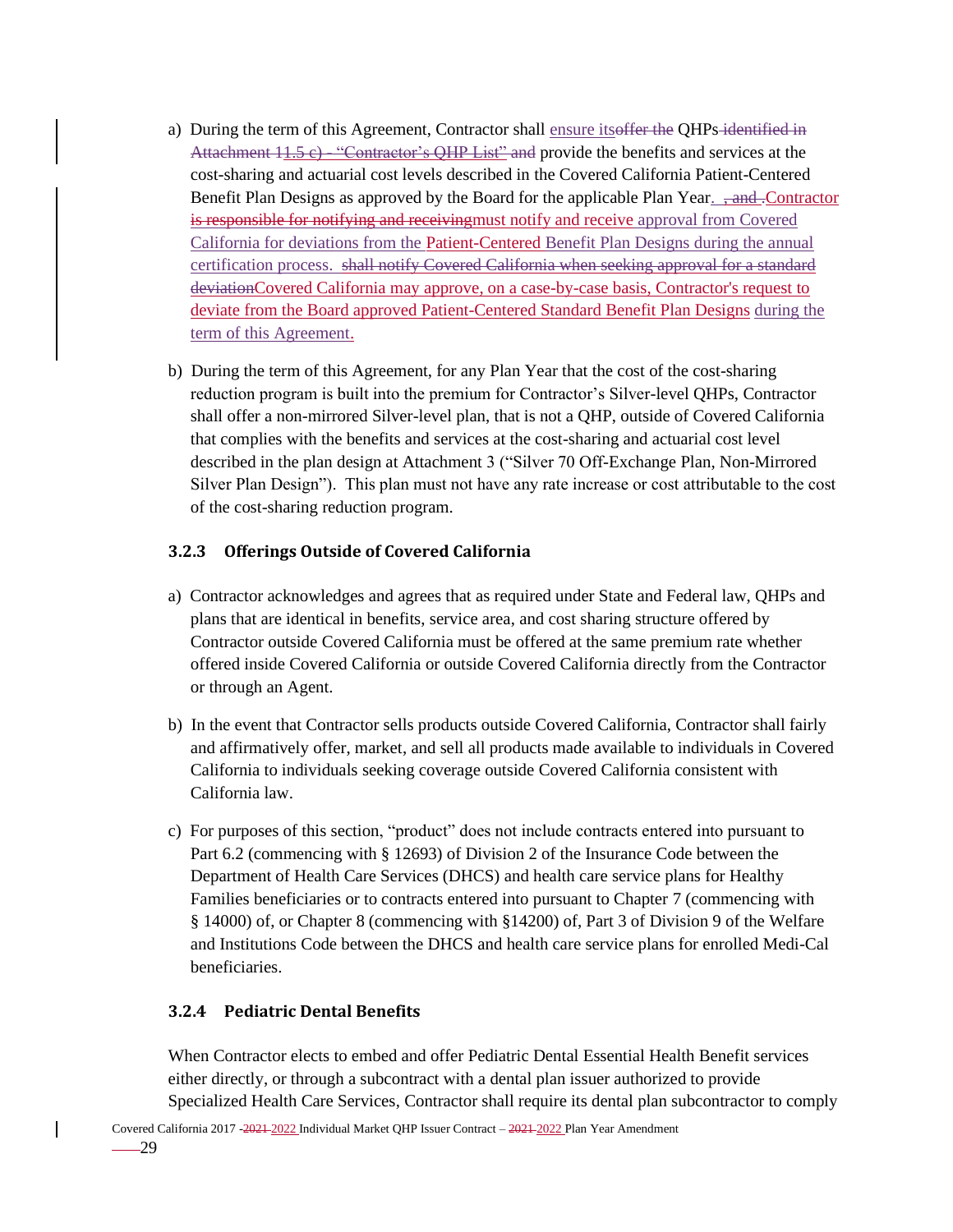- a) During the term of this Agreement, Contractor shall ensure its offer the QHPs-identified in Attachment  $11.5$  c)  $-$  "Contractor's QHP List" and provide the benefits and services at the cost-sharing and actuarial cost levels described in the Covered California Patient-Centered Benefit Plan Designs as approved by the Board for the applicable Plan Year. <del>, and .Contractor</del> is responsible for notifying and receivingmust notify and receive approval from Covered California for deviations from the Patient-Centered Benefit Plan Designs during the annual certification process. shall notify Covered California when seeking approval for a standard deviationCovered California may approve, on a case-by-case basis, Contractor's request to deviate from the Board approved Patient-Centered Standard Benefit Plan Designs during the term of this Agreement.
- b) During the term of this Agreement, for any Plan Year that the cost of the cost-sharing reduction program is built into the premium for Contractor's Silver-level QHPs, Contractor shall offer a non-mirrored Silver-level plan, that is not a QHP, outside of Covered California that complies with the benefits and services at the cost-sharing and actuarial cost level described in the plan design at Attachment 3 ("Silver 70 Off-Exchange Plan, Non-Mirrored Silver Plan Design"). This plan must not have any rate increase or cost attributable to the cost of the cost-sharing reduction program.

### **3.2.3 Offerings Outside of Covered California**

- a) Contractor acknowledges and agrees that as required under State and Federal law, QHPs and plans that are identical in benefits, service area, and cost sharing structure offered by Contractor outside Covered California must be offered at the same premium rate whether offered inside Covered California or outside Covered California directly from the Contractor or through an Agent.
- b) In the event that Contractor sells products outside Covered California, Contractor shall fairly and affirmatively offer, market, and sell all products made available to individuals in Covered California to individuals seeking coverage outside Covered California consistent with California law.
- c) For purposes of this section, "product" does not include contracts entered into pursuant to Part 6.2 (commencing with § 12693) of Division 2 of the Insurance Code between the Department of Health Care Services (DHCS) and health care service plans for Healthy Families beneficiaries or to contracts entered into pursuant to Chapter 7 (commencing with § 14000) of, or Chapter 8 (commencing with §14200) of, Part 3 of Division 9 of the Welfare and Institutions Code between the DHCS and health care service plans for enrolled Medi-Cal beneficiaries.

#### **3.2.4 Pediatric Dental Benefits**

When Contractor elects to embed and offer Pediatric Dental Essential Health Benefit services either directly, or through a subcontract with a dental plan issuer authorized to provide Specialized Health Care Services, Contractor shall require its dental plan subcontractor to comply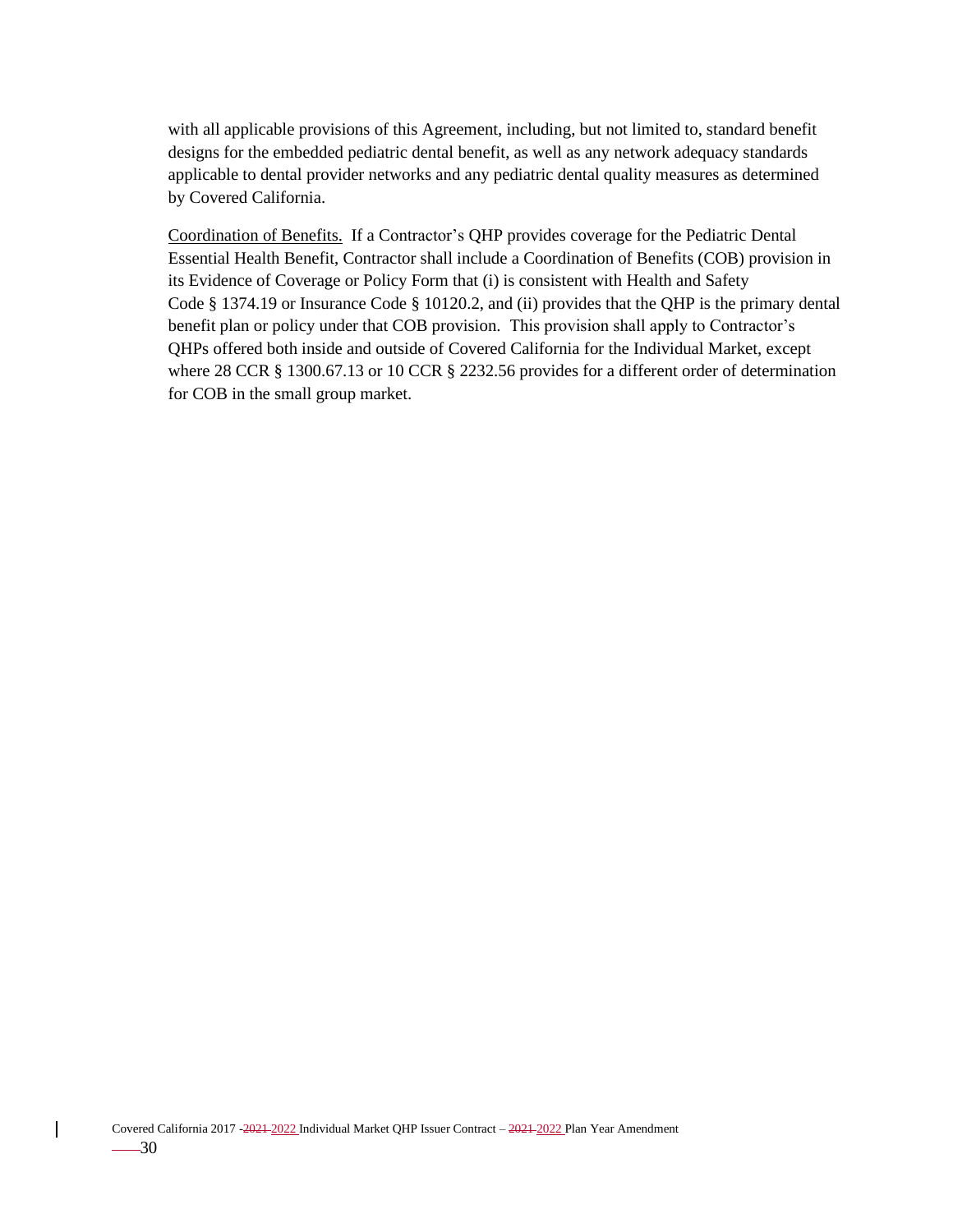with all applicable provisions of this Agreement, including, but not limited to, standard benefit designs for the embedded pediatric dental benefit, as well as any network adequacy standards applicable to dental provider networks and any pediatric dental quality measures as determined by Covered California.

Coordination of Benefits. If a Contractor's QHP provides coverage for the Pediatric Dental Essential Health Benefit, Contractor shall include a Coordination of Benefits (COB) provision in its Evidence of Coverage or Policy Form that (i) is consistent with Health and Safety Code § 1374.19 or Insurance Code § 10120.2, and (ii) provides that the QHP is the primary dental benefit plan or policy under that COB provision. This provision shall apply to Contractor's QHPs offered both inside and outside of Covered California for the Individual Market, except where 28 CCR § 1300.67.13 or 10 CCR § 2232.56 provides for a different order of determination for COB in the small group market.

 $\mathbf{I}$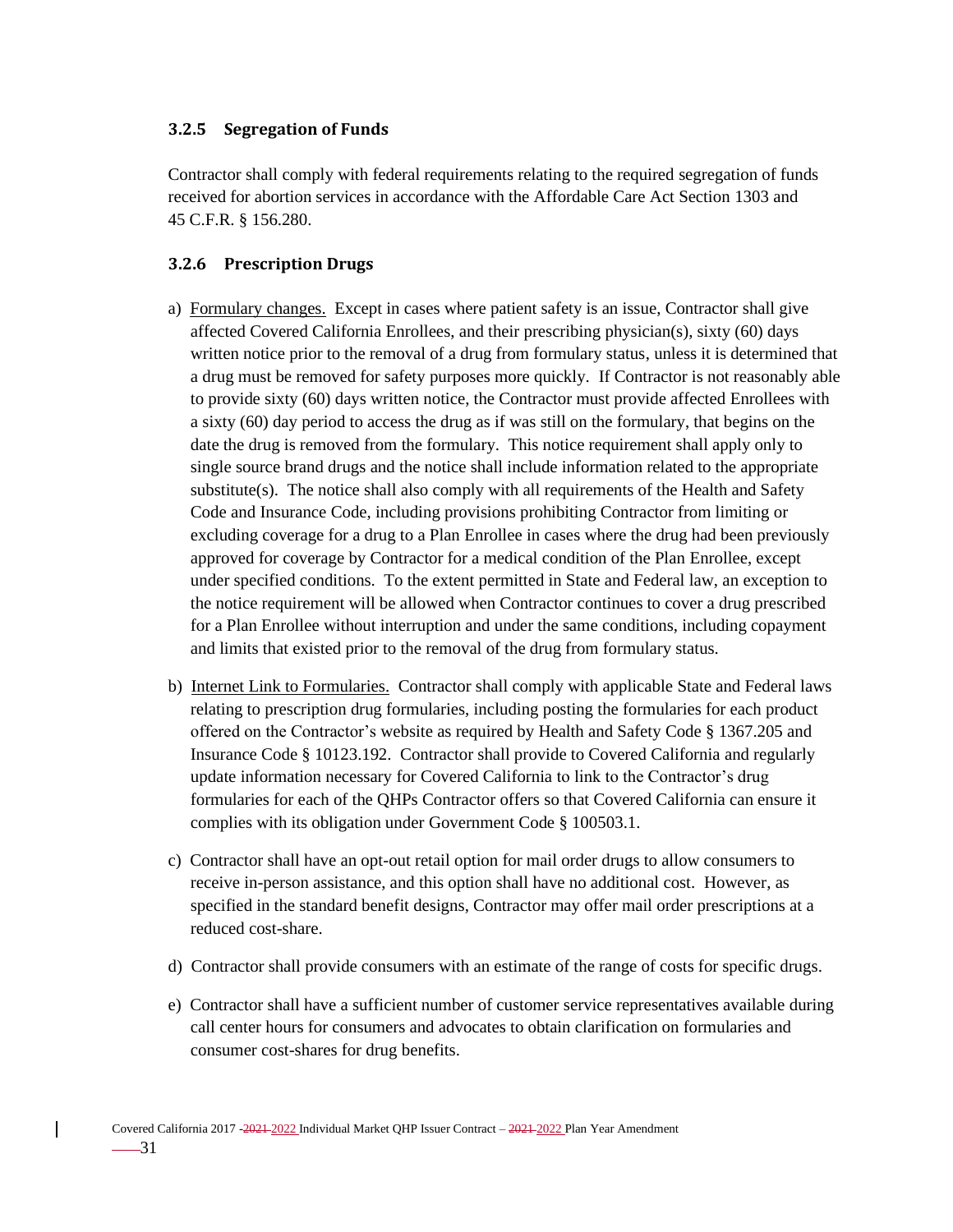#### **3.2.5 Segregation of Funds**

Contractor shall comply with federal requirements relating to the required segregation of funds received for abortion services in accordance with the Affordable Care Act Section 1303 and 45 C.F.R. § 156.280.

#### **3.2.6 Prescription Drugs**

- a) Formulary changes. Except in cases where patient safety is an issue, Contractor shall give affected Covered California Enrollees, and their prescribing physician(s), sixty (60) days written notice prior to the removal of a drug from formulary status, unless it is determined that a drug must be removed for safety purposes more quickly. If Contractor is not reasonably able to provide sixty (60) days written notice, the Contractor must provide affected Enrollees with a sixty (60) day period to access the drug as if was still on the formulary, that begins on the date the drug is removed from the formulary. This notice requirement shall apply only to single source brand drugs and the notice shall include information related to the appropriate  $substitute(s)$ . The notice shall also comply with all requirements of the Health and Safety Code and Insurance Code, including provisions prohibiting Contractor from limiting or excluding coverage for a drug to a Plan Enrollee in cases where the drug had been previously approved for coverage by Contractor for a medical condition of the Plan Enrollee, except under specified conditions. To the extent permitted in State and Federal law, an exception to the notice requirement will be allowed when Contractor continues to cover a drug prescribed for a Plan Enrollee without interruption and under the same conditions, including copayment and limits that existed prior to the removal of the drug from formulary status.
- b) Internet Link to Formularies. Contractor shall comply with applicable State and Federal laws relating to prescription drug formularies, including posting the formularies for each product offered on the Contractor's website as required by Health and Safety Code § 1367.205 and Insurance Code § 10123.192. Contractor shall provide to Covered California and regularly update information necessary for Covered California to link to the Contractor's drug formularies for each of the QHPs Contractor offers so that Covered California can ensure it complies with its obligation under Government Code § 100503.1.
- c) Contractor shall have an opt-out retail option for mail order drugs to allow consumers to receive in-person assistance, and this option shall have no additional cost. However, as specified in the standard benefit designs, Contractor may offer mail order prescriptions at a reduced cost-share.
- d) Contractor shall provide consumers with an estimate of the range of costs for specific drugs.
- e) Contractor shall have a sufficient number of customer service representatives available during call center hours for consumers and advocates to obtain clarification on formularies and consumer cost-shares for drug benefits.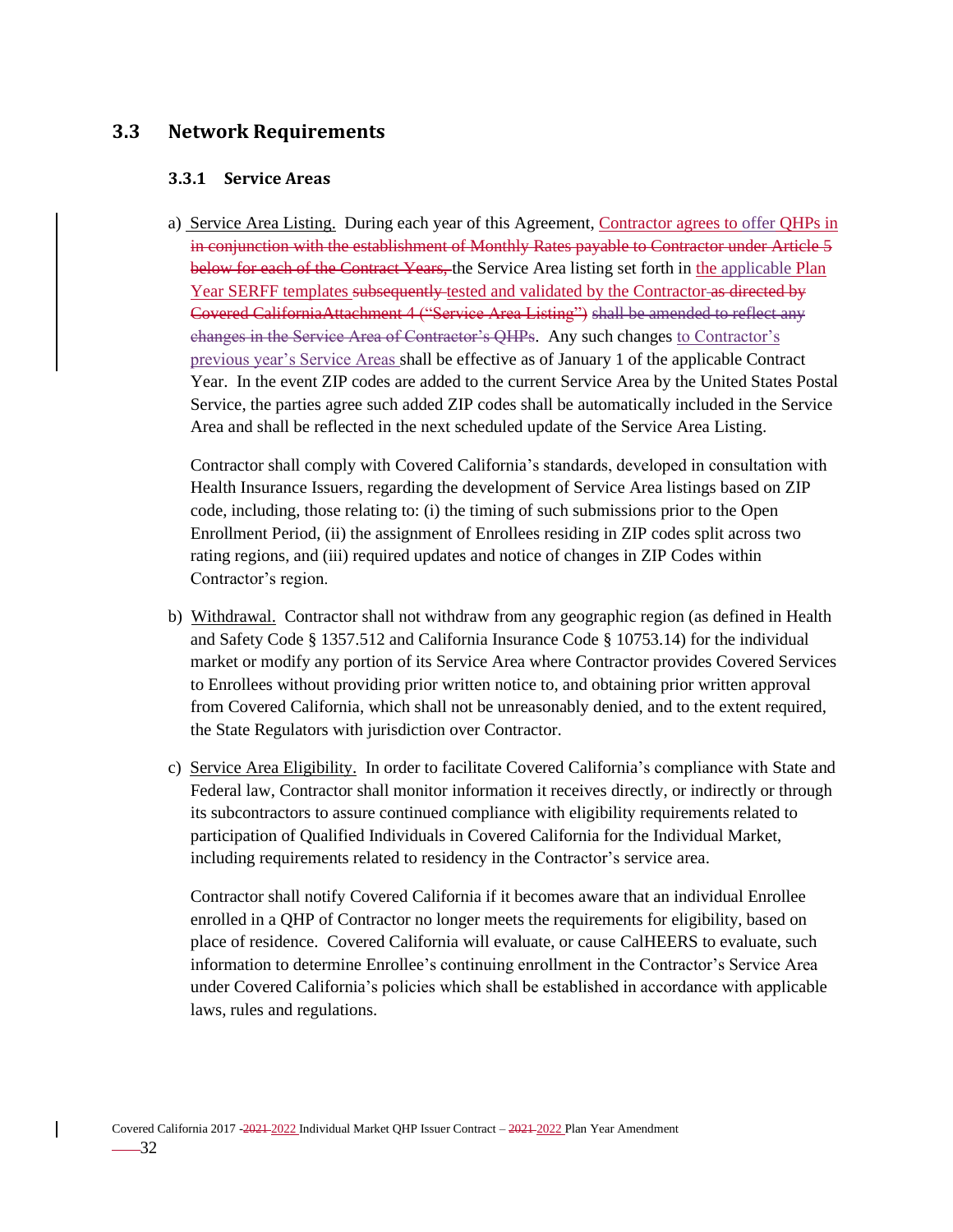### **3.3 Network Requirements**

#### **3.3.1 Service Areas**

a) Service Area Listing. During each year of this Agreement, Contractor agrees to offer QHPs in in conjunction with the establishment of Monthly Rates payable to Contractor under Article 5 below for each of the Contract Years, the Service Area listing set forth in the applicable Plan Year SERFF templates subsequently tested and validated by the Contractor as directed by Covered CaliforniaAttachment 4 ("Service Area Listing") shall be amended to reflect any changes in the Service Area of Contractor's QHPs. Any such changes to Contractor's previous year's Service Areas shall be effective as of January 1 of the applicable Contract Year. In the event ZIP codes are added to the current Service Area by the United States Postal Service, the parties agree such added ZIP codes shall be automatically included in the Service Area and shall be reflected in the next scheduled update of the Service Area Listing.

Contractor shall comply with Covered California's standards, developed in consultation with Health Insurance Issuers, regarding the development of Service Area listings based on ZIP code, including, those relating to: (i) the timing of such submissions prior to the Open Enrollment Period, (ii) the assignment of Enrollees residing in ZIP codes split across two rating regions, and (iii) required updates and notice of changes in ZIP Codes within Contractor's region.

- b) Withdrawal. Contractor shall not withdraw from any geographic region (as defined in Health and Safety Code § 1357.512 and California Insurance Code § 10753.14) for the individual market or modify any portion of its Service Area where Contractor provides Covered Services to Enrollees without providing prior written notice to, and obtaining prior written approval from Covered California, which shall not be unreasonably denied, and to the extent required, the State Regulators with jurisdiction over Contractor.
- c) Service Area Eligibility. In order to facilitate Covered California's compliance with State and Federal law, Contractor shall monitor information it receives directly, or indirectly or through its subcontractors to assure continued compliance with eligibility requirements related to participation of Qualified Individuals in Covered California for the Individual Market, including requirements related to residency in the Contractor's service area.

Contractor shall notify Covered California if it becomes aware that an individual Enrollee enrolled in a QHP of Contractor no longer meets the requirements for eligibility, based on place of residence. Covered California will evaluate, or cause CalHEERS to evaluate, such information to determine Enrollee's continuing enrollment in the Contractor's Service Area under Covered California's policies which shall be established in accordance with applicable laws, rules and regulations.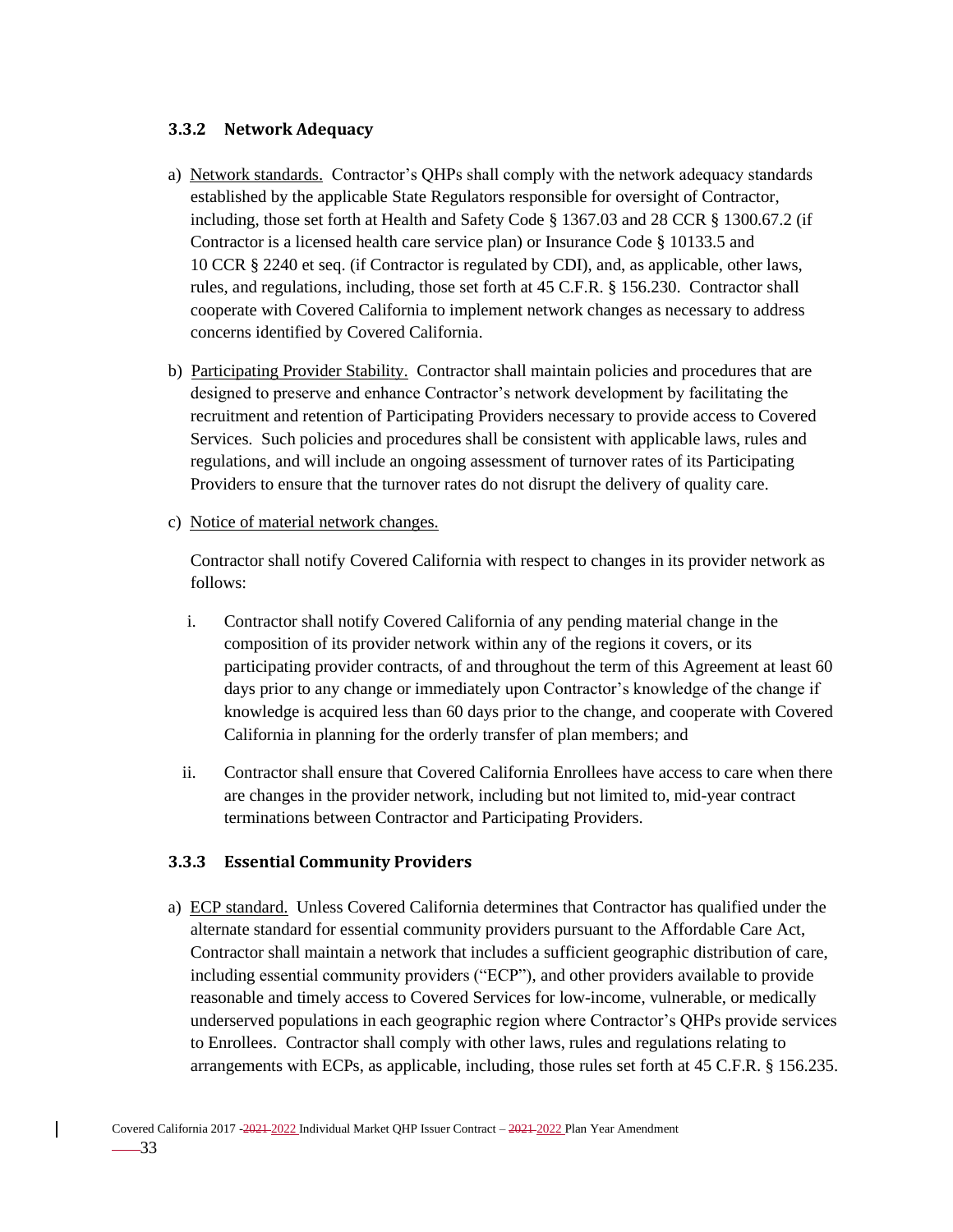#### **3.3.2 Network Adequacy**

- a) Network standards. Contractor's QHPs shall comply with the network adequacy standards established by the applicable State Regulators responsible for oversight of Contractor, including, those set forth at Health and Safety Code § 1367.03 and 28 CCR § 1300.67.2 (if Contractor is a licensed health care service plan) or Insurance Code § 10133.5 and 10 CCR § 2240 et seq. (if Contractor is regulated by CDI), and, as applicable, other laws, rules, and regulations, including, those set forth at 45 C.F.R. § 156.230. Contractor shall cooperate with Covered California to implement network changes as necessary to address concerns identified by Covered California.
- b) Participating Provider Stability. Contractor shall maintain policies and procedures that are designed to preserve and enhance Contractor's network development by facilitating the recruitment and retention of Participating Providers necessary to provide access to Covered Services. Such policies and procedures shall be consistent with applicable laws, rules and regulations, and will include an ongoing assessment of turnover rates of its Participating Providers to ensure that the turnover rates do not disrupt the delivery of quality care.

#### c) Notice of material network changes.

Contractor shall notify Covered California with respect to changes in its provider network as follows:

- i. Contractor shall notify Covered California of any pending material change in the composition of its provider network within any of the regions it covers, or its participating provider contracts, of and throughout the term of this Agreement at least 60 days prior to any change or immediately upon Contractor's knowledge of the change if knowledge is acquired less than 60 days prior to the change, and cooperate with Covered California in planning for the orderly transfer of plan members; and
- ii. Contractor shall ensure that Covered California Enrollees have access to care when there are changes in the provider network, including but not limited to, mid-year contract terminations between Contractor and Participating Providers.

#### **3.3.3 Essential Community Providers**

a) ECP standard. Unless Covered California determines that Contractor has qualified under the alternate standard for essential community providers pursuant to the Affordable Care Act, Contractor shall maintain a network that includes a sufficient geographic distribution of care, including essential community providers ("ECP"), and other providers available to provide reasonable and timely access to Covered Services for low-income, vulnerable, or medically underserved populations in each geographic region where Contractor's QHPs provide services to Enrollees. Contractor shall comply with other laws, rules and regulations relating to arrangements with ECPs, as applicable, including, those rules set forth at 45 C.F.R. § 156.235.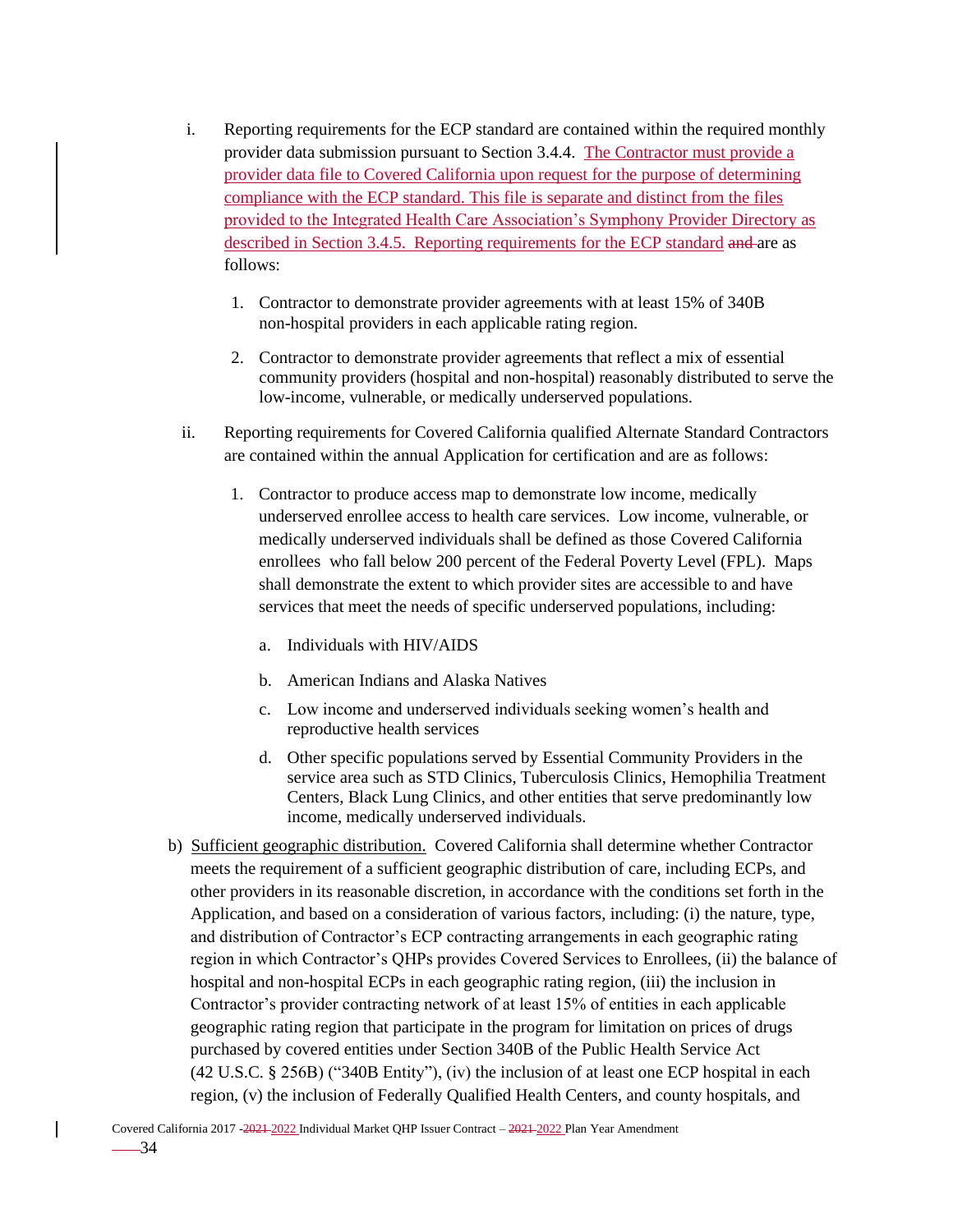- i. Reporting requirements for the ECP standard are contained within the required monthly provider data submission pursuant to Section 3.4.4. The Contractor must provide a provider data file to Covered California upon request for the purpose of determining compliance with the ECP standard. This file is separate and distinct from the files provided to the Integrated Health Care Association's Symphony Provider Directory as described in Section 3.4.5. Reporting requirements for the ECP standard and are as follows:
	- 1. Contractor to demonstrate provider agreements with at least 15% of 340B non-hospital providers in each applicable rating region.
	- 2. Contractor to demonstrate provider agreements that reflect a mix of essential community providers (hospital and non-hospital) reasonably distributed to serve the low-income, vulnerable, or medically underserved populations.
- ii. Reporting requirements for Covered California qualified Alternate Standard Contractors are contained within the annual Application for certification and are as follows:
	- 1. Contractor to produce access map to demonstrate low income, medically underserved enrollee access to health care services. Low income, vulnerable, or medically underserved individuals shall be defined as those Covered California enrollees who fall below 200 percent of the Federal Poverty Level (FPL). Maps shall demonstrate the extent to which provider sites are accessible to and have services that meet the needs of specific underserved populations, including:
		- a. Individuals with HIV/AIDS
		- b. American Indians and Alaska Natives
		- c. Low income and underserved individuals seeking women's health and reproductive health services
		- d. Other specific populations served by Essential Community Providers in the service area such as STD Clinics, Tuberculosis Clinics, Hemophilia Treatment Centers, Black Lung Clinics, and other entities that serve predominantly low income, medically underserved individuals.
- b) Sufficient geographic distribution. Covered California shall determine whether Contractor meets the requirement of a sufficient geographic distribution of care, including ECPs, and other providers in its reasonable discretion, in accordance with the conditions set forth in the Application, and based on a consideration of various factors, including: (i) the nature, type, and distribution of Contractor's ECP contracting arrangements in each geographic rating region in which Contractor's QHPs provides Covered Services to Enrollees, (ii) the balance of hospital and non-hospital ECPs in each geographic rating region, (iii) the inclusion in Contractor's provider contracting network of at least 15% of entities in each applicable geographic rating region that participate in the program for limitation on prices of drugs purchased by covered entities under Section 340B of the Public Health Service Act (42 U.S.C. § 256B) ("340B Entity"), (iv) the inclusion of at least one ECP hospital in each region, (v) the inclusion of Federally Qualified Health Centers, and county hospitals, and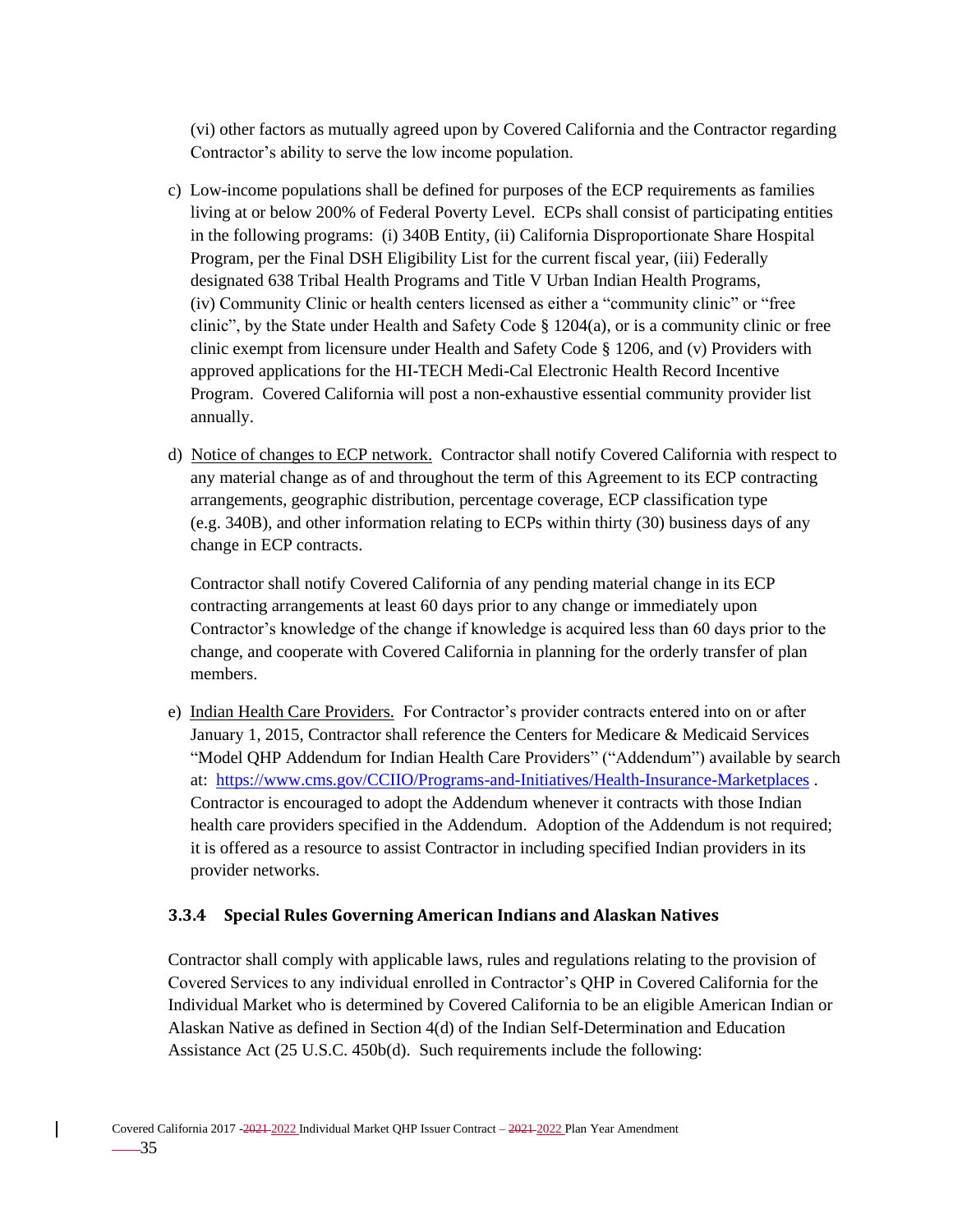(vi) other factors as mutually agreed upon by Covered California and the Contractor regarding Contractor's ability to serve the low income population.

- c) Low-income populations shall be defined for purposes of the ECP requirements as families living at or below 200% of Federal Poverty Level. ECPs shall consist of participating entities in the following programs: (i) 340B Entity, (ii) California Disproportionate Share Hospital Program, per the Final DSH Eligibility List for the current fiscal year, (iii) Federally designated 638 Tribal Health Programs and Title V Urban Indian Health Programs, (iv) Community Clinic or health centers licensed as either a "community clinic" or "free clinic", by the State under Health and Safety Code § 1204(a), or is a community clinic or free clinic exempt from licensure under Health and Safety Code § 1206, and (v) Providers with approved applications for the HI-TECH Medi-Cal Electronic Health Record Incentive Program. Covered California will post a non-exhaustive essential community provider list annually.
- d) Notice of changes to ECP network. Contractor shall notify Covered California with respect to any material change as of and throughout the term of this Agreement to its ECP contracting arrangements, geographic distribution, percentage coverage, ECP classification type (e.g. 340B), and other information relating to ECPs within thirty (30) business days of any change in ECP contracts.

Contractor shall notify Covered California of any pending material change in its ECP contracting arrangements at least 60 days prior to any change or immediately upon Contractor's knowledge of the change if knowledge is acquired less than 60 days prior to the change, and cooperate with Covered California in planning for the orderly transfer of plan members.

e) Indian Health Care Providers. For Contractor's provider contracts entered into on or after January 1, 2015, Contractor shall reference the Centers for Medicare & Medicaid Services "Model QHP Addendum for Indian Health Care Providers" ("Addendum") available by search at: <https://www.cms.gov/CCIIO/Programs-and-Initiatives/Health-Insurance-Marketplaces> . Contractor is encouraged to adopt the Addendum whenever it contracts with those Indian health care providers specified in the Addendum. Adoption of the Addendum is not required; it is offered as a resource to assist Contractor in including specified Indian providers in its provider networks.

### **3.3.4 Special Rules Governing American Indians and Alaskan Natives**

Contractor shall comply with applicable laws, rules and regulations relating to the provision of Covered Services to any individual enrolled in Contractor's QHP in Covered California for the Individual Market who is determined by Covered California to be an eligible American Indian or Alaskan Native as defined in Section 4(d) of the Indian Self-Determination and Education Assistance Act (25 U.S.C. 450b(d). Such requirements include the following: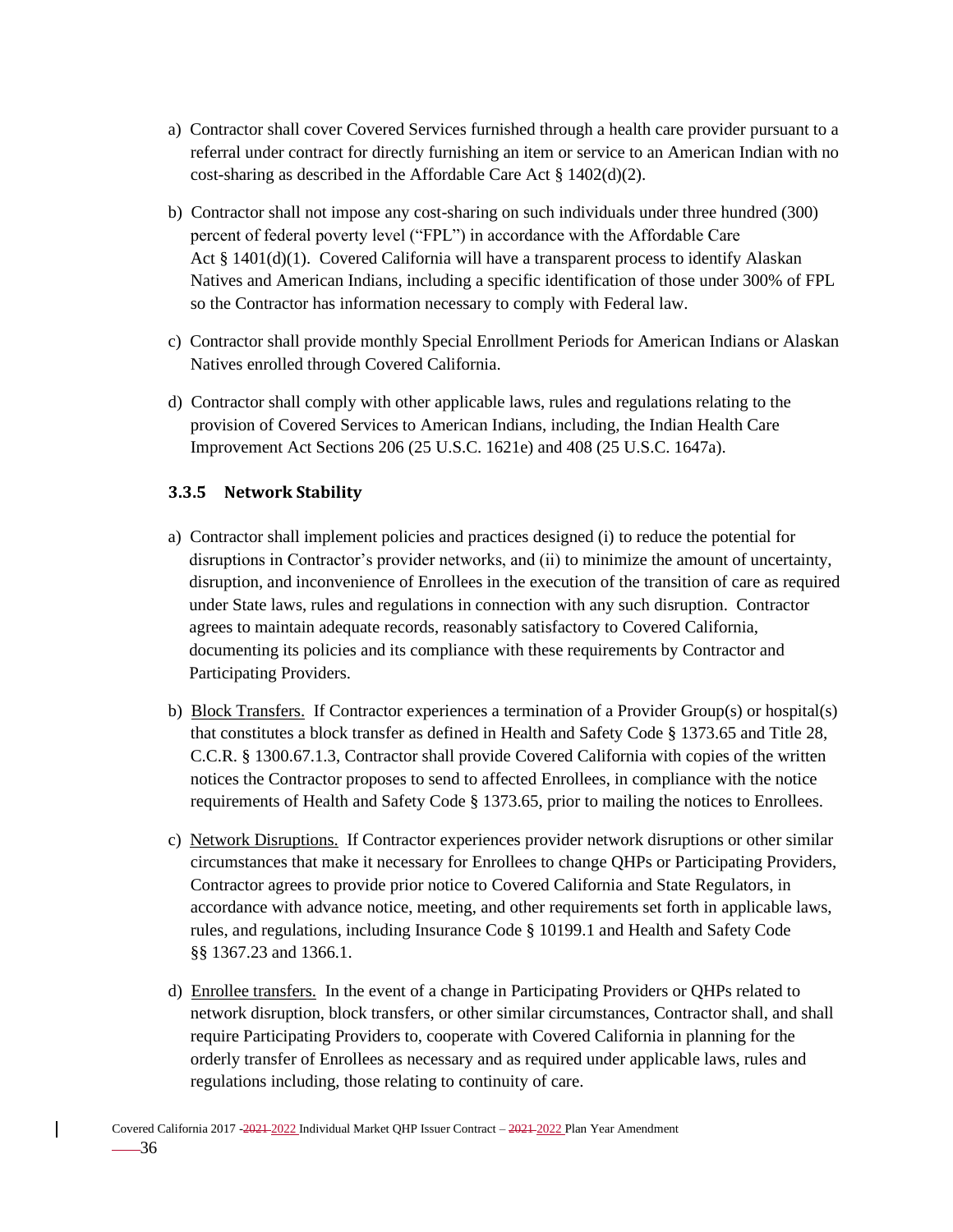- a) Contractor shall cover Covered Services furnished through a health care provider pursuant to a referral under contract for directly furnishing an item or service to an American Indian with no cost-sharing as described in the Affordable Care Act § 1402(d)(2).
- b) Contractor shall not impose any cost-sharing on such individuals under three hundred (300) percent of federal poverty level ("FPL") in accordance with the Affordable Care Act  $\S$  1401(d)(1). Covered California will have a transparent process to identify Alaskan Natives and American Indians, including a specific identification of those under 300% of FPL so the Contractor has information necessary to comply with Federal law.
- c) Contractor shall provide monthly Special Enrollment Periods for American Indians or Alaskan Natives enrolled through Covered California.
- d) Contractor shall comply with other applicable laws, rules and regulations relating to the provision of Covered Services to American Indians, including, the Indian Health Care Improvement Act Sections 206 (25 U.S.C. 1621e) and 408 (25 U.S.C. 1647a).

### **3.3.5 Network Stability**

- a) Contractor shall implement policies and practices designed (i) to reduce the potential for disruptions in Contractor's provider networks, and (ii) to minimize the amount of uncertainty, disruption, and inconvenience of Enrollees in the execution of the transition of care as required under State laws, rules and regulations in connection with any such disruption. Contractor agrees to maintain adequate records, reasonably satisfactory to Covered California, documenting its policies and its compliance with these requirements by Contractor and Participating Providers.
- b) Block Transfers. If Contractor experiences a termination of a Provider Group(s) or hospital(s) that constitutes a block transfer as defined in Health and Safety Code § 1373.65 and Title 28, C.C.R. § 1300.67.1.3, Contractor shall provide Covered California with copies of the written notices the Contractor proposes to send to affected Enrollees, in compliance with the notice requirements of Health and Safety Code § 1373.65, prior to mailing the notices to Enrollees.
- c) Network Disruptions. If Contractor experiences provider network disruptions or other similar circumstances that make it necessary for Enrollees to change QHPs or Participating Providers, Contractor agrees to provide prior notice to Covered California and State Regulators, in accordance with advance notice, meeting, and other requirements set forth in applicable laws, rules, and regulations, including Insurance Code § 10199.1 and Health and Safety Code §§ 1367.23 and 1366.1.
- d) Enrollee transfers. In the event of a change in Participating Providers or QHPs related to network disruption, block transfers, or other similar circumstances, Contractor shall, and shall require Participating Providers to, cooperate with Covered California in planning for the orderly transfer of Enrollees as necessary and as required under applicable laws, rules and regulations including, those relating to continuity of care.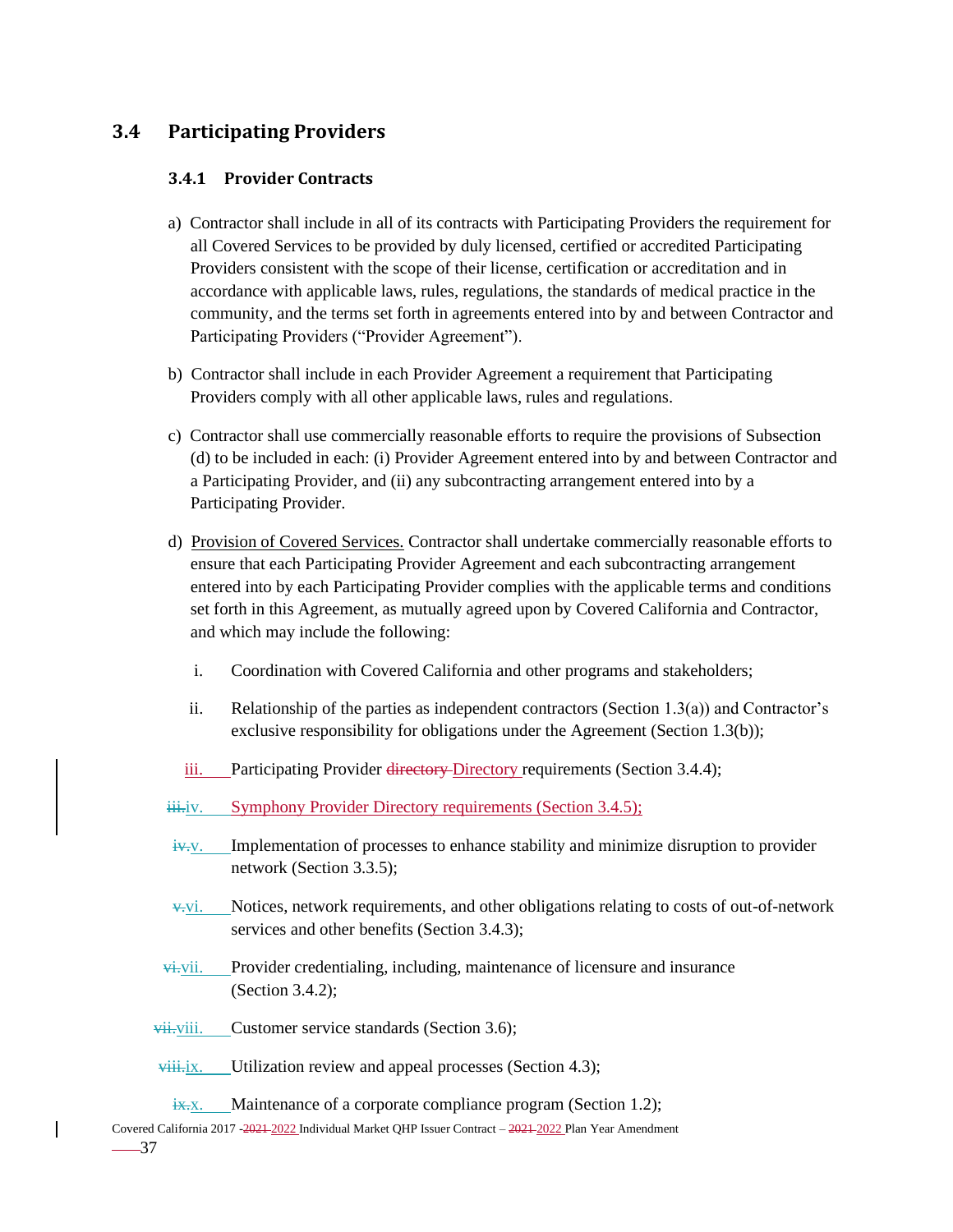# **3.4 Participating Providers**

### **3.4.1 Provider Contracts**

- a) Contractor shall include in all of its contracts with Participating Providers the requirement for all Covered Services to be provided by duly licensed, certified or accredited Participating Providers consistent with the scope of their license, certification or accreditation and in accordance with applicable laws, rules, regulations, the standards of medical practice in the community, and the terms set forth in agreements entered into by and between Contractor and Participating Providers ("Provider Agreement").
- b) Contractor shall include in each Provider Agreement a requirement that Participating Providers comply with all other applicable laws, rules and regulations.
- c) Contractor shall use commercially reasonable efforts to require the provisions of Subsection (d) to be included in each: (i) Provider Agreement entered into by and between Contractor and a Participating Provider, and (ii) any subcontracting arrangement entered into by a Participating Provider.
- d) Provision of Covered Services. Contractor shall undertake commercially reasonable efforts to ensure that each Participating Provider Agreement and each subcontracting arrangement entered into by each Participating Provider complies with the applicable terms and conditions set forth in this Agreement, as mutually agreed upon by Covered California and Contractor, and which may include the following:
	- i. Coordination with Covered California and other programs and stakeholders;
	- ii. Relationship of the parties as independent contractors (Section 1.3(a)) and Contractor's exclusive responsibility for obligations under the Agreement (Section 1.3(b));
	- iii. Participating Provider directory Directory requirements (Section 3.4.4);
- iii.iv. Symphony Provider Directory requirements (Section 3.4.5);
- iv.v. Implementation of processes to enhance stability and minimize disruption to provider network (Section 3.3.5);
- $v$ . Notices, network requirements, and other obligations relating to costs of out-of-network services and other benefits (Section 3.4.3);
- $\overrightarrow{vi}$ . Provider credentialing, including, maintenance of licensure and insurance (Section 3.4.2);
- vii. Customer service standards (Section 3.6);

 $viii.$  Utilization review and appeal processes (Section 4.3);

- $\frac{1}{1}x$ . Maintenance of a corporate compliance program (Section 1.2);
- Covered California 2017 -2021-2022 Individual Market QHP Issuer Contract 2021-2022 Plan Year Amendment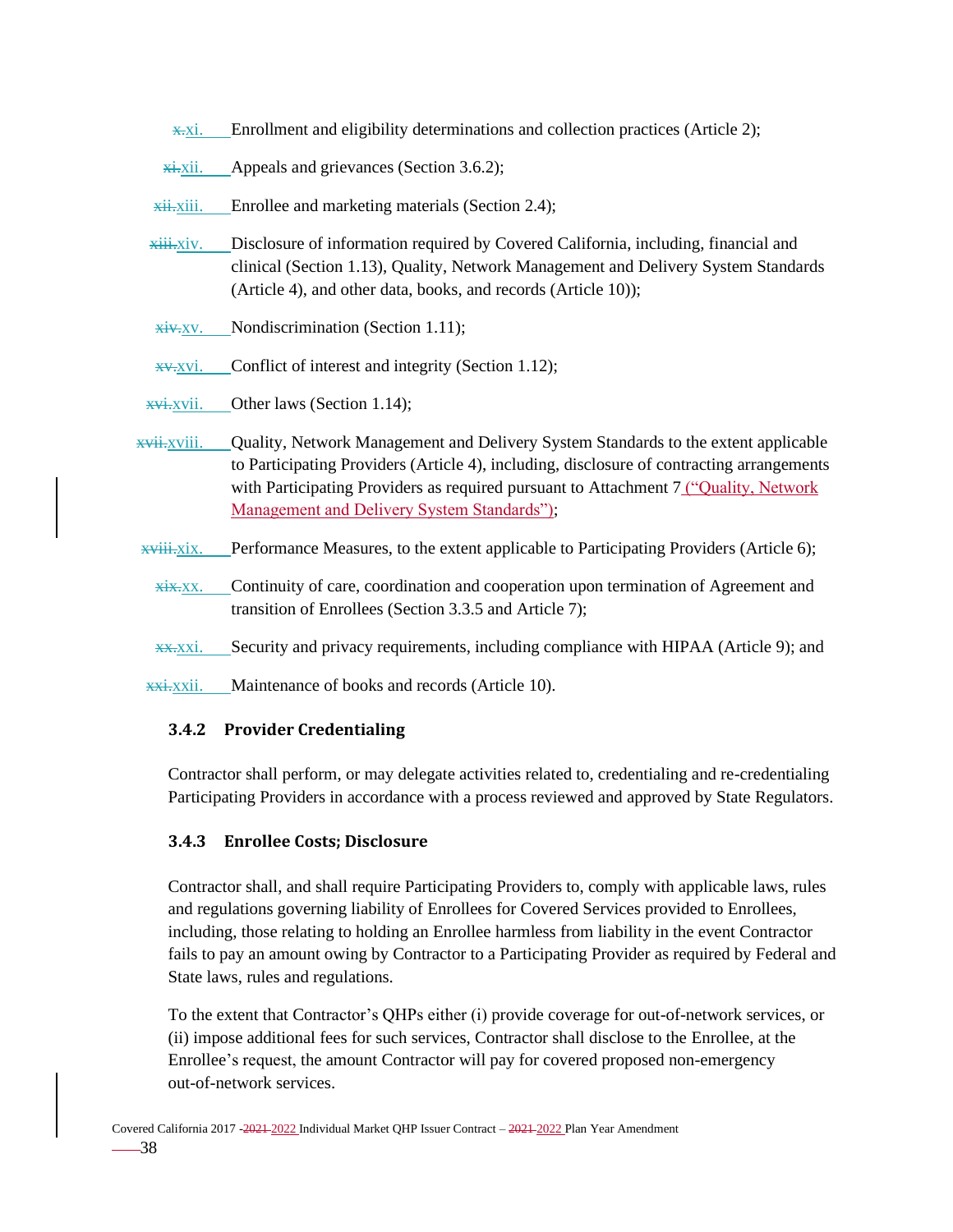- x.xi. Enrollment and eligibility determinations and collection practices (Article 2);
- $\frac{\overline{x} + \overline{x}i}{\overline{x}i}$ . Appeals and grievances (Section 3.6.2);
- xii.xiii. Enrollee and marketing materials (Section 2.4);
- xiii.xiv. Disclosure of information required by Covered California, including, financial and clinical (Section 1.13), Quality, Network Management and Delivery System Standards (Article 4), and other data, books, and records (Article 10));
- $x$ iv.xv. Nondiscrimination (Section 1.11);
- xv.xvi. Conflict of interest and integrity (Section 1.12);
- $x\overrightarrow{v}$ . Other laws (Section 1.14);
- $\overline{x}$ vii. Quality, Network Management and Delivery System Standards to the extent applicable to Participating Providers (Article 4), including, disclosure of contracting arrangements with Participating Providers as required pursuant to Attachment 7 ("Quality, Network Management and Delivery System Standards");
- $\overline{x}$ viii.xix. Performance Measures, to the extent applicable to Participating Providers (Article 6);
	- $x$ i $x$ <sub>xi</sub> $x$ . Continuity of care, coordination and cooperation upon termination of Agreement and transition of Enrollees (Section 3.3.5 and Article 7);
	- xx.xxi. Security and privacy requirements, including compliance with HIPAA (Article 9); and
- xxi.xxii. Maintenance of books and records (Article 10).

### **3.4.2 Provider Credentialing**

Contractor shall perform, or may delegate activities related to, credentialing and re-credentialing Participating Providers in accordance with a process reviewed and approved by State Regulators.

### **3.4.3 Enrollee Costs; Disclosure**

Contractor shall, and shall require Participating Providers to, comply with applicable laws, rules and regulations governing liability of Enrollees for Covered Services provided to Enrollees, including, those relating to holding an Enrollee harmless from liability in the event Contractor fails to pay an amount owing by Contractor to a Participating Provider as required by Federal and State laws, rules and regulations.

To the extent that Contractor's QHPs either (i) provide coverage for out-of-network services, or (ii) impose additional fees for such services, Contractor shall disclose to the Enrollee, at the Enrollee's request, the amount Contractor will pay for covered proposed non-emergency out-of-network services.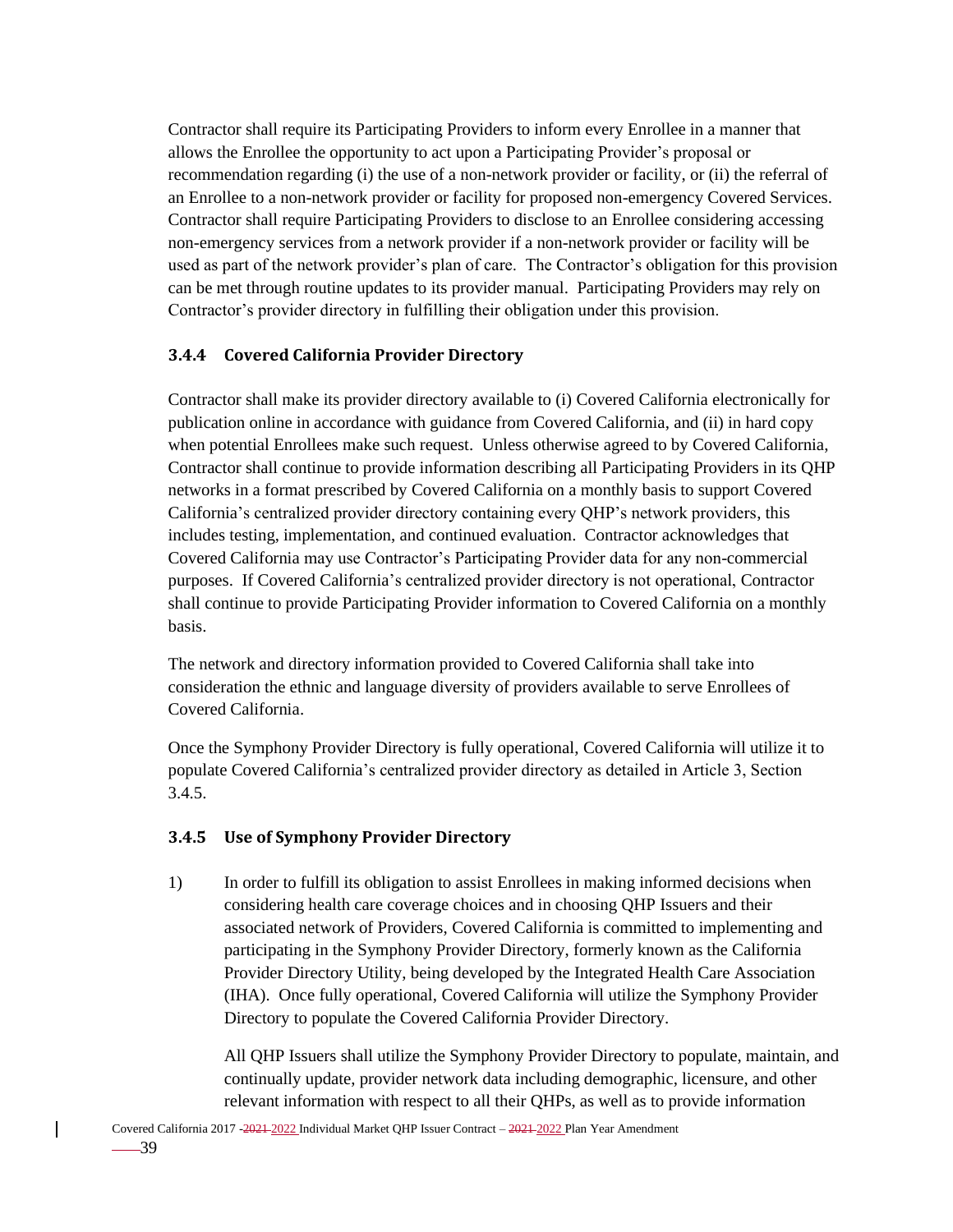Contractor shall require its Participating Providers to inform every Enrollee in a manner that allows the Enrollee the opportunity to act upon a Participating Provider's proposal or recommendation regarding (i) the use of a non-network provider or facility, or (ii) the referral of an Enrollee to a non-network provider or facility for proposed non-emergency Covered Services. Contractor shall require Participating Providers to disclose to an Enrollee considering accessing non-emergency services from a network provider if a non-network provider or facility will be used as part of the network provider's plan of care. The Contractor's obligation for this provision can be met through routine updates to its provider manual. Participating Providers may rely on Contractor's provider directory in fulfilling their obligation under this provision.

### **3.4.4 Covered California Provider Directory**

Contractor shall make its provider directory available to (i) Covered California electronically for publication online in accordance with guidance from Covered California, and (ii) in hard copy when potential Enrollees make such request. Unless otherwise agreed to by Covered California, Contractor shall continue to provide information describing all Participating Providers in its QHP networks in a format prescribed by Covered California on a monthly basis to support Covered California's centralized provider directory containing every QHP's network providers, this includes testing, implementation, and continued evaluation. Contractor acknowledges that Covered California may use Contractor's Participating Provider data for any non-commercial purposes. If Covered California's centralized provider directory is not operational, Contractor shall continue to provide Participating Provider information to Covered California on a monthly basis.

The network and directory information provided to Covered California shall take into consideration the ethnic and language diversity of providers available to serve Enrollees of Covered California.

Once the Symphony Provider Directory is fully operational, Covered California will utilize it to populate Covered California's centralized provider directory as detailed in Article 3, Section 3.4.5.

### **3.4.5 Use of Symphony Provider Directory**

1) In order to fulfill its obligation to assist Enrollees in making informed decisions when considering health care coverage choices and in choosing QHP Issuers and their associated network of Providers, Covered California is committed to implementing and participating in the Symphony Provider Directory, formerly known as the California Provider Directory Utility, being developed by the Integrated Health Care Association (IHA). Once fully operational, Covered California will utilize the Symphony Provider Directory to populate the Covered California Provider Directory.

All QHP Issuers shall utilize the Symphony Provider Directory to populate, maintain, and continually update, provider network data including demographic, licensure, and other relevant information with respect to all their QHPs, as well as to provide information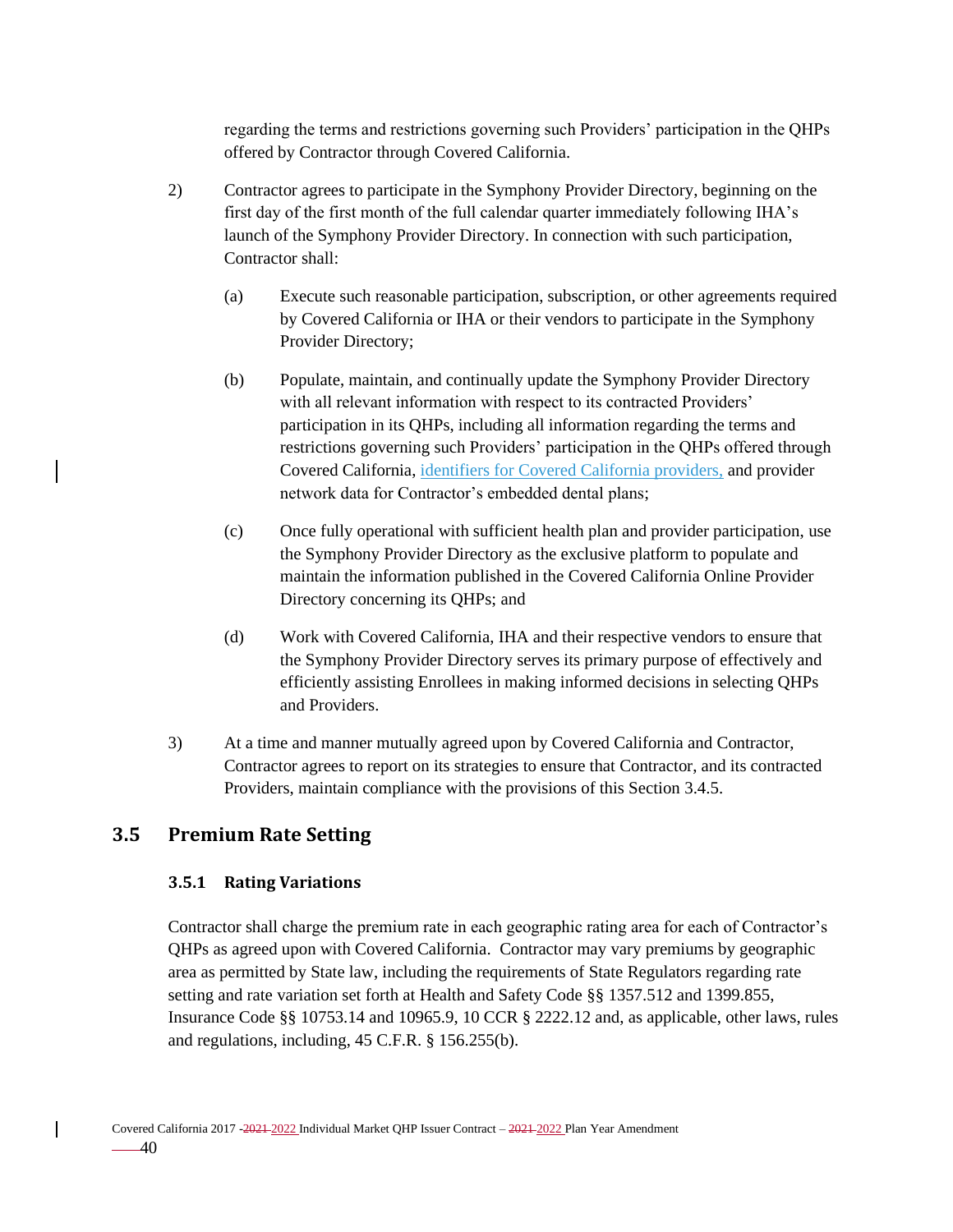regarding the terms and restrictions governing such Providers' participation in the QHPs offered by Contractor through Covered California.

- 2) Contractor agrees to participate in the Symphony Provider Directory, beginning on the first day of the first month of the full calendar quarter immediately following IHA's launch of the Symphony Provider Directory. In connection with such participation, Contractor shall:
	- (a) Execute such reasonable participation, subscription, or other agreements required by Covered California or IHA or their vendors to participate in the Symphony Provider Directory;
	- (b) Populate, maintain, and continually update the Symphony Provider Directory with all relevant information with respect to its contracted Providers' participation in its QHPs, including all information regarding the terms and restrictions governing such Providers' participation in the QHPs offered through Covered California, identifiers for Covered California providers, and provider network data for Contractor's embedded dental plans;
	- (c) Once fully operational with sufficient health plan and provider participation, use the Symphony Provider Directory as the exclusive platform to populate and maintain the information published in the Covered California Online Provider Directory concerning its QHPs; and
	- (d) Work with Covered California, IHA and their respective vendors to ensure that the Symphony Provider Directory serves its primary purpose of effectively and efficiently assisting Enrollees in making informed decisions in selecting QHPs and Providers.
- 3) At a time and manner mutually agreed upon by Covered California and Contractor, Contractor agrees to report on its strategies to ensure that Contractor, and its contracted Providers, maintain compliance with the provisions of this Section 3.4.5.

# **3.5 Premium Rate Setting**

### **3.5.1 Rating Variations**

Contractor shall charge the premium rate in each geographic rating area for each of Contractor's QHPs as agreed upon with Covered California. Contractor may vary premiums by geographic area as permitted by State law, including the requirements of State Regulators regarding rate setting and rate variation set forth at Health and Safety Code §§ 1357.512 and 1399.855, Insurance Code §§ 10753.14 and 10965.9, 10 CCR § 2222.12 and, as applicable, other laws, rules and regulations, including, 45 C.F.R. § 156.255(b).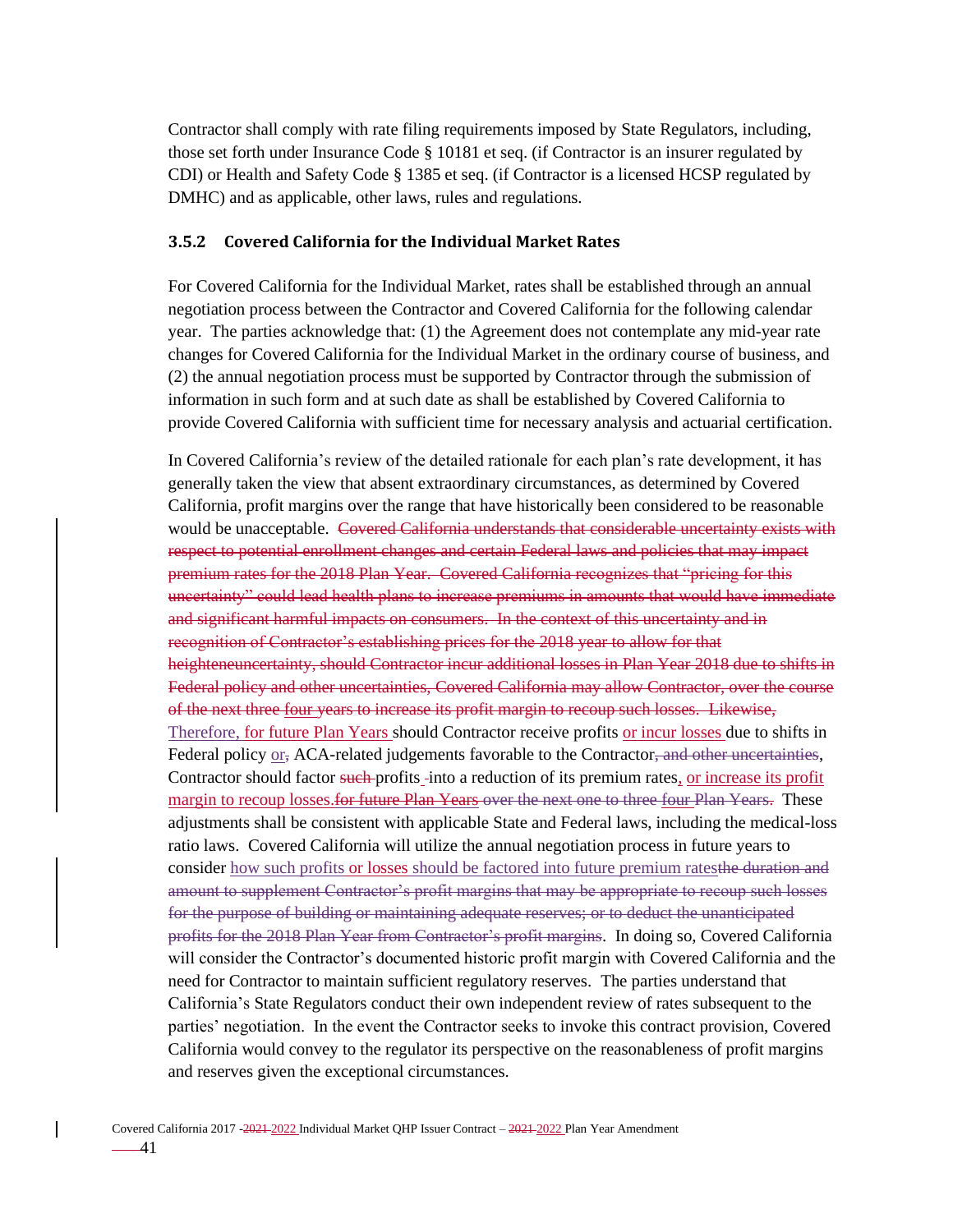Contractor shall comply with rate filing requirements imposed by State Regulators, including, those set forth under Insurance Code § 10181 et seq. (if Contractor is an insurer regulated by CDI) or Health and Safety Code § 1385 et seq. (if Contractor is a licensed HCSP regulated by DMHC) and as applicable, other laws, rules and regulations.

#### **3.5.2 Covered California for the Individual Market Rates**

For Covered California for the Individual Market, rates shall be established through an annual negotiation process between the Contractor and Covered California for the following calendar year. The parties acknowledge that: (1) the Agreement does not contemplate any mid-year rate changes for Covered California for the Individual Market in the ordinary course of business, and (2) the annual negotiation process must be supported by Contractor through the submission of information in such form and at such date as shall be established by Covered California to provide Covered California with sufficient time for necessary analysis and actuarial certification.

In Covered California's review of the detailed rationale for each plan's rate development, it has generally taken the view that absent extraordinary circumstances, as determined by Covered California, profit margins over the range that have historically been considered to be reasonable would be unacceptable. Covered California understands that considerable uncertainty exists with respect to potential enrollment changes and certain Federal laws and policies that may impact premium rates for the 2018 Plan Year. Covered California recognizes that "pricing for this uncertainty" could lead health plans to increase premiums in amounts that would have immediate and significant harmful impacts on consumers. In the context of this uncertainty and in recognition of Contractor's establishing prices for the 2018 year to allow for that heighteneuncertainty, should Contractor incur additional losses in Plan Year 2018 due to shifts in Federal policy and other uncertainties, Covered California may allow Contractor, over the course of the next three four years to increase its profit margin to recoup such losses. Likewise, Therefore, for future Plan Years should Contractor receive profits or incur losses due to shifts in Federal policy or, ACA-related judgements favorable to the Contractor, and other uncertainties, Contractor should factor such profits into a reduction of its premium rates, or increase its profit margin to recoup losses. for future Plan Years over the next one to three four Plan Years. These adjustments shall be consistent with applicable State and Federal laws, including the medical-loss ratio laws. Covered California will utilize the annual negotiation process in future years to consider how such profits or losses should be factored into future premium ratesthe duration and amount to supplement Contractor's profit margins that may be appropriate to recoup such losses for the purpose of building or maintaining adequate reserves; or to deduct the unanticipated profits for the 2018 Plan Year from Contractor's profit margins. In doing so, Covered California will consider the Contractor's documented historic profit margin with Covered California and the need for Contractor to maintain sufficient regulatory reserves. The parties understand that California's State Regulators conduct their own independent review of rates subsequent to the parties' negotiation. In the event the Contractor seeks to invoke this contract provision, Covered California would convey to the regulator its perspective on the reasonableness of profit margins and reserves given the exceptional circumstances.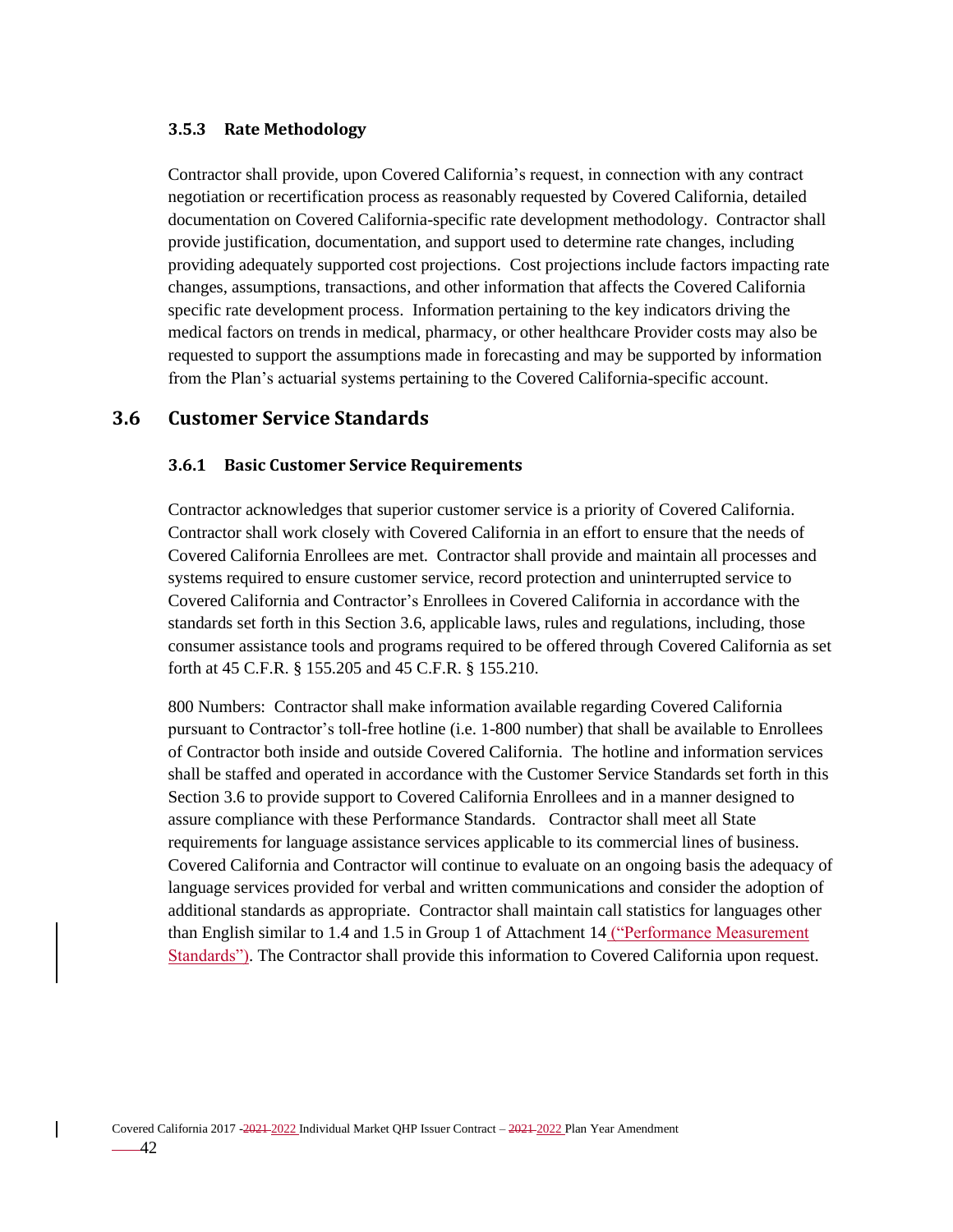#### **3.5.3 Rate Methodology**

Contractor shall provide, upon Covered California's request, in connection with any contract negotiation or recertification process as reasonably requested by Covered California, detailed documentation on Covered California-specific rate development methodology. Contractor shall provide justification, documentation, and support used to determine rate changes, including providing adequately supported cost projections. Cost projections include factors impacting rate changes, assumptions, transactions, and other information that affects the Covered California specific rate development process. Information pertaining to the key indicators driving the medical factors on trends in medical, pharmacy, or other healthcare Provider costs may also be requested to support the assumptions made in forecasting and may be supported by information from the Plan's actuarial systems pertaining to the Covered California-specific account.

### **3.6 Customer Service Standards**

#### **3.6.1 Basic Customer Service Requirements**

Contractor acknowledges that superior customer service is a priority of Covered California. Contractor shall work closely with Covered California in an effort to ensure that the needs of Covered California Enrollees are met. Contractor shall provide and maintain all processes and systems required to ensure customer service, record protection and uninterrupted service to Covered California and Contractor's Enrollees in Covered California in accordance with the standards set forth in this Section 3.6, applicable laws, rules and regulations, including, those consumer assistance tools and programs required to be offered through Covered California as set forth at 45 C.F.R. § 155.205 and 45 C.F.R. § 155.210.

800 Numbers: Contractor shall make information available regarding Covered California pursuant to Contractor's toll-free hotline (i.e. 1-800 number) that shall be available to Enrollees of Contractor both inside and outside Covered California. The hotline and information services shall be staffed and operated in accordance with the Customer Service Standards set forth in this Section 3.6 to provide support to Covered California Enrollees and in a manner designed to assure compliance with these Performance Standards. Contractor shall meet all State requirements for language assistance services applicable to its commercial lines of business. Covered California and Contractor will continue to evaluate on an ongoing basis the adequacy of language services provided for verbal and written communications and consider the adoption of additional standards as appropriate. Contractor shall maintain call statistics for languages other than English similar to 1.4 and 1.5 in Group 1 of Attachment 14 ("Performance Measurement Standards"). The Contractor shall provide this information to Covered California upon request.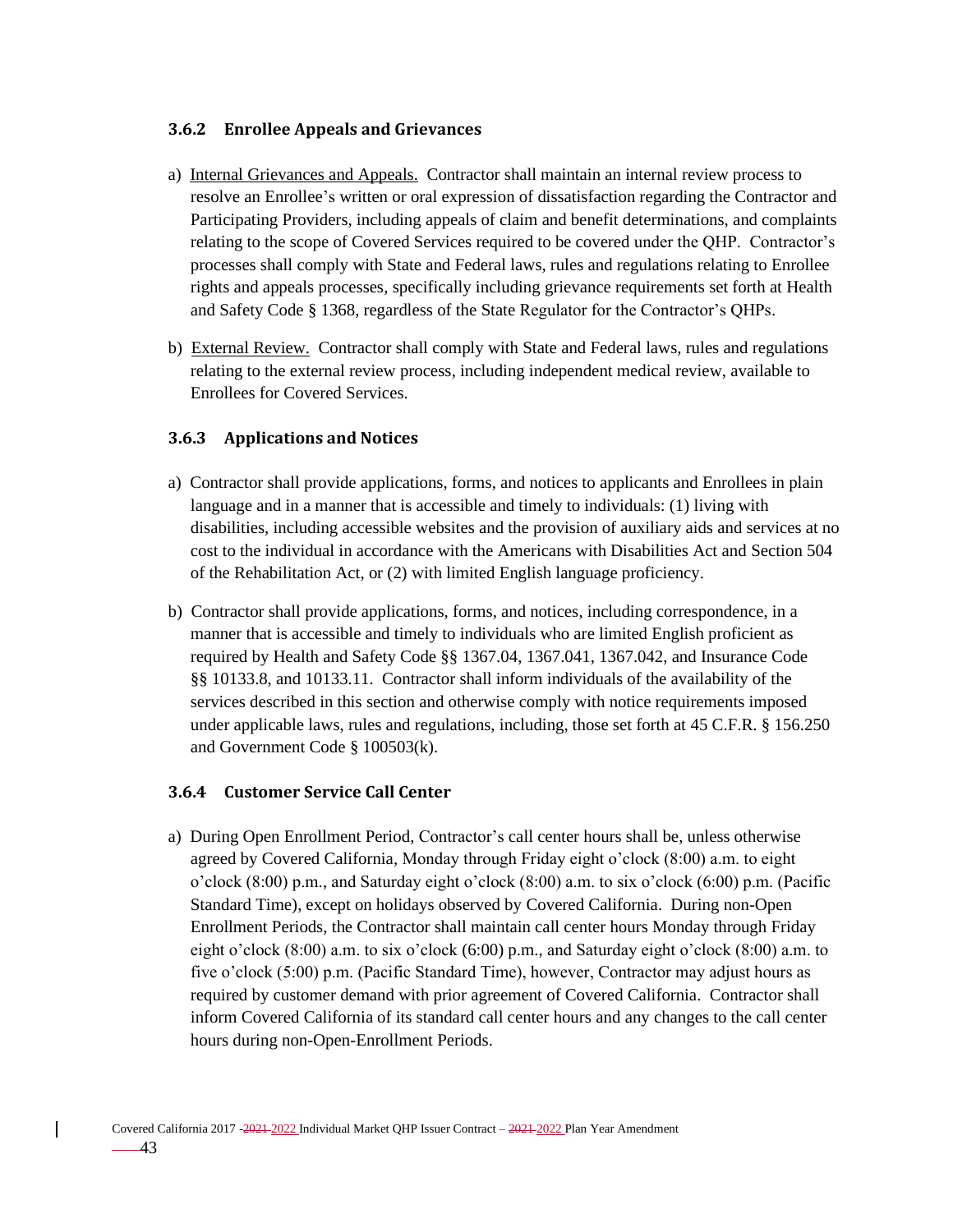#### **3.6.2 Enrollee Appeals and Grievances**

- a) Internal Grievances and Appeals. Contractor shall maintain an internal review process to resolve an Enrollee's written or oral expression of dissatisfaction regarding the Contractor and Participating Providers, including appeals of claim and benefit determinations, and complaints relating to the scope of Covered Services required to be covered under the QHP. Contractor's processes shall comply with State and Federal laws, rules and regulations relating to Enrollee rights and appeals processes, specifically including grievance requirements set forth at Health and Safety Code § 1368, regardless of the State Regulator for the Contractor's QHPs.
- b) External Review. Contractor shall comply with State and Federal laws, rules and regulations relating to the external review process, including independent medical review, available to Enrollees for Covered Services.

#### **3.6.3 Applications and Notices**

- a) Contractor shall provide applications, forms, and notices to applicants and Enrollees in plain language and in a manner that is accessible and timely to individuals: (1) living with disabilities, including accessible websites and the provision of auxiliary aids and services at no cost to the individual in accordance with the Americans with Disabilities Act and Section 504 of the Rehabilitation Act, or (2) with limited English language proficiency.
- b) Contractor shall provide applications, forms, and notices, including correspondence, in a manner that is accessible and timely to individuals who are limited English proficient as required by Health and Safety Code §§ 1367.04, 1367.041, 1367.042, and Insurance Code §§ 10133.8, and 10133.11. Contractor shall inform individuals of the availability of the services described in this section and otherwise comply with notice requirements imposed under applicable laws, rules and regulations, including, those set forth at 45 C.F.R. § 156.250 and Government Code § 100503(k).

### **3.6.4 Customer Service Call Center**

a) During Open Enrollment Period, Contractor's call center hours shall be, unless otherwise agreed by Covered California, Monday through Friday eight o'clock (8:00) a.m. to eight o'clock (8:00) p.m., and Saturday eight o'clock (8:00) a.m. to six o'clock (6:00) p.m. (Pacific Standard Time), except on holidays observed by Covered California. During non-Open Enrollment Periods, the Contractor shall maintain call center hours Monday through Friday eight o'clock (8:00) a.m. to six o'clock (6:00) p.m., and Saturday eight o'clock (8:00) a.m. to five o'clock (5:00) p.m. (Pacific Standard Time), however, Contractor may adjust hours as required by customer demand with prior agreement of Covered California. Contractor shall inform Covered California of its standard call center hours and any changes to the call center hours during non-Open-Enrollment Periods.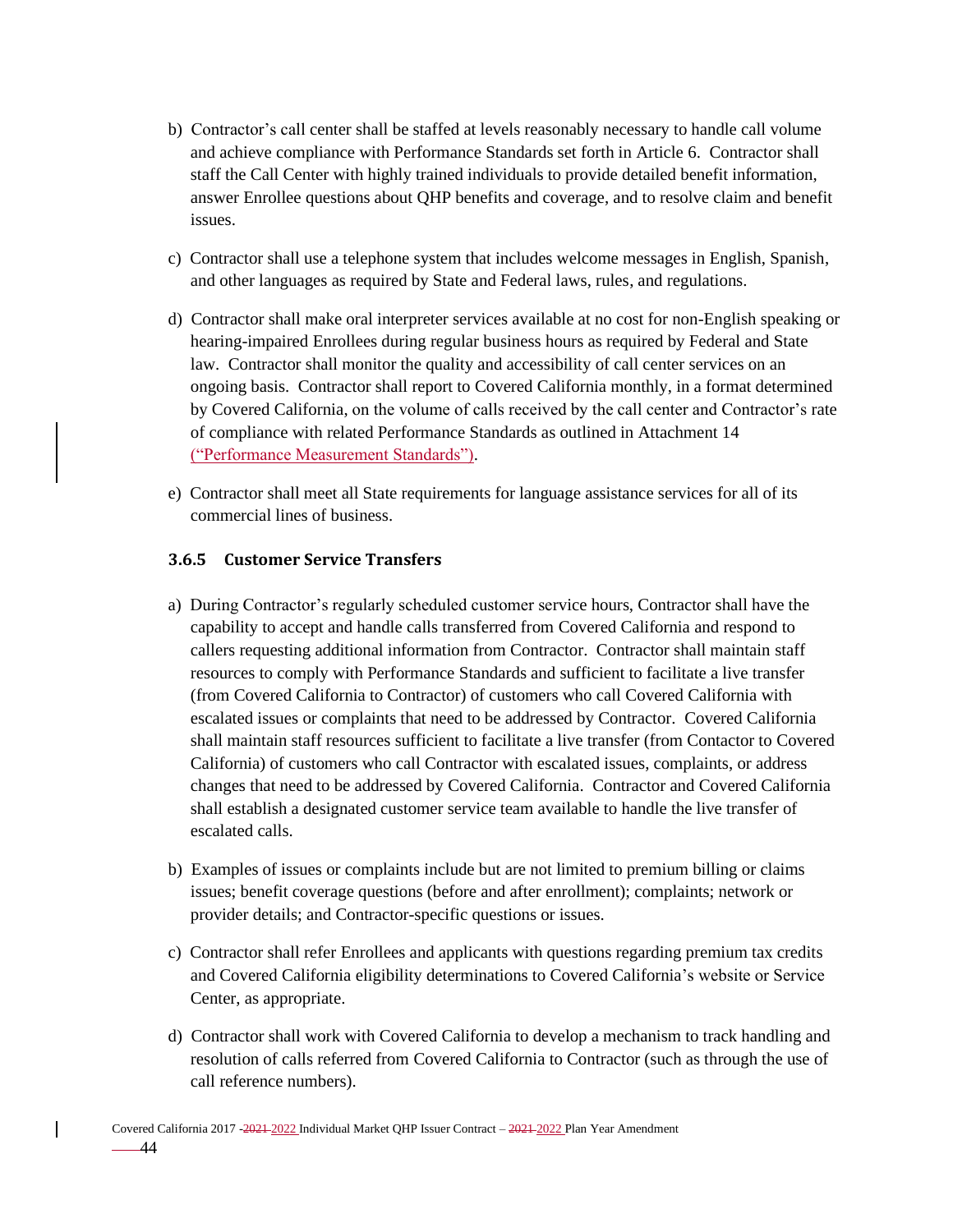- b) Contractor's call center shall be staffed at levels reasonably necessary to handle call volume and achieve compliance with Performance Standards set forth in Article 6. Contractor shall staff the Call Center with highly trained individuals to provide detailed benefit information, answer Enrollee questions about QHP benefits and coverage, and to resolve claim and benefit issues.
- c) Contractor shall use a telephone system that includes welcome messages in English, Spanish, and other languages as required by State and Federal laws, rules, and regulations.
- d) Contractor shall make oral interpreter services available at no cost for non-English speaking or hearing-impaired Enrollees during regular business hours as required by Federal and State law. Contractor shall monitor the quality and accessibility of call center services on an ongoing basis. Contractor shall report to Covered California monthly, in a format determined by Covered California, on the volume of calls received by the call center and Contractor's rate of compliance with related Performance Standards as outlined in Attachment 14 ("Performance Measurement Standards").
- e) Contractor shall meet all State requirements for language assistance services for all of its commercial lines of business.

### **3.6.5 Customer Service Transfers**

- a) During Contractor's regularly scheduled customer service hours, Contractor shall have the capability to accept and handle calls transferred from Covered California and respond to callers requesting additional information from Contractor. Contractor shall maintain staff resources to comply with Performance Standards and sufficient to facilitate a live transfer (from Covered California to Contractor) of customers who call Covered California with escalated issues or complaints that need to be addressed by Contractor. Covered California shall maintain staff resources sufficient to facilitate a live transfer (from Contactor to Covered California) of customers who call Contractor with escalated issues, complaints, or address changes that need to be addressed by Covered California. Contractor and Covered California shall establish a designated customer service team available to handle the live transfer of escalated calls.
- b) Examples of issues or complaints include but are not limited to premium billing or claims issues; benefit coverage questions (before and after enrollment); complaints; network or provider details; and Contractor-specific questions or issues.
- c) Contractor shall refer Enrollees and applicants with questions regarding premium tax credits and Covered California eligibility determinations to Covered California's website or Service Center, as appropriate.
- d) Contractor shall work with Covered California to develop a mechanism to track handling and resolution of calls referred from Covered California to Contractor (such as through the use of call reference numbers).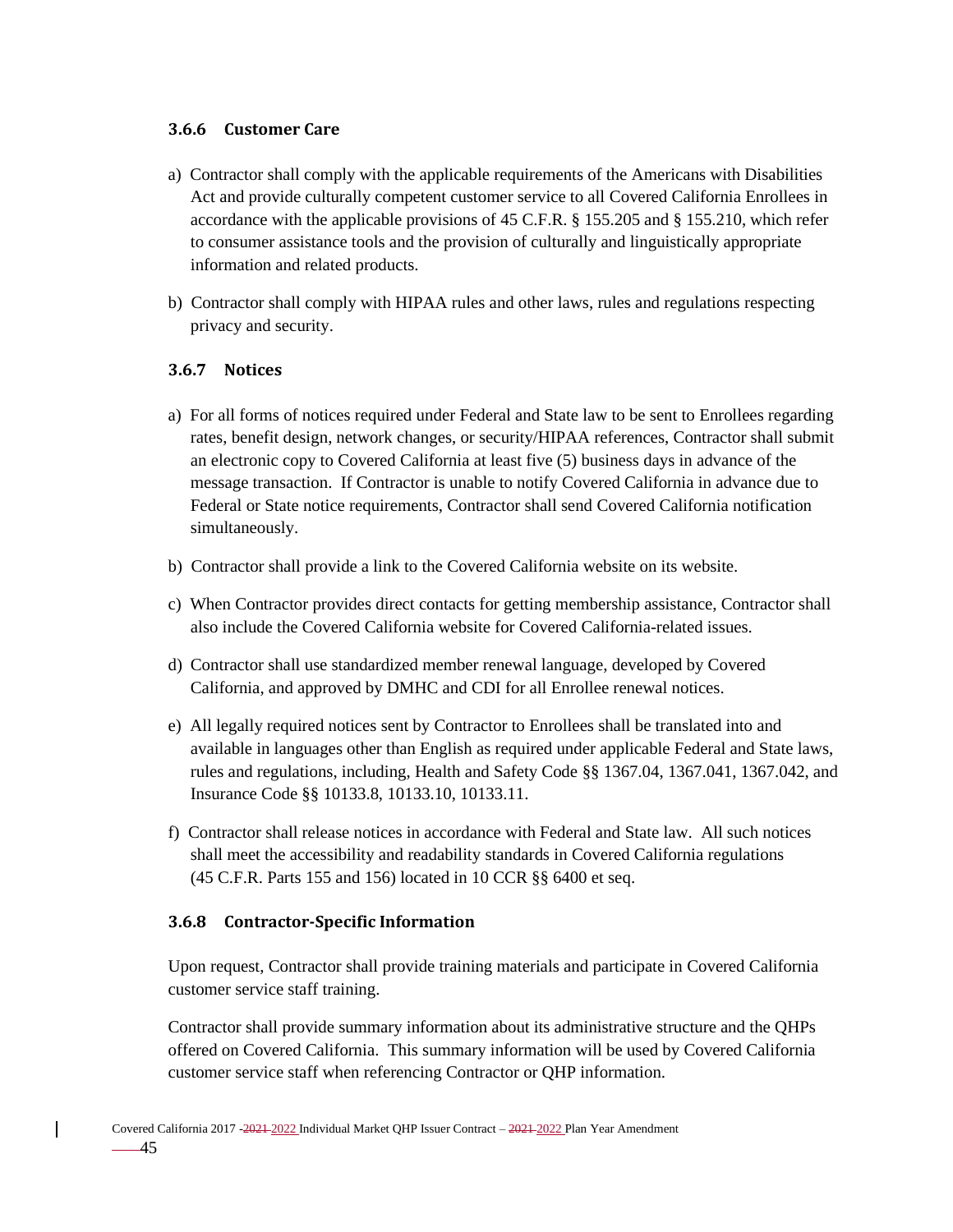#### **3.6.6 Customer Care**

- a) Contractor shall comply with the applicable requirements of the Americans with Disabilities Act and provide culturally competent customer service to all Covered California Enrollees in accordance with the applicable provisions of 45 C.F.R. § 155.205 and § 155.210, which refer to consumer assistance tools and the provision of culturally and linguistically appropriate information and related products.
- b) Contractor shall comply with HIPAA rules and other laws, rules and regulations respecting privacy and security.

#### **3.6.7 Notices**

- a) For all forms of notices required under Federal and State law to be sent to Enrollees regarding rates, benefit design, network changes, or security/HIPAA references, Contractor shall submit an electronic copy to Covered California at least five (5) business days in advance of the message transaction. If Contractor is unable to notify Covered California in advance due to Federal or State notice requirements, Contractor shall send Covered California notification simultaneously.
- b) Contractor shall provide a link to the Covered California website on its website.
- c) When Contractor provides direct contacts for getting membership assistance, Contractor shall also include the Covered California website for Covered California-related issues.
- d) Contractor shall use standardized member renewal language, developed by Covered California, and approved by DMHC and CDI for all Enrollee renewal notices.
- e) All legally required notices sent by Contractor to Enrollees shall be translated into and available in languages other than English as required under applicable Federal and State laws, rules and regulations, including, Health and Safety Code §§ 1367.04, 1367.041, 1367.042, and Insurance Code §§ 10133.8, 10133.10, 10133.11.
- f) Contractor shall release notices in accordance with Federal and State law. All such notices shall meet the accessibility and readability standards in Covered California regulations (45 C.F.R. Parts 155 and 156) located in 10 CCR §§ 6400 et seq.

#### **3.6.8 Contractor-Specific Information**

Upon request, Contractor shall provide training materials and participate in Covered California customer service staff training.

Contractor shall provide summary information about its administrative structure and the QHPs offered on Covered California. This summary information will be used by Covered California customer service staff when referencing Contractor or QHP information.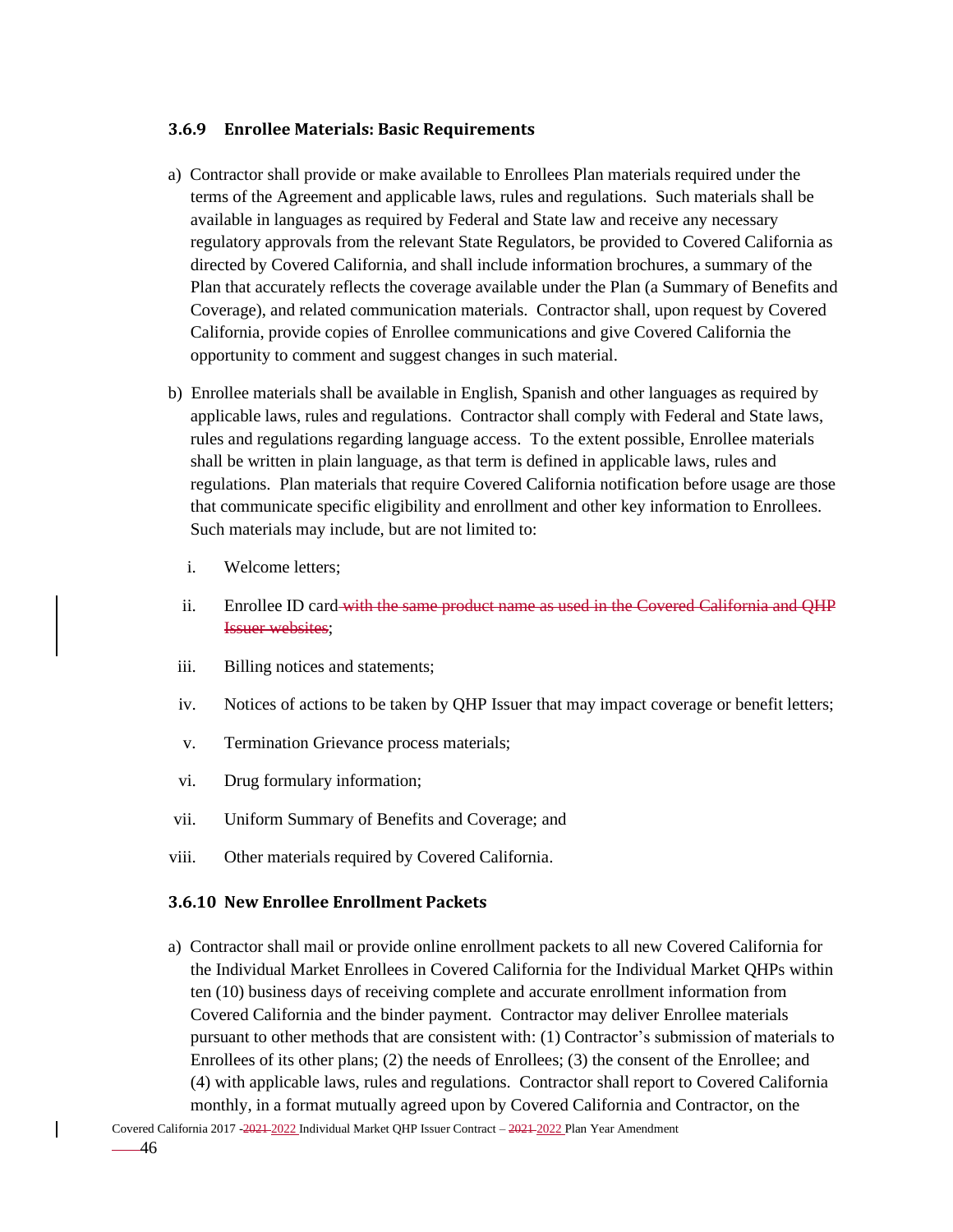#### **3.6.9 Enrollee Materials: Basic Requirements**

- a) Contractor shall provide or make available to Enrollees Plan materials required under the terms of the Agreement and applicable laws, rules and regulations. Such materials shall be available in languages as required by Federal and State law and receive any necessary regulatory approvals from the relevant State Regulators, be provided to Covered California as directed by Covered California, and shall include information brochures, a summary of the Plan that accurately reflects the coverage available under the Plan (a Summary of Benefits and Coverage), and related communication materials. Contractor shall, upon request by Covered California, provide copies of Enrollee communications and give Covered California the opportunity to comment and suggest changes in such material.
- b) Enrollee materials shall be available in English, Spanish and other languages as required by applicable laws, rules and regulations. Contractor shall comply with Federal and State laws, rules and regulations regarding language access. To the extent possible, Enrollee materials shall be written in plain language, as that term is defined in applicable laws, rules and regulations. Plan materials that require Covered California notification before usage are those that communicate specific eligibility and enrollment and other key information to Enrollees. Such materials may include, but are not limited to:
	- i. Welcome letters;
	- ii. Enrollee ID card with the same product name as used in the Covered California and QHP Issuer websites;
- iii. Billing notices and statements;
- iv. Notices of actions to be taken by QHP Issuer that may impact coverage or benefit letters;
- v. Termination Grievance process materials;
- vi. Drug formulary information;
- vii. Uniform Summary of Benefits and Coverage; and
- viii. Other materials required by Covered California.

#### **3.6.10 New Enrollee Enrollment Packets**

a) Contractor shall mail or provide online enrollment packets to all new Covered California for the Individual Market Enrollees in Covered California for the Individual Market QHPs within ten (10) business days of receiving complete and accurate enrollment information from Covered California and the binder payment. Contractor may deliver Enrollee materials pursuant to other methods that are consistent with: (1) Contractor's submission of materials to Enrollees of its other plans; (2) the needs of Enrollees; (3) the consent of the Enrollee; and (4) with applicable laws, rules and regulations. Contractor shall report to Covered California monthly, in a format mutually agreed upon by Covered California and Contractor, on the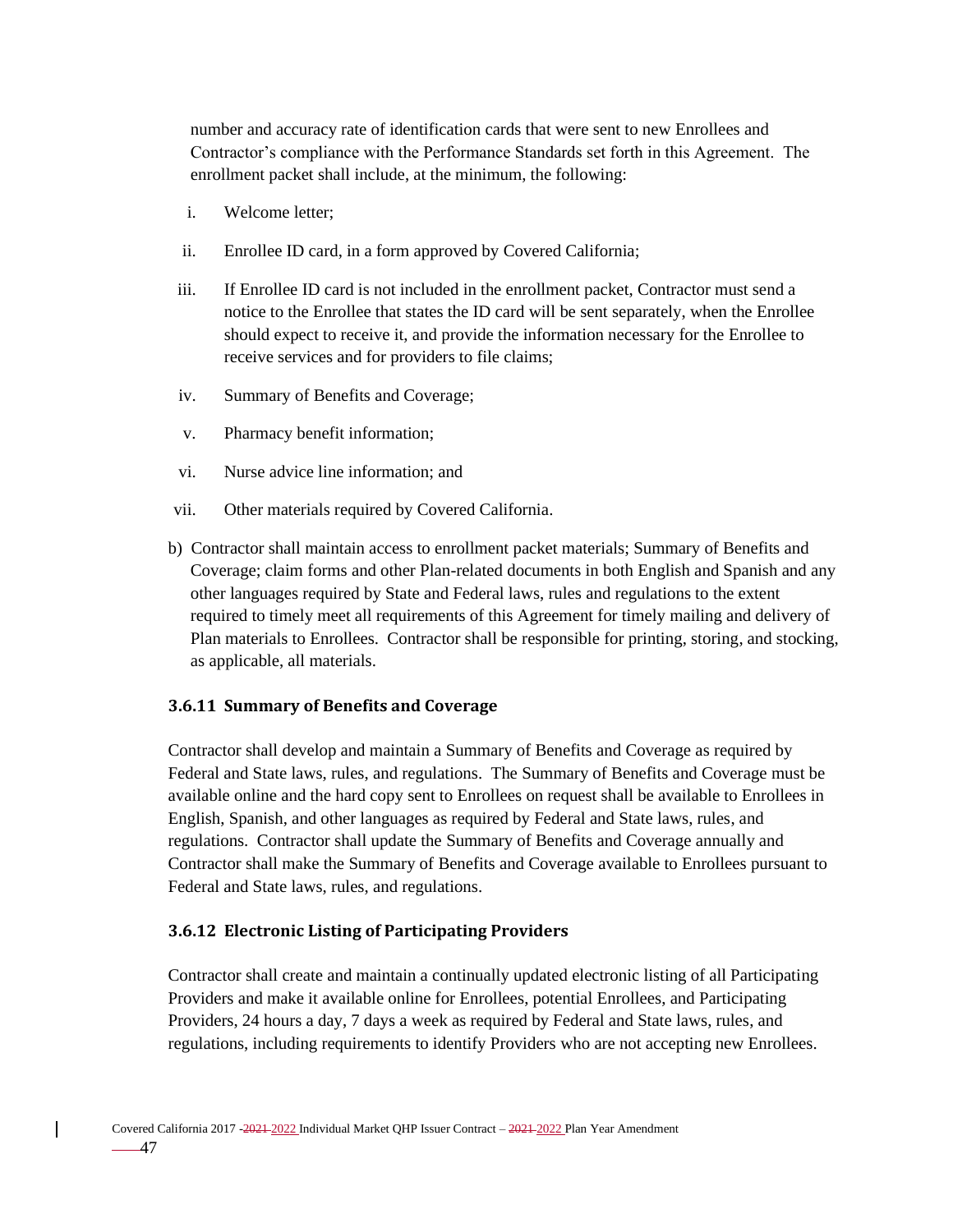number and accuracy rate of identification cards that were sent to new Enrollees and Contractor's compliance with the Performance Standards set forth in this Agreement. The enrollment packet shall include, at the minimum, the following:

- i. Welcome letter;
- ii. Enrollee ID card, in a form approved by Covered California;
- iii. If Enrollee ID card is not included in the enrollment packet, Contractor must send a notice to the Enrollee that states the ID card will be sent separately, when the Enrollee should expect to receive it, and provide the information necessary for the Enrollee to receive services and for providers to file claims;
- iv. Summary of Benefits and Coverage;
- v. Pharmacy benefit information;
- vi. Nurse advice line information; and
- vii. Other materials required by Covered California.
- b) Contractor shall maintain access to enrollment packet materials; Summary of Benefits and Coverage; claim forms and other Plan-related documents in both English and Spanish and any other languages required by State and Federal laws, rules and regulations to the extent required to timely meet all requirements of this Agreement for timely mailing and delivery of Plan materials to Enrollees. Contractor shall be responsible for printing, storing, and stocking, as applicable, all materials.

#### **3.6.11 Summary of Benefits and Coverage**

Contractor shall develop and maintain a Summary of Benefits and Coverage as required by Federal and State laws, rules, and regulations. The Summary of Benefits and Coverage must be available online and the hard copy sent to Enrollees on request shall be available to Enrollees in English, Spanish, and other languages as required by Federal and State laws, rules, and regulations. Contractor shall update the Summary of Benefits and Coverage annually and Contractor shall make the Summary of Benefits and Coverage available to Enrollees pursuant to Federal and State laws, rules, and regulations.

#### **3.6.12 Electronic Listing of Participating Providers**

Contractor shall create and maintain a continually updated electronic listing of all Participating Providers and make it available online for Enrollees, potential Enrollees, and Participating Providers, 24 hours a day, 7 days a week as required by Federal and State laws, rules, and regulations, including requirements to identify Providers who are not accepting new Enrollees.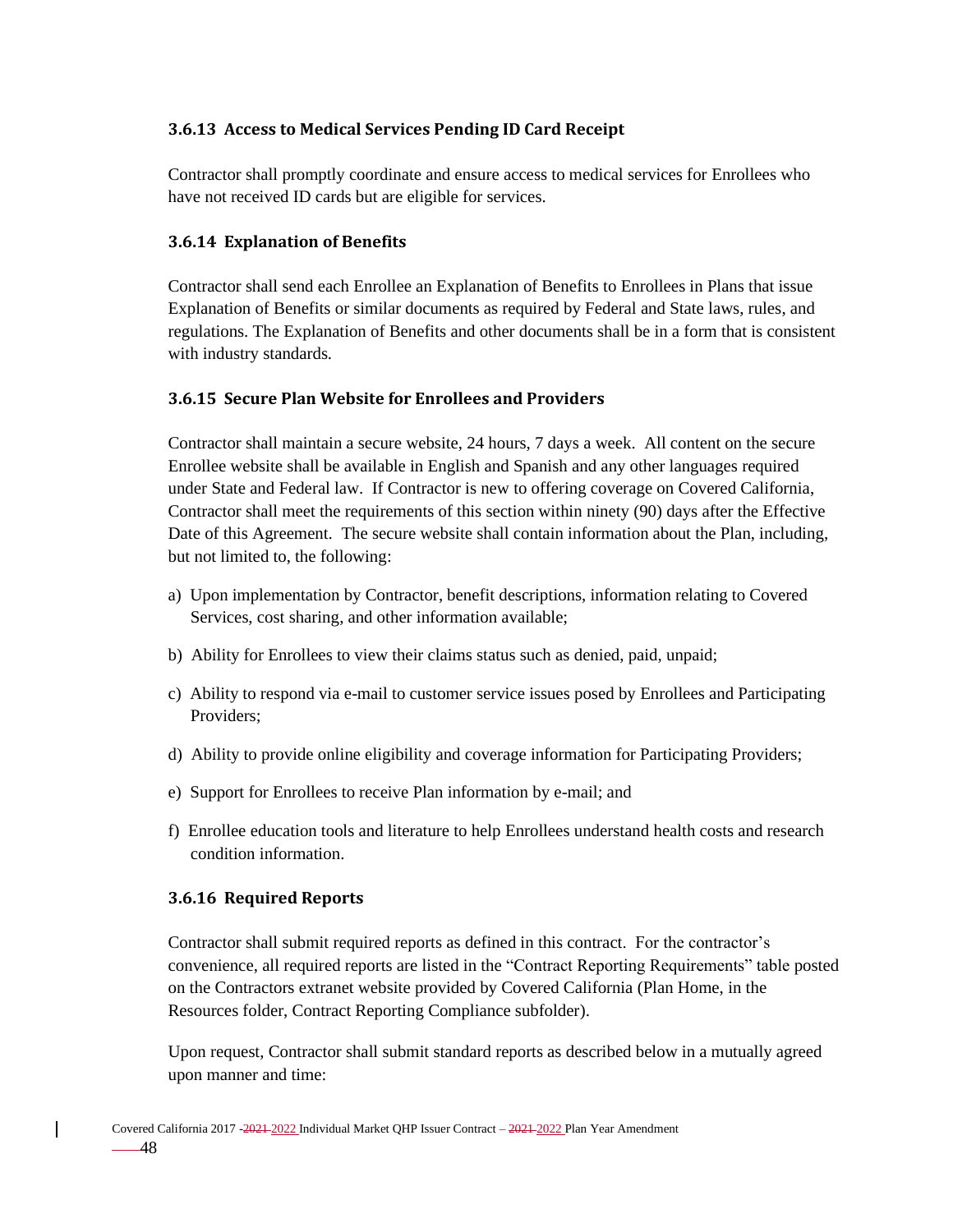### **3.6.13 Access to Medical Services Pending ID Card Receipt**

Contractor shall promptly coordinate and ensure access to medical services for Enrollees who have not received ID cards but are eligible for services.

### **3.6.14 Explanation of Benefits**

Contractor shall send each Enrollee an Explanation of Benefits to Enrollees in Plans that issue Explanation of Benefits or similar documents as required by Federal and State laws, rules, and regulations. The Explanation of Benefits and other documents shall be in a form that is consistent with industry standards.

### **3.6.15 Secure Plan Website for Enrollees and Providers**

Contractor shall maintain a secure website, 24 hours, 7 days a week. All content on the secure Enrollee website shall be available in English and Spanish and any other languages required under State and Federal law. If Contractor is new to offering coverage on Covered California, Contractor shall meet the requirements of this section within ninety (90) days after the Effective Date of this Agreement. The secure website shall contain information about the Plan, including, but not limited to, the following:

- a) Upon implementation by Contractor, benefit descriptions, information relating to Covered Services, cost sharing, and other information available;
- b) Ability for Enrollees to view their claims status such as denied, paid, unpaid;
- c) Ability to respond via e-mail to customer service issues posed by Enrollees and Participating Providers;
- d) Ability to provide online eligibility and coverage information for Participating Providers;
- e) Support for Enrollees to receive Plan information by e-mail; and
- f) Enrollee education tools and literature to help Enrollees understand health costs and research condition information.

### **3.6.16 Required Reports**

Contractor shall submit required reports as defined in this contract. For the contractor's convenience, all required reports are listed in the "Contract Reporting Requirements" table posted on the Contractors extranet website provided by Covered California (Plan Home, in the Resources folder, Contract Reporting Compliance subfolder).

Upon request, Contractor shall submit standard reports as described below in a mutually agreed upon manner and time: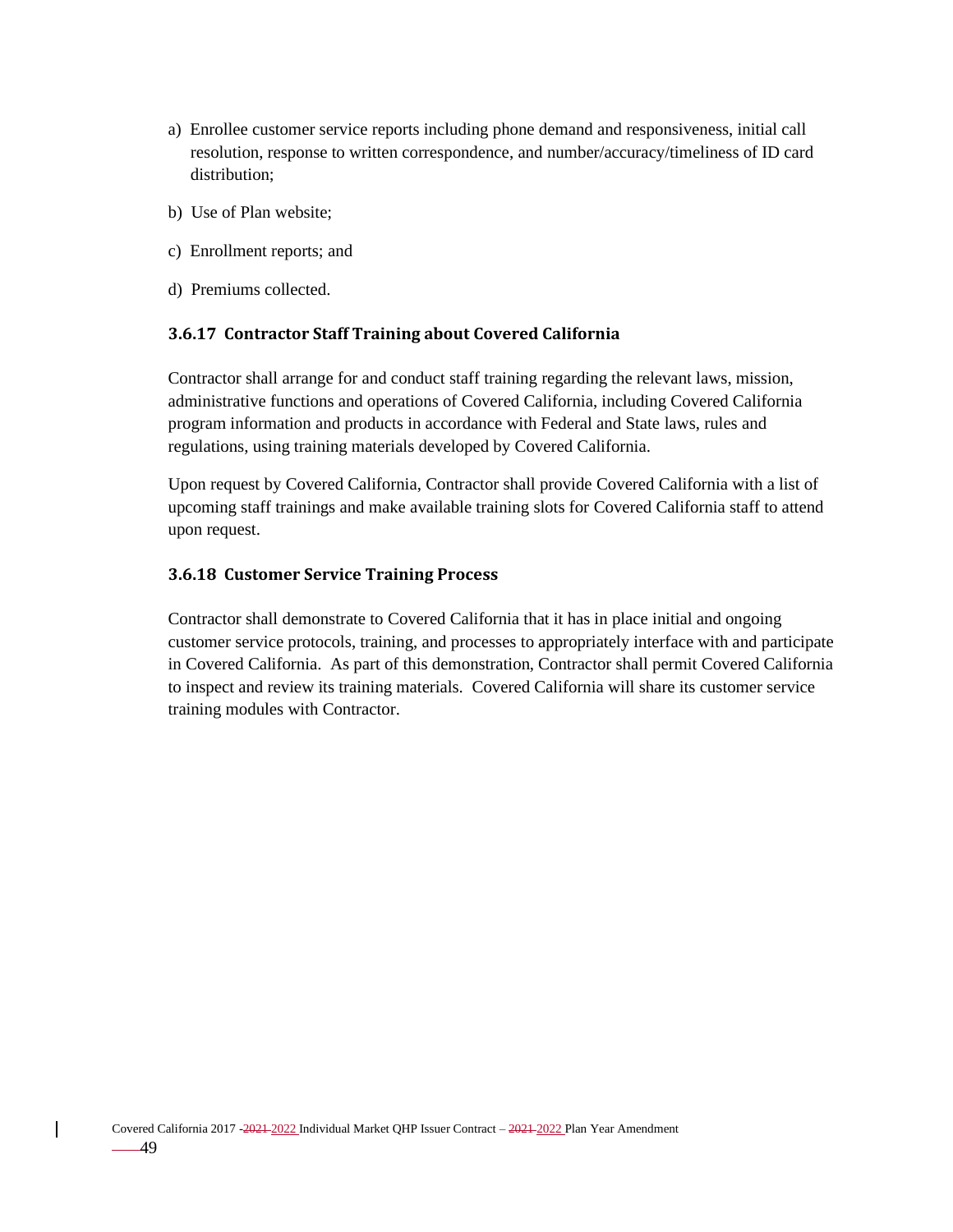- a) Enrollee customer service reports including phone demand and responsiveness, initial call resolution, response to written correspondence, and number/accuracy/timeliness of ID card distribution;
- b) Use of Plan website;
- c) Enrollment reports; and
- d) Premiums collected.

### **3.6.17 Contractor Staff Training about Covered California**

Contractor shall arrange for and conduct staff training regarding the relevant laws, mission, administrative functions and operations of Covered California, including Covered California program information and products in accordance with Federal and State laws, rules and regulations, using training materials developed by Covered California.

Upon request by Covered California, Contractor shall provide Covered California with a list of upcoming staff trainings and make available training slots for Covered California staff to attend upon request.

### **3.6.18 Customer Service Training Process**

Contractor shall demonstrate to Covered California that it has in place initial and ongoing customer service protocols, training, and processes to appropriately interface with and participate in Covered California. As part of this demonstration, Contractor shall permit Covered California to inspect and review its training materials. Covered California will share its customer service training modules with Contractor.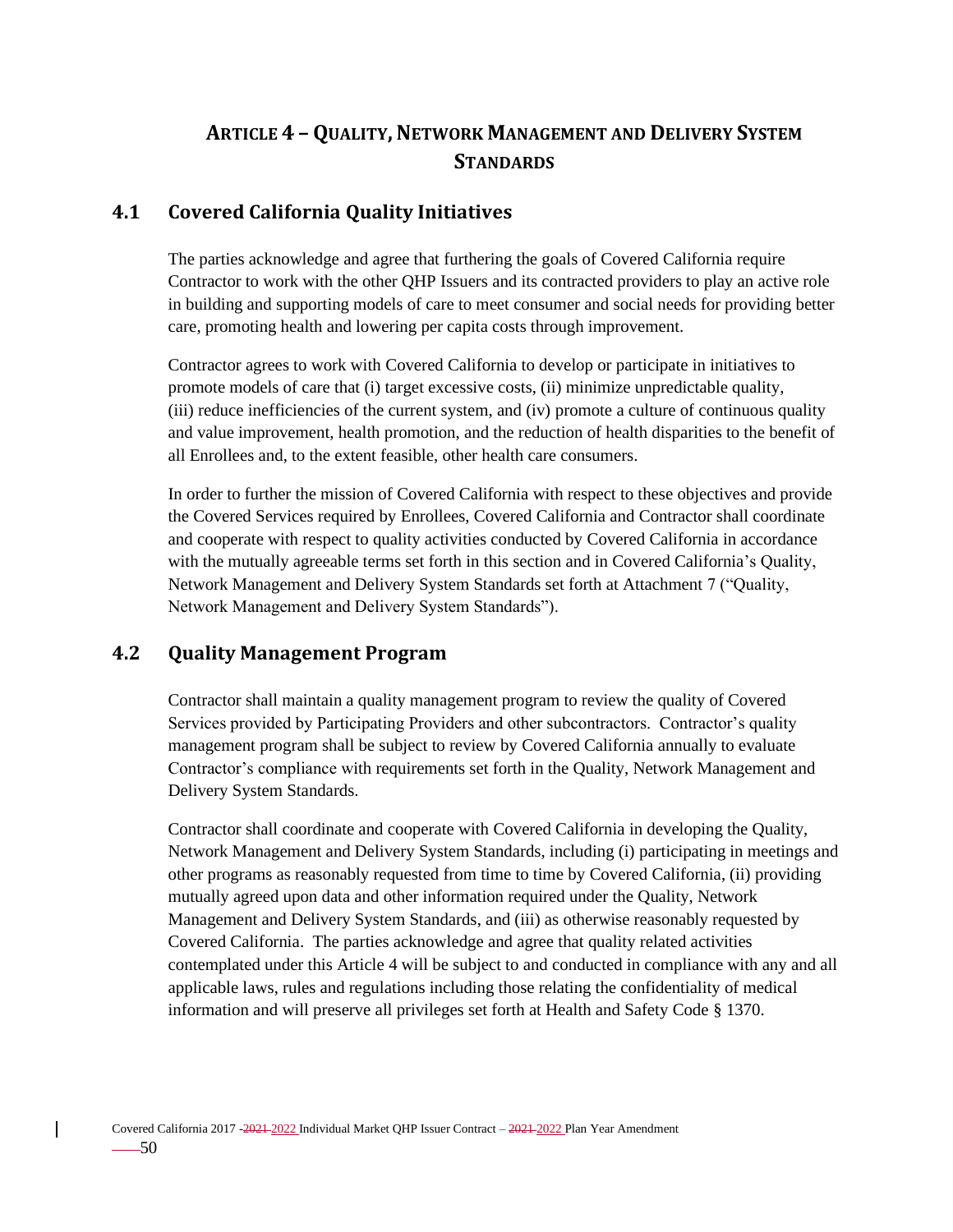# **ARTICLE 4 - QUALITY, NETWORK MANAGEMENT AND DELIVERY SYSTEM STANDARDS**

# **4.1 Covered California Quality Initiatives**

The parties acknowledge and agree that furthering the goals of Covered California require Contractor to work with the other QHP Issuers and its contracted providers to play an active role in building and supporting models of care to meet consumer and social needs for providing better care, promoting health and lowering per capita costs through improvement.

Contractor agrees to work with Covered California to develop or participate in initiatives to promote models of care that (i) target excessive costs, (ii) minimize unpredictable quality, (iii) reduce inefficiencies of the current system, and (iv) promote a culture of continuous quality and value improvement, health promotion, and the reduction of health disparities to the benefit of all Enrollees and, to the extent feasible, other health care consumers.

In order to further the mission of Covered California with respect to these objectives and provide the Covered Services required by Enrollees, Covered California and Contractor shall coordinate and cooperate with respect to quality activities conducted by Covered California in accordance with the mutually agreeable terms set forth in this section and in Covered California's Quality, Network Management and Delivery System Standards set forth at Attachment 7 ("Quality, Network Management and Delivery System Standards").

# **4.2 Quality Management Program**

Contractor shall maintain a quality management program to review the quality of Covered Services provided by Participating Providers and other subcontractors. Contractor's quality management program shall be subject to review by Covered California annually to evaluate Contractor's compliance with requirements set forth in the Quality, Network Management and Delivery System Standards.

Contractor shall coordinate and cooperate with Covered California in developing the Quality, Network Management and Delivery System Standards, including (i) participating in meetings and other programs as reasonably requested from time to time by Covered California, (ii) providing mutually agreed upon data and other information required under the Quality, Network Management and Delivery System Standards, and (iii) as otherwise reasonably requested by Covered California. The parties acknowledge and agree that quality related activities contemplated under this Article 4 will be subject to and conducted in compliance with any and all applicable laws, rules and regulations including those relating the confidentiality of medical information and will preserve all privileges set forth at Health and Safety Code § 1370.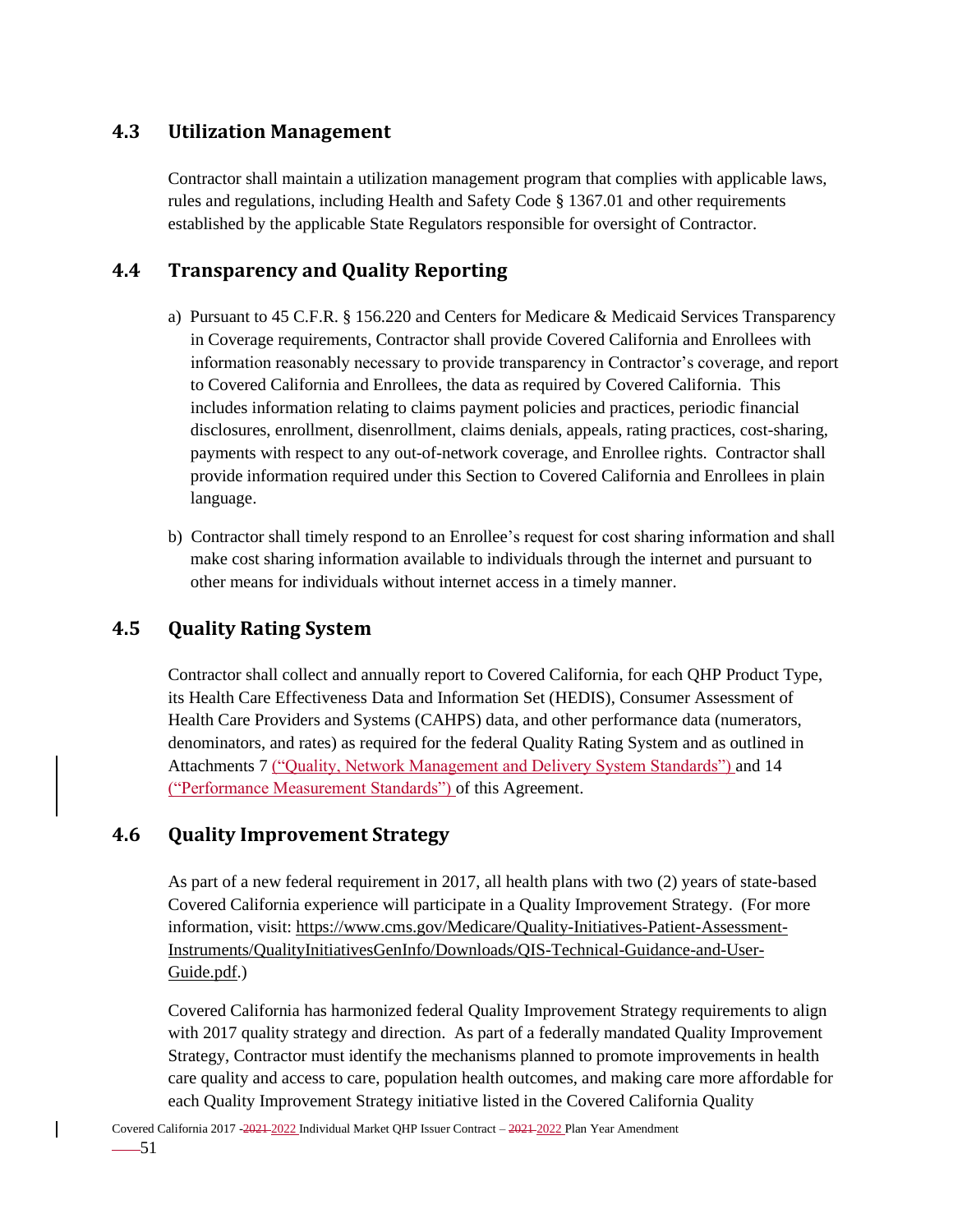# **4.3 Utilization Management**

Contractor shall maintain a utilization management program that complies with applicable laws, rules and regulations, including Health and Safety Code § 1367.01 and other requirements established by the applicable State Regulators responsible for oversight of Contractor.

# **4.4 Transparency and Quality Reporting**

- a) Pursuant to 45 C.F.R. § 156.220 and Centers for Medicare & Medicaid Services Transparency in Coverage requirements, Contractor shall provide Covered California and Enrollees with information reasonably necessary to provide transparency in Contractor's coverage, and report to Covered California and Enrollees, the data as required by Covered California. This includes information relating to claims payment policies and practices, periodic financial disclosures, enrollment, disenrollment, claims denials, appeals, rating practices, cost-sharing, payments with respect to any out-of-network coverage, and Enrollee rights. Contractor shall provide information required under this Section to Covered California and Enrollees in plain language.
- b) Contractor shall timely respond to an Enrollee's request for cost sharing information and shall make cost sharing information available to individuals through the internet and pursuant to other means for individuals without internet access in a timely manner.

### **4.5 Quality Rating System**

Contractor shall collect and annually report to Covered California, for each QHP Product Type, its Health Care Effectiveness Data and Information Set (HEDIS), Consumer Assessment of Health Care Providers and Systems (CAHPS) data, and other performance data (numerators, denominators, and rates) as required for the federal Quality Rating System and as outlined in Attachments 7 ("Quality, Network Management and Delivery System Standards") and 14 ("Performance Measurement Standards") of this Agreement.

### **4.6 Quality Improvement Strategy**

As part of a new federal requirement in 2017, all health plans with two (2) years of state-based Covered California experience will participate in a Quality Improvement Strategy. (For more information, visit: [https://www.cms.gov/Medicare/Quality-Initiatives-Patient-Assessment-](https://www.cms.gov/Medicare/Quality-Initiatives-Patient-Assessment-Instruments/QualityInitiativesGenInfo/Downloads/QIS-Technical-Guidance-and-User-Guide.pdf)[Instruments/QualityInitiativesGenInfo/Downloads/QIS-Technical-Guidance-and-User-](https://www.cms.gov/Medicare/Quality-Initiatives-Patient-Assessment-Instruments/QualityInitiativesGenInfo/Downloads/QIS-Technical-Guidance-and-User-Guide.pdf)[Guide.pdf.](https://www.cms.gov/Medicare/Quality-Initiatives-Patient-Assessment-Instruments/QualityInitiativesGenInfo/Downloads/QIS-Technical-Guidance-and-User-Guide.pdf))

Covered California has harmonized federal Quality Improvement Strategy requirements to align with 2017 quality strategy and direction. As part of a federally mandated Quality Improvement Strategy, Contractor must identify the mechanisms planned to promote improvements in health care quality and access to care, population health outcomes, and making care more affordable for each Quality Improvement Strategy initiative listed in the Covered California Quality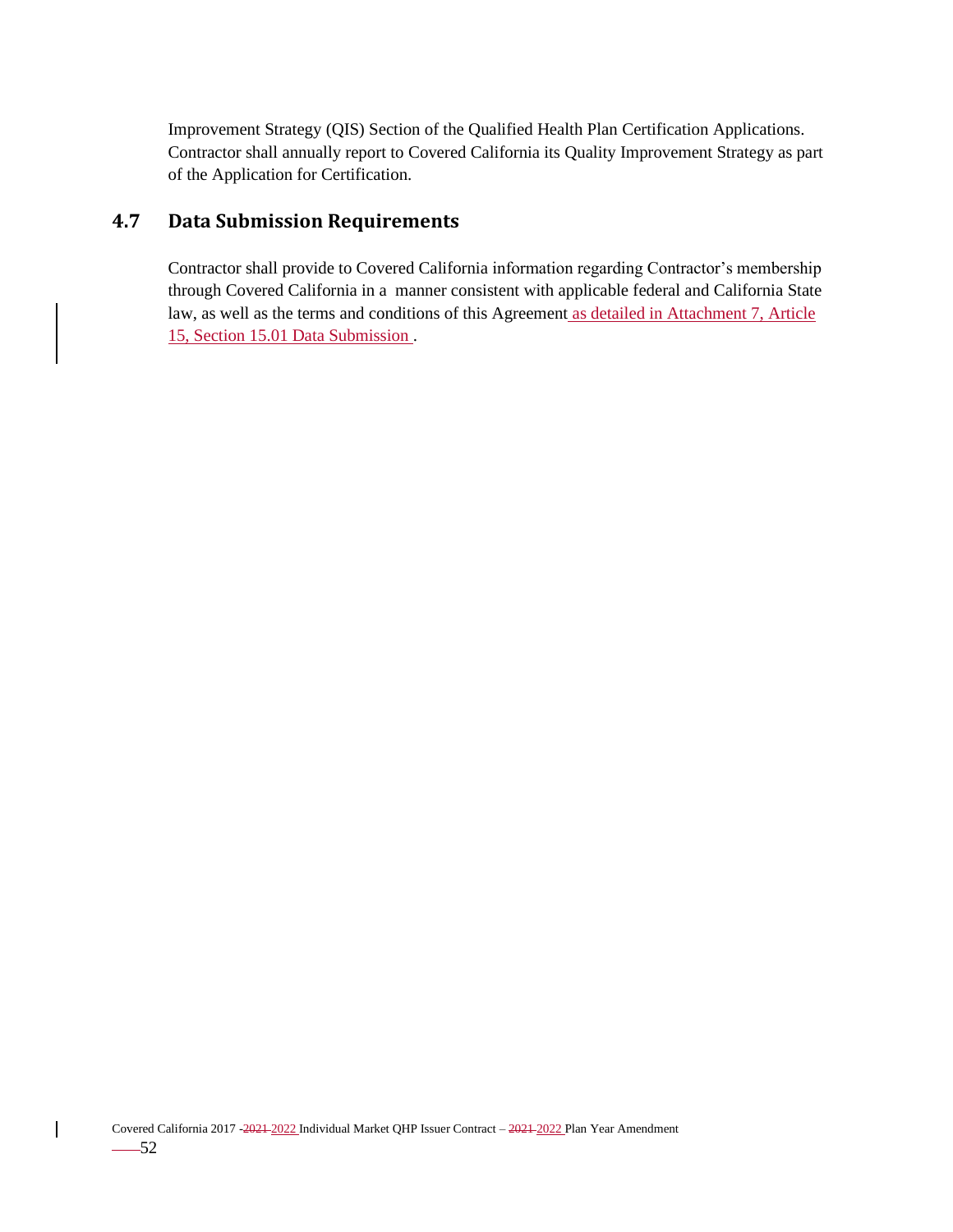Improvement Strategy (QIS) Section of the Qualified Health Plan Certification Applications. Contractor shall annually report to Covered California its Quality Improvement Strategy as part of the Application for Certification.

# **4.7 Data Submission Requirements**

Contractor shall provide to Covered California information regarding Contractor's membership through Covered California in a manner consistent with applicable federal and California State law, as well as the terms and conditions of this Agreement as detailed in Attachment 7, Article 15, Section 15.01 Data Submission .

 $\mathbf{I}$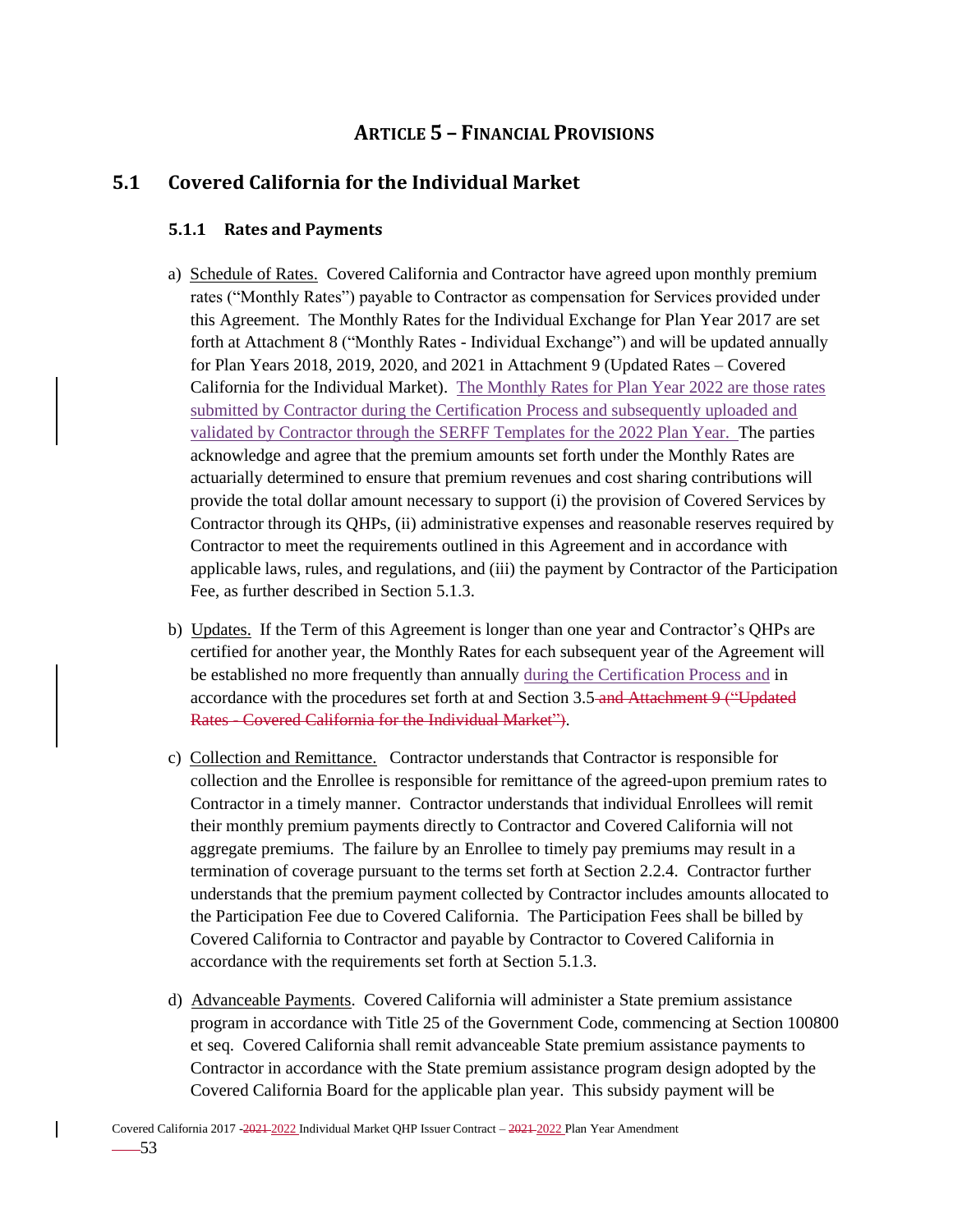# **ARTICLE 5 – FINANCIAL PROVISIONS**

## **5.1 Covered California for the Individual Market**

#### **5.1.1 Rates and Payments**

- a) Schedule of Rates. Covered California and Contractor have agreed upon monthly premium rates ("Monthly Rates") payable to Contractor as compensation for Services provided under this Agreement. The Monthly Rates for the Individual Exchange for Plan Year 2017 are set forth at Attachment 8 ("Monthly Rates - Individual Exchange") and will be updated annually for Plan Years 2018, 2019, 2020, and 2021 in Attachment 9 (Updated Rates – Covered California for the Individual Market). The Monthly Rates for Plan Year 2022 are those rates submitted by Contractor during the Certification Process and subsequently uploaded and validated by Contractor through the SERFF Templates for the 2022 Plan Year. The parties acknowledge and agree that the premium amounts set forth under the Monthly Rates are actuarially determined to ensure that premium revenues and cost sharing contributions will provide the total dollar amount necessary to support (i) the provision of Covered Services by Contractor through its QHPs, (ii) administrative expenses and reasonable reserves required by Contractor to meet the requirements outlined in this Agreement and in accordance with applicable laws, rules, and regulations, and (iii) the payment by Contractor of the Participation Fee, as further described in Section 5.1.3.
- b) Updates. If the Term of this Agreement is longer than one year and Contractor's QHPs are certified for another year, the Monthly Rates for each subsequent year of the Agreement will be established no more frequently than annually during the Certification Process and in accordance with the procedures set forth at and Section 3.5 and Attachment 9 ("Updated Rates - Covered California for the Individual Market").
- c) Collection and Remittance. Contractor understands that Contractor is responsible for collection and the Enrollee is responsible for remittance of the agreed-upon premium rates to Contractor in a timely manner. Contractor understands that individual Enrollees will remit their monthly premium payments directly to Contractor and Covered California will not aggregate premiums. The failure by an Enrollee to timely pay premiums may result in a termination of coverage pursuant to the terms set forth at Section 2.2.4. Contractor further understands that the premium payment collected by Contractor includes amounts allocated to the Participation Fee due to Covered California. The Participation Fees shall be billed by Covered California to Contractor and payable by Contractor to Covered California in accordance with the requirements set forth at Section 5.1.3.
- d) Advanceable Payments. Covered California will administer a State premium assistance program in accordance with Title 25 of the Government Code, commencing at Section 100800 et seq. Covered California shall remit advanceable State premium assistance payments to Contractor in accordance with the State premium assistance program design adopted by the Covered California Board for the applicable plan year. This subsidy payment will be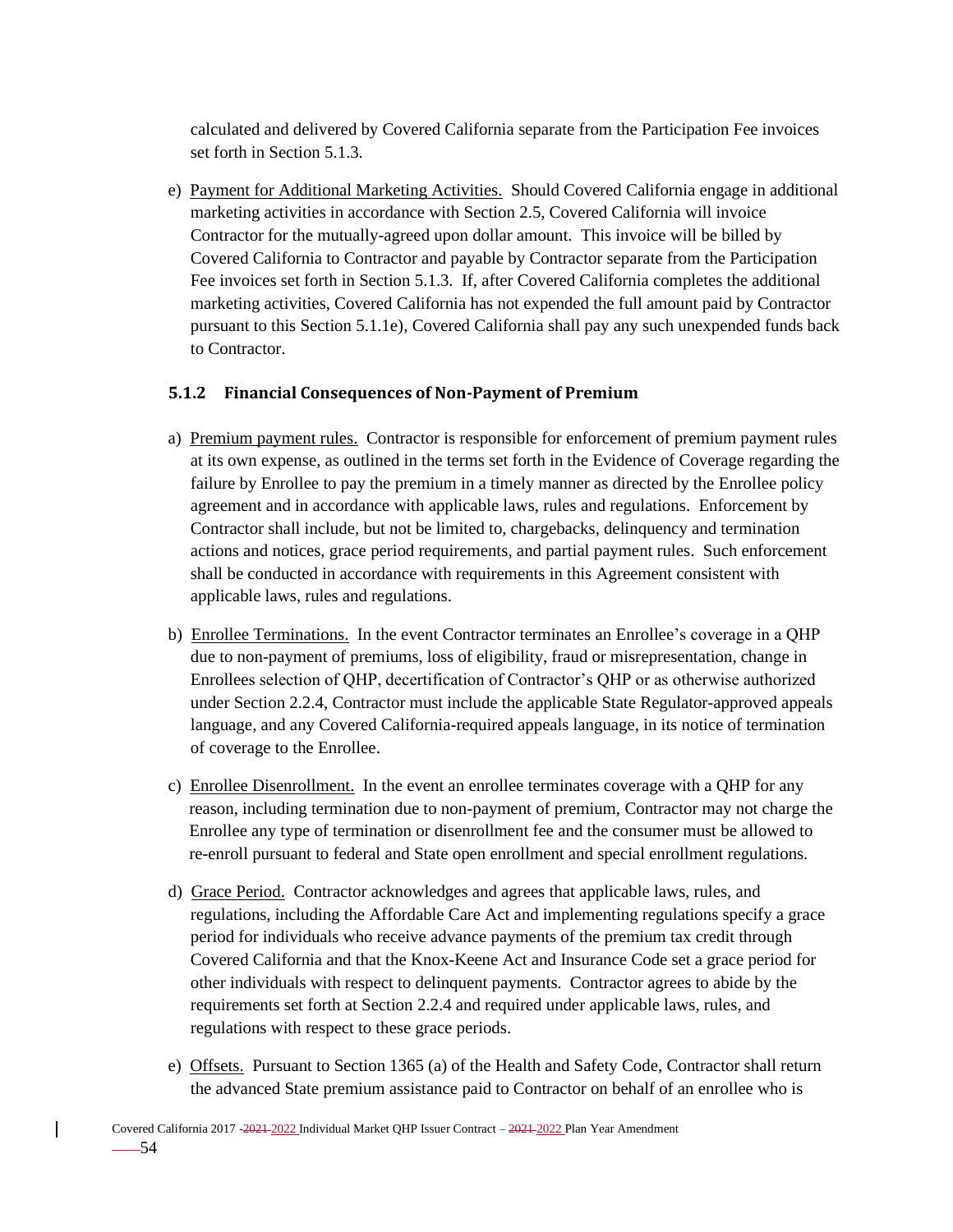calculated and delivered by Covered California separate from the Participation Fee invoices set forth in Section 5.1.3.

e) Payment for Additional Marketing Activities. Should Covered California engage in additional marketing activities in accordance with Section 2.5, Covered California will invoice Contractor for the mutually-agreed upon dollar amount. This invoice will be billed by Covered California to Contractor and payable by Contractor separate from the Participation Fee invoices set forth in Section 5.1.3. If, after Covered California completes the additional marketing activities, Covered California has not expended the full amount paid by Contractor pursuant to this Section 5.1.1e), Covered California shall pay any such unexpended funds back to Contractor.

### **5.1.2 Financial Consequences of Non-Payment of Premium**

- a) Premium payment rules. Contractor is responsible for enforcement of premium payment rules at its own expense, as outlined in the terms set forth in the Evidence of Coverage regarding the failure by Enrollee to pay the premium in a timely manner as directed by the Enrollee policy agreement and in accordance with applicable laws, rules and regulations. Enforcement by Contractor shall include, but not be limited to, chargebacks, delinquency and termination actions and notices, grace period requirements, and partial payment rules. Such enforcement shall be conducted in accordance with requirements in this Agreement consistent with applicable laws, rules and regulations.
- b) Enrollee Terminations. In the event Contractor terminates an Enrollee's coverage in a QHP due to non-payment of premiums, loss of eligibility, fraud or misrepresentation, change in Enrollees selection of QHP, decertification of Contractor's QHP or as otherwise authorized under Section 2.2.4, Contractor must include the applicable State Regulator-approved appeals language, and any Covered California-required appeals language, in its notice of termination of coverage to the Enrollee.
- c) Enrollee Disenrollment. In the event an enrollee terminates coverage with a QHP for any reason, including termination due to non-payment of premium, Contractor may not charge the Enrollee any type of termination or disenrollment fee and the consumer must be allowed to re-enroll pursuant to federal and State open enrollment and special enrollment regulations.
- d) Grace Period. Contractor acknowledges and agrees that applicable laws, rules, and regulations, including the Affordable Care Act and implementing regulations specify a grace period for individuals who receive advance payments of the premium tax credit through Covered California and that the Knox-Keene Act and Insurance Code set a grace period for other individuals with respect to delinquent payments. Contractor agrees to abide by the requirements set forth at Section 2.2.4 and required under applicable laws, rules, and regulations with respect to these grace periods.
- e) Offsets. Pursuant to Section 1365 (a) of the Health and Safety Code, Contractor shall return the advanced State premium assistance paid to Contractor on behalf of an enrollee who is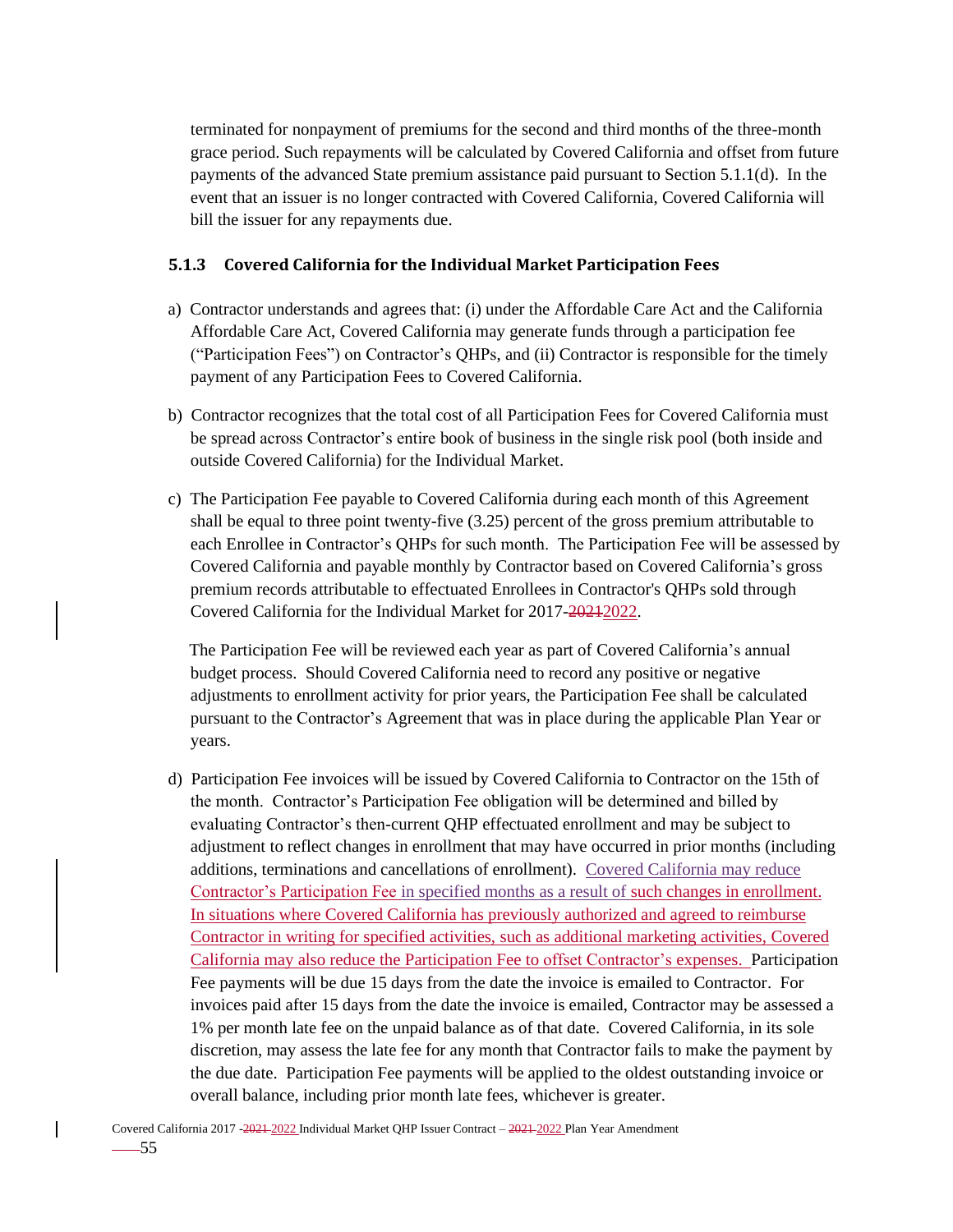terminated for nonpayment of premiums for the second and third months of the three-month grace period. Such repayments will be calculated by Covered California and offset from future payments of the advanced State premium assistance paid pursuant to Section 5.1.1(d). In the event that an issuer is no longer contracted with Covered California, Covered California will bill the issuer for any repayments due.

### **5.1.3 Covered California for the Individual Market Participation Fees**

- a) Contractor understands and agrees that: (i) under the Affordable Care Act and the California Affordable Care Act, Covered California may generate funds through a participation fee ("Participation Fees") on Contractor's QHPs, and (ii) Contractor is responsible for the timely payment of any Participation Fees to Covered California.
- b) Contractor recognizes that the total cost of all Participation Fees for Covered California must be spread across Contractor's entire book of business in the single risk pool (both inside and outside Covered California) for the Individual Market.
- c) The Participation Fee payable to Covered California during each month of this Agreement shall be equal to three point twenty-five (3.25) percent of the gross premium attributable to each Enrollee in Contractor's QHPs for such month. The Participation Fee will be assessed by Covered California and payable monthly by Contractor based on Covered California's gross premium records attributable to effectuated Enrollees in Contractor's QHPs sold through Covered California for the Individual Market for 2017-2024-2022.

The Participation Fee will be reviewed each year as part of Covered California's annual budget process. Should Covered California need to record any positive or negative adjustments to enrollment activity for prior years, the Participation Fee shall be calculated pursuant to the Contractor's Agreement that was in place during the applicable Plan Year or years.

d) Participation Fee invoices will be issued by Covered California to Contractor on the 15th of the month. Contractor's Participation Fee obligation will be determined and billed by evaluating Contractor's then-current QHP effectuated enrollment and may be subject to adjustment to reflect changes in enrollment that may have occurred in prior months (including additions, terminations and cancellations of enrollment). Covered California may reduce Contractor's Participation Fee in specified months as a result of such changes in enrollment. In situations where Covered California has previously authorized and agreed to reimburse Contractor in writing for specified activities, such as additional marketing activities, Covered California may also reduce the Participation Fee to offset Contractor's expenses. Participation Fee payments will be due 15 days from the date the invoice is emailed to Contractor. For invoices paid after 15 days from the date the invoice is emailed, Contractor may be assessed a 1% per month late fee on the unpaid balance as of that date. Covered California, in its sole discretion, may assess the late fee for any month that Contractor fails to make the payment by the due date. Participation Fee payments will be applied to the oldest outstanding invoice or overall balance, including prior month late fees, whichever is greater.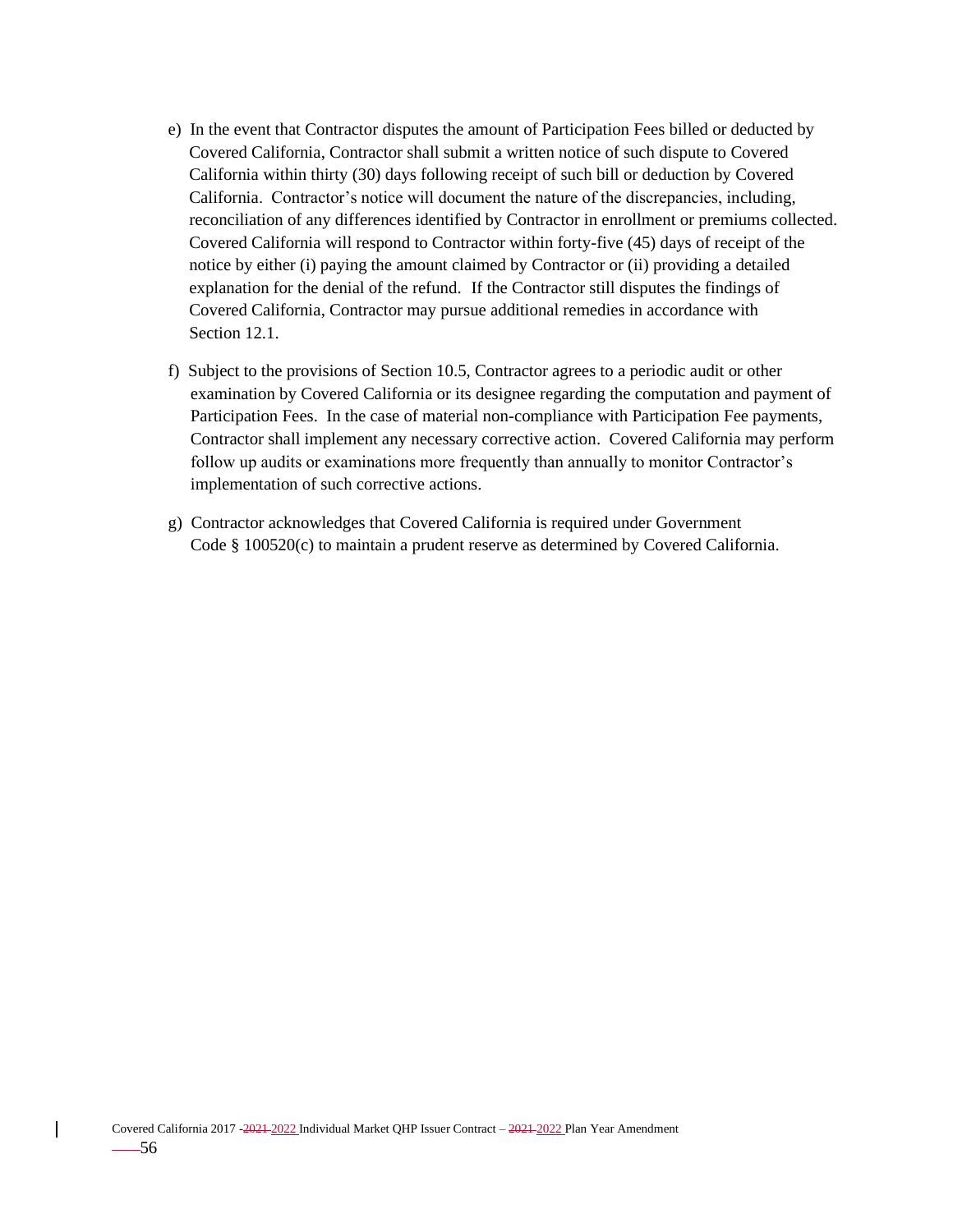- e) In the event that Contractor disputes the amount of Participation Fees billed or deducted by Covered California, Contractor shall submit a written notice of such dispute to Covered California within thirty (30) days following receipt of such bill or deduction by Covered California. Contractor's notice will document the nature of the discrepancies, including, reconciliation of any differences identified by Contractor in enrollment or premiums collected. Covered California will respond to Contractor within forty-five (45) days of receipt of the notice by either (i) paying the amount claimed by Contractor or (ii) providing a detailed explanation for the denial of the refund. If the Contractor still disputes the findings of Covered California, Contractor may pursue additional remedies in accordance with Section 12.1.
- f) Subject to the provisions of Section 10.5, Contractor agrees to a periodic audit or other examination by Covered California or its designee regarding the computation and payment of Participation Fees. In the case of material non-compliance with Participation Fee payments, Contractor shall implement any necessary corrective action. Covered California may perform follow up audits or examinations more frequently than annually to monitor Contractor's implementation of such corrective actions.
- g) Contractor acknowledges that Covered California is required under Government Code § 100520(c) to maintain a prudent reserve as determined by Covered California.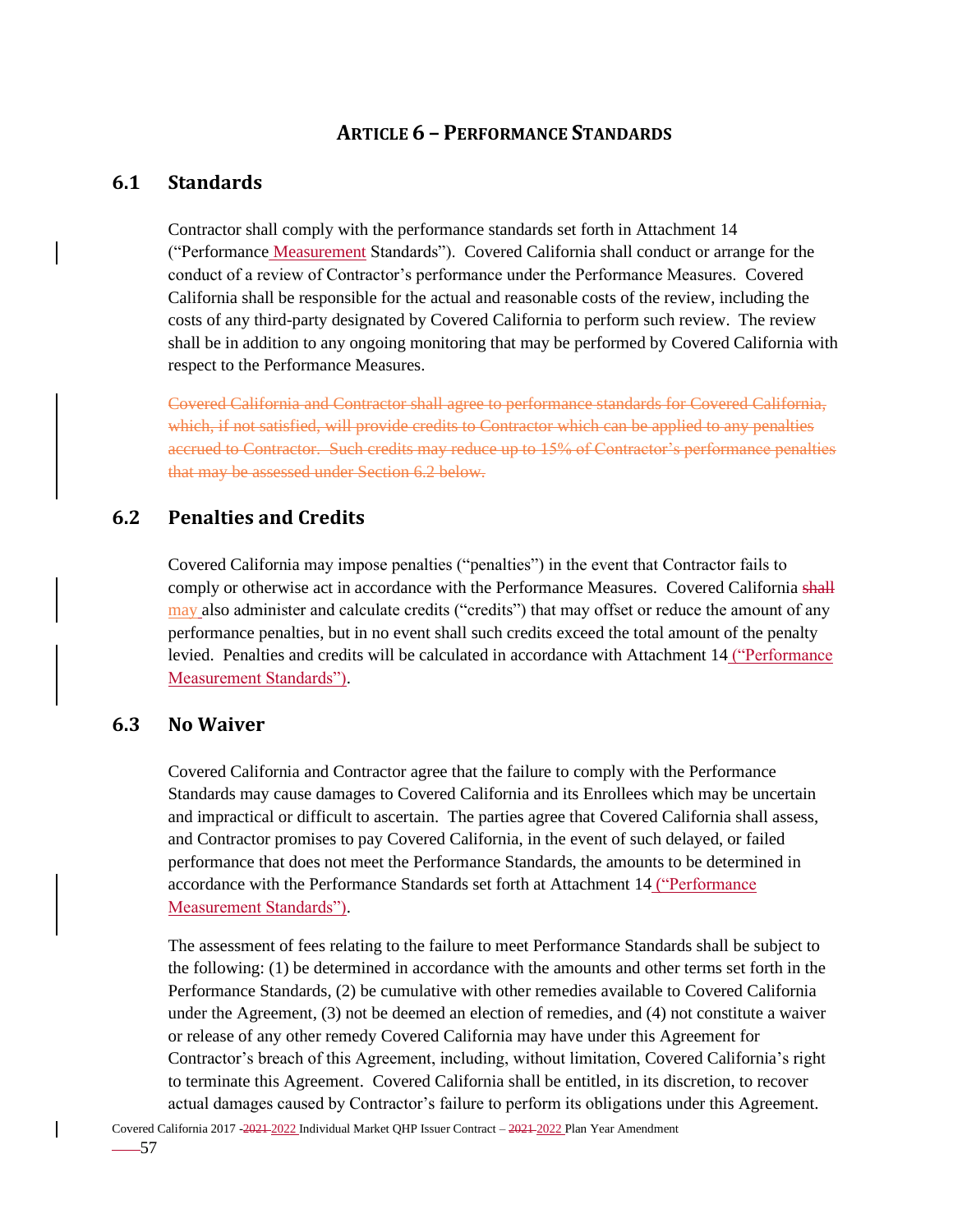## **ARTICLE 6 – PERFORMANCE STANDARDS**

# **6.1 Standards**

Contractor shall comply with the performance standards set forth in Attachment 14 ("Performance Measurement Standards"). Covered California shall conduct or arrange for the conduct of a review of Contractor's performance under the Performance Measures. Covered California shall be responsible for the actual and reasonable costs of the review, including the costs of any third-party designated by Covered California to perform such review. The review shall be in addition to any ongoing monitoring that may be performed by Covered California with respect to the Performance Measures.

Covered California and Contractor shall agree to performance standards for Covered California, which, if not satisfied, will provide credits to Contractor which can be applied to any penalties accrued to Contractor. Such credits may reduce up to 15% of Contractor's performance penalties that may be assessed under Section 6.2 below.

### **6.2 Penalties and Credits**

Covered California may impose penalties ("penalties") in the event that Contractor fails to comply or otherwise act in accordance with the Performance Measures. Covered California shall may also administer and calculate credits ("credits") that may offset or reduce the amount of any performance penalties, but in no event shall such credits exceed the total amount of the penalty levied. Penalties and credits will be calculated in accordance with Attachment 14 ("Performance Measurement Standards").

#### **6.3 No Waiver**

Covered California and Contractor agree that the failure to comply with the Performance Standards may cause damages to Covered California and its Enrollees which may be uncertain and impractical or difficult to ascertain. The parties agree that Covered California shall assess, and Contractor promises to pay Covered California, in the event of such delayed, or failed performance that does not meet the Performance Standards, the amounts to be determined in accordance with the Performance Standards set forth at Attachment 14 ("Performance Measurement Standards").

The assessment of fees relating to the failure to meet Performance Standards shall be subject to the following: (1) be determined in accordance with the amounts and other terms set forth in the Performance Standards, (2) be cumulative with other remedies available to Covered California under the Agreement, (3) not be deemed an election of remedies, and (4) not constitute a waiver or release of any other remedy Covered California may have under this Agreement for Contractor's breach of this Agreement, including, without limitation, Covered California's right to terminate this Agreement. Covered California shall be entitled, in its discretion, to recover actual damages caused by Contractor's failure to perform its obligations under this Agreement.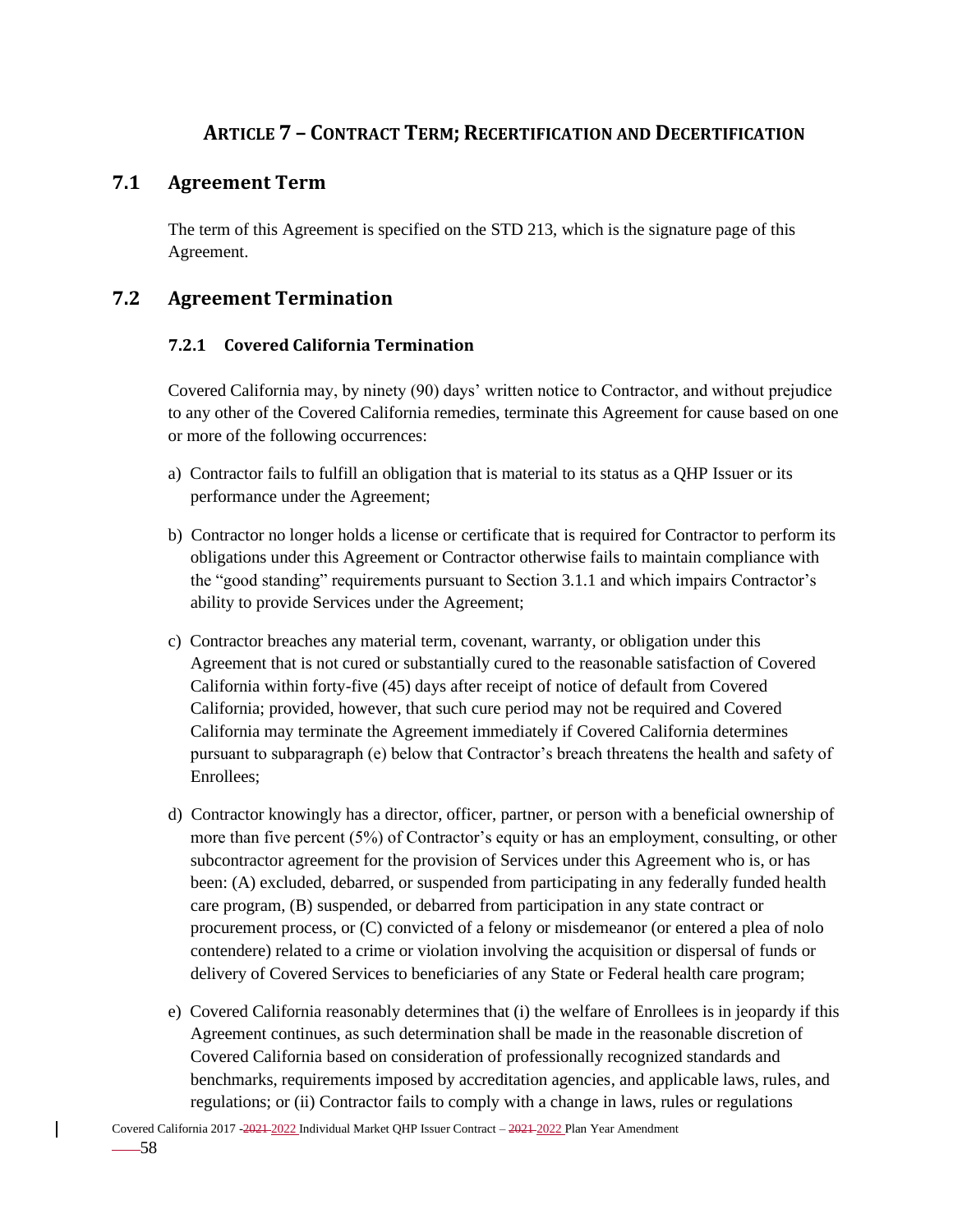# **ARTICLE 7 – CONTRACT TERM; RECERTIFICATION AND DECERTIFICATION**

## **7.1 Agreement Term**

The term of this Agreement is specified on the STD 213, which is the signature page of this Agreement.

# **7.2 Agreement Termination**

### **7.2.1 Covered California Termination**

Covered California may, by ninety (90) days' written notice to Contractor, and without prejudice to any other of the Covered California remedies, terminate this Agreement for cause based on one or more of the following occurrences:

- a) Contractor fails to fulfill an obligation that is material to its status as a QHP Issuer or its performance under the Agreement;
- b) Contractor no longer holds a license or certificate that is required for Contractor to perform its obligations under this Agreement or Contractor otherwise fails to maintain compliance with the "good standing" requirements pursuant to Section 3.1.1 and which impairs Contractor's ability to provide Services under the Agreement;
- c) Contractor breaches any material term, covenant, warranty, or obligation under this Agreement that is not cured or substantially cured to the reasonable satisfaction of Covered California within forty-five (45) days after receipt of notice of default from Covered California; provided, however, that such cure period may not be required and Covered California may terminate the Agreement immediately if Covered California determines pursuant to subparagraph (e) below that Contractor's breach threatens the health and safety of Enrollees;
- d) Contractor knowingly has a director, officer, partner, or person with a beneficial ownership of more than five percent (5%) of Contractor's equity or has an employment, consulting, or other subcontractor agreement for the provision of Services under this Agreement who is, or has been: (A) excluded, debarred, or suspended from participating in any federally funded health care program, (B) suspended, or debarred from participation in any state contract or procurement process, or (C) convicted of a felony or misdemeanor (or entered a plea of nolo contendere) related to a crime or violation involving the acquisition or dispersal of funds or delivery of Covered Services to beneficiaries of any State or Federal health care program;
- e) Covered California reasonably determines that (i) the welfare of Enrollees is in jeopardy if this Agreement continues, as such determination shall be made in the reasonable discretion of Covered California based on consideration of professionally recognized standards and benchmarks, requirements imposed by accreditation agencies, and applicable laws, rules, and regulations; or (ii) Contractor fails to comply with a change in laws, rules or regulations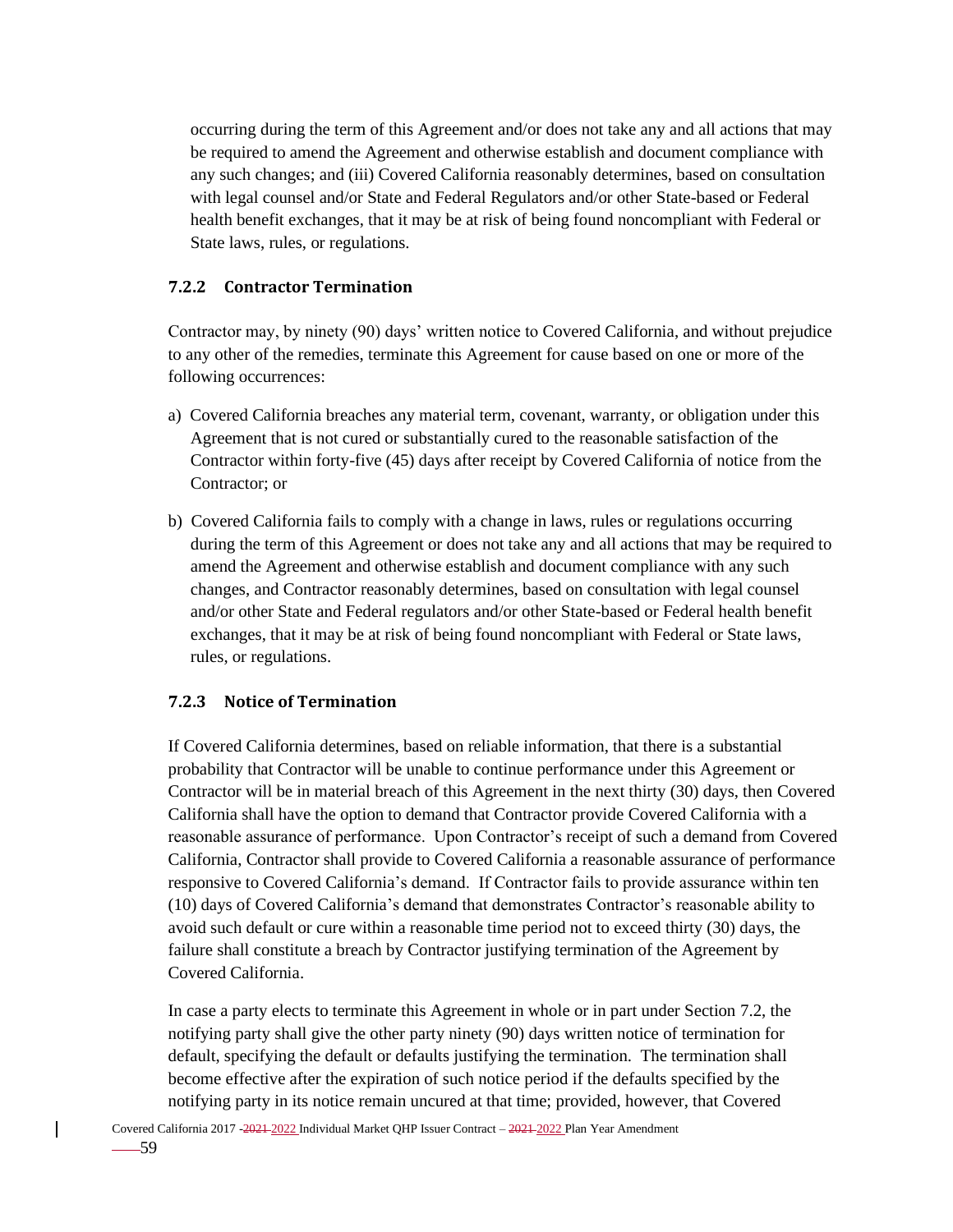occurring during the term of this Agreement and/or does not take any and all actions that may be required to amend the Agreement and otherwise establish and document compliance with any such changes; and (iii) Covered California reasonably determines, based on consultation with legal counsel and/or State and Federal Regulators and/or other State-based or Federal health benefit exchanges, that it may be at risk of being found noncompliant with Federal or State laws, rules, or regulations.

### **7.2.2 Contractor Termination**

Contractor may, by ninety (90) days' written notice to Covered California, and without prejudice to any other of the remedies, terminate this Agreement for cause based on one or more of the following occurrences:

- a) Covered California breaches any material term, covenant, warranty, or obligation under this Agreement that is not cured or substantially cured to the reasonable satisfaction of the Contractor within forty-five (45) days after receipt by Covered California of notice from the Contractor; or
- b) Covered California fails to comply with a change in laws, rules or regulations occurring during the term of this Agreement or does not take any and all actions that may be required to amend the Agreement and otherwise establish and document compliance with any such changes, and Contractor reasonably determines, based on consultation with legal counsel and/or other State and Federal regulators and/or other State-based or Federal health benefit exchanges, that it may be at risk of being found noncompliant with Federal or State laws, rules, or regulations.

### **7.2.3 Notice of Termination**

If Covered California determines, based on reliable information, that there is a substantial probability that Contractor will be unable to continue performance under this Agreement or Contractor will be in material breach of this Agreement in the next thirty (30) days, then Covered California shall have the option to demand that Contractor provide Covered California with a reasonable assurance of performance. Upon Contractor's receipt of such a demand from Covered California, Contractor shall provide to Covered California a reasonable assurance of performance responsive to Covered California's demand. If Contractor fails to provide assurance within ten (10) days of Covered California's demand that demonstrates Contractor's reasonable ability to avoid such default or cure within a reasonable time period not to exceed thirty (30) days, the failure shall constitute a breach by Contractor justifying termination of the Agreement by Covered California.

In case a party elects to terminate this Agreement in whole or in part under Section 7.2, the notifying party shall give the other party ninety (90) days written notice of termination for default, specifying the default or defaults justifying the termination. The termination shall become effective after the expiration of such notice period if the defaults specified by the notifying party in its notice remain uncured at that time; provided, however, that Covered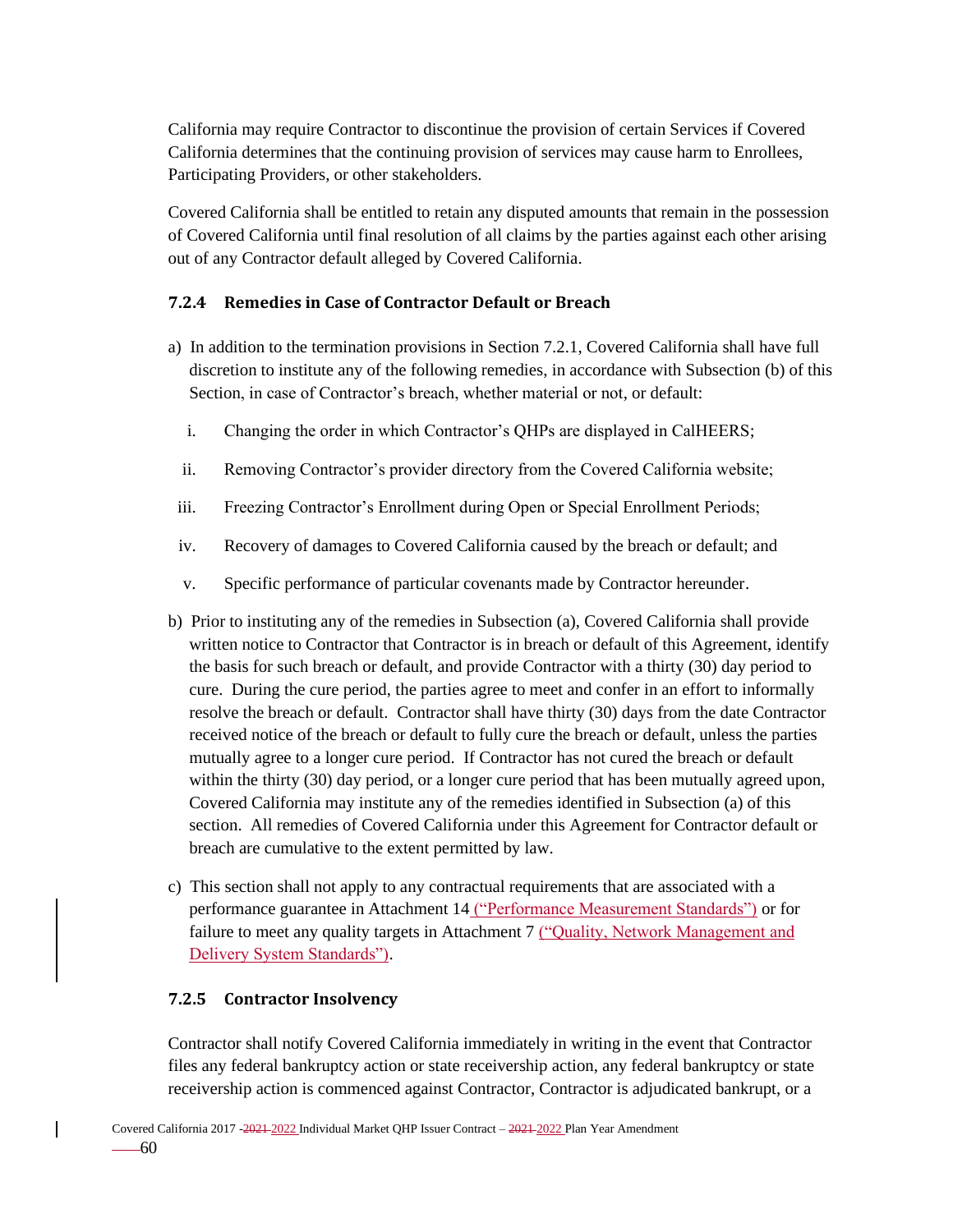California may require Contractor to discontinue the provision of certain Services if Covered California determines that the continuing provision of services may cause harm to Enrollees, Participating Providers, or other stakeholders.

Covered California shall be entitled to retain any disputed amounts that remain in the possession of Covered California until final resolution of all claims by the parties against each other arising out of any Contractor default alleged by Covered California.

#### **7.2.4 Remedies in Case of Contractor Default or Breach**

- a) In addition to the termination provisions in Section 7.2.1, Covered California shall have full discretion to institute any of the following remedies, in accordance with Subsection (b) of this Section, in case of Contractor's breach, whether material or not, or default:
	- i. Changing the order in which Contractor's QHPs are displayed in CalHEERS;
	- ii. Removing Contractor's provider directory from the Covered California website;
- iii. Freezing Contractor's Enrollment during Open or Special Enrollment Periods;
- iv. Recovery of damages to Covered California caused by the breach or default; and
- v. Specific performance of particular covenants made by Contractor hereunder.
- b) Prior to instituting any of the remedies in Subsection (a), Covered California shall provide written notice to Contractor that Contractor is in breach or default of this Agreement, identify the basis for such breach or default, and provide Contractor with a thirty (30) day period to cure. During the cure period, the parties agree to meet and confer in an effort to informally resolve the breach or default. Contractor shall have thirty (30) days from the date Contractor received notice of the breach or default to fully cure the breach or default, unless the parties mutually agree to a longer cure period. If Contractor has not cured the breach or default within the thirty (30) day period, or a longer cure period that has been mutually agreed upon, Covered California may institute any of the remedies identified in Subsection (a) of this section. All remedies of Covered California under this Agreement for Contractor default or breach are cumulative to the extent permitted by law.
- c) This section shall not apply to any contractual requirements that are associated with a performance guarantee in Attachment 14 ("Performance Measurement Standards") or for failure to meet any quality targets in Attachment 7 ("Quality, Network Management and Delivery System Standards").

#### **7.2.5 Contractor Insolvency**

Contractor shall notify Covered California immediately in writing in the event that Contractor files any federal bankruptcy action or state receivership action, any federal bankruptcy or state receivership action is commenced against Contractor, Contractor is adjudicated bankrupt, or a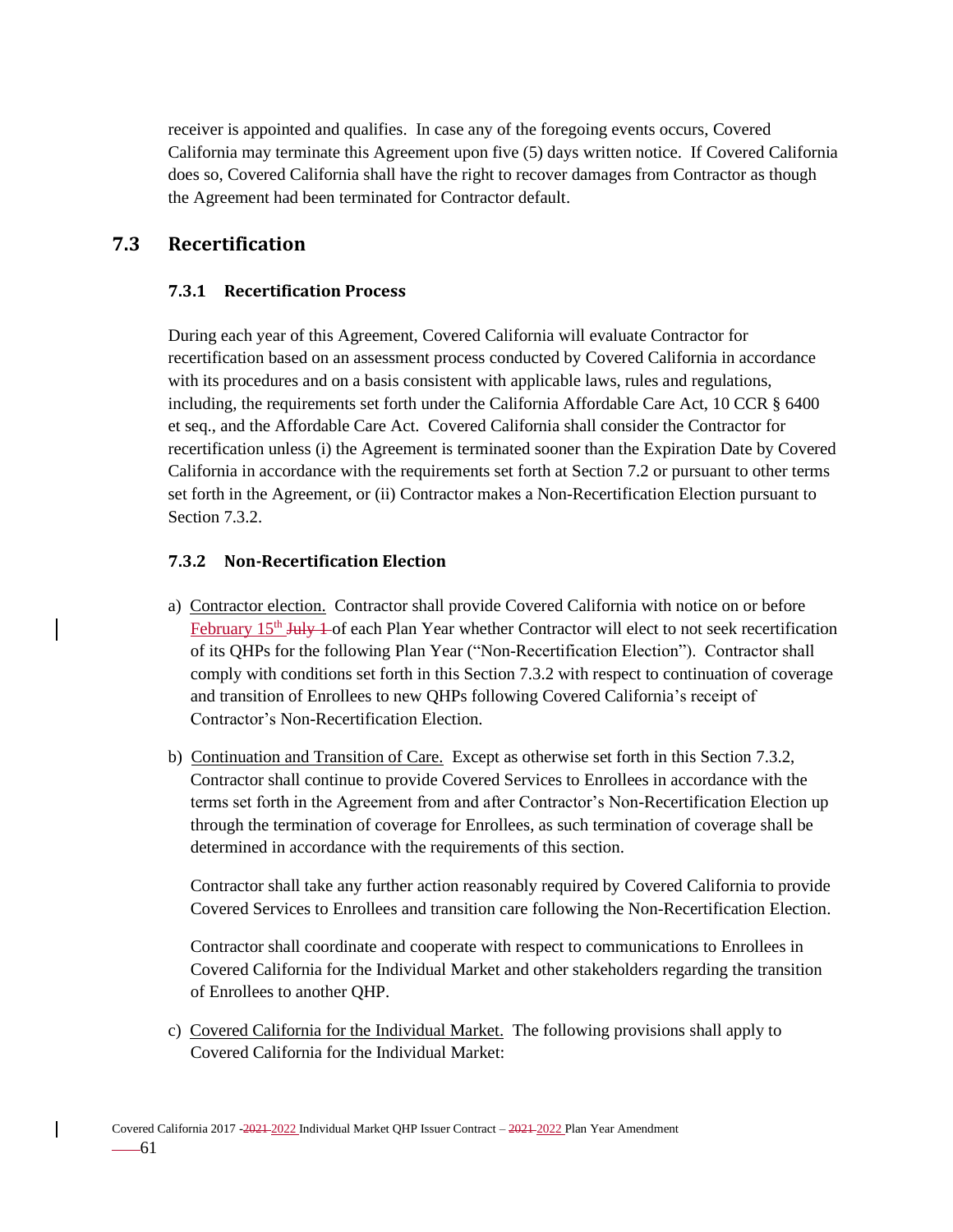receiver is appointed and qualifies. In case any of the foregoing events occurs, Covered California may terminate this Agreement upon five (5) days written notice. If Covered California does so, Covered California shall have the right to recover damages from Contractor as though the Agreement had been terminated for Contractor default.

# **7.3 Recertification**

#### **7.3.1 Recertification Process**

During each year of this Agreement, Covered California will evaluate Contractor for recertification based on an assessment process conducted by Covered California in accordance with its procedures and on a basis consistent with applicable laws, rules and regulations, including, the requirements set forth under the California Affordable Care Act, 10 CCR § 6400 et seq., and the Affordable Care Act. Covered California shall consider the Contractor for recertification unless (i) the Agreement is terminated sooner than the Expiration Date by Covered California in accordance with the requirements set forth at Section 7.2 or pursuant to other terms set forth in the Agreement, or (ii) Contractor makes a Non-Recertification Election pursuant to Section 7.3.2.

#### **7.3.2 Non-Recertification Election**

- a) Contractor election. Contractor shall provide Covered California with notice on or before February 15<sup>th</sup> July 1 of each Plan Year whether Contractor will elect to not seek recertification of its QHPs for the following Plan Year ("Non-Recertification Election"). Contractor shall comply with conditions set forth in this Section 7.3.2 with respect to continuation of coverage and transition of Enrollees to new QHPs following Covered California's receipt of Contractor's Non-Recertification Election.
- b) Continuation and Transition of Care. Except as otherwise set forth in this Section 7.3.2, Contractor shall continue to provide Covered Services to Enrollees in accordance with the terms set forth in the Agreement from and after Contractor's Non-Recertification Election up through the termination of coverage for Enrollees, as such termination of coverage shall be determined in accordance with the requirements of this section.

Contractor shall take any further action reasonably required by Covered California to provide Covered Services to Enrollees and transition care following the Non-Recertification Election.

Contractor shall coordinate and cooperate with respect to communications to Enrollees in Covered California for the Individual Market and other stakeholders regarding the transition of Enrollees to another QHP.

c) Covered California for the Individual Market. The following provisions shall apply to Covered California for the Individual Market: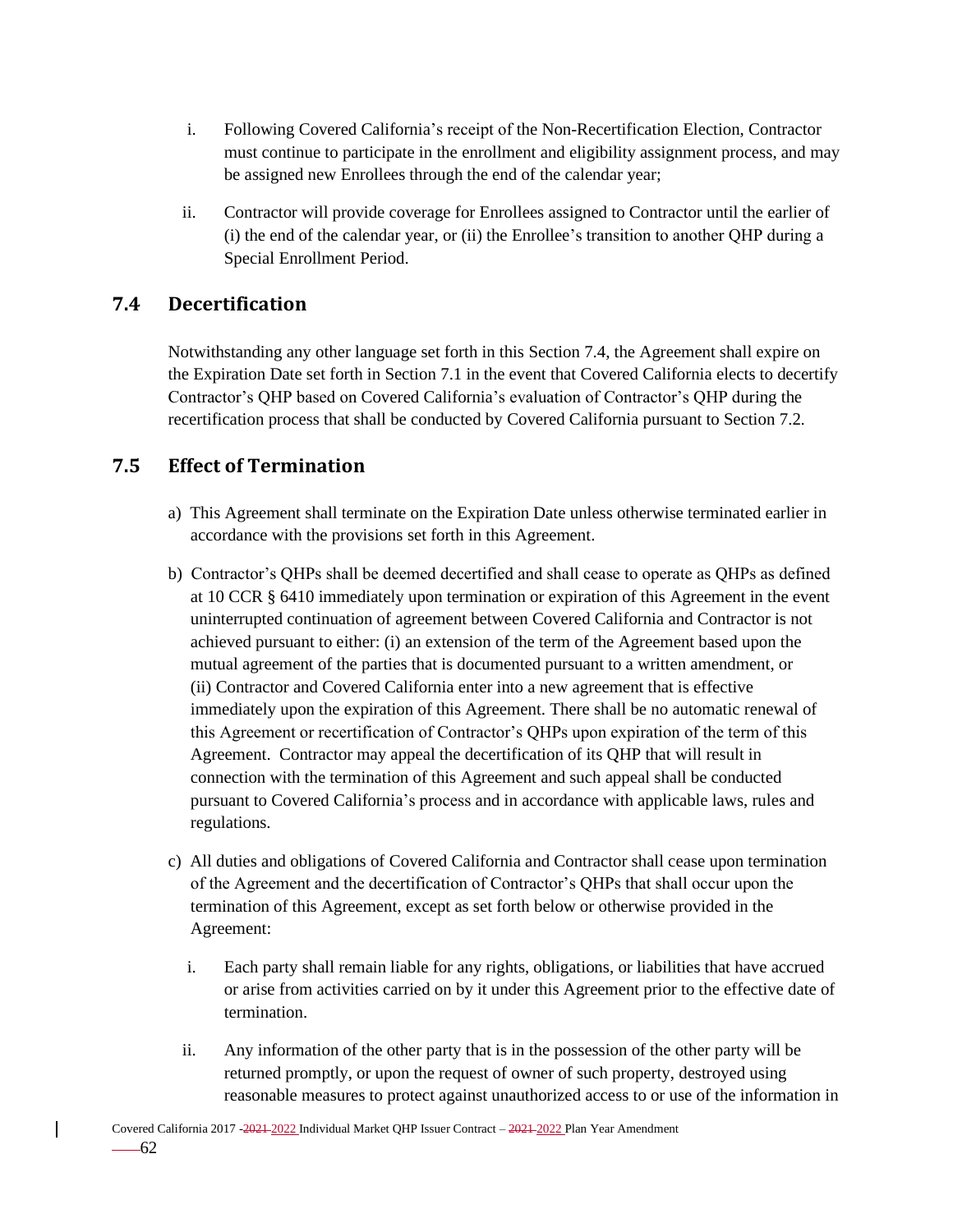- i. Following Covered California's receipt of the Non-Recertification Election, Contractor must continue to participate in the enrollment and eligibility assignment process, and may be assigned new Enrollees through the end of the calendar year;
- ii. Contractor will provide coverage for Enrollees assigned to Contractor until the earlier of (i) the end of the calendar year, or (ii) the Enrollee's transition to another QHP during a Special Enrollment Period.

# **7.4 Decertification**

Notwithstanding any other language set forth in this Section 7.4, the Agreement shall expire on the Expiration Date set forth in Section 7.1 in the event that Covered California elects to decertify Contractor's QHP based on Covered California's evaluation of Contractor's QHP during the recertification process that shall be conducted by Covered California pursuant to Section 7.2.

### **7.5 Effect of Termination**

- a) This Agreement shall terminate on the Expiration Date unless otherwise terminated earlier in accordance with the provisions set forth in this Agreement.
- b) Contractor's QHPs shall be deemed decertified and shall cease to operate as QHPs as defined at 10 CCR § 6410 immediately upon termination or expiration of this Agreement in the event uninterrupted continuation of agreement between Covered California and Contractor is not achieved pursuant to either: (i) an extension of the term of the Agreement based upon the mutual agreement of the parties that is documented pursuant to a written amendment, or (ii) Contractor and Covered California enter into a new agreement that is effective immediately upon the expiration of this Agreement. There shall be no automatic renewal of this Agreement or recertification of Contractor's QHPs upon expiration of the term of this Agreement. Contractor may appeal the decertification of its QHP that will result in connection with the termination of this Agreement and such appeal shall be conducted pursuant to Covered California's process and in accordance with applicable laws, rules and regulations.
- c) All duties and obligations of Covered California and Contractor shall cease upon termination of the Agreement and the decertification of Contractor's QHPs that shall occur upon the termination of this Agreement, except as set forth below or otherwise provided in the Agreement:
	- i. Each party shall remain liable for any rights, obligations, or liabilities that have accrued or arise from activities carried on by it under this Agreement prior to the effective date of termination.
	- ii. Any information of the other party that is in the possession of the other party will be returned promptly, or upon the request of owner of such property, destroyed using reasonable measures to protect against unauthorized access to or use of the information in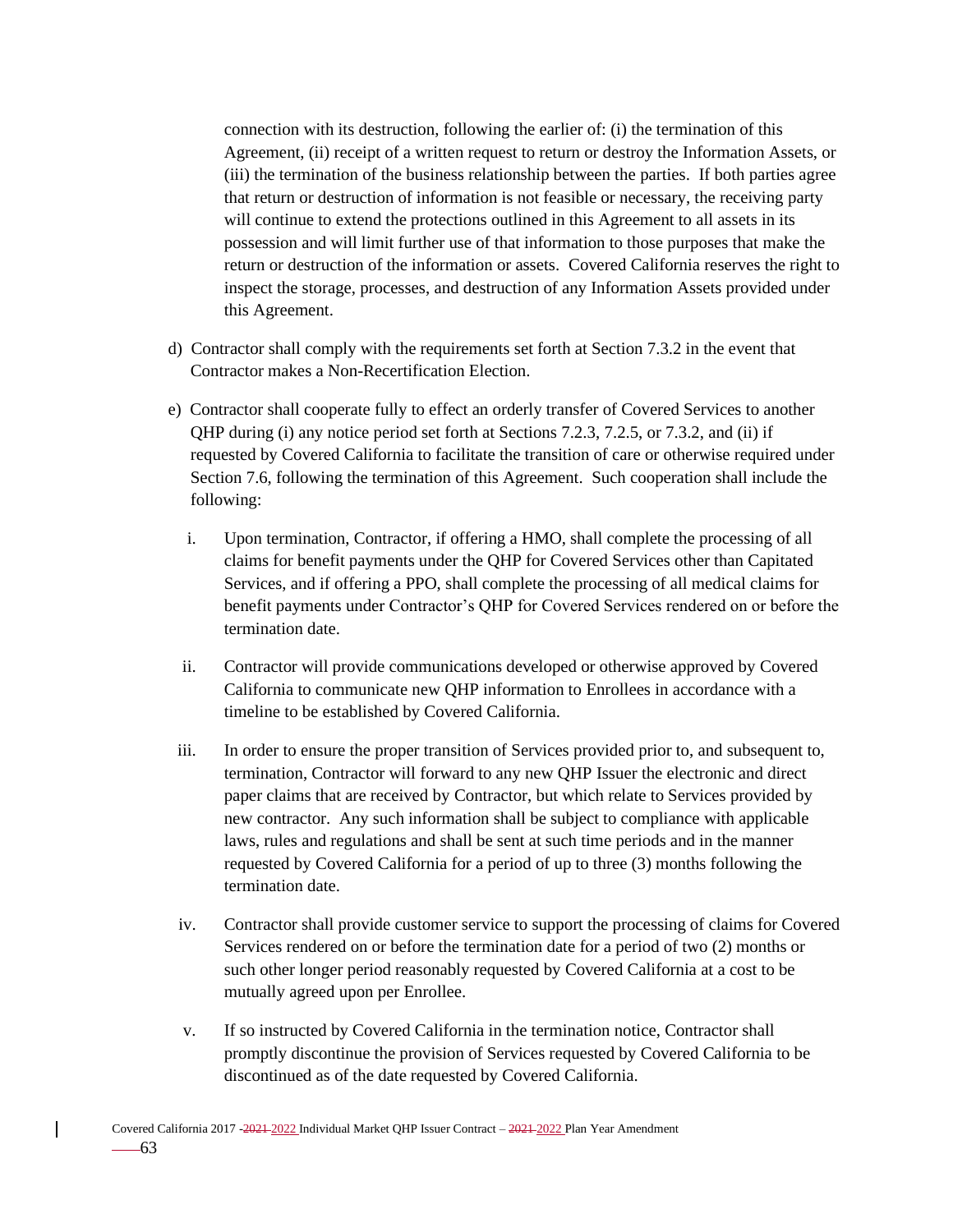connection with its destruction, following the earlier of: (i) the termination of this Agreement, (ii) receipt of a written request to return or destroy the Information Assets, or (iii) the termination of the business relationship between the parties. If both parties agree that return or destruction of information is not feasible or necessary, the receiving party will continue to extend the protections outlined in this Agreement to all assets in its possession and will limit further use of that information to those purposes that make the return or destruction of the information or assets. Covered California reserves the right to inspect the storage, processes, and destruction of any Information Assets provided under this Agreement.

- d) Contractor shall comply with the requirements set forth at Section 7.3.2 in the event that Contractor makes a Non-Recertification Election.
- e) Contractor shall cooperate fully to effect an orderly transfer of Covered Services to another QHP during (i) any notice period set forth at Sections 7.2.3, 7.2.5, or 7.3.2, and (ii) if requested by Covered California to facilitate the transition of care or otherwise required under Section 7.6, following the termination of this Agreement. Such cooperation shall include the following:
	- i. Upon termination, Contractor, if offering a HMO, shall complete the processing of all claims for benefit payments under the QHP for Covered Services other than Capitated Services, and if offering a PPO, shall complete the processing of all medical claims for benefit payments under Contractor's QHP for Covered Services rendered on or before the termination date.
	- ii. Contractor will provide communications developed or otherwise approved by Covered California to communicate new QHP information to Enrollees in accordance with a timeline to be established by Covered California.
- iii. In order to ensure the proper transition of Services provided prior to, and subsequent to, termination, Contractor will forward to any new QHP Issuer the electronic and direct paper claims that are received by Contractor, but which relate to Services provided by new contractor. Any such information shall be subject to compliance with applicable laws, rules and regulations and shall be sent at such time periods and in the manner requested by Covered California for a period of up to three (3) months following the termination date.
- iv. Contractor shall provide customer service to support the processing of claims for Covered Services rendered on or before the termination date for a period of two (2) months or such other longer period reasonably requested by Covered California at a cost to be mutually agreed upon per Enrollee.
- v. If so instructed by Covered California in the termination notice, Contractor shall promptly discontinue the provision of Services requested by Covered California to be discontinued as of the date requested by Covered California.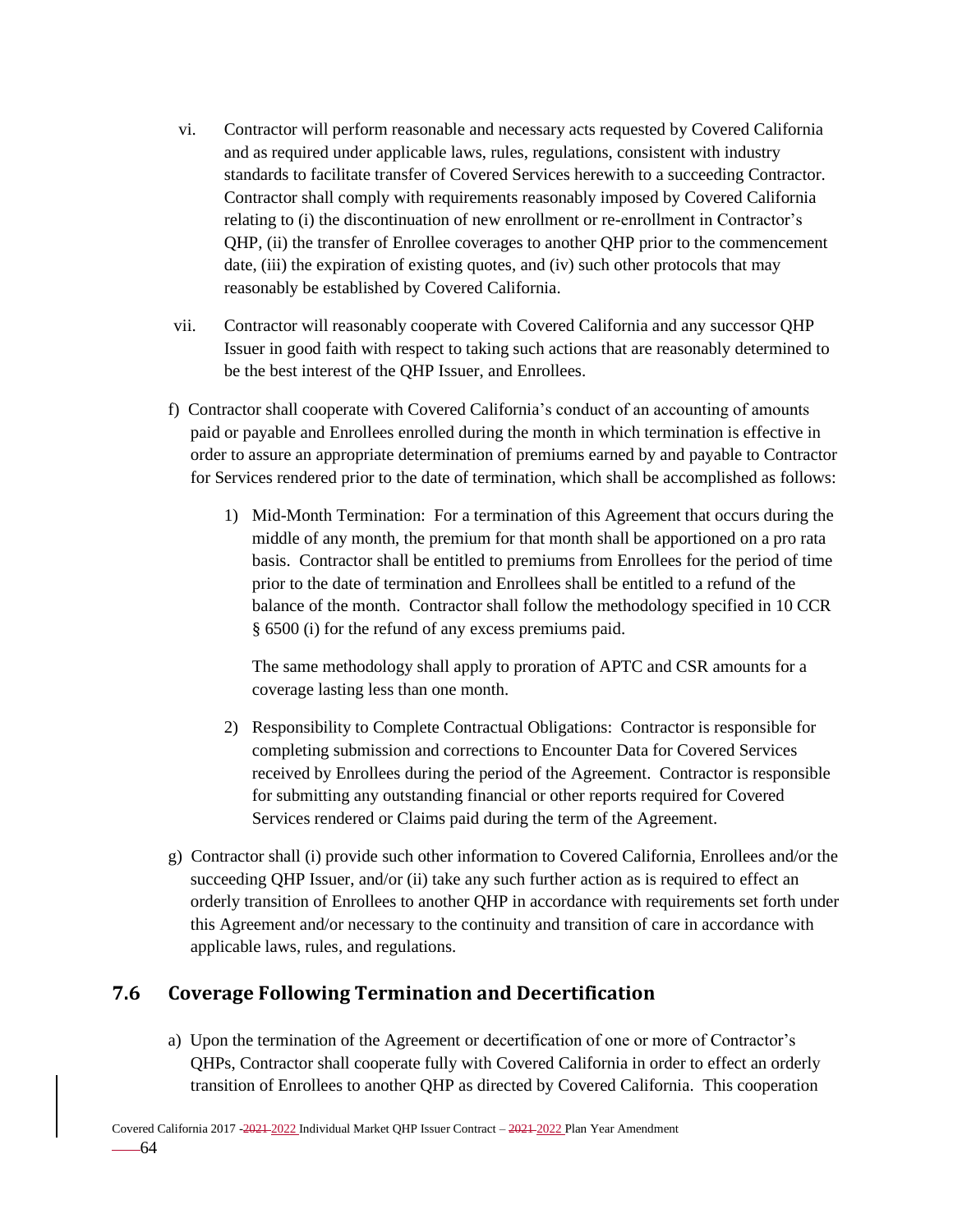- vi. Contractor will perform reasonable and necessary acts requested by Covered California and as required under applicable laws, rules, regulations, consistent with industry standards to facilitate transfer of Covered Services herewith to a succeeding Contractor. Contractor shall comply with requirements reasonably imposed by Covered California relating to (i) the discontinuation of new enrollment or re-enrollment in Contractor's QHP, (ii) the transfer of Enrollee coverages to another QHP prior to the commencement date, (iii) the expiration of existing quotes, and (iv) such other protocols that may reasonably be established by Covered California.
- vii. Contractor will reasonably cooperate with Covered California and any successor QHP Issuer in good faith with respect to taking such actions that are reasonably determined to be the best interest of the QHP Issuer, and Enrollees.
- f) Contractor shall cooperate with Covered California's conduct of an accounting of amounts paid or payable and Enrollees enrolled during the month in which termination is effective in order to assure an appropriate determination of premiums earned by and payable to Contractor for Services rendered prior to the date of termination, which shall be accomplished as follows:
	- 1) Mid-Month Termination: For a termination of this Agreement that occurs during the middle of any month, the premium for that month shall be apportioned on a pro rata basis. Contractor shall be entitled to premiums from Enrollees for the period of time prior to the date of termination and Enrollees shall be entitled to a refund of the balance of the month. Contractor shall follow the methodology specified in 10 CCR § 6500 (i) for the refund of any excess premiums paid.

The same methodology shall apply to proration of APTC and CSR amounts for a coverage lasting less than one month.

- 2) Responsibility to Complete Contractual Obligations: Contractor is responsible for completing submission and corrections to Encounter Data for Covered Services received by Enrollees during the period of the Agreement. Contractor is responsible for submitting any outstanding financial or other reports required for Covered Services rendered or Claims paid during the term of the Agreement.
- g) Contractor shall (i) provide such other information to Covered California, Enrollees and/or the succeeding QHP Issuer, and/or (ii) take any such further action as is required to effect an orderly transition of Enrollees to another QHP in accordance with requirements set forth under this Agreement and/or necessary to the continuity and transition of care in accordance with applicable laws, rules, and regulations.

# **7.6 Coverage Following Termination and Decertification**

a) Upon the termination of the Agreement or decertification of one or more of Contractor's QHPs, Contractor shall cooperate fully with Covered California in order to effect an orderly transition of Enrollees to another QHP as directed by Covered California. This cooperation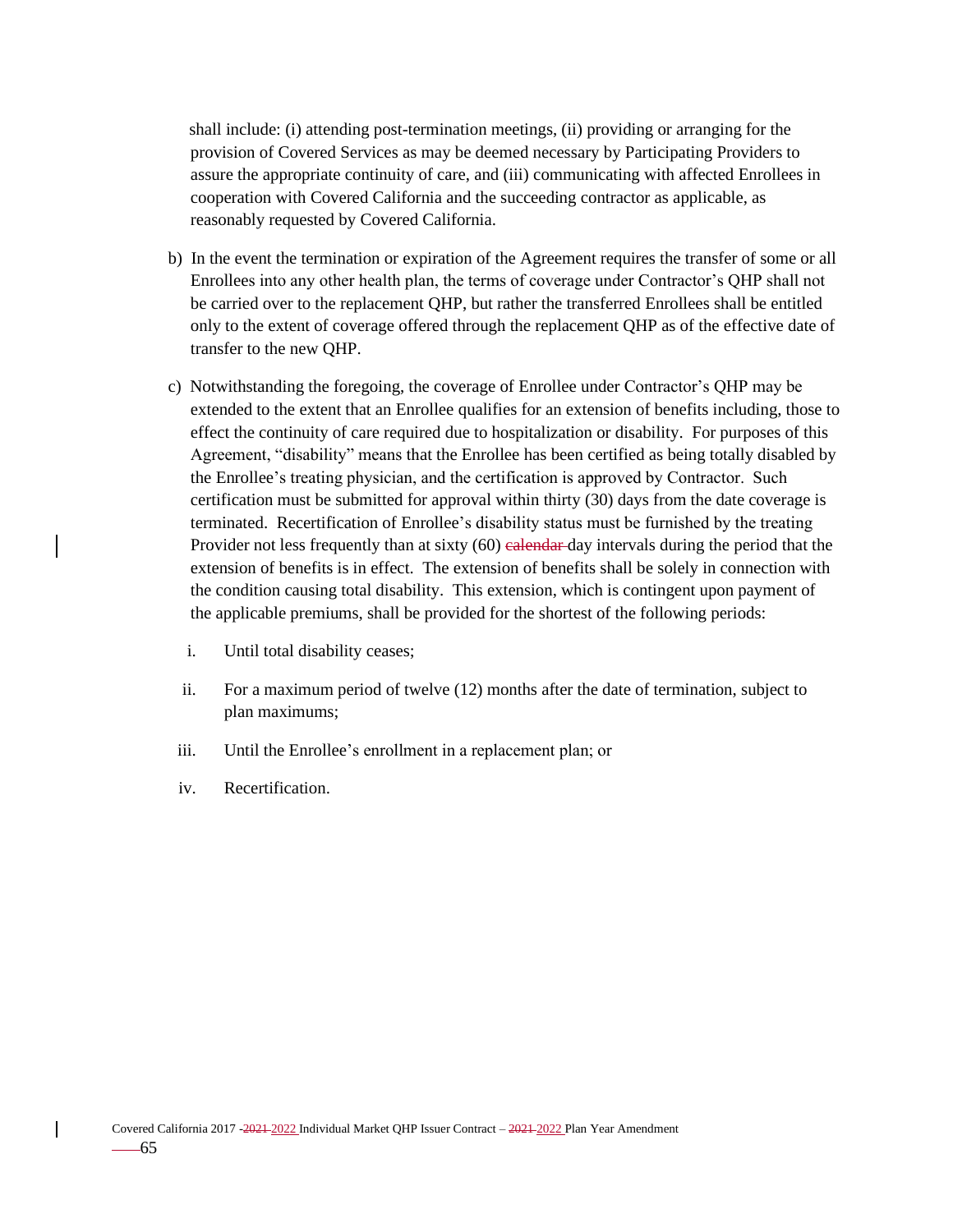shall include: (i) attending post-termination meetings, (ii) providing or arranging for the provision of Covered Services as may be deemed necessary by Participating Providers to assure the appropriate continuity of care, and (iii) communicating with affected Enrollees in cooperation with Covered California and the succeeding contractor as applicable, as reasonably requested by Covered California.

- b) In the event the termination or expiration of the Agreement requires the transfer of some or all Enrollees into any other health plan, the terms of coverage under Contractor's QHP shall not be carried over to the replacement QHP, but rather the transferred Enrollees shall be entitled only to the extent of coverage offered through the replacement QHP as of the effective date of transfer to the new QHP.
- c) Notwithstanding the foregoing, the coverage of Enrollee under Contractor's QHP may be extended to the extent that an Enrollee qualifies for an extension of benefits including, those to effect the continuity of care required due to hospitalization or disability. For purposes of this Agreement, "disability" means that the Enrollee has been certified as being totally disabled by the Enrollee's treating physician, and the certification is approved by Contractor. Such certification must be submitted for approval within thirty (30) days from the date coverage is terminated. Recertification of Enrollee's disability status must be furnished by the treating Provider not less frequently than at sixty (60) ealendar day intervals during the period that the extension of benefits is in effect. The extension of benefits shall be solely in connection with the condition causing total disability. This extension, which is contingent upon payment of the applicable premiums, shall be provided for the shortest of the following periods:
	- i. Until total disability ceases;
	- ii. For a maximum period of twelve (12) months after the date of termination, subject to plan maximums;
- iii. Until the Enrollee's enrollment in a replacement plan; or
- iv. Recertification.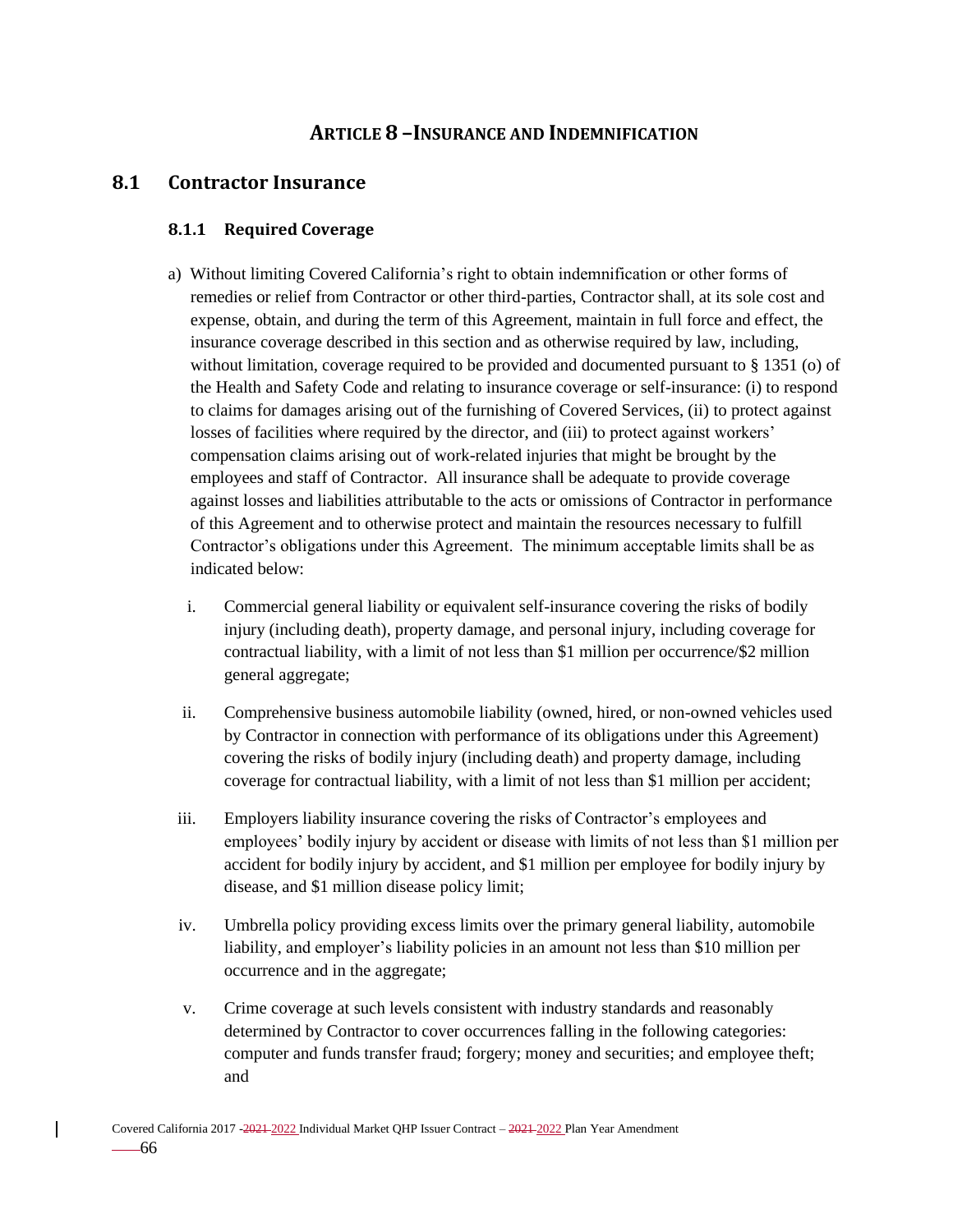## **ARTICLE 8 –INSURANCE AND INDEMNIFICATION**

### **8.1 Contractor Insurance**

#### **8.1.1 Required Coverage**

- a) Without limiting Covered California's right to obtain indemnification or other forms of remedies or relief from Contractor or other third-parties, Contractor shall, at its sole cost and expense, obtain, and during the term of this Agreement, maintain in full force and effect, the insurance coverage described in this section and as otherwise required by law, including, without limitation, coverage required to be provided and documented pursuant to § 1351 (o) of the Health and Safety Code and relating to insurance coverage or self-insurance: (i) to respond to claims for damages arising out of the furnishing of Covered Services, (ii) to protect against losses of facilities where required by the director, and (iii) to protect against workers' compensation claims arising out of work-related injuries that might be brought by the employees and staff of Contractor. All insurance shall be adequate to provide coverage against losses and liabilities attributable to the acts or omissions of Contractor in performance of this Agreement and to otherwise protect and maintain the resources necessary to fulfill Contractor's obligations under this Agreement. The minimum acceptable limits shall be as indicated below:
	- i. Commercial general liability or equivalent self-insurance covering the risks of bodily injury (including death), property damage, and personal injury, including coverage for contractual liability, with a limit of not less than \$1 million per occurrence/\$2 million general aggregate;
	- ii. Comprehensive business automobile liability (owned, hired, or non-owned vehicles used by Contractor in connection with performance of its obligations under this Agreement) covering the risks of bodily injury (including death) and property damage, including coverage for contractual liability, with a limit of not less than \$1 million per accident;
- iii. Employers liability insurance covering the risks of Contractor's employees and employees' bodily injury by accident or disease with limits of not less than \$1 million per accident for bodily injury by accident, and \$1 million per employee for bodily injury by disease, and \$1 million disease policy limit;
- iv. Umbrella policy providing excess limits over the primary general liability, automobile liability, and employer's liability policies in an amount not less than \$10 million per occurrence and in the aggregate;
- v. Crime coverage at such levels consistent with industry standards and reasonably determined by Contractor to cover occurrences falling in the following categories: computer and funds transfer fraud; forgery; money and securities; and employee theft; and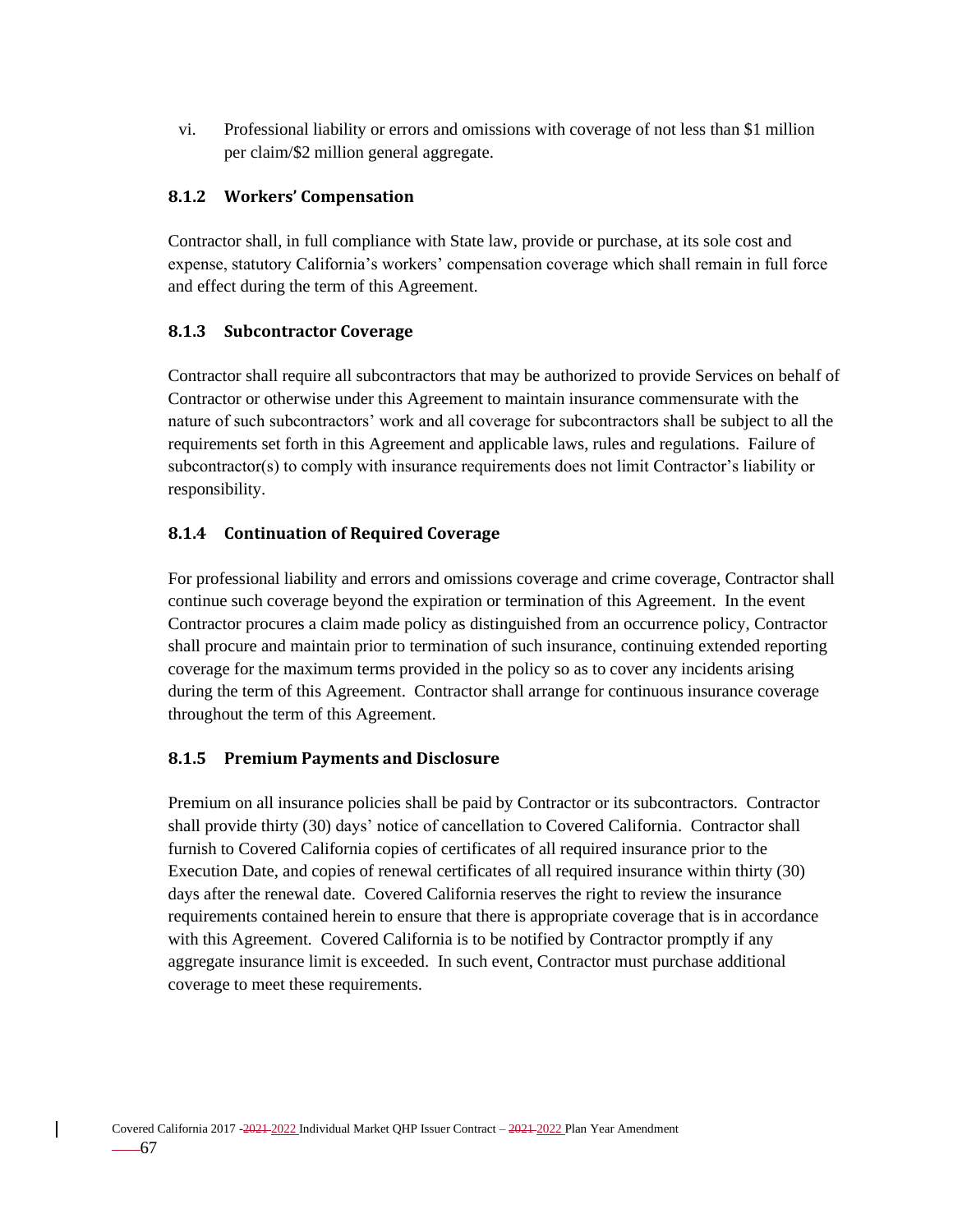vi. Professional liability or errors and omissions with coverage of not less than \$1 million per claim/\$2 million general aggregate.

### **8.1.2 Workers' Compensation**

Contractor shall, in full compliance with State law, provide or purchase, at its sole cost and expense, statutory California's workers' compensation coverage which shall remain in full force and effect during the term of this Agreement.

#### **8.1.3 Subcontractor Coverage**

Contractor shall require all subcontractors that may be authorized to provide Services on behalf of Contractor or otherwise under this Agreement to maintain insurance commensurate with the nature of such subcontractors' work and all coverage for subcontractors shall be subject to all the requirements set forth in this Agreement and applicable laws, rules and regulations. Failure of subcontractor(s) to comply with insurance requirements does not limit Contractor's liability or responsibility.

### **8.1.4 Continuation of Required Coverage**

For professional liability and errors and omissions coverage and crime coverage, Contractor shall continue such coverage beyond the expiration or termination of this Agreement. In the event Contractor procures a claim made policy as distinguished from an occurrence policy, Contractor shall procure and maintain prior to termination of such insurance, continuing extended reporting coverage for the maximum terms provided in the policy so as to cover any incidents arising during the term of this Agreement. Contractor shall arrange for continuous insurance coverage throughout the term of this Agreement.

### **8.1.5 Premium Payments and Disclosure**

Premium on all insurance policies shall be paid by Contractor or its subcontractors. Contractor shall provide thirty (30) days' notice of cancellation to Covered California. Contractor shall furnish to Covered California copies of certificates of all required insurance prior to the Execution Date, and copies of renewal certificates of all required insurance within thirty (30) days after the renewal date. Covered California reserves the right to review the insurance requirements contained herein to ensure that there is appropriate coverage that is in accordance with this Agreement. Covered California is to be notified by Contractor promptly if any aggregate insurance limit is exceeded. In such event, Contractor must purchase additional coverage to meet these requirements.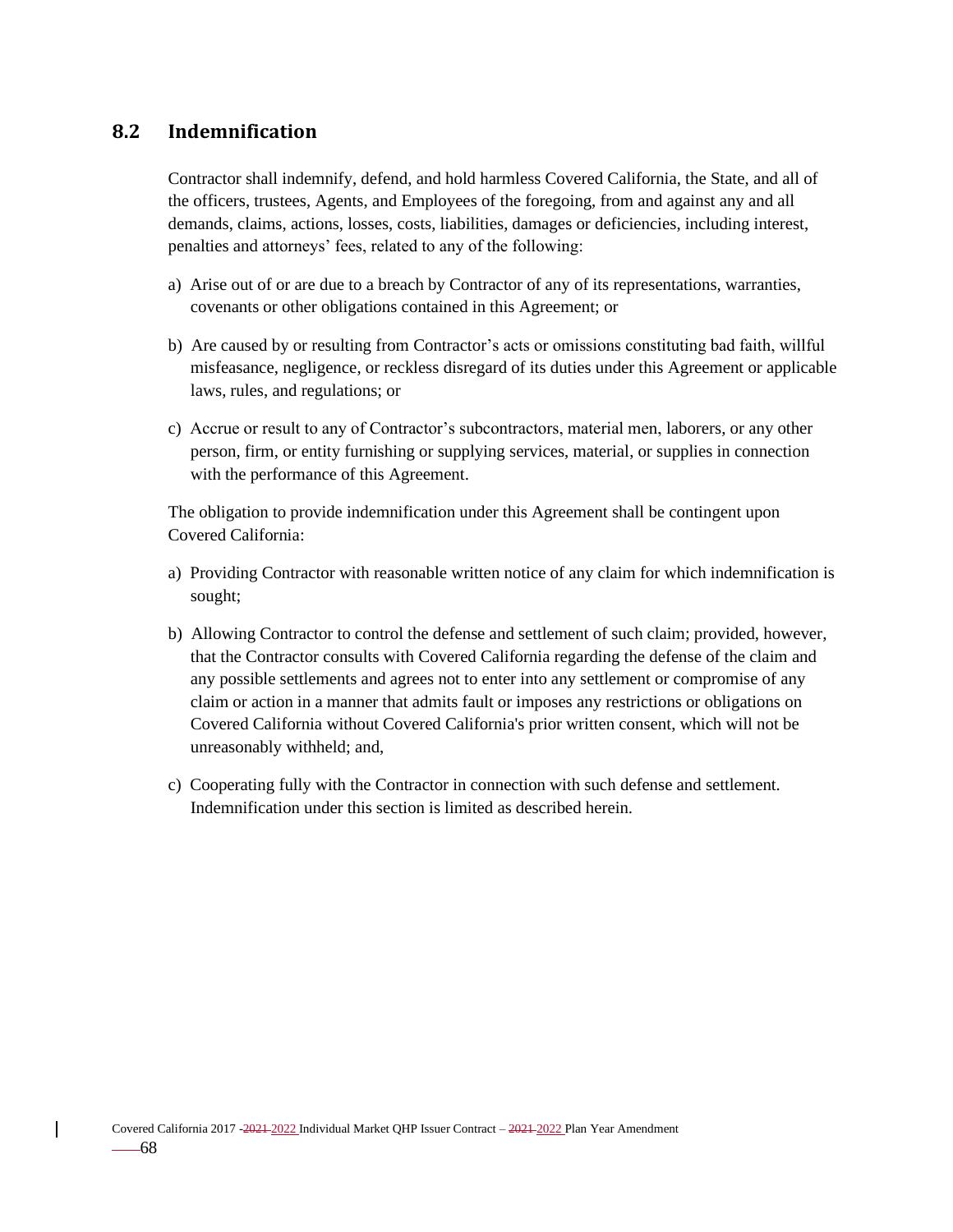## **8.2 Indemnification**

Contractor shall indemnify, defend, and hold harmless Covered California, the State, and all of the officers, trustees, Agents, and Employees of the foregoing, from and against any and all demands, claims, actions, losses, costs, liabilities, damages or deficiencies, including interest, penalties and attorneys' fees, related to any of the following:

- a) Arise out of or are due to a breach by Contractor of any of its representations, warranties, covenants or other obligations contained in this Agreement; or
- b) Are caused by or resulting from Contractor's acts or omissions constituting bad faith, willful misfeasance, negligence, or reckless disregard of its duties under this Agreement or applicable laws, rules, and regulations; or
- c) Accrue or result to any of Contractor's subcontractors, material men, laborers, or any other person, firm, or entity furnishing or supplying services, material, or supplies in connection with the performance of this Agreement.

The obligation to provide indemnification under this Agreement shall be contingent upon Covered California:

- a) Providing Contractor with reasonable written notice of any claim for which indemnification is sought;
- b) Allowing Contractor to control the defense and settlement of such claim; provided, however, that the Contractor consults with Covered California regarding the defense of the claim and any possible settlements and agrees not to enter into any settlement or compromise of any claim or action in a manner that admits fault or imposes any restrictions or obligations on Covered California without Covered California's prior written consent, which will not be unreasonably withheld; and,
- c) Cooperating fully with the Contractor in connection with such defense and settlement. Indemnification under this section is limited as described herein.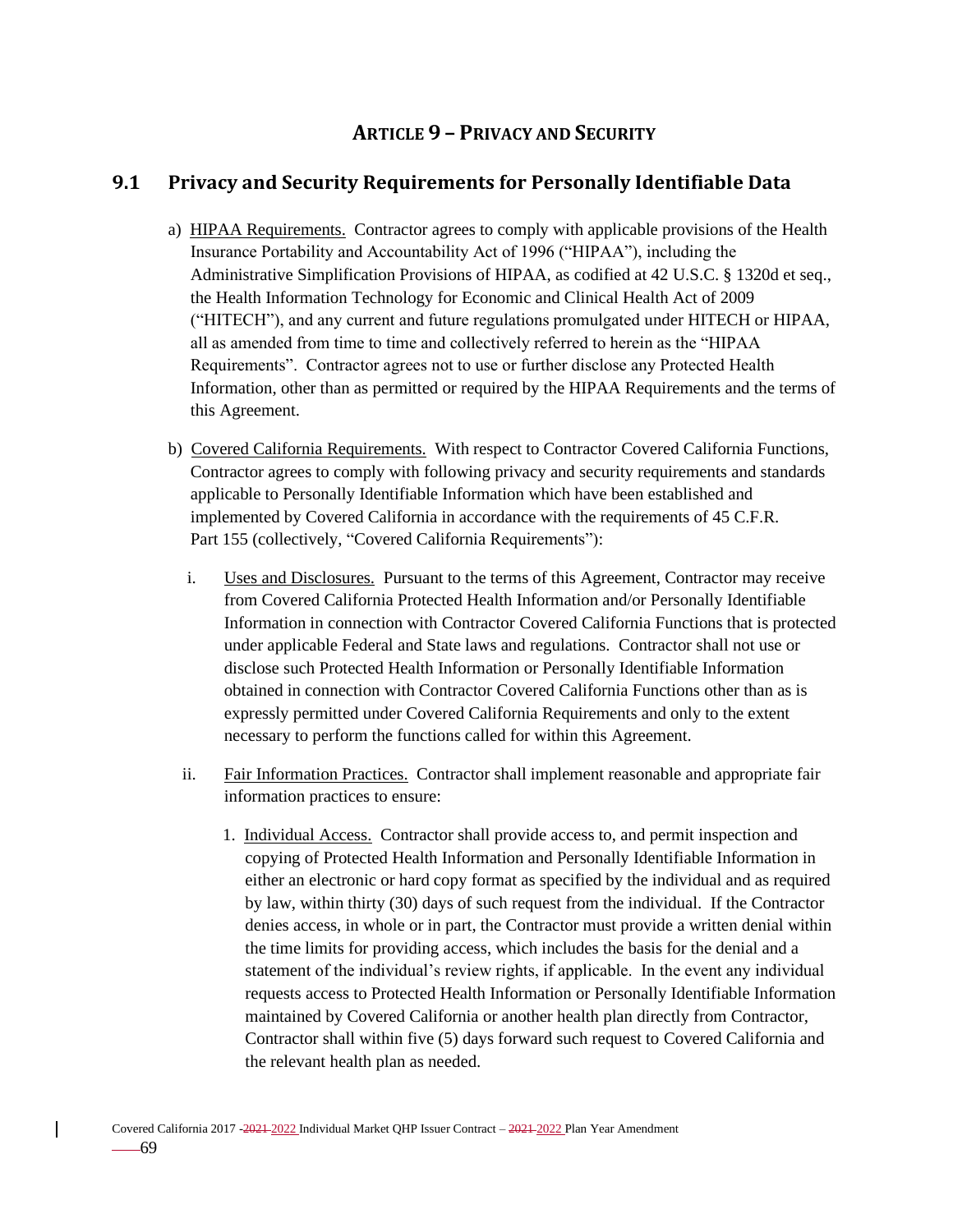# **ARTICLE 9 – PRIVACY AND SECURITY**

# **9.1 Privacy and Security Requirements for Personally Identifiable Data**

- a) HIPAA Requirements. Contractor agrees to comply with applicable provisions of the Health Insurance Portability and Accountability Act of 1996 ("HIPAA"), including the Administrative Simplification Provisions of HIPAA, as codified at 42 U.S.C. § 1320d et seq., the Health Information Technology for Economic and Clinical Health Act of 2009 ("HITECH"), and any current and future regulations promulgated under HITECH or HIPAA, all as amended from time to time and collectively referred to herein as the "HIPAA Requirements". Contractor agrees not to use or further disclose any Protected Health Information, other than as permitted or required by the HIPAA Requirements and the terms of this Agreement.
- b) Covered California Requirements. With respect to Contractor Covered California Functions, Contractor agrees to comply with following privacy and security requirements and standards applicable to Personally Identifiable Information which have been established and implemented by Covered California in accordance with the requirements of 45 C.F.R. Part 155 (collectively, "Covered California Requirements"):
	- i. Uses and Disclosures. Pursuant to the terms of this Agreement, Contractor may receive from Covered California Protected Health Information and/or Personally Identifiable Information in connection with Contractor Covered California Functions that is protected under applicable Federal and State laws and regulations. Contractor shall not use or disclose such Protected Health Information or Personally Identifiable Information obtained in connection with Contractor Covered California Functions other than as is expressly permitted under Covered California Requirements and only to the extent necessary to perform the functions called for within this Agreement.
	- ii. Fair Information Practices. Contractor shall implement reasonable and appropriate fair information practices to ensure:
		- 1. Individual Access. Contractor shall provide access to, and permit inspection and copying of Protected Health Information and Personally Identifiable Information in either an electronic or hard copy format as specified by the individual and as required by law, within thirty (30) days of such request from the individual. If the Contractor denies access, in whole or in part, the Contractor must provide a written denial within the time limits for providing access, which includes the basis for the denial and a statement of the individual's review rights, if applicable. In the event any individual requests access to Protected Health Information or Personally Identifiable Information maintained by Covered California or another health plan directly from Contractor, Contractor shall within five (5) days forward such request to Covered California and the relevant health plan as needed.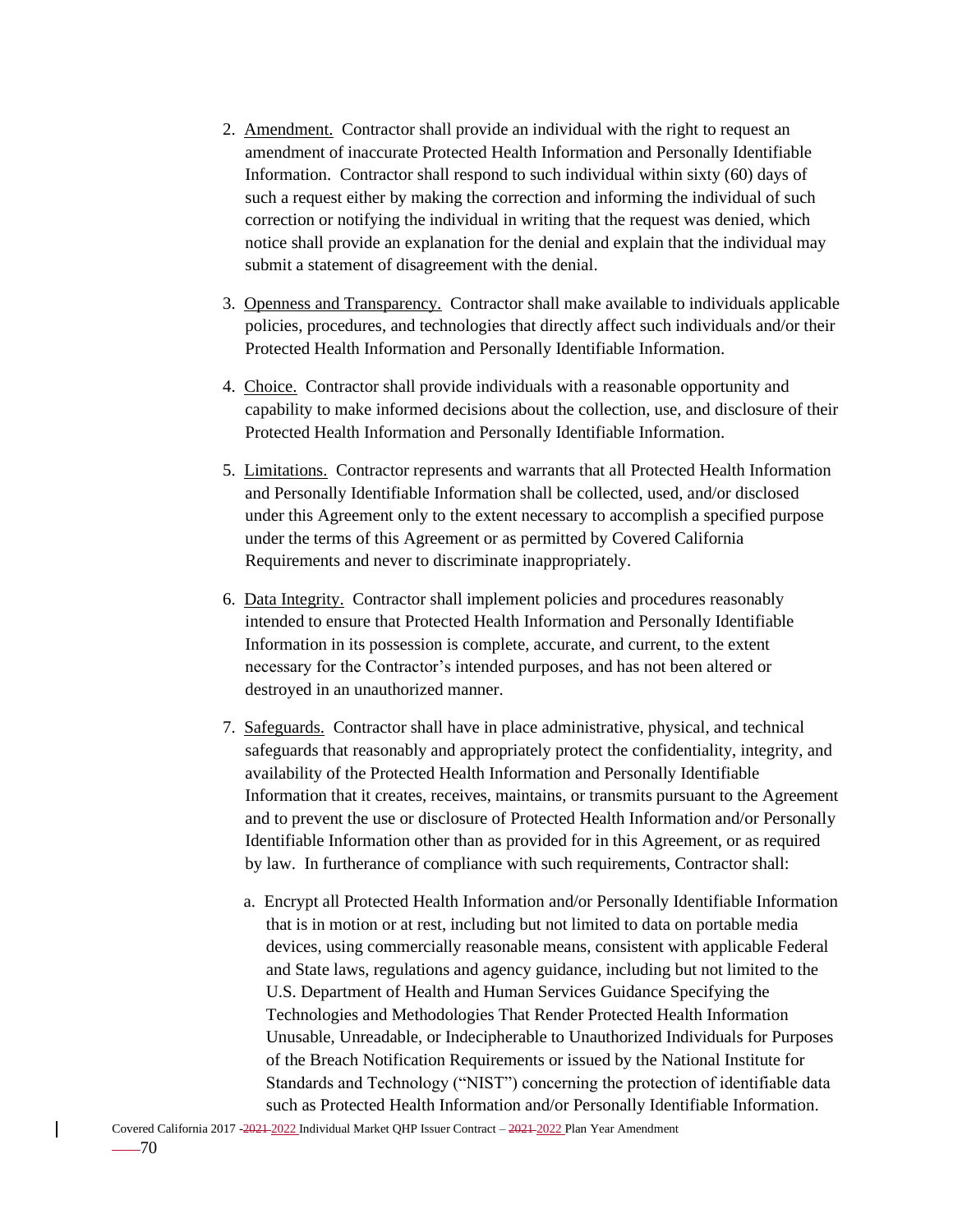- 2. Amendment. Contractor shall provide an individual with the right to request an amendment of inaccurate Protected Health Information and Personally Identifiable Information. Contractor shall respond to such individual within sixty (60) days of such a request either by making the correction and informing the individual of such correction or notifying the individual in writing that the request was denied, which notice shall provide an explanation for the denial and explain that the individual may submit a statement of disagreement with the denial.
- 3. Openness and Transparency. Contractor shall make available to individuals applicable policies, procedures, and technologies that directly affect such individuals and/or their Protected Health Information and Personally Identifiable Information.
- 4. Choice. Contractor shall provide individuals with a reasonable opportunity and capability to make informed decisions about the collection, use, and disclosure of their Protected Health Information and Personally Identifiable Information.
- 5. Limitations. Contractor represents and warrants that all Protected Health Information and Personally Identifiable Information shall be collected, used, and/or disclosed under this Agreement only to the extent necessary to accomplish a specified purpose under the terms of this Agreement or as permitted by Covered California Requirements and never to discriminate inappropriately.
- 6. Data Integrity. Contractor shall implement policies and procedures reasonably intended to ensure that Protected Health Information and Personally Identifiable Information in its possession is complete, accurate, and current, to the extent necessary for the Contractor's intended purposes, and has not been altered or destroyed in an unauthorized manner.
- 7. Safeguards. Contractor shall have in place administrative, physical, and technical safeguards that reasonably and appropriately protect the confidentiality, integrity, and availability of the Protected Health Information and Personally Identifiable Information that it creates, receives, maintains, or transmits pursuant to the Agreement and to prevent the use or disclosure of Protected Health Information and/or Personally Identifiable Information other than as provided for in this Agreement, or as required by law. In furtherance of compliance with such requirements, Contractor shall:
	- a. Encrypt all Protected Health Information and/or Personally Identifiable Information that is in motion or at rest, including but not limited to data on portable media devices, using commercially reasonable means, consistent with applicable Federal and State laws, regulations and agency guidance, including but not limited to the U.S. Department of Health and Human Services Guidance Specifying the Technologies and Methodologies That Render Protected Health Information Unusable, Unreadable, or Indecipherable to Unauthorized Individuals for Purposes of the Breach Notification Requirements or issued by the National Institute for Standards and Technology ("NIST") concerning the protection of identifiable data such as Protected Health Information and/or Personally Identifiable Information.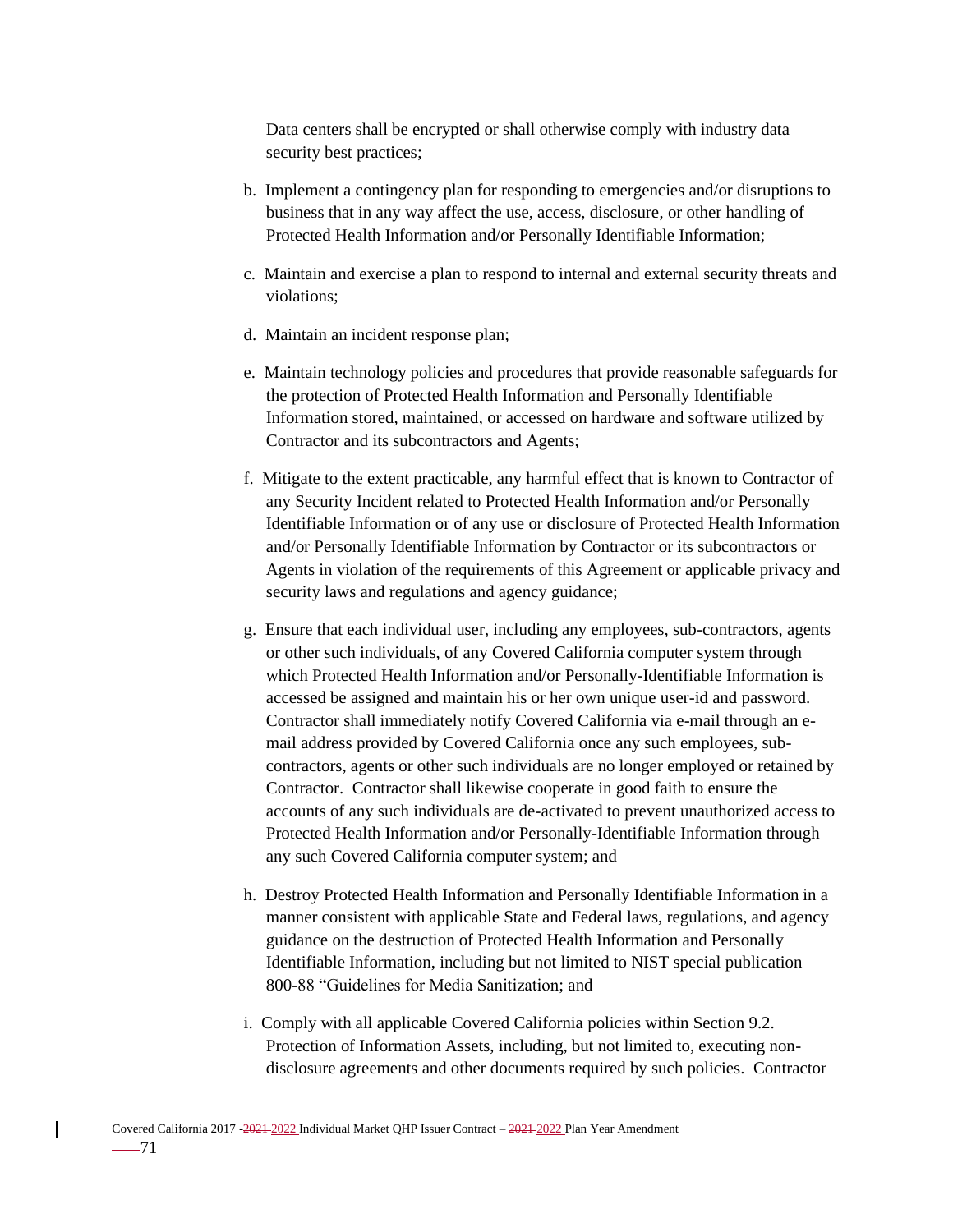Data centers shall be encrypted or shall otherwise comply with industry data security best practices;

- b. Implement a contingency plan for responding to emergencies and/or disruptions to business that in any way affect the use, access, disclosure, or other handling of Protected Health Information and/or Personally Identifiable Information;
- c. Maintain and exercise a plan to respond to internal and external security threats and violations;
- d. Maintain an incident response plan;
- e. Maintain technology policies and procedures that provide reasonable safeguards for the protection of Protected Health Information and Personally Identifiable Information stored, maintained, or accessed on hardware and software utilized by Contractor and its subcontractors and Agents;
- f. Mitigate to the extent practicable, any harmful effect that is known to Contractor of any Security Incident related to Protected Health Information and/or Personally Identifiable Information or of any use or disclosure of Protected Health Information and/or Personally Identifiable Information by Contractor or its subcontractors or Agents in violation of the requirements of this Agreement or applicable privacy and security laws and regulations and agency guidance;
- g. Ensure that each individual user, including any employees, sub-contractors, agents or other such individuals, of any Covered California computer system through which Protected Health Information and/or Personally-Identifiable Information is accessed be assigned and maintain his or her own unique user-id and password. Contractor shall immediately notify Covered California via e-mail through an email address provided by Covered California once any such employees, subcontractors, agents or other such individuals are no longer employed or retained by Contractor. Contractor shall likewise cooperate in good faith to ensure the accounts of any such individuals are de-activated to prevent unauthorized access to Protected Health Information and/or Personally-Identifiable Information through any such Covered California computer system; and
- h. Destroy Protected Health Information and Personally Identifiable Information in a manner consistent with applicable State and Federal laws, regulations, and agency guidance on the destruction of Protected Health Information and Personally Identifiable Information, including but not limited to NIST special publication 800-88 "Guidelines for Media Sanitization; and
- i. Comply with all applicable Covered California policies within Section 9.2. Protection of Information Assets, including, but not limited to, executing nondisclosure agreements and other documents required by such policies. Contractor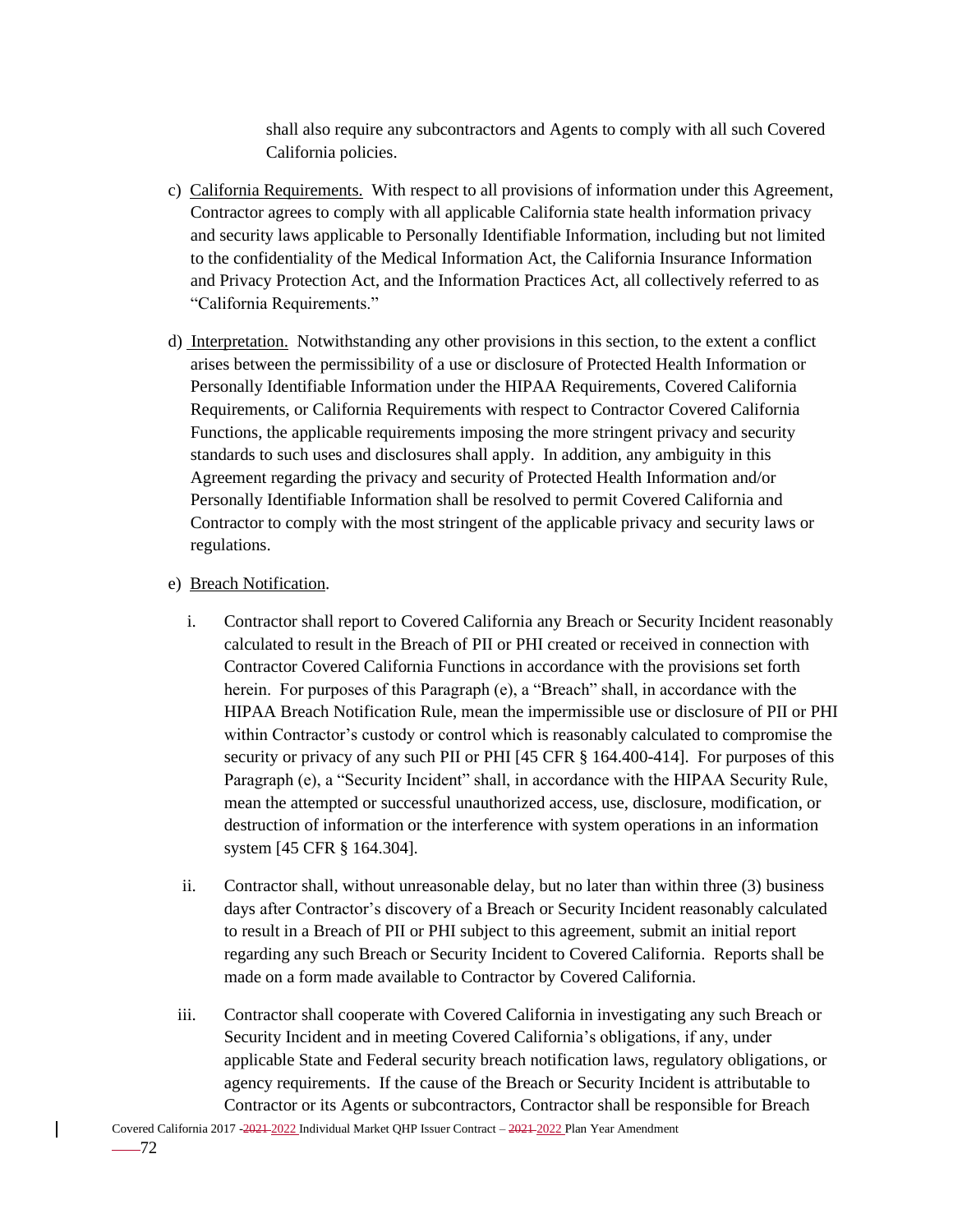shall also require any subcontractors and Agents to comply with all such Covered California policies.

- c) California Requirements. With respect to all provisions of information under this Agreement, Contractor agrees to comply with all applicable California state health information privacy and security laws applicable to Personally Identifiable Information, including but not limited to the confidentiality of the Medical Information Act, the California Insurance Information and Privacy Protection Act, and the Information Practices Act, all collectively referred to as "California Requirements."
- d) Interpretation. Notwithstanding any other provisions in this section, to the extent a conflict arises between the permissibility of a use or disclosure of Protected Health Information or Personally Identifiable Information under the HIPAA Requirements, Covered California Requirements, or California Requirements with respect to Contractor Covered California Functions, the applicable requirements imposing the more stringent privacy and security standards to such uses and disclosures shall apply. In addition, any ambiguity in this Agreement regarding the privacy and security of Protected Health Information and/or Personally Identifiable Information shall be resolved to permit Covered California and Contractor to comply with the most stringent of the applicable privacy and security laws or regulations.

#### e) Breach Notification.

- i. Contractor shall report to Covered California any Breach or Security Incident reasonably calculated to result in the Breach of PII or PHI created or received in connection with Contractor Covered California Functions in accordance with the provisions set forth herein. For purposes of this Paragraph (e), a "Breach" shall, in accordance with the HIPAA Breach Notification Rule, mean the impermissible use or disclosure of PII or PHI within Contractor's custody or control which is reasonably calculated to compromise the security or privacy of any such PII or PHI [45 CFR § 164.400-414]. For purposes of this Paragraph (e), a "Security Incident" shall, in accordance with the HIPAA Security Rule, mean the attempted or successful unauthorized access, use, disclosure, modification, or destruction of information or the interference with system operations in an information system [45 CFR § 164.304].
- ii. Contractor shall, without unreasonable delay, but no later than within three (3) business days after Contractor's discovery of a Breach or Security Incident reasonably calculated to result in a Breach of PII or PHI subject to this agreement, submit an initial report regarding any such Breach or Security Incident to Covered California. Reports shall be made on a form made available to Contractor by Covered California.
- iii. Contractor shall cooperate with Covered California in investigating any such Breach or Security Incident and in meeting Covered California's obligations, if any, under applicable State and Federal security breach notification laws, regulatory obligations, or agency requirements. If the cause of the Breach or Security Incident is attributable to Contractor or its Agents or subcontractors, Contractor shall be responsible for Breach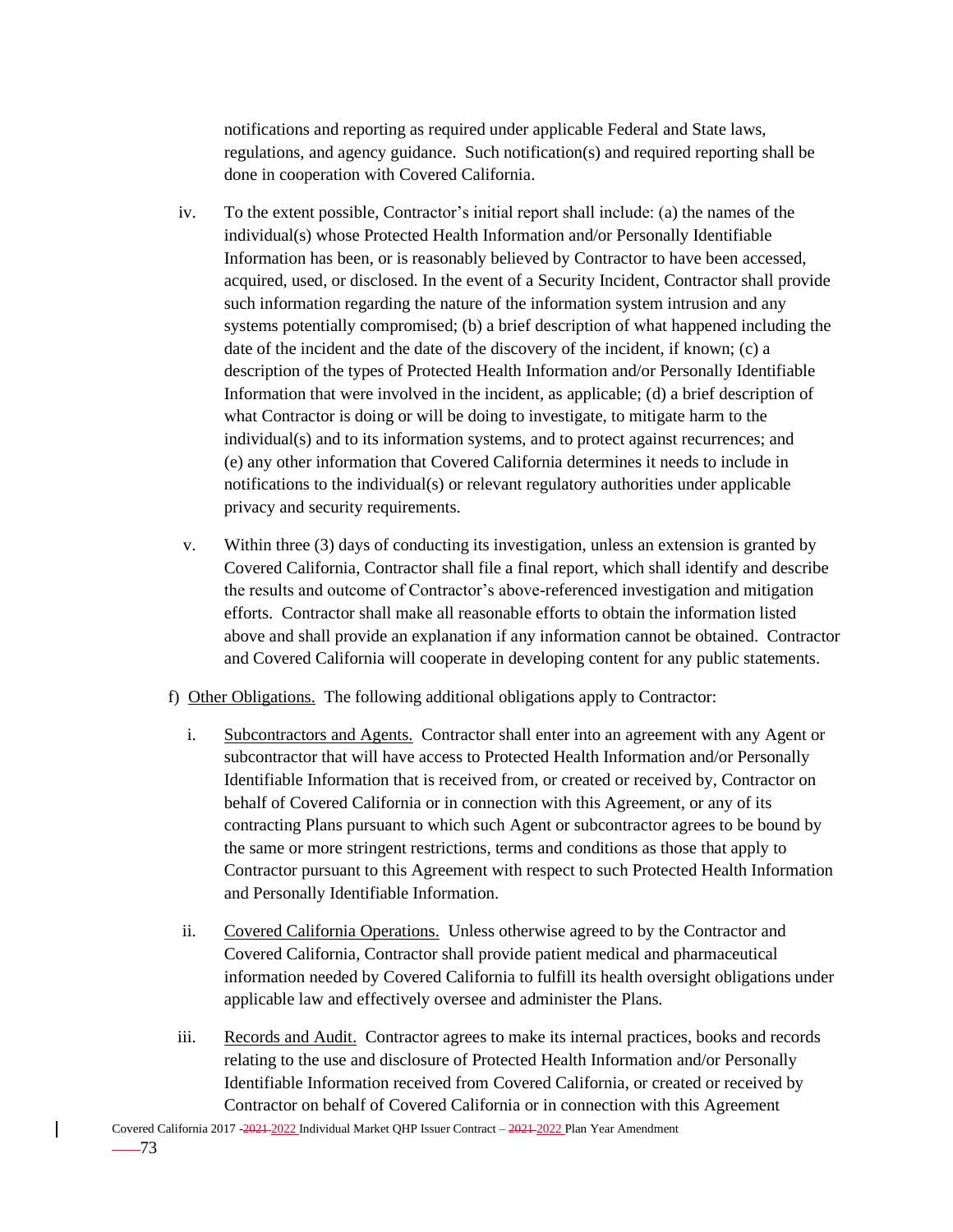notifications and reporting as required under applicable Federal and State laws, regulations, and agency guidance. Such notification(s) and required reporting shall be done in cooperation with Covered California.

- iv. To the extent possible, Contractor's initial report shall include: (a) the names of the individual(s) whose Protected Health Information and/or Personally Identifiable Information has been, or is reasonably believed by Contractor to have been accessed, acquired, used, or disclosed. In the event of a Security Incident, Contractor shall provide such information regarding the nature of the information system intrusion and any systems potentially compromised; (b) a brief description of what happened including the date of the incident and the date of the discovery of the incident, if known; (c) a description of the types of Protected Health Information and/or Personally Identifiable Information that were involved in the incident, as applicable; (d) a brief description of what Contractor is doing or will be doing to investigate, to mitigate harm to the individual(s) and to its information systems, and to protect against recurrences; and (e) any other information that Covered California determines it needs to include in notifications to the individual(s) or relevant regulatory authorities under applicable privacy and security requirements.
- v. Within three (3) days of conducting its investigation, unless an extension is granted by Covered California, Contractor shall file a final report, which shall identify and describe the results and outcome of Contractor's above-referenced investigation and mitigation efforts. Contractor shall make all reasonable efforts to obtain the information listed above and shall provide an explanation if any information cannot be obtained. Contractor and Covered California will cooperate in developing content for any public statements.
- f) Other Obligations. The following additional obligations apply to Contractor:
	- i. Subcontractors and Agents. Contractor shall enter into an agreement with any Agent or subcontractor that will have access to Protected Health Information and/or Personally Identifiable Information that is received from, or created or received by, Contractor on behalf of Covered California or in connection with this Agreement, or any of its contracting Plans pursuant to which such Agent or subcontractor agrees to be bound by the same or more stringent restrictions, terms and conditions as those that apply to Contractor pursuant to this Agreement with respect to such Protected Health Information and Personally Identifiable Information.
	- ii. Covered California Operations. Unless otherwise agreed to by the Contractor and Covered California, Contractor shall provide patient medical and pharmaceutical information needed by Covered California to fulfill its health oversight obligations under applicable law and effectively oversee and administer the Plans.
- iii. Records and Audit. Contractor agrees to make its internal practices, books and records relating to the use and disclosure of Protected Health Information and/or Personally Identifiable Information received from Covered California, or created or received by Contractor on behalf of Covered California or in connection with this Agreement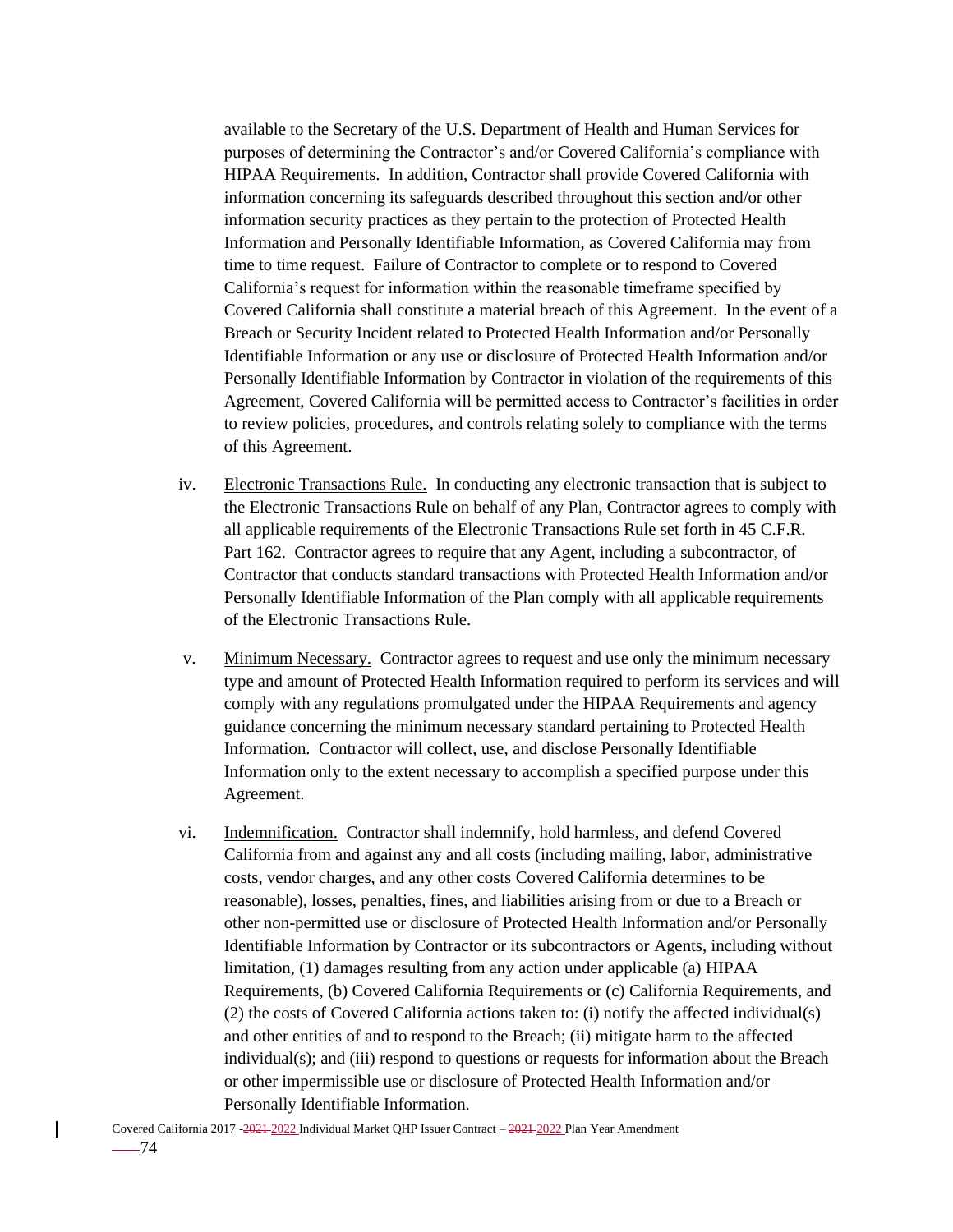available to the Secretary of the U.S. Department of Health and Human Services for purposes of determining the Contractor's and/or Covered California's compliance with HIPAA Requirements. In addition, Contractor shall provide Covered California with information concerning its safeguards described throughout this section and/or other information security practices as they pertain to the protection of Protected Health Information and Personally Identifiable Information, as Covered California may from time to time request. Failure of Contractor to complete or to respond to Covered California's request for information within the reasonable timeframe specified by Covered California shall constitute a material breach of this Agreement. In the event of a Breach or Security Incident related to Protected Health Information and/or Personally Identifiable Information or any use or disclosure of Protected Health Information and/or Personally Identifiable Information by Contractor in violation of the requirements of this Agreement, Covered California will be permitted access to Contractor's facilities in order to review policies, procedures, and controls relating solely to compliance with the terms of this Agreement.

- iv. Electronic Transactions Rule. In conducting any electronic transaction that is subject to the Electronic Transactions Rule on behalf of any Plan, Contractor agrees to comply with all applicable requirements of the Electronic Transactions Rule set forth in 45 C.F.R. Part 162. Contractor agrees to require that any Agent, including a subcontractor, of Contractor that conducts standard transactions with Protected Health Information and/or Personally Identifiable Information of the Plan comply with all applicable requirements of the Electronic Transactions Rule.
- v. Minimum Necessary. Contractor agrees to request and use only the minimum necessary type and amount of Protected Health Information required to perform its services and will comply with any regulations promulgated under the HIPAA Requirements and agency guidance concerning the minimum necessary standard pertaining to Protected Health Information. Contractor will collect, use, and disclose Personally Identifiable Information only to the extent necessary to accomplish a specified purpose under this Agreement.
- vi. Indemnification. Contractor shall indemnify, hold harmless, and defend Covered California from and against any and all costs (including mailing, labor, administrative costs, vendor charges, and any other costs Covered California determines to be reasonable), losses, penalties, fines, and liabilities arising from or due to a Breach or other non-permitted use or disclosure of Protected Health Information and/or Personally Identifiable Information by Contractor or its subcontractors or Agents, including without limitation, (1) damages resulting from any action under applicable (a) HIPAA Requirements, (b) Covered California Requirements or (c) California Requirements, and (2) the costs of Covered California actions taken to: (i) notify the affected individual(s) and other entities of and to respond to the Breach; (ii) mitigate harm to the affected individual(s); and (iii) respond to questions or requests for information about the Breach or other impermissible use or disclosure of Protected Health Information and/or Personally Identifiable Information.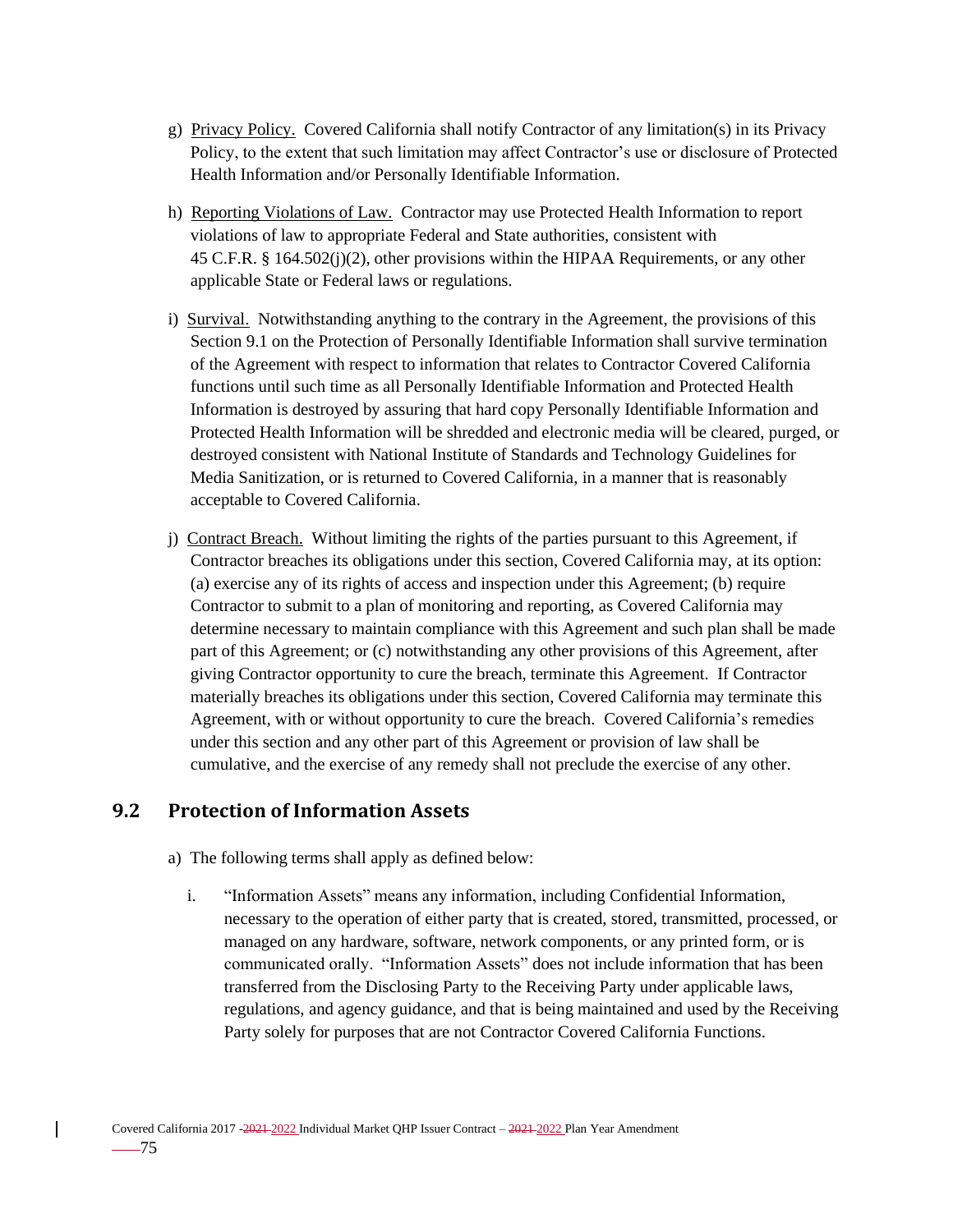- g) Privacy Policy. Covered California shall notify Contractor of any limitation(s) in its Privacy Policy, to the extent that such limitation may affect Contractor's use or disclosure of Protected Health Information and/or Personally Identifiable Information.
- h) Reporting Violations of Law. Contractor may use Protected Health Information to report violations of law to appropriate Federal and State authorities, consistent with 45 C.F.R. § 164.502(j)(2), other provisions within the HIPAA Requirements, or any other applicable State or Federal laws or regulations.
- i) Survival. Notwithstanding anything to the contrary in the Agreement, the provisions of this Section 9.1 on the Protection of Personally Identifiable Information shall survive termination of the Agreement with respect to information that relates to Contractor Covered California functions until such time as all Personally Identifiable Information and Protected Health Information is destroyed by assuring that hard copy Personally Identifiable Information and Protected Health Information will be shredded and electronic media will be cleared, purged, or destroyed consistent with National Institute of Standards and Technology Guidelines for Media Sanitization, or is returned to Covered California, in a manner that is reasonably acceptable to Covered California.
- j) Contract Breach. Without limiting the rights of the parties pursuant to this Agreement, if Contractor breaches its obligations under this section, Covered California may, at its option: (a) exercise any of its rights of access and inspection under this Agreement; (b) require Contractor to submit to a plan of monitoring and reporting, as Covered California may determine necessary to maintain compliance with this Agreement and such plan shall be made part of this Agreement; or (c) notwithstanding any other provisions of this Agreement, after giving Contractor opportunity to cure the breach, terminate this Agreement. If Contractor materially breaches its obligations under this section, Covered California may terminate this Agreement, with or without opportunity to cure the breach. Covered California's remedies under this section and any other part of this Agreement or provision of law shall be cumulative, and the exercise of any remedy shall not preclude the exercise of any other.

## **9.2 Protection of Information Assets**

- a) The following terms shall apply as defined below:
	- i. "Information Assets" means any information, including Confidential Information, necessary to the operation of either party that is created, stored, transmitted, processed, or managed on any hardware, software, network components, or any printed form, or is communicated orally. "Information Assets" does not include information that has been transferred from the Disclosing Party to the Receiving Party under applicable laws, regulations, and agency guidance, and that is being maintained and used by the Receiving Party solely for purposes that are not Contractor Covered California Functions.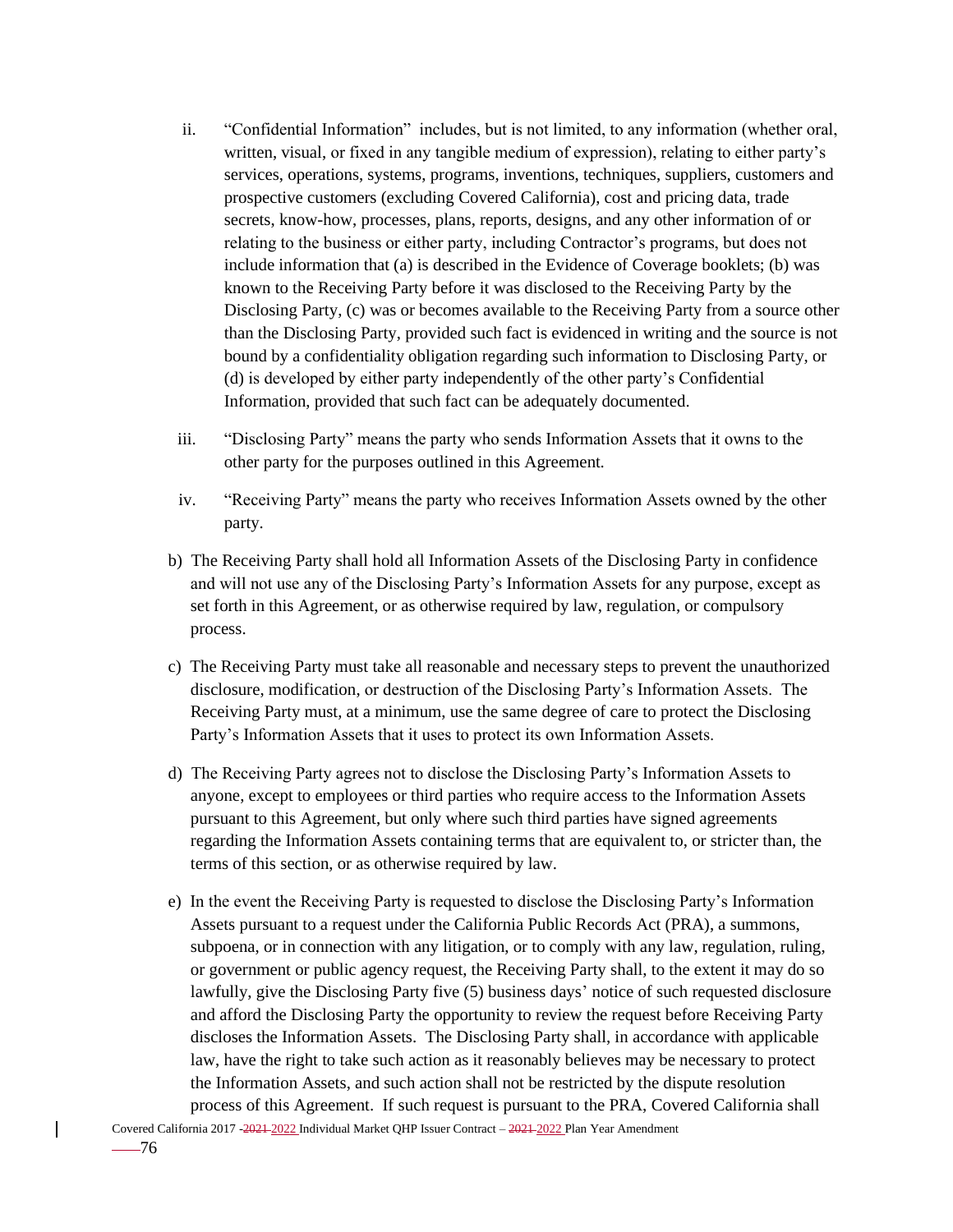- ii. "Confidential Information" includes, but is not limited, to any information (whether oral, written, visual, or fixed in any tangible medium of expression), relating to either party's services, operations, systems, programs, inventions, techniques, suppliers, customers and prospective customers (excluding Covered California), cost and pricing data, trade secrets, know-how, processes, plans, reports, designs, and any other information of or relating to the business or either party, including Contractor's programs, but does not include information that (a) is described in the Evidence of Coverage booklets; (b) was known to the Receiving Party before it was disclosed to the Receiving Party by the Disclosing Party, (c) was or becomes available to the Receiving Party from a source other than the Disclosing Party, provided such fact is evidenced in writing and the source is not bound by a confidentiality obligation regarding such information to Disclosing Party, or (d) is developed by either party independently of the other party's Confidential Information, provided that such fact can be adequately documented.
- iii. "Disclosing Party" means the party who sends Information Assets that it owns to the other party for the purposes outlined in this Agreement.
- iv. "Receiving Party" means the party who receives Information Assets owned by the other party.
- b) The Receiving Party shall hold all Information Assets of the Disclosing Party in confidence and will not use any of the Disclosing Party's Information Assets for any purpose, except as set forth in this Agreement, or as otherwise required by law, regulation, or compulsory process.
- c) The Receiving Party must take all reasonable and necessary steps to prevent the unauthorized disclosure, modification, or destruction of the Disclosing Party's Information Assets. The Receiving Party must, at a minimum, use the same degree of care to protect the Disclosing Party's Information Assets that it uses to protect its own Information Assets.
- d) The Receiving Party agrees not to disclose the Disclosing Party's Information Assets to anyone, except to employees or third parties who require access to the Information Assets pursuant to this Agreement, but only where such third parties have signed agreements regarding the Information Assets containing terms that are equivalent to, or stricter than, the terms of this section, or as otherwise required by law.
- e) In the event the Receiving Party is requested to disclose the Disclosing Party's Information Assets pursuant to a request under the California Public Records Act (PRA), a summons, subpoena, or in connection with any litigation, or to comply with any law, regulation, ruling, or government or public agency request, the Receiving Party shall, to the extent it may do so lawfully, give the Disclosing Party five (5) business days' notice of such requested disclosure and afford the Disclosing Party the opportunity to review the request before Receiving Party discloses the Information Assets. The Disclosing Party shall, in accordance with applicable law, have the right to take such action as it reasonably believes may be necessary to protect the Information Assets, and such action shall not be restricted by the dispute resolution process of this Agreement. If such request is pursuant to the PRA, Covered California shall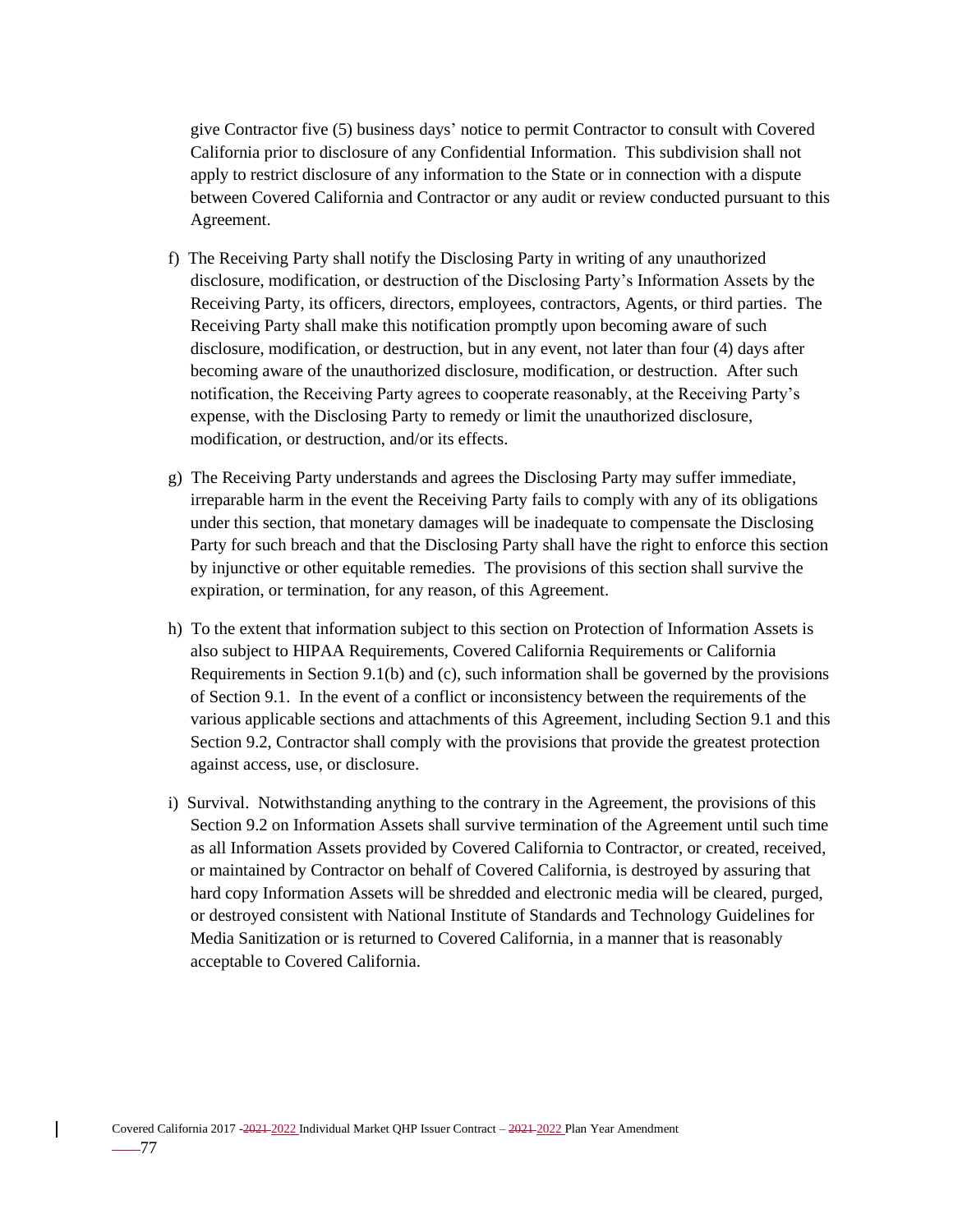give Contractor five (5) business days' notice to permit Contractor to consult with Covered California prior to disclosure of any Confidential Information. This subdivision shall not apply to restrict disclosure of any information to the State or in connection with a dispute between Covered California and Contractor or any audit or review conducted pursuant to this Agreement.

- f) The Receiving Party shall notify the Disclosing Party in writing of any unauthorized disclosure, modification, or destruction of the Disclosing Party's Information Assets by the Receiving Party, its officers, directors, employees, contractors, Agents, or third parties. The Receiving Party shall make this notification promptly upon becoming aware of such disclosure, modification, or destruction, but in any event, not later than four (4) days after becoming aware of the unauthorized disclosure, modification, or destruction. After such notification, the Receiving Party agrees to cooperate reasonably, at the Receiving Party's expense, with the Disclosing Party to remedy or limit the unauthorized disclosure, modification, or destruction, and/or its effects.
- g) The Receiving Party understands and agrees the Disclosing Party may suffer immediate, irreparable harm in the event the Receiving Party fails to comply with any of its obligations under this section, that monetary damages will be inadequate to compensate the Disclosing Party for such breach and that the Disclosing Party shall have the right to enforce this section by injunctive or other equitable remedies. The provisions of this section shall survive the expiration, or termination, for any reason, of this Agreement.
- h) To the extent that information subject to this section on Protection of Information Assets is also subject to HIPAA Requirements, Covered California Requirements or California Requirements in Section 9.1(b) and (c), such information shall be governed by the provisions of Section 9.1. In the event of a conflict or inconsistency between the requirements of the various applicable sections and attachments of this Agreement, including Section 9.1 and this Section 9.2, Contractor shall comply with the provisions that provide the greatest protection against access, use, or disclosure.
- i) Survival. Notwithstanding anything to the contrary in the Agreement, the provisions of this Section 9.2 on Information Assets shall survive termination of the Agreement until such time as all Information Assets provided by Covered California to Contractor, or created, received, or maintained by Contractor on behalf of Covered California, is destroyed by assuring that hard copy Information Assets will be shredded and electronic media will be cleared, purged, or destroyed consistent with National Institute of Standards and Technology Guidelines for Media Sanitization or is returned to Covered California, in a manner that is reasonably acceptable to Covered California.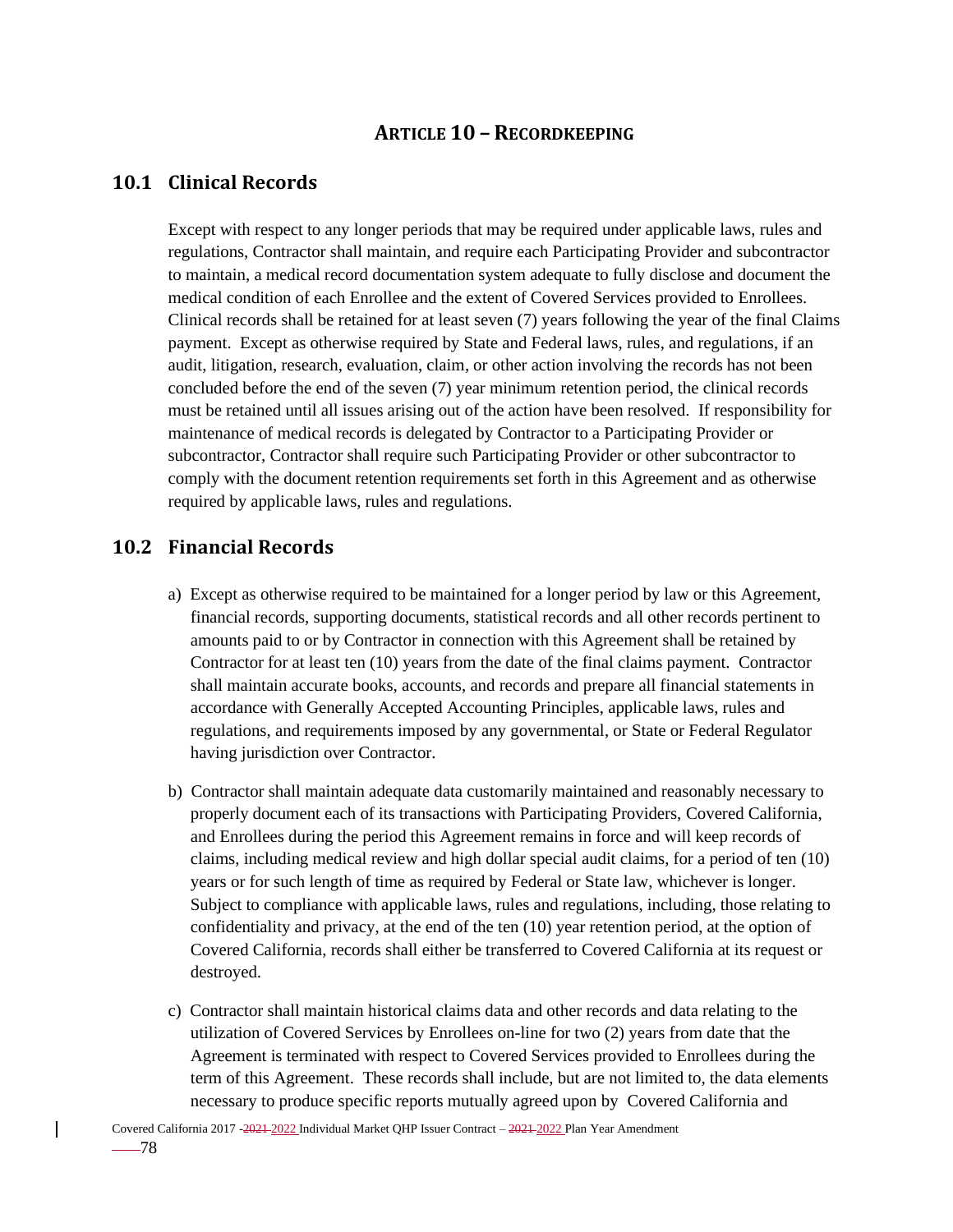## **ARTICLE 10 – RECORDKEEPING**

### **10.1 Clinical Records**

Except with respect to any longer periods that may be required under applicable laws, rules and regulations, Contractor shall maintain, and require each Participating Provider and subcontractor to maintain, a medical record documentation system adequate to fully disclose and document the medical condition of each Enrollee and the extent of Covered Services provided to Enrollees. Clinical records shall be retained for at least seven (7) years following the year of the final Claims payment. Except as otherwise required by State and Federal laws, rules, and regulations, if an audit, litigation, research, evaluation, claim, or other action involving the records has not been concluded before the end of the seven (7) year minimum retention period, the clinical records must be retained until all issues arising out of the action have been resolved. If responsibility for maintenance of medical records is delegated by Contractor to a Participating Provider or subcontractor, Contractor shall require such Participating Provider or other subcontractor to comply with the document retention requirements set forth in this Agreement and as otherwise required by applicable laws, rules and regulations.

### **10.2 Financial Records**

- a) Except as otherwise required to be maintained for a longer period by law or this Agreement, financial records, supporting documents, statistical records and all other records pertinent to amounts paid to or by Contractor in connection with this Agreement shall be retained by Contractor for at least ten (10) years from the date of the final claims payment. Contractor shall maintain accurate books, accounts, and records and prepare all financial statements in accordance with Generally Accepted Accounting Principles, applicable laws, rules and regulations, and requirements imposed by any governmental, or State or Federal Regulator having jurisdiction over Contractor.
- b) Contractor shall maintain adequate data customarily maintained and reasonably necessary to properly document each of its transactions with Participating Providers, Covered California, and Enrollees during the period this Agreement remains in force and will keep records of claims, including medical review and high dollar special audit claims, for a period of ten (10) years or for such length of time as required by Federal or State law, whichever is longer. Subject to compliance with applicable laws, rules and regulations, including, those relating to confidentiality and privacy, at the end of the ten (10) year retention period, at the option of Covered California, records shall either be transferred to Covered California at its request or destroyed.
- c) Contractor shall maintain historical claims data and other records and data relating to the utilization of Covered Services by Enrollees on-line for two (2) years from date that the Agreement is terminated with respect to Covered Services provided to Enrollees during the term of this Agreement. These records shall include, but are not limited to, the data elements necessary to produce specific reports mutually agreed upon by Covered California and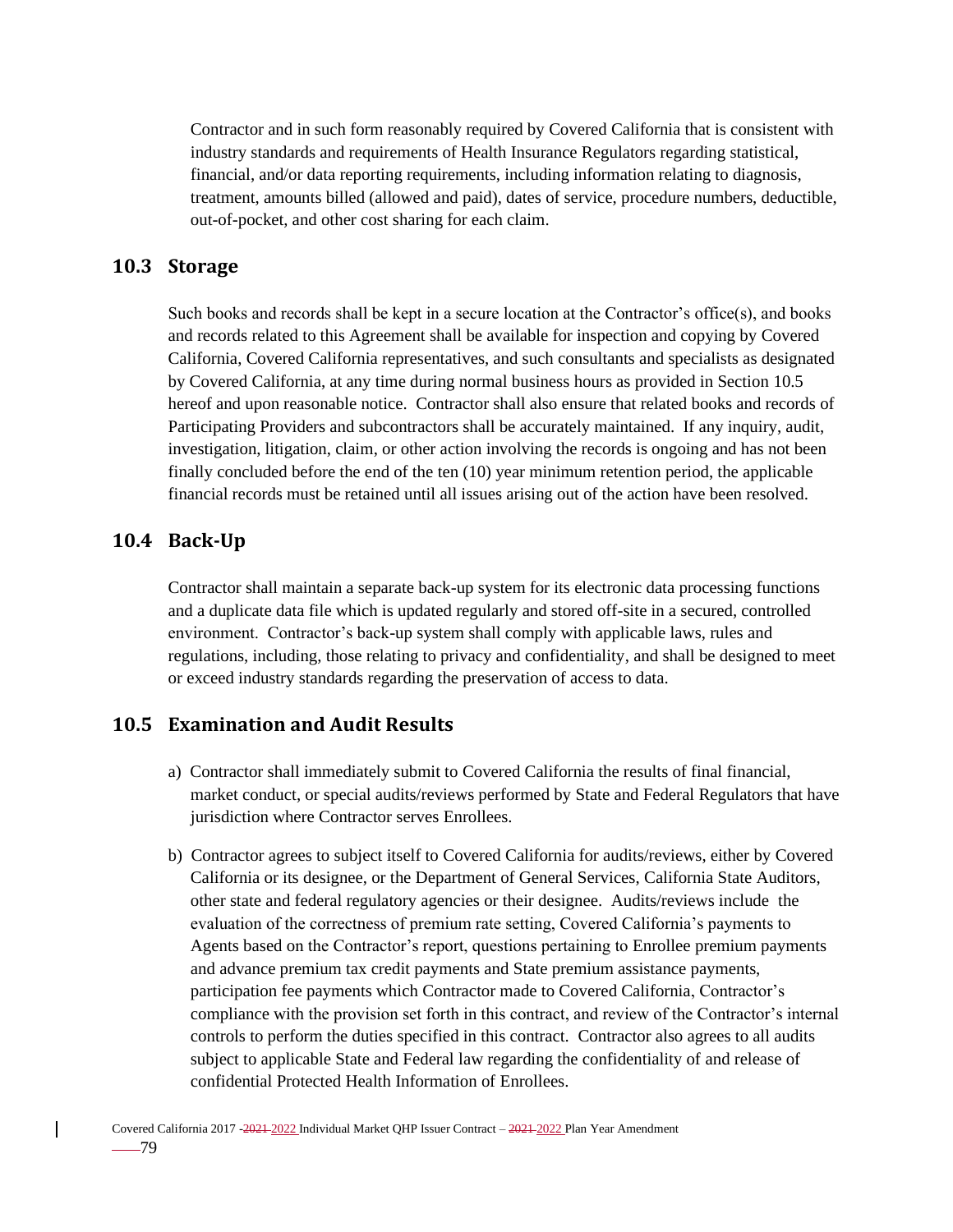Contractor and in such form reasonably required by Covered California that is consistent with industry standards and requirements of Health Insurance Regulators regarding statistical, financial, and/or data reporting requirements, including information relating to diagnosis, treatment, amounts billed (allowed and paid), dates of service, procedure numbers, deductible, out-of-pocket, and other cost sharing for each claim.

### **10.3 Storage**

Such books and records shall be kept in a secure location at the Contractor's office(s), and books and records related to this Agreement shall be available for inspection and copying by Covered California, Covered California representatives, and such consultants and specialists as designated by Covered California, at any time during normal business hours as provided in Section 10.5 hereof and upon reasonable notice. Contractor shall also ensure that related books and records of Participating Providers and subcontractors shall be accurately maintained. If any inquiry, audit, investigation, litigation, claim, or other action involving the records is ongoing and has not been finally concluded before the end of the ten (10) year minimum retention period, the applicable financial records must be retained until all issues arising out of the action have been resolved.

### **10.4 Back-Up**

Contractor shall maintain a separate back-up system for its electronic data processing functions and a duplicate data file which is updated regularly and stored off-site in a secured, controlled environment. Contractor's back-up system shall comply with applicable laws, rules and regulations, including, those relating to privacy and confidentiality, and shall be designed to meet or exceed industry standards regarding the preservation of access to data.

## **10.5 Examination and Audit Results**

- a) Contractor shall immediately submit to Covered California the results of final financial, market conduct, or special audits/reviews performed by State and Federal Regulators that have jurisdiction where Contractor serves Enrollees.
- b) Contractor agrees to subject itself to Covered California for audits/reviews, either by Covered California or its designee, or the Department of General Services, California State Auditors, other state and federal regulatory agencies or their designee. Audits/reviews include the evaluation of the correctness of premium rate setting, Covered California's payments to Agents based on the Contractor's report, questions pertaining to Enrollee premium payments and advance premium tax credit payments and State premium assistance payments, participation fee payments which Contractor made to Covered California, Contractor's compliance with the provision set forth in this contract, and review of the Contractor's internal controls to perform the duties specified in this contract. Contractor also agrees to all audits subject to applicable State and Federal law regarding the confidentiality of and release of confidential Protected Health Information of Enrollees.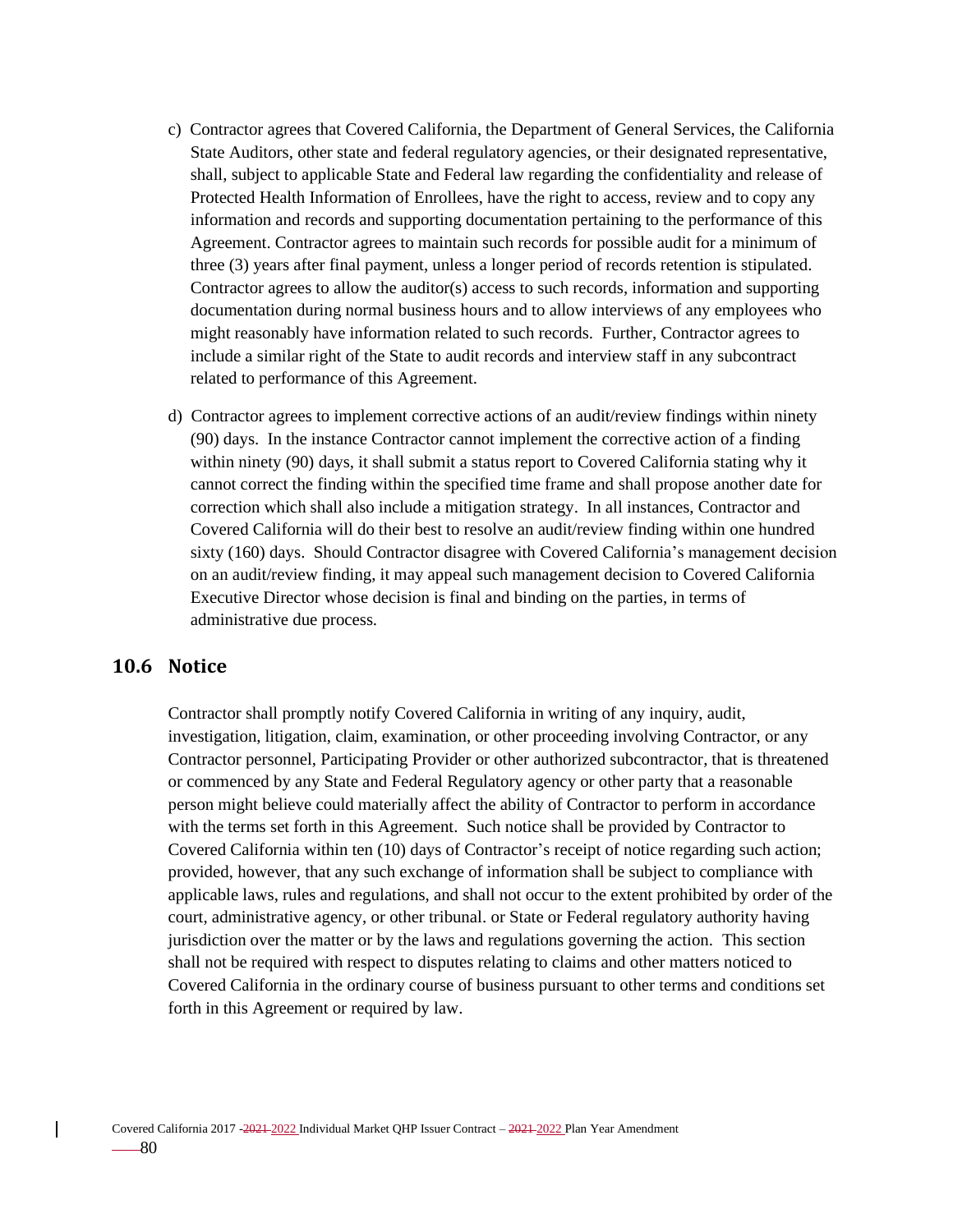- c) Contractor agrees that Covered California, the Department of General Services, the California State Auditors, other state and federal regulatory agencies, or their designated representative, shall, subject to applicable State and Federal law regarding the confidentiality and release of Protected Health Information of Enrollees, have the right to access, review and to copy any information and records and supporting documentation pertaining to the performance of this Agreement. Contractor agrees to maintain such records for possible audit for a minimum of three (3) years after final payment, unless a longer period of records retention is stipulated. Contractor agrees to allow the auditor(s) access to such records, information and supporting documentation during normal business hours and to allow interviews of any employees who might reasonably have information related to such records. Further, Contractor agrees to include a similar right of the State to audit records and interview staff in any subcontract related to performance of this Agreement.
- d) Contractor agrees to implement corrective actions of an audit/review findings within ninety (90) days. In the instance Contractor cannot implement the corrective action of a finding within ninety (90) days, it shall submit a status report to Covered California stating why it cannot correct the finding within the specified time frame and shall propose another date for correction which shall also include a mitigation strategy. In all instances, Contractor and Covered California will do their best to resolve an audit/review finding within one hundred sixty (160) days. Should Contractor disagree with Covered California's management decision on an audit/review finding, it may appeal such management decision to Covered California Executive Director whose decision is final and binding on the parties, in terms of administrative due process.

## **10.6 Notice**

Contractor shall promptly notify Covered California in writing of any inquiry, audit, investigation, litigation, claim, examination, or other proceeding involving Contractor, or any Contractor personnel, Participating Provider or other authorized subcontractor, that is threatened or commenced by any State and Federal Regulatory agency or other party that a reasonable person might believe could materially affect the ability of Contractor to perform in accordance with the terms set forth in this Agreement. Such notice shall be provided by Contractor to Covered California within ten (10) days of Contractor's receipt of notice regarding such action; provided, however, that any such exchange of information shall be subject to compliance with applicable laws, rules and regulations, and shall not occur to the extent prohibited by order of the court, administrative agency, or other tribunal. or State or Federal regulatory authority having jurisdiction over the matter or by the laws and regulations governing the action. This section shall not be required with respect to disputes relating to claims and other matters noticed to Covered California in the ordinary course of business pursuant to other terms and conditions set forth in this Agreement or required by law.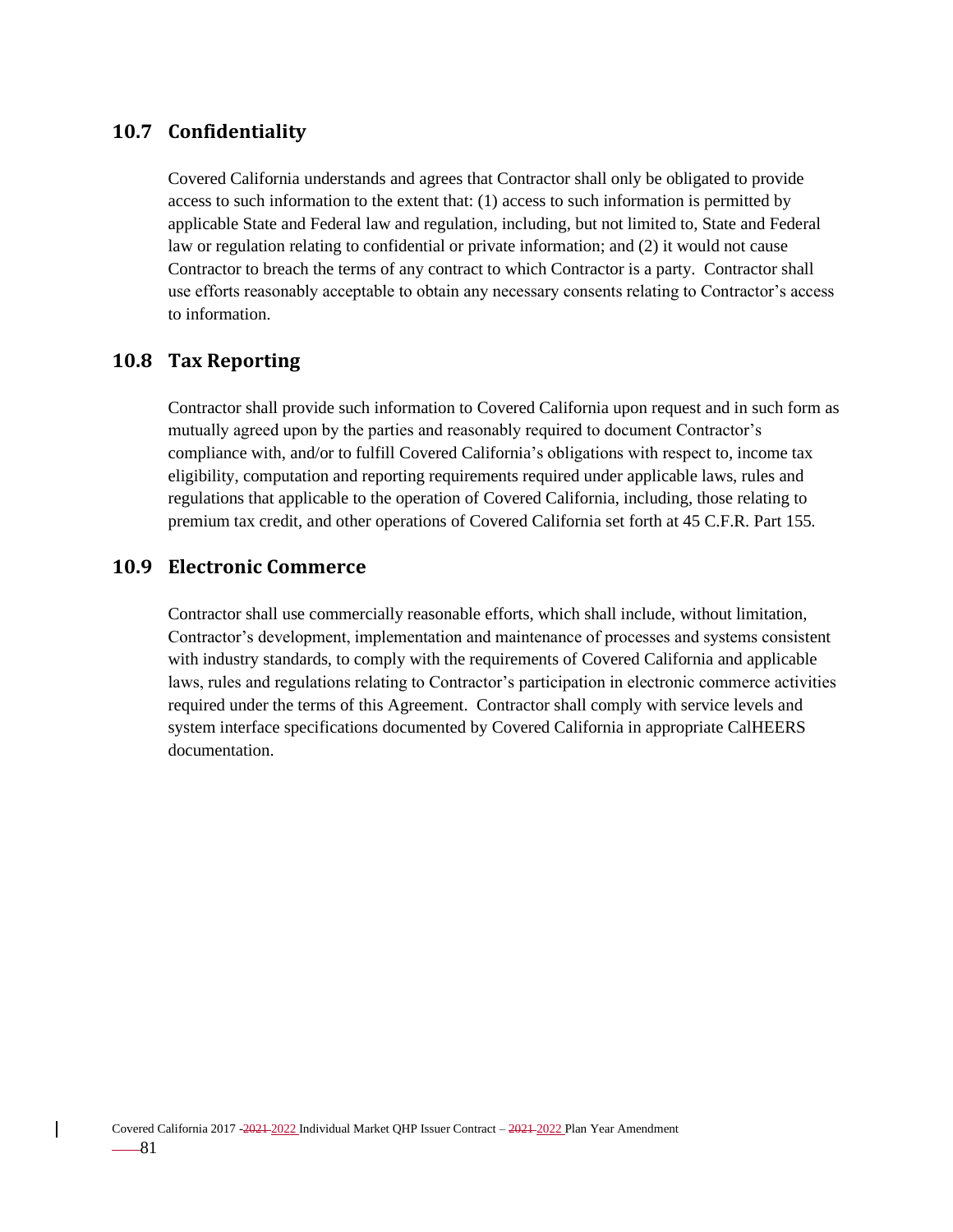## **10.7 Confidentiality**

Covered California understands and agrees that Contractor shall only be obligated to provide access to such information to the extent that: (1) access to such information is permitted by applicable State and Federal law and regulation, including, but not limited to, State and Federal law or regulation relating to confidential or private information; and (2) it would not cause Contractor to breach the terms of any contract to which Contractor is a party. Contractor shall use efforts reasonably acceptable to obtain any necessary consents relating to Contractor's access to information.

## **10.8 Tax Reporting**

Contractor shall provide such information to Covered California upon request and in such form as mutually agreed upon by the parties and reasonably required to document Contractor's compliance with, and/or to fulfill Covered California's obligations with respect to, income tax eligibility, computation and reporting requirements required under applicable laws, rules and regulations that applicable to the operation of Covered California, including, those relating to premium tax credit, and other operations of Covered California set forth at 45 C.F.R. Part 155*.*

### **10.9 Electronic Commerce**

Contractor shall use commercially reasonable efforts, which shall include, without limitation, Contractor's development, implementation and maintenance of processes and systems consistent with industry standards, to comply with the requirements of Covered California and applicable laws, rules and regulations relating to Contractor's participation in electronic commerce activities required under the terms of this Agreement. Contractor shall comply with service levels and system interface specifications documented by Covered California in appropriate CalHEERS documentation.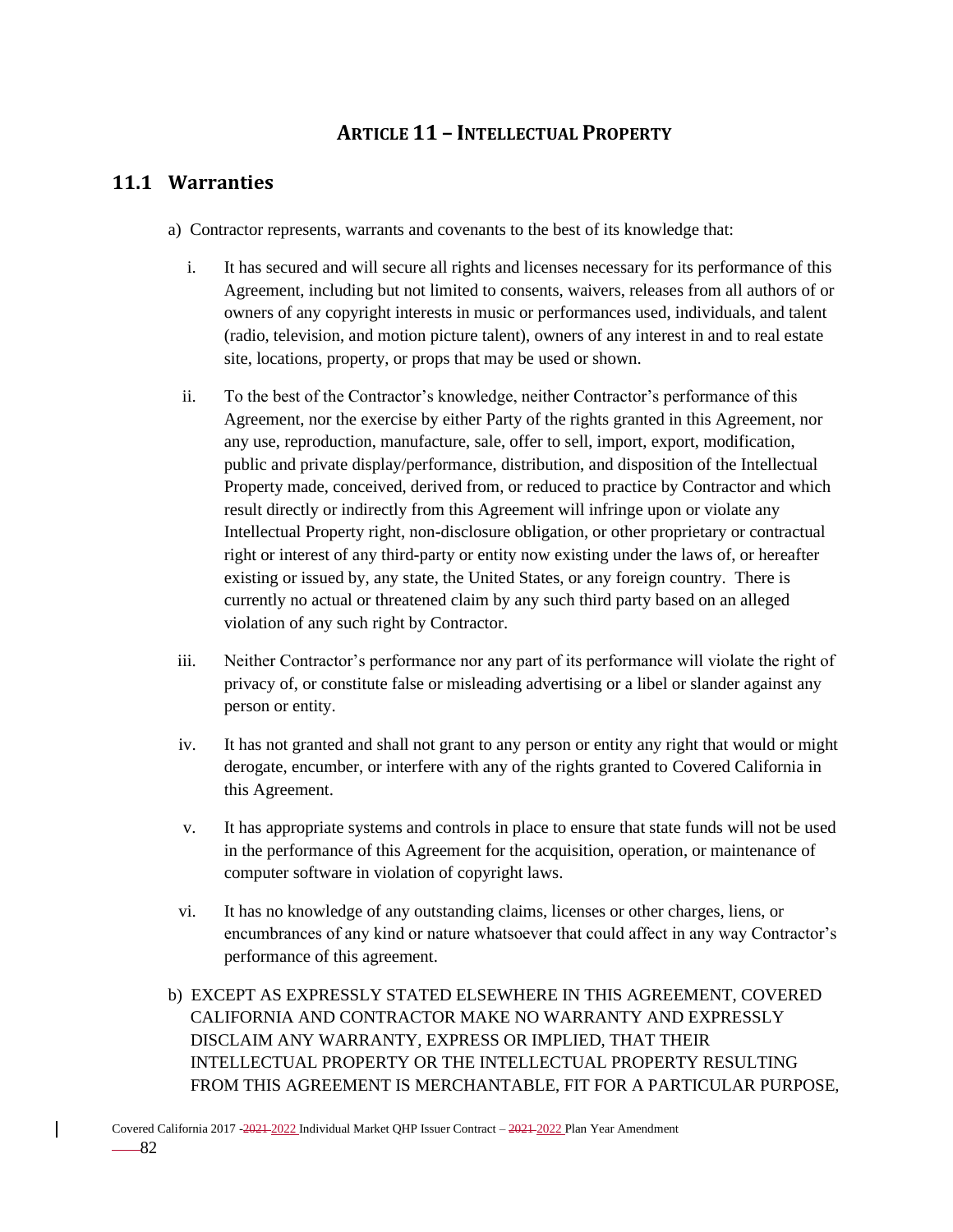# **ARTICLE 11 – INTELLECTUAL PROPERTY**

# **11.1 Warranties**

- a) Contractor represents, warrants and covenants to the best of its knowledge that:
	- i. It has secured and will secure all rights and licenses necessary for its performance of this Agreement, including but not limited to consents, waivers, releases from all authors of or owners of any copyright interests in music or performances used, individuals, and talent (radio, television, and motion picture talent), owners of any interest in and to real estate site, locations, property, or props that may be used or shown.
	- ii. To the best of the Contractor's knowledge, neither Contractor's performance of this Agreement, nor the exercise by either Party of the rights granted in this Agreement, nor any use, reproduction, manufacture, sale, offer to sell, import, export, modification, public and private display/performance, distribution, and disposition of the Intellectual Property made, conceived, derived from, or reduced to practice by Contractor and which result directly or indirectly from this Agreement will infringe upon or violate any Intellectual Property right, non-disclosure obligation, or other proprietary or contractual right or interest of any third-party or entity now existing under the laws of, or hereafter existing or issued by, any state, the United States, or any foreign country. There is currently no actual or threatened claim by any such third party based on an alleged violation of any such right by Contractor.
- iii. Neither Contractor's performance nor any part of its performance will violate the right of privacy of, or constitute false or misleading advertising or a libel or slander against any person or entity.
- iv. It has not granted and shall not grant to any person or entity any right that would or might derogate, encumber, or interfere with any of the rights granted to Covered California in this Agreement.
- v. It has appropriate systems and controls in place to ensure that state funds will not be used in the performance of this Agreement for the acquisition, operation, or maintenance of computer software in violation of copyright laws.
- vi. It has no knowledge of any outstanding claims, licenses or other charges, liens, or encumbrances of any kind or nature whatsoever that could affect in any way Contractor's performance of this agreement.
- b) EXCEPT AS EXPRESSLY STATED ELSEWHERE IN THIS AGREEMENT, COVERED CALIFORNIA AND CONTRACTOR MAKE NO WARRANTY AND EXPRESSLY DISCLAIM ANY WARRANTY, EXPRESS OR IMPLIED, THAT THEIR INTELLECTUAL PROPERTY OR THE INTELLECTUAL PROPERTY RESULTING FROM THIS AGREEMENT IS MERCHANTABLE, FIT FOR A PARTICULAR PURPOSE,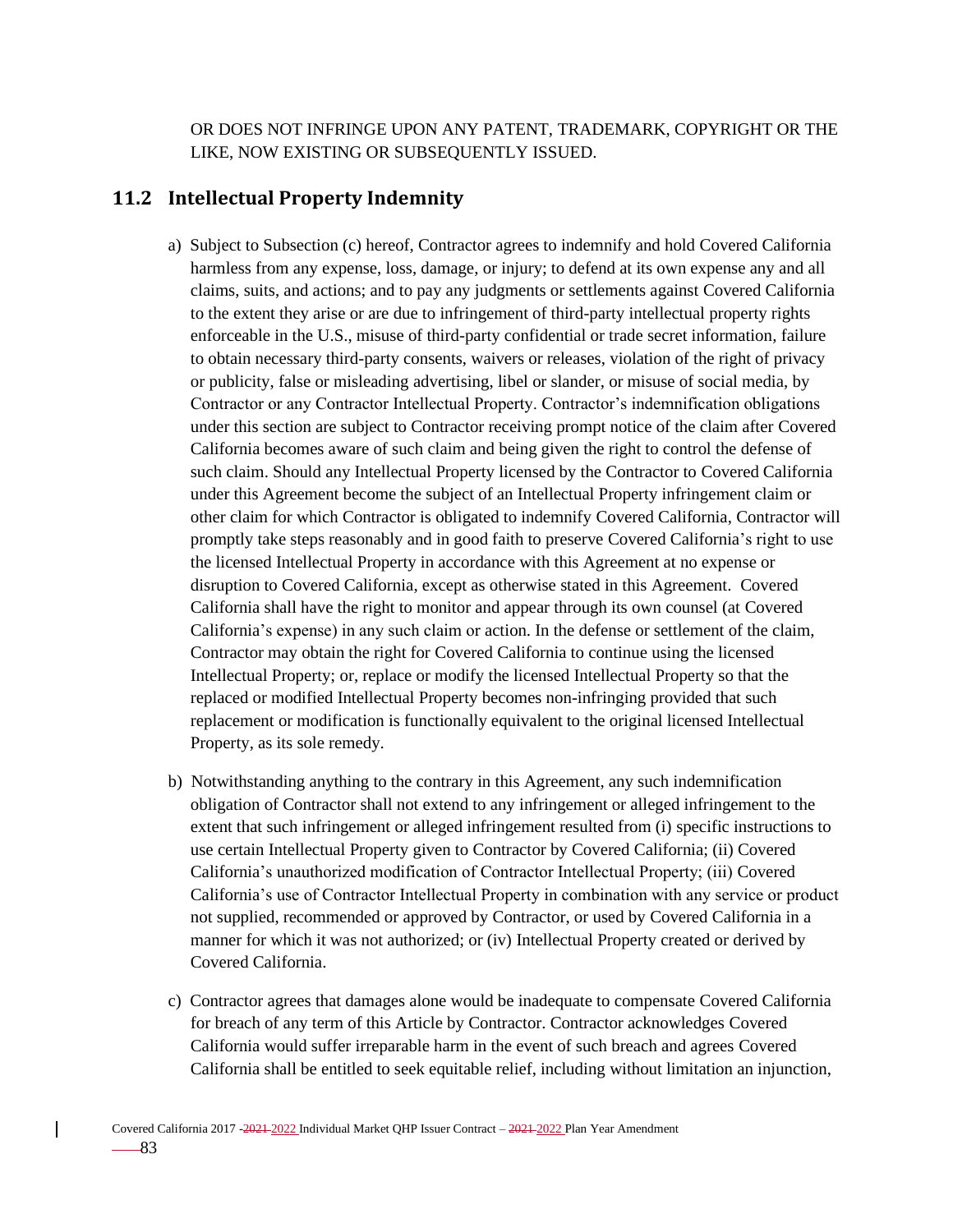OR DOES NOT INFRINGE UPON ANY PATENT, TRADEMARK, COPYRIGHT OR THE LIKE, NOW EXISTING OR SUBSEQUENTLY ISSUED.

### **11.2 Intellectual Property Indemnity**

- a) Subject to Subsection (c) hereof, Contractor agrees to indemnify and hold Covered California harmless from any expense, loss, damage, or injury; to defend at its own expense any and all claims, suits, and actions; and to pay any judgments or settlements against Covered California to the extent they arise or are due to infringement of third-party intellectual property rights enforceable in the U.S., misuse of third-party confidential or trade secret information, failure to obtain necessary third-party consents, waivers or releases, violation of the right of privacy or publicity, false or misleading advertising, libel or slander, or misuse of social media, by Contractor or any Contractor Intellectual Property. Contractor's indemnification obligations under this section are subject to Contractor receiving prompt notice of the claim after Covered California becomes aware of such claim and being given the right to control the defense of such claim. Should any Intellectual Property licensed by the Contractor to Covered California under this Agreement become the subject of an Intellectual Property infringement claim or other claim for which Contractor is obligated to indemnify Covered California, Contractor will promptly take steps reasonably and in good faith to preserve Covered California's right to use the licensed Intellectual Property in accordance with this Agreement at no expense or disruption to Covered California, except as otherwise stated in this Agreement. Covered California shall have the right to monitor and appear through its own counsel (at Covered California's expense) in any such claim or action. In the defense or settlement of the claim, Contractor may obtain the right for Covered California to continue using the licensed Intellectual Property; or, replace or modify the licensed Intellectual Property so that the replaced or modified Intellectual Property becomes non-infringing provided that such replacement or modification is functionally equivalent to the original licensed Intellectual Property, as its sole remedy.
- b) Notwithstanding anything to the contrary in this Agreement, any such indemnification obligation of Contractor shall not extend to any infringement or alleged infringement to the extent that such infringement or alleged infringement resulted from (i) specific instructions to use certain Intellectual Property given to Contractor by Covered California; (ii) Covered California's unauthorized modification of Contractor Intellectual Property; (iii) Covered California's use of Contractor Intellectual Property in combination with any service or product not supplied, recommended or approved by Contractor, or used by Covered California in a manner for which it was not authorized; or (iv) Intellectual Property created or derived by Covered California.
- c) Contractor agrees that damages alone would be inadequate to compensate Covered California for breach of any term of this Article by Contractor. Contractor acknowledges Covered California would suffer irreparable harm in the event of such breach and agrees Covered California shall be entitled to seek equitable relief, including without limitation an injunction,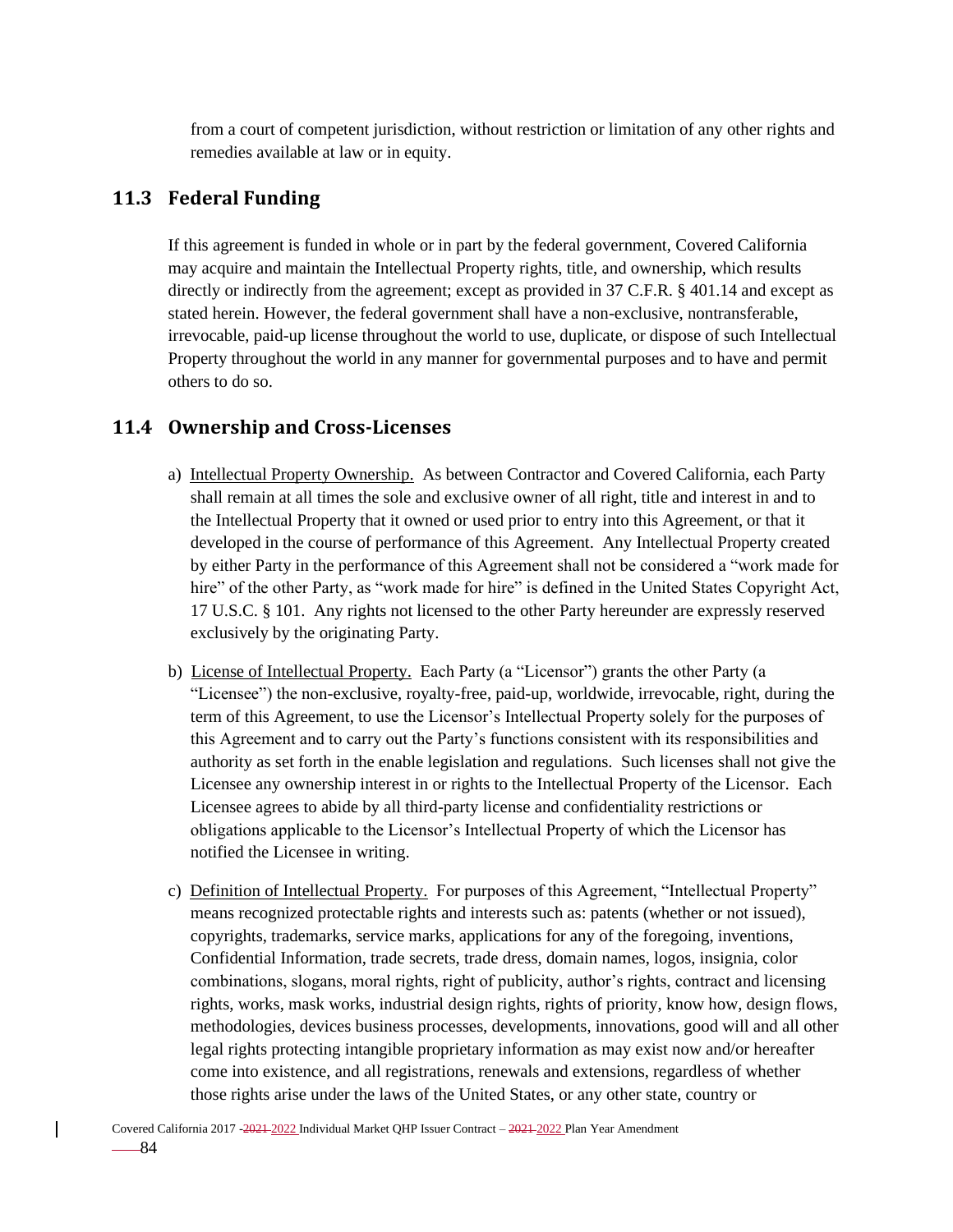from a court of competent jurisdiction, without restriction or limitation of any other rights and remedies available at law or in equity.

## **11.3 Federal Funding**

If this agreement is funded in whole or in part by the federal government, Covered California may acquire and maintain the Intellectual Property rights, title, and ownership, which results directly or indirectly from the agreement; except as provided in 37 C.F.R. § 401.14 and except as stated herein. However, the federal government shall have a non-exclusive, nontransferable, irrevocable, paid-up license throughout the world to use, duplicate, or dispose of such Intellectual Property throughout the world in any manner for governmental purposes and to have and permit others to do so.

## **11.4 Ownership and Cross-Licenses**

- a) Intellectual Property Ownership. As between Contractor and Covered California, each Party shall remain at all times the sole and exclusive owner of all right, title and interest in and to the Intellectual Property that it owned or used prior to entry into this Agreement, or that it developed in the course of performance of this Agreement. Any Intellectual Property created by either Party in the performance of this Agreement shall not be considered a "work made for hire" of the other Party, as "work made for hire" is defined in the United States Copyright Act, 17 U.S.C. § 101. Any rights not licensed to the other Party hereunder are expressly reserved exclusively by the originating Party.
- b) License of Intellectual Property. Each Party (a "Licensor") grants the other Party (a "Licensee") the non-exclusive, royalty-free, paid-up, worldwide, irrevocable, right, during the term of this Agreement, to use the Licensor's Intellectual Property solely for the purposes of this Agreement and to carry out the Party's functions consistent with its responsibilities and authority as set forth in the enable legislation and regulations. Such licenses shall not give the Licensee any ownership interest in or rights to the Intellectual Property of the Licensor. Each Licensee agrees to abide by all third-party license and confidentiality restrictions or obligations applicable to the Licensor's Intellectual Property of which the Licensor has notified the Licensee in writing.
- c) Definition of Intellectual Property. For purposes of this Agreement, "Intellectual Property" means recognized protectable rights and interests such as: patents (whether or not issued), copyrights, trademarks, service marks, applications for any of the foregoing, inventions, Confidential Information, trade secrets, trade dress, domain names, logos, insignia, color combinations, slogans, moral rights, right of publicity, author's rights, contract and licensing rights, works, mask works, industrial design rights, rights of priority, know how, design flows, methodologies, devices business processes, developments, innovations, good will and all other legal rights protecting intangible proprietary information as may exist now and/or hereafter come into existence, and all registrations, renewals and extensions, regardless of whether those rights arise under the laws of the United States, or any other state, country or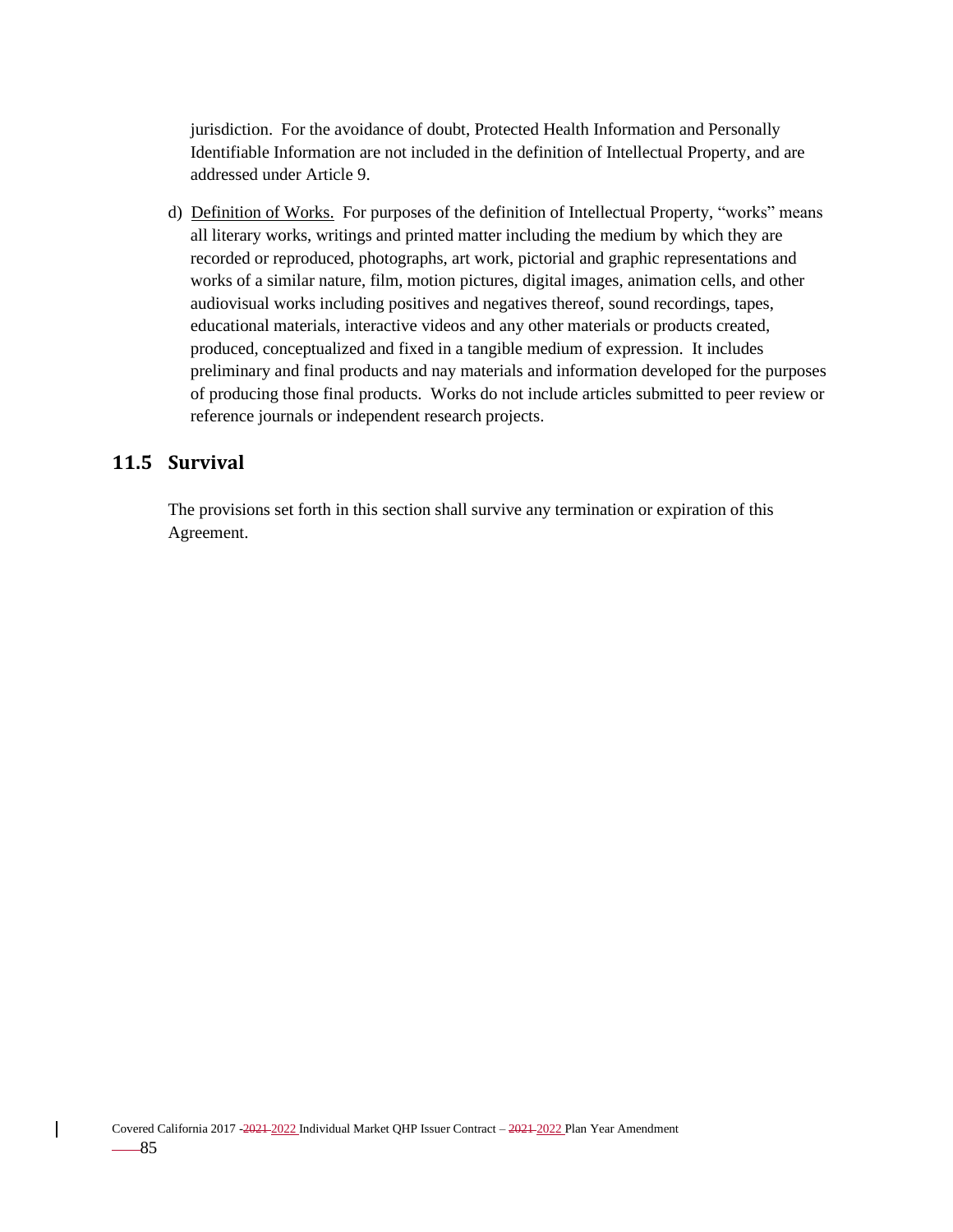jurisdiction. For the avoidance of doubt, Protected Health Information and Personally Identifiable Information are not included in the definition of Intellectual Property, and are addressed under Article 9.

d) Definition of Works. For purposes of the definition of Intellectual Property, "works" means all literary works, writings and printed matter including the medium by which they are recorded or reproduced, photographs, art work, pictorial and graphic representations and works of a similar nature, film, motion pictures, digital images, animation cells, and other audiovisual works including positives and negatives thereof, sound recordings, tapes, educational materials, interactive videos and any other materials or products created, produced, conceptualized and fixed in a tangible medium of expression. It includes preliminary and final products and nay materials and information developed for the purposes of producing those final products. Works do not include articles submitted to peer review or reference journals or independent research projects.

## **11.5 Survival**

 $\overline{\phantom{a}}$ 

The provisions set forth in this section shall survive any termination or expiration of this Agreement.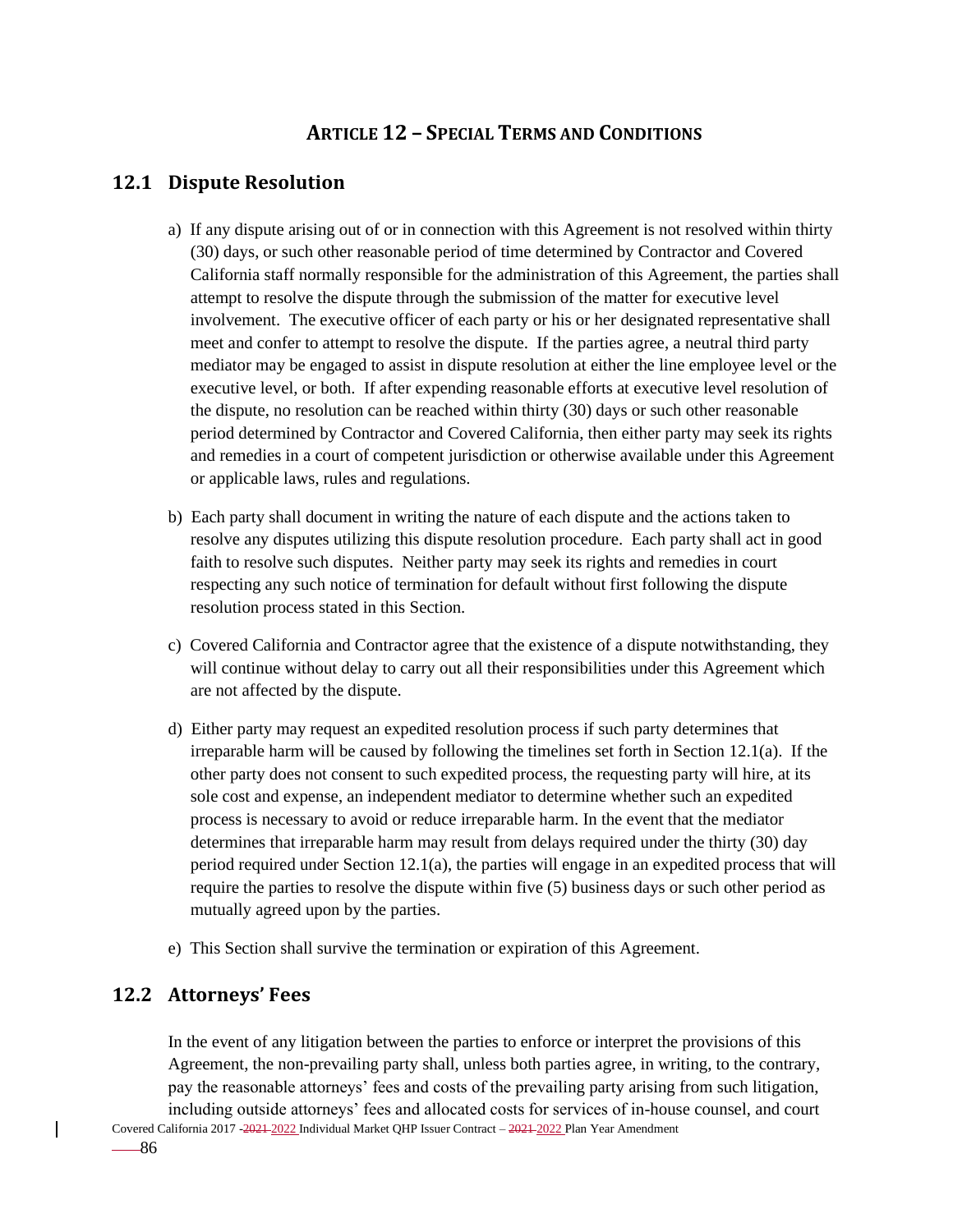# **ARTICLE 12 – SPECIAL TERMS AND CONDITIONS**

# **12.1 Dispute Resolution**

- a) If any dispute arising out of or in connection with this Agreement is not resolved within thirty (30) days, or such other reasonable period of time determined by Contractor and Covered California staff normally responsible for the administration of this Agreement, the parties shall attempt to resolve the dispute through the submission of the matter for executive level involvement. The executive officer of each party or his or her designated representative shall meet and confer to attempt to resolve the dispute. If the parties agree, a neutral third party mediator may be engaged to assist in dispute resolution at either the line employee level or the executive level, or both. If after expending reasonable efforts at executive level resolution of the dispute, no resolution can be reached within thirty (30) days or such other reasonable period determined by Contractor and Covered California, then either party may seek its rights and remedies in a court of competent jurisdiction or otherwise available under this Agreement or applicable laws, rules and regulations.
- b) Each party shall document in writing the nature of each dispute and the actions taken to resolve any disputes utilizing this dispute resolution procedure. Each party shall act in good faith to resolve such disputes. Neither party may seek its rights and remedies in court respecting any such notice of termination for default without first following the dispute resolution process stated in this Section.
- c) Covered California and Contractor agree that the existence of a dispute notwithstanding, they will continue without delay to carry out all their responsibilities under this Agreement which are not affected by the dispute.
- d) Either party may request an expedited resolution process if such party determines that irreparable harm will be caused by following the timelines set forth in Section 12.1(a). If the other party does not consent to such expedited process, the requesting party will hire, at its sole cost and expense, an independent mediator to determine whether such an expedited process is necessary to avoid or reduce irreparable harm. In the event that the mediator determines that irreparable harm may result from delays required under the thirty (30) day period required under Section 12.1(a), the parties will engage in an expedited process that will require the parties to resolve the dispute within five (5) business days or such other period as mutually agreed upon by the parties.
- e) This Section shall survive the termination or expiration of this Agreement.

# **12.2 Attorneys' Fees**

In the event of any litigation between the parties to enforce or interpret the provisions of this Agreement, the non-prevailing party shall, unless both parties agree, in writing, to the contrary, pay the reasonable attorneys' fees and costs of the prevailing party arising from such litigation, including outside attorneys' fees and allocated costs for services of in-house counsel, and court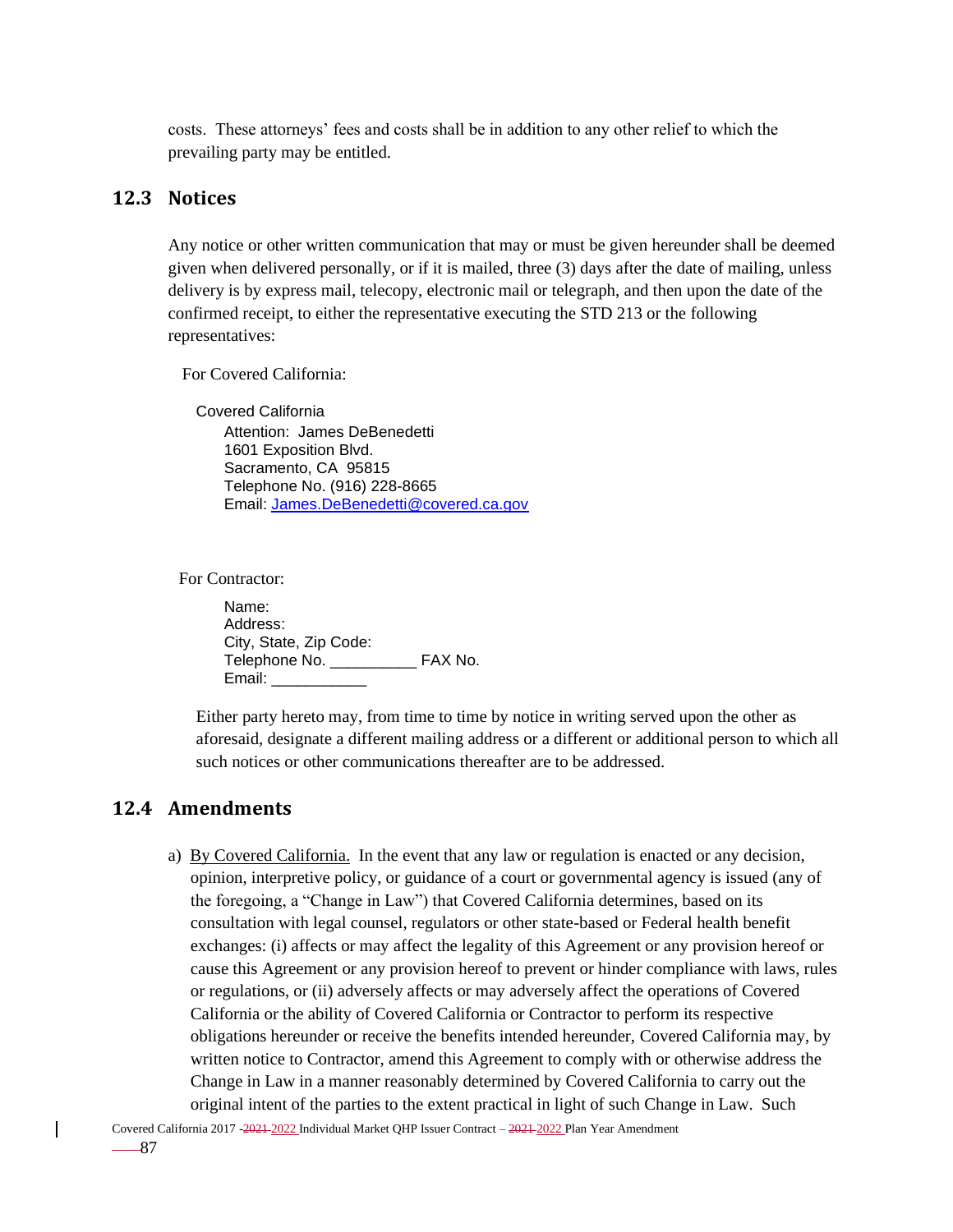costs. These attorneys' fees and costs shall be in addition to any other relief to which the prevailing party may be entitled.

### **12.3 Notices**

Any notice or other written communication that may or must be given hereunder shall be deemed given when delivered personally, or if it is mailed, three (3) days after the date of mailing, unless delivery is by express mail, telecopy, electronic mail or telegraph, and then upon the date of the confirmed receipt, to either the representative executing the STD 213 or the following representatives:

For Covered California:

Covered California Attention: James DeBenedetti 1601 Exposition Blvd. Sacramento, CA 95815 Telephone No. (916) 228-8665 Email: [James.DeBenedetti@covered.ca.gov](mailto:James.DeBenedetti@covered.ca.gov)

For Contractor:

Name: Address: City, State, Zip Code: Telephone No. \_\_\_\_\_\_\_\_\_\_ FAX No. Email: \_\_\_\_\_\_\_\_\_\_\_

Either party hereto may, from time to time by notice in writing served upon the other as aforesaid, designate a different mailing address or a different or additional person to which all such notices or other communications thereafter are to be addressed.

### **12.4 Amendments**

a) By Covered California. In the event that any law or regulation is enacted or any decision, opinion, interpretive policy, or guidance of a court or governmental agency is issued (any of the foregoing, a "Change in Law") that Covered California determines, based on its consultation with legal counsel, regulators or other state-based or Federal health benefit exchanges: (i) affects or may affect the legality of this Agreement or any provision hereof or cause this Agreement or any provision hereof to prevent or hinder compliance with laws, rules or regulations, or (ii) adversely affects or may adversely affect the operations of Covered California or the ability of Covered California or Contractor to perform its respective obligations hereunder or receive the benefits intended hereunder, Covered California may, by written notice to Contractor, amend this Agreement to comply with or otherwise address the Change in Law in a manner reasonably determined by Covered California to carry out the original intent of the parties to the extent practical in light of such Change in Law. Such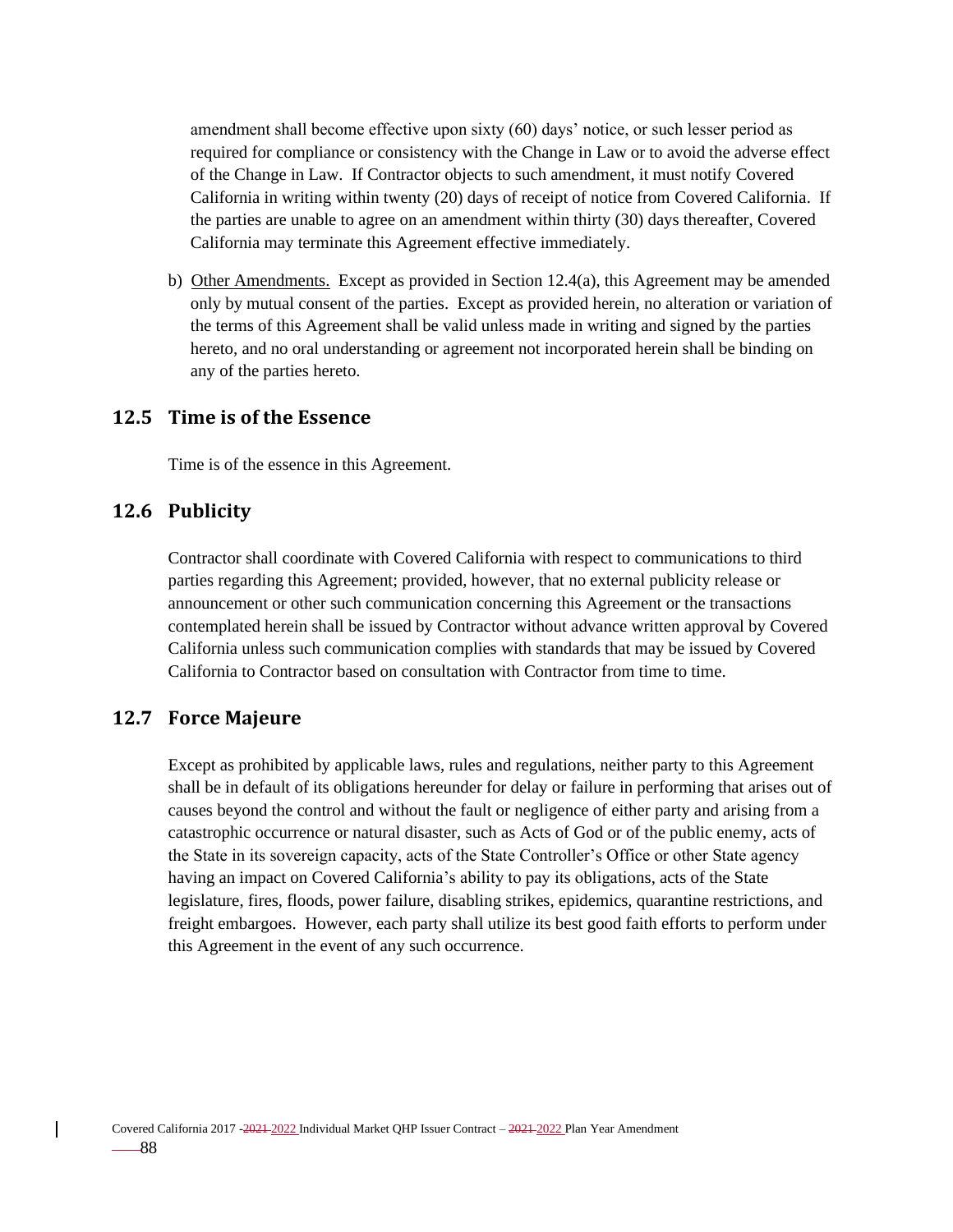amendment shall become effective upon sixty (60) days' notice, or such lesser period as required for compliance or consistency with the Change in Law or to avoid the adverse effect of the Change in Law. If Contractor objects to such amendment, it must notify Covered California in writing within twenty (20) days of receipt of notice from Covered California. If the parties are unable to agree on an amendment within thirty (30) days thereafter, Covered California may terminate this Agreement effective immediately.

b) Other Amendments. Except as provided in Section 12.4(a), this Agreement may be amended only by mutual consent of the parties. Except as provided herein, no alteration or variation of the terms of this Agreement shall be valid unless made in writing and signed by the parties hereto, and no oral understanding or agreement not incorporated herein shall be binding on any of the parties hereto.

### **12.5 Time is of the Essence**

Time is of the essence in this Agreement.

## **12.6 Publicity**

Contractor shall coordinate with Covered California with respect to communications to third parties regarding this Agreement; provided, however, that no external publicity release or announcement or other such communication concerning this Agreement or the transactions contemplated herein shall be issued by Contractor without advance written approval by Covered California unless such communication complies with standards that may be issued by Covered California to Contractor based on consultation with Contractor from time to time.

## **12.7 Force Majeure**

Except as prohibited by applicable laws, rules and regulations, neither party to this Agreement shall be in default of its obligations hereunder for delay or failure in performing that arises out of causes beyond the control and without the fault or negligence of either party and arising from a catastrophic occurrence or natural disaster, such as Acts of God or of the public enemy, acts of the State in its sovereign capacity, acts of the State Controller's Office or other State agency having an impact on Covered California's ability to pay its obligations, acts of the State legislature, fires, floods, power failure, disabling strikes, epidemics, quarantine restrictions, and freight embargoes. However, each party shall utilize its best good faith efforts to perform under this Agreement in the event of any such occurrence.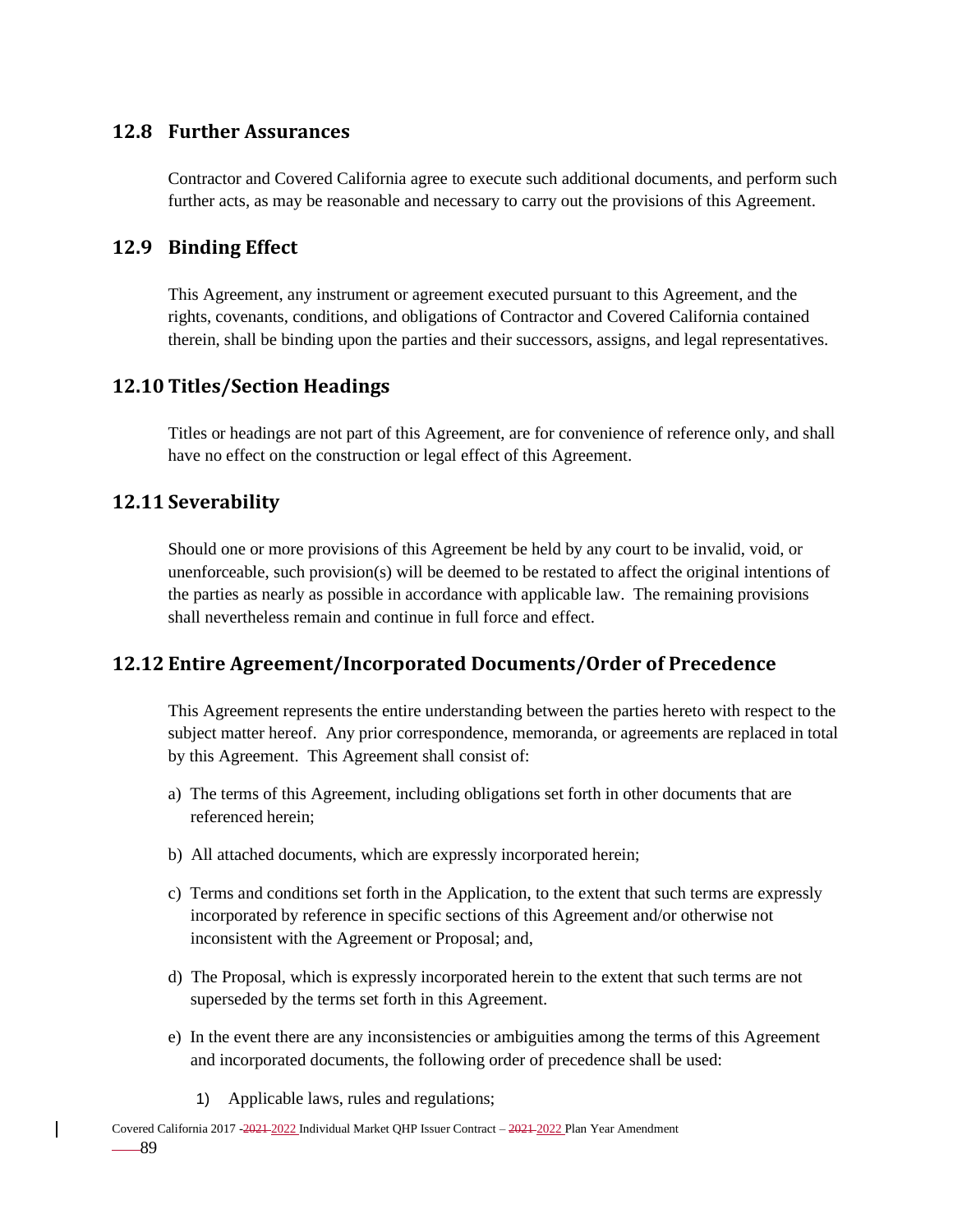## **12.8 Further Assurances**

Contractor and Covered California agree to execute such additional documents, and perform such further acts, as may be reasonable and necessary to carry out the provisions of this Agreement.

# **12.9 Binding Effect**

This Agreement, any instrument or agreement executed pursuant to this Agreement, and the rights, covenants, conditions, and obligations of Contractor and Covered California contained therein, shall be binding upon the parties and their successors, assigns, and legal representatives.

## **12.10 Titles/Section Headings**

Titles or headings are not part of this Agreement, are for convenience of reference only, and shall have no effect on the construction or legal effect of this Agreement.

## **12.11 Severability**

Should one or more provisions of this Agreement be held by any court to be invalid, void, or unenforceable, such provision(s) will be deemed to be restated to affect the original intentions of the parties as nearly as possible in accordance with applicable law. The remaining provisions shall nevertheless remain and continue in full force and effect.

# **12.12 Entire Agreement/Incorporated Documents/Order of Precedence**

This Agreement represents the entire understanding between the parties hereto with respect to the subject matter hereof. Any prior correspondence, memoranda, or agreements are replaced in total by this Agreement. This Agreement shall consist of:

- a) The terms of this Agreement, including obligations set forth in other documents that are referenced herein;
- b) All attached documents, which are expressly incorporated herein;
- c) Terms and conditions set forth in the Application, to the extent that such terms are expressly incorporated by reference in specific sections of this Agreement and/or otherwise not inconsistent with the Agreement or Proposal; and,
- d) The Proposal, which is expressly incorporated herein to the extent that such terms are not superseded by the terms set forth in this Agreement.
- e) In the event there are any inconsistencies or ambiguities among the terms of this Agreement and incorporated documents, the following order of precedence shall be used:
	- 1) Applicable laws, rules and regulations;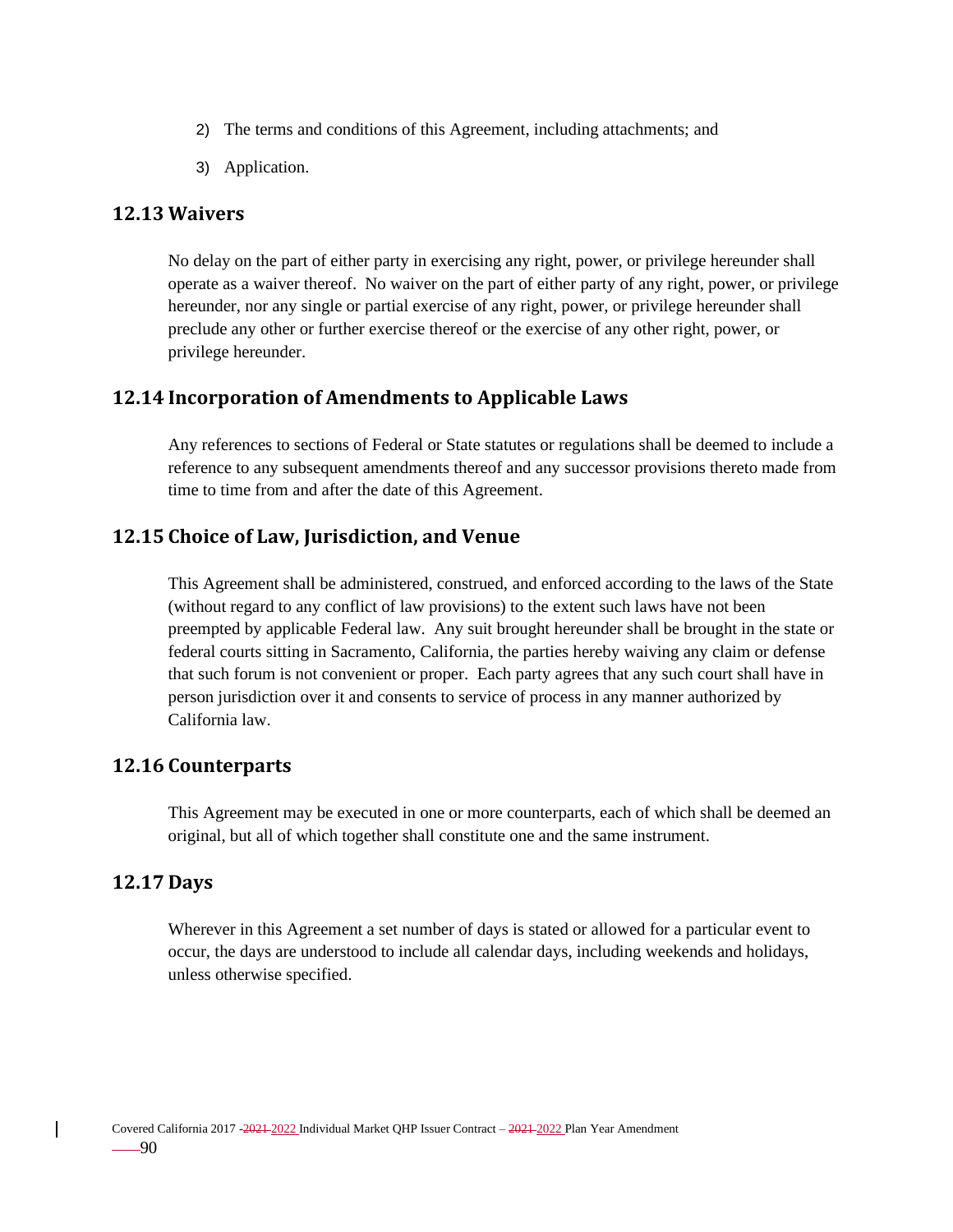- 2) The terms and conditions of this Agreement, including attachments; and
- 3) Application.

### **12.13 Waivers**

No delay on the part of either party in exercising any right, power, or privilege hereunder shall operate as a waiver thereof. No waiver on the part of either party of any right, power, or privilege hereunder, nor any single or partial exercise of any right, power, or privilege hereunder shall preclude any other or further exercise thereof or the exercise of any other right, power, or privilege hereunder.

## **12.14 Incorporation of Amendments to Applicable Laws**

Any references to sections of Federal or State statutes or regulations shall be deemed to include a reference to any subsequent amendments thereof and any successor provisions thereto made from time to time from and after the date of this Agreement.

## **12.15 Choice of Law, Jurisdiction, and Venue**

This Agreement shall be administered, construed, and enforced according to the laws of the State (without regard to any conflict of law provisions) to the extent such laws have not been preempted by applicable Federal law. Any suit brought hereunder shall be brought in the state or federal courts sitting in Sacramento, California, the parties hereby waiving any claim or defense that such forum is not convenient or proper. Each party agrees that any such court shall have in person jurisdiction over it and consents to service of process in any manner authorized by California law.

## **12.16 Counterparts**

This Agreement may be executed in one or more counterparts, each of which shall be deemed an original, but all of which together shall constitute one and the same instrument.

## **12.17 Days**

Wherever in this Agreement a set number of days is stated or allowed for a particular event to occur, the days are understood to include all calendar days, including weekends and holidays, unless otherwise specified.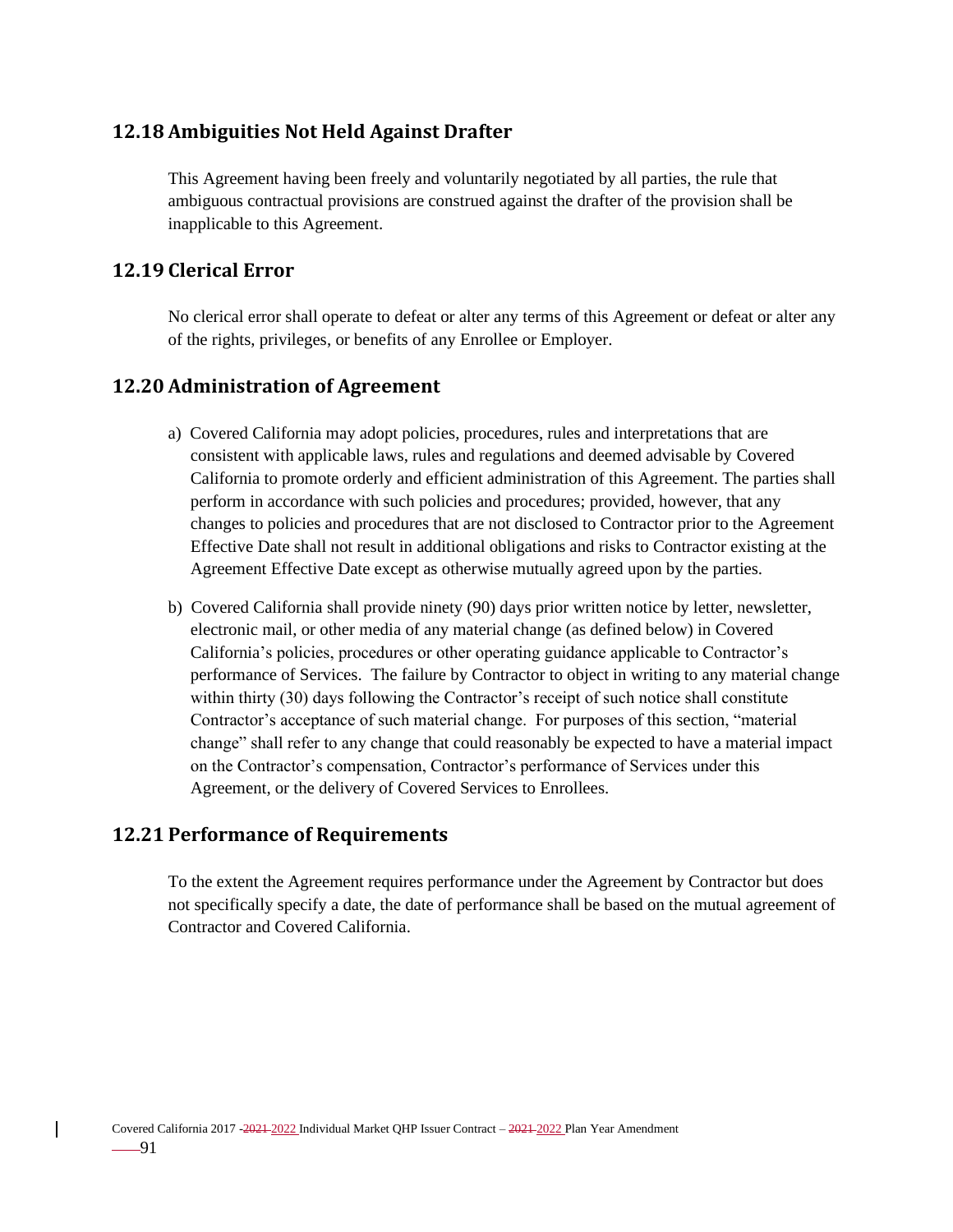# **12.18 Ambiguities Not Held Against Drafter**

This Agreement having been freely and voluntarily negotiated by all parties, the rule that ambiguous contractual provisions are construed against the drafter of the provision shall be inapplicable to this Agreement.

# **12.19 Clerical Error**

No clerical error shall operate to defeat or alter any terms of this Agreement or defeat or alter any of the rights, privileges, or benefits of any Enrollee or Employer.

# **12.20 Administration of Agreement**

- a) Covered California may adopt policies, procedures, rules and interpretations that are consistent with applicable laws, rules and regulations and deemed advisable by Covered California to promote orderly and efficient administration of this Agreement. The parties shall perform in accordance with such policies and procedures; provided, however, that any changes to policies and procedures that are not disclosed to Contractor prior to the Agreement Effective Date shall not result in additional obligations and risks to Contractor existing at the Agreement Effective Date except as otherwise mutually agreed upon by the parties.
- b) Covered California shall provide ninety (90) days prior written notice by letter, newsletter, electronic mail, or other media of any material change (as defined below) in Covered California's policies, procedures or other operating guidance applicable to Contractor's performance of Services. The failure by Contractor to object in writing to any material change within thirty (30) days following the Contractor's receipt of such notice shall constitute Contractor's acceptance of such material change. For purposes of this section, "material change" shall refer to any change that could reasonably be expected to have a material impact on the Contractor's compensation, Contractor's performance of Services under this Agreement, or the delivery of Covered Services to Enrollees.

# **12.21 Performance of Requirements**

To the extent the Agreement requires performance under the Agreement by Contractor but does not specifically specify a date, the date of performance shall be based on the mutual agreement of Contractor and Covered California.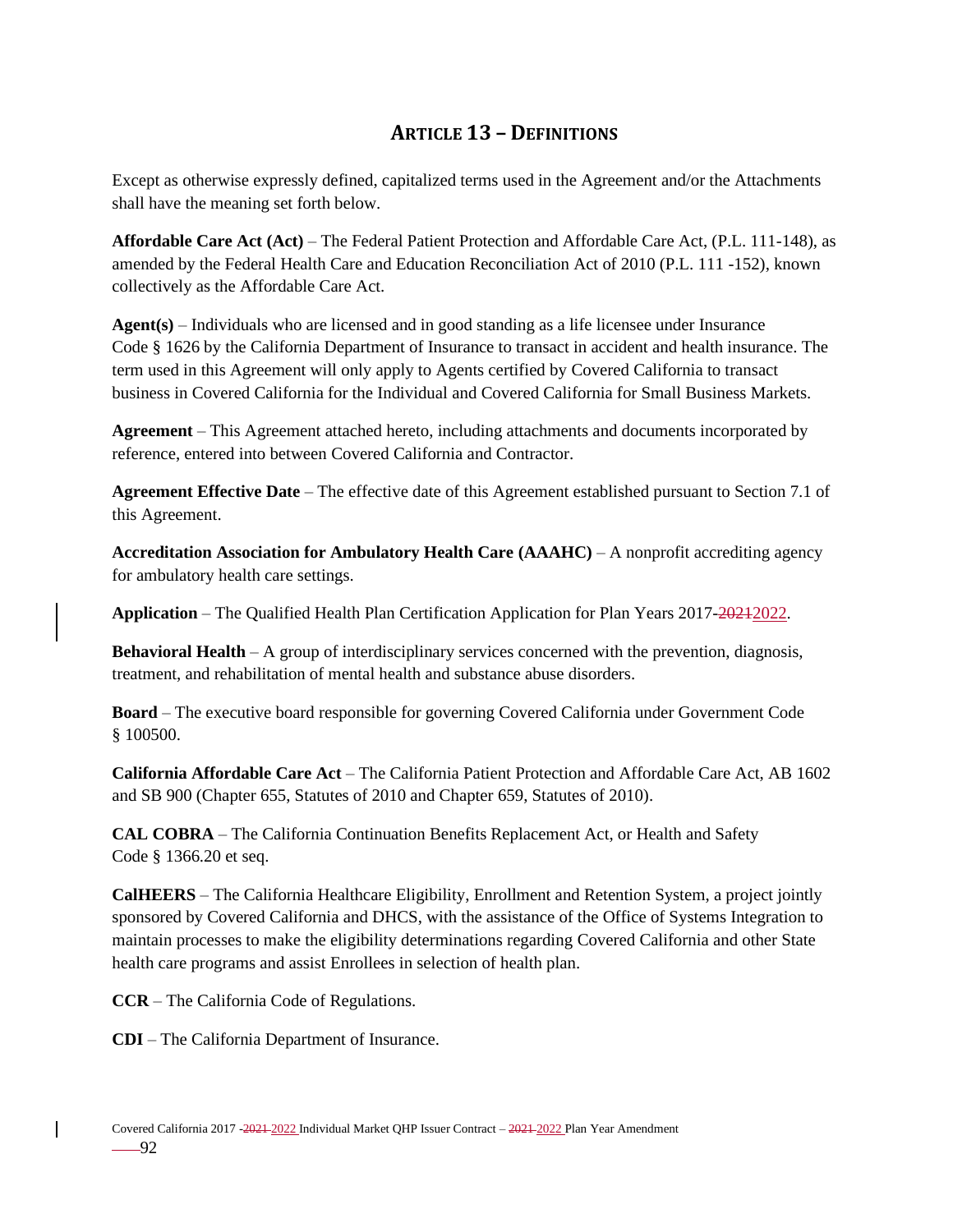# **ARTICLE 13 – DEFINITIONS**

Except as otherwise expressly defined, capitalized terms used in the Agreement and/or the Attachments shall have the meaning set forth below.

**Affordable Care Act (Act)** – The Federal Patient Protection and Affordable Care Act, (P.L. 111-148), as amended by the Federal Health Care and Education Reconciliation Act of 2010 (P.L. 111 -152), known collectively as the Affordable Care Act.

**Agent(s)** – Individuals who are licensed and in good standing as a life licensee under Insurance Code § 1626 by the California Department of Insurance to transact in accident and health insurance. The term used in this Agreement will only apply to Agents certified by Covered California to transact business in Covered California for the Individual and Covered California for Small Business Markets.

**Agreement** – This Agreement attached hereto, including attachments and documents incorporated by reference, entered into between Covered California and Contractor.

**Agreement Effective Date** – The effective date of this Agreement established pursuant to Section 7.1 of this Agreement.

**Accreditation Association for Ambulatory Health Care (AAAHC)** – A nonprofit accrediting agency for ambulatory health care settings.

**Application** – The Qualified Health Plan Certification Application for Plan Years 2017-2021-2022.

**Behavioral Health** – A group of interdisciplinary services concerned with the prevention, diagnosis, treatment, and rehabilitation of mental health and substance abuse disorders.

**Board** – The executive board responsible for governing Covered California under Government Code § 100500.

**California Affordable Care Act** – The California Patient Protection and Affordable Care Act, AB 1602 and SB 900 (Chapter 655, Statutes of 2010 and Chapter 659, Statutes of 2010).

**CAL COBRA** – The California Continuation Benefits Replacement Act, or Health and Safety Code § 1366.20 et seq.

**CalHEERS** – The California Healthcare Eligibility, Enrollment and Retention System, a project jointly sponsored by Covered California and DHCS, with the assistance of the Office of Systems Integration to maintain processes to make the eligibility determinations regarding Covered California and other State health care programs and assist Enrollees in selection of health plan.

**CCR** – The California Code of Regulations.

**CDI** – The California Department of Insurance.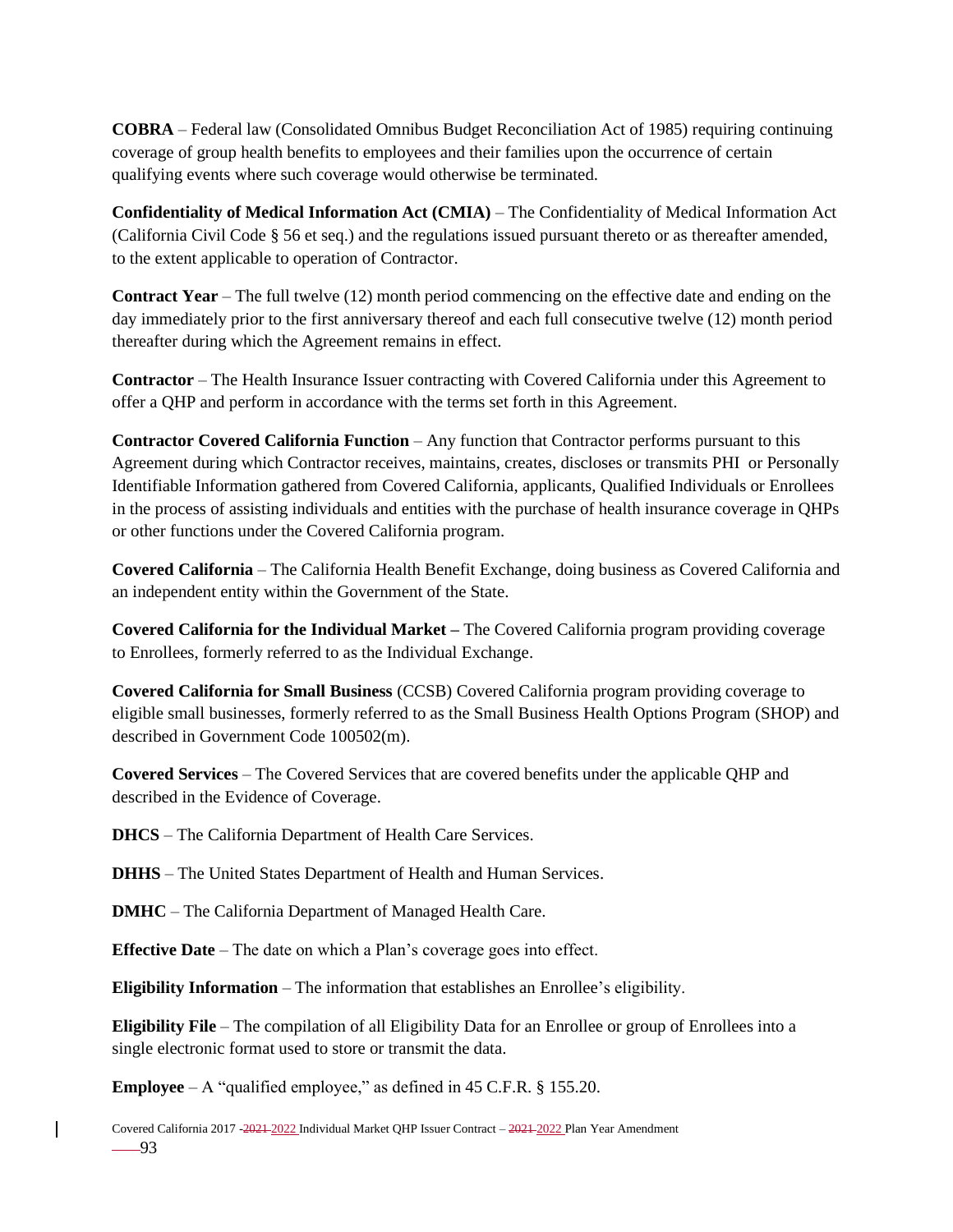**COBRA** – Federal law (Consolidated Omnibus Budget Reconciliation Act of 1985) requiring continuing coverage of group health benefits to employees and their families upon the occurrence of certain qualifying events where such coverage would otherwise be terminated.

**Confidentiality of Medical Information Act (CMIA)** – The Confidentiality of Medical Information Act (California Civil Code § 56 et seq.) and the regulations issued pursuant thereto or as thereafter amended, to the extent applicable to operation of Contractor.

**Contract Year** – The full twelve (12) month period commencing on the effective date and ending on the day immediately prior to the first anniversary thereof and each full consecutive twelve (12) month period thereafter during which the Agreement remains in effect.

**Contractor** – The Health Insurance Issuer contracting with Covered California under this Agreement to offer a QHP and perform in accordance with the terms set forth in this Agreement.

**Contractor Covered California Function** – Any function that Contractor performs pursuant to this Agreement during which Contractor receives, maintains, creates, discloses or transmits PHI or Personally Identifiable Information gathered from Covered California, applicants, Qualified Individuals or Enrollees in the process of assisting individuals and entities with the purchase of health insurance coverage in QHPs or other functions under the Covered California program.

**Covered California** – The California Health Benefit Exchange, doing business as Covered California and an independent entity within the Government of the State.

**Covered California for the Individual Market –** The Covered California program providing coverage to Enrollees, formerly referred to as the Individual Exchange.

**Covered California for Small Business** (CCSB) Covered California program providing coverage to eligible small businesses, formerly referred to as the Small Business Health Options Program (SHOP) and described in Government Code 100502(m).

**Covered Services** – The Covered Services that are covered benefits under the applicable QHP and described in the Evidence of Coverage.

**DHCS** – The California Department of Health Care Services.

**DHHS** – The United States Department of Health and Human Services.

**DMHC** – The California Department of Managed Health Care.

**Effective Date** – The date on which a Plan's coverage goes into effect.

**Eligibility Information** – The information that establishes an Enrollee's eligibility.

**Eligibility File** – The compilation of all Eligibility Data for an Enrollee or group of Enrollees into a single electronic format used to store or transmit the data.

**Employee** – A "qualified employee," as defined in 45 C.F.R. § 155.20.

Covered California 2017 -2021 2022 Individual Market QHP Issuer Contract – 2021 2022 Plan Year Amendment  $-93$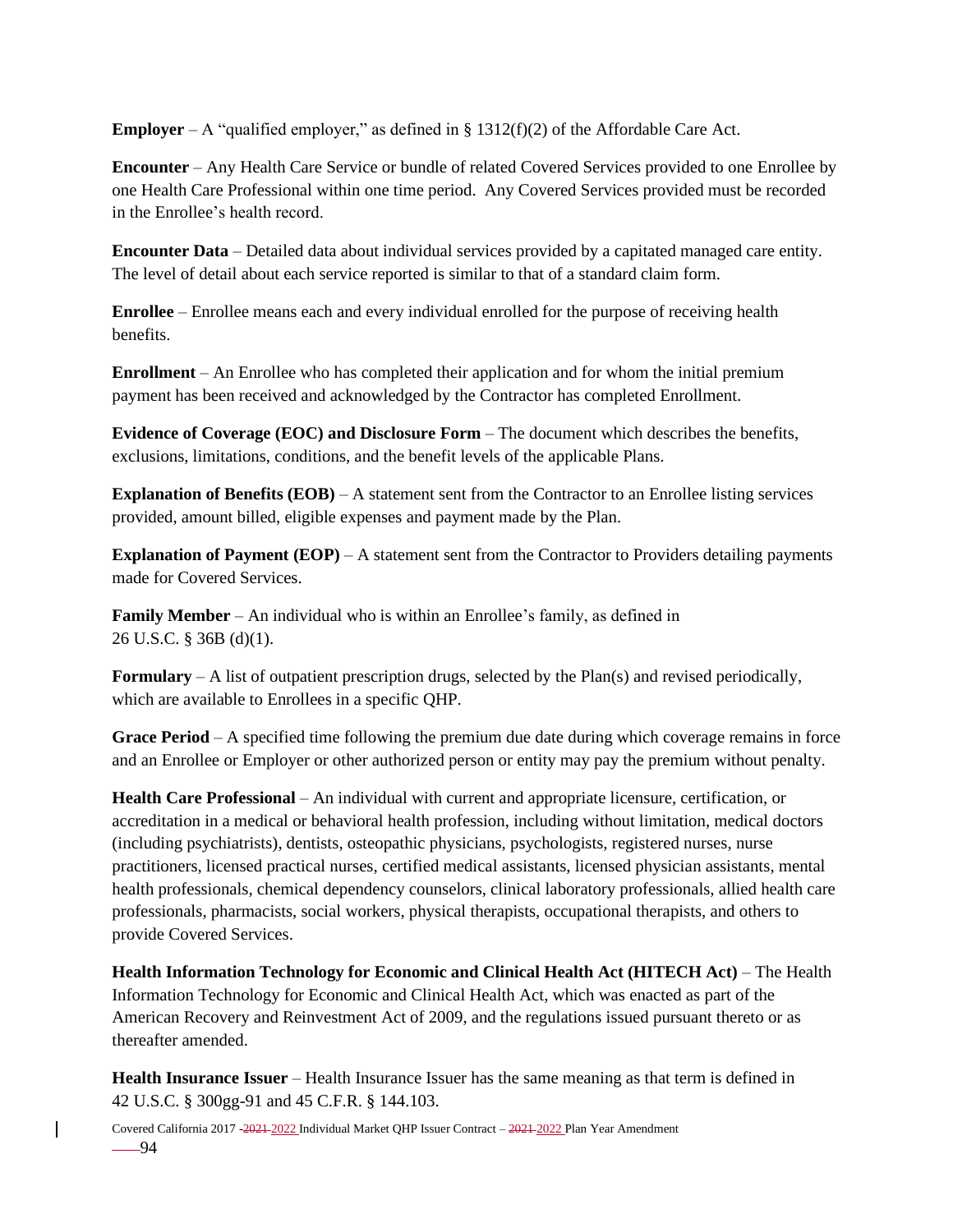**Employer** – A "qualified employer," as defined in  $\S$  1312(f)(2) of the Affordable Care Act.

**Encounter** – Any Health Care Service or bundle of related Covered Services provided to one Enrollee by one Health Care Professional within one time period. Any Covered Services provided must be recorded in the Enrollee's health record.

**Encounter Data** – Detailed data about individual services provided by a capitated managed care entity. The level of detail about each service reported is similar to that of a standard claim form.

**Enrollee** – Enrollee means each and every individual enrolled for the purpose of receiving health benefits.

**Enrollment** – An Enrollee who has completed their application and for whom the initial premium payment has been received and acknowledged by the Contractor has completed Enrollment.

**Evidence of Coverage (EOC) and Disclosure Form** – The document which describes the benefits, exclusions, limitations, conditions, and the benefit levels of the applicable Plans.

**Explanation of Benefits (EOB)** – A statement sent from the Contractor to an Enrollee listing services provided, amount billed, eligible expenses and payment made by the Plan.

**Explanation of Payment (EOP)** – A statement sent from the Contractor to Providers detailing payments made for Covered Services.

**Family Member** – An individual who is within an Enrollee's family, as defined in 26 U.S.C. § 36B (d)(1).

**Formulary** – A list of outpatient prescription drugs, selected by the Plan(s) and revised periodically, which are available to Enrollees in a specific QHP.

**Grace Period** – A specified time following the premium due date during which coverage remains in force and an Enrollee or Employer or other authorized person or entity may pay the premium without penalty.

**Health Care Professional** – An individual with current and appropriate licensure, certification, or accreditation in a medical or behavioral health profession, including without limitation, medical doctors (including psychiatrists), dentists, osteopathic physicians, psychologists, registered nurses, nurse practitioners, licensed practical nurses, certified medical assistants, licensed physician assistants, mental health professionals, chemical dependency counselors, clinical laboratory professionals, allied health care professionals, pharmacists, social workers, physical therapists, occupational therapists, and others to provide Covered Services.

**Health Information Technology for Economic and Clinical Health Act (HITECH Act)** – The Health Information Technology for Economic and Clinical Health Act, which was enacted as part of the American Recovery and Reinvestment Act of 2009, and the regulations issued pursuant thereto or as thereafter amended.

**Health Insurance Issuer** – Health Insurance Issuer has the same meaning as that term is defined in 42 U.S.C. § 300gg-91 and 45 C.F.R. § 144.103.

Covered California 2017 -2021 2022 Individual Market QHP Issuer Contract – 2021 2022 Plan Year Amendment  $-94$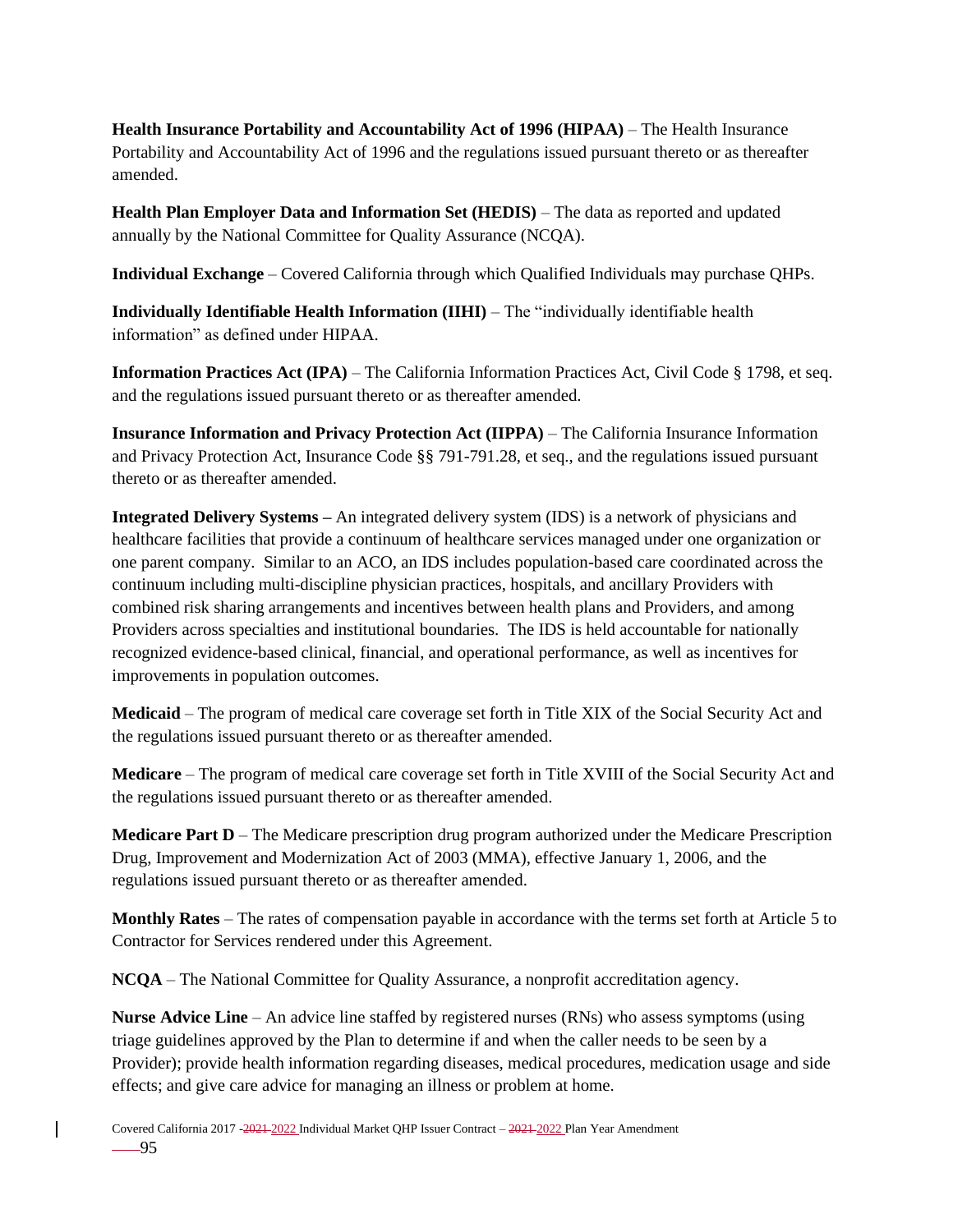**Health Insurance Portability and Accountability Act of 1996 (HIPAA)** – The Health Insurance Portability and Accountability Act of 1996 and the regulations issued pursuant thereto or as thereafter amended.

**Health Plan Employer Data and Information Set (HEDIS)** – The data as reported and updated annually by the National Committee for Quality Assurance (NCQA).

**Individual Exchange** – Covered California through which Qualified Individuals may purchase QHPs.

**Individually Identifiable Health Information (IIHI)** – The "individually identifiable health information" as defined under HIPAA.

**Information Practices Act (IPA)** – The California Information Practices Act, Civil Code § 1798, et seq. and the regulations issued pursuant thereto or as thereafter amended.

**Insurance Information and Privacy Protection Act (IIPPA)** – The California Insurance Information and Privacy Protection Act, Insurance Code §§ 791-791.28, et seq., and the regulations issued pursuant thereto or as thereafter amended.

**Integrated Delivery Systems –** An integrated delivery system (IDS) is a network of physicians and healthcare facilities that provide a continuum of healthcare services managed under one organization or one parent company. Similar to an ACO, an IDS includes population-based care coordinated across the continuum including multi-discipline physician practices, hospitals, and ancillary Providers with combined risk sharing arrangements and incentives between health plans and Providers, and among Providers across specialties and institutional boundaries. The IDS is held accountable for nationally recognized evidence-based clinical, financial, and operational performance, as well as incentives for improvements in population outcomes.

**Medicaid** – The program of medical care coverage set forth in Title XIX of the Social Security Act and the regulations issued pursuant thereto or as thereafter amended.

**Medicare** – The program of medical care coverage set forth in Title XVIII of the Social Security Act and the regulations issued pursuant thereto or as thereafter amended.

**Medicare Part D** – The Medicare prescription drug program authorized under the Medicare Prescription Drug, Improvement and Modernization Act of 2003 (MMA), effective January 1, 2006, and the regulations issued pursuant thereto or as thereafter amended.

**Monthly Rates** – The rates of compensation payable in accordance with the terms set forth at Article 5 to Contractor for Services rendered under this Agreement.

**NCQA** – The National Committee for Quality Assurance, a nonprofit accreditation agency.

**Nurse Advice Line** – An advice line staffed by registered nurses (RNs) who assess symptoms (using triage guidelines approved by the Plan to determine if and when the caller needs to be seen by a Provider); provide health information regarding diseases, medical procedures, medication usage and side effects; and give care advice for managing an illness or problem at home.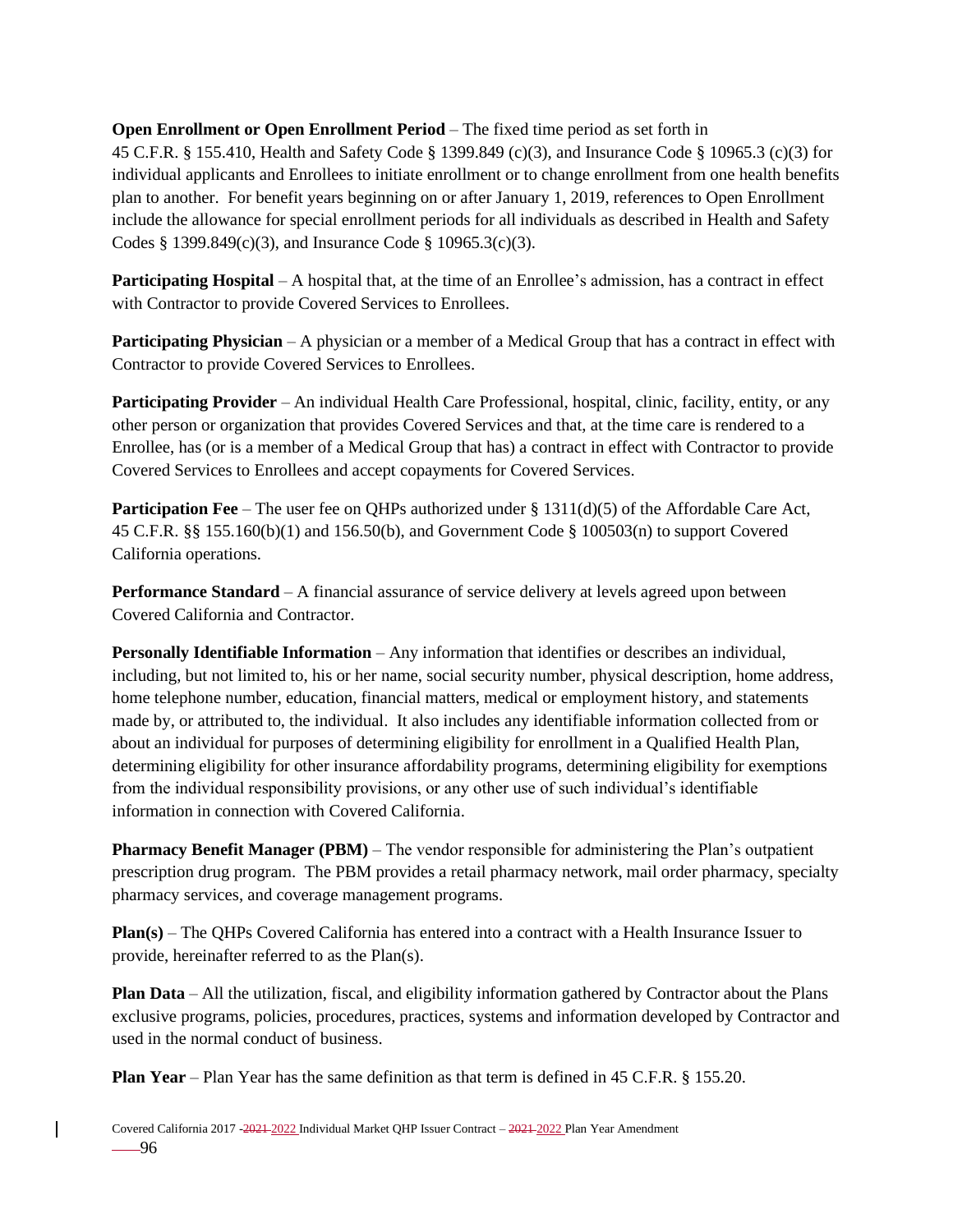### **Open Enrollment or Open Enrollment Period** – The fixed time period as set forth in

45 C.F.R. § 155.410, Health and Safety Code § 1399.849 (c)(3), and Insurance Code § 10965.3 (c)(3) for individual applicants and Enrollees to initiate enrollment or to change enrollment from one health benefits plan to another. For benefit years beginning on or after January 1, 2019, references to Open Enrollment include the allowance for special enrollment periods for all individuals as described in Health and Safety Codes § 1399.849(c)(3), and Insurance Code § 10965.3(c)(3).

**Participating Hospital** – A hospital that, at the time of an Enrollee's admission, has a contract in effect with Contractor to provide Covered Services to Enrollees.

**Participating Physician** – A physician or a member of a Medical Group that has a contract in effect with Contractor to provide Covered Services to Enrollees.

**Participating Provider** – An individual Health Care Professional, hospital, clinic, facility, entity, or any other person or organization that provides Covered Services and that, at the time care is rendered to a Enrollee, has (or is a member of a Medical Group that has) a contract in effect with Contractor to provide Covered Services to Enrollees and accept copayments for Covered Services.

**Participation Fee** – The user fee on QHPs authorized under § 1311(d)(5) of the Affordable Care Act, 45 C.F.R. §§ 155.160(b)(1) and 156.50(b), and Government Code § 100503(n) to support Covered California operations.

**Performance Standard** – A financial assurance of service delivery at levels agreed upon between Covered California and Contractor.

**Personally Identifiable Information** – Any information that identifies or describes an individual, including, but not limited to, his or her name, social security number, physical description, home address, home telephone number, education, financial matters, medical or employment history, and statements made by, or attributed to, the individual. It also includes any identifiable information collected from or about an individual for purposes of determining eligibility for enrollment in a Qualified Health Plan, determining eligibility for other insurance affordability programs, determining eligibility for exemptions from the individual responsibility provisions, or any other use of such individual's identifiable information in connection with Covered California.

**Pharmacy Benefit Manager (PBM)** – The vendor responsible for administering the Plan's outpatient prescription drug program. The PBM provides a retail pharmacy network, mail order pharmacy, specialty pharmacy services, and coverage management programs.

**Plan(s)** – The QHPs Covered California has entered into a contract with a Health Insurance Issuer to provide, hereinafter referred to as the Plan(s).

**Plan Data** – All the utilization, fiscal, and eligibility information gathered by Contractor about the Plans exclusive programs, policies, procedures, practices, systems and information developed by Contractor and used in the normal conduct of business.

**Plan Year** – Plan Year has the same definition as that term is defined in 45 C.F.R. § 155.20.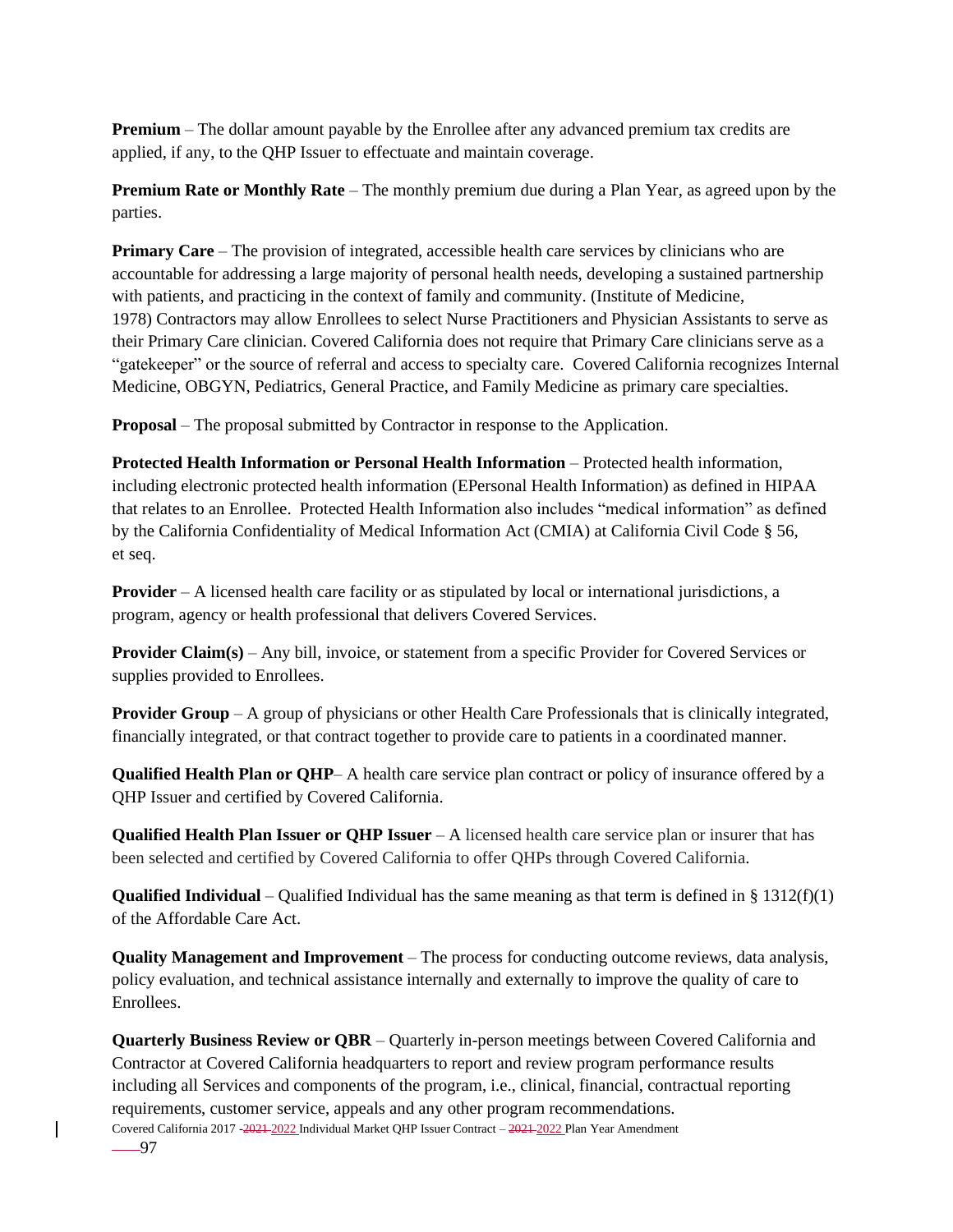**Premium** – The dollar amount payable by the Enrollee after any advanced premium tax credits are applied, if any, to the QHP Issuer to effectuate and maintain coverage.

**Premium Rate or Monthly Rate** – The monthly premium due during a Plan Year, as agreed upon by the parties.

**Primary Care** – The provision of integrated, accessible health care services by clinicians who are accountable for addressing a large majority of personal health needs, developing a sustained partnership with patients, and practicing in the context of family and community. (Institute of Medicine, 1978) Contractors may allow Enrollees to select Nurse Practitioners and Physician Assistants to serve as their Primary Care clinician. Covered California does not require that Primary Care clinicians serve as a "gatekeeper" or the source of referral and access to specialty care. Covered California recognizes Internal Medicine, OBGYN, Pediatrics, General Practice, and Family Medicine as primary care specialties.

**Proposal** – The proposal submitted by Contractor in response to the Application.

**Protected Health Information or Personal Health Information** – Protected health information, including electronic protected health information (EPersonal Health Information) as defined in HIPAA that relates to an Enrollee. Protected Health Information also includes "medical information" as defined by the California Confidentiality of Medical Information Act (CMIA) at California Civil Code § 56, et seq.

**Provider** – A licensed health care facility or as stipulated by local or international jurisdictions, a program, agency or health professional that delivers Covered Services.

**Provider Claim(s)** – Any bill, invoice, or statement from a specific Provider for Covered Services or supplies provided to Enrollees.

**Provider Group** – A group of physicians or other Health Care Professionals that is clinically integrated, financially integrated, or that contract together to provide care to patients in a coordinated manner.

**Qualified Health Plan or QHP**– A health care service plan contract or policy of insurance offered by a QHP Issuer and certified by Covered California.

**Qualified Health Plan Issuer or QHP Issuer** – A licensed health care service plan or insurer that has been selected and certified by Covered California to offer QHPs through Covered California.

**Qualified Individual** – Qualified Individual has the same meaning as that term is defined in § 1312(f)(1) of the Affordable Care Act.

**Quality Management and Improvement** – The process for conducting outcome reviews, data analysis, policy evaluation, and technical assistance internally and externally to improve the quality of care to Enrollees.

Covered California 2017 -2021-2022 Individual Market QHP Issuer Contract - 2021-2022 Plan Year Amendment **Quarterly Business Review or QBR** – Quarterly in-person meetings between Covered California and Contractor at Covered California headquarters to report and review program performance results including all Services and components of the program, i.e., clinical, financial, contractual reporting requirements, customer service, appeals and any other program recommendations.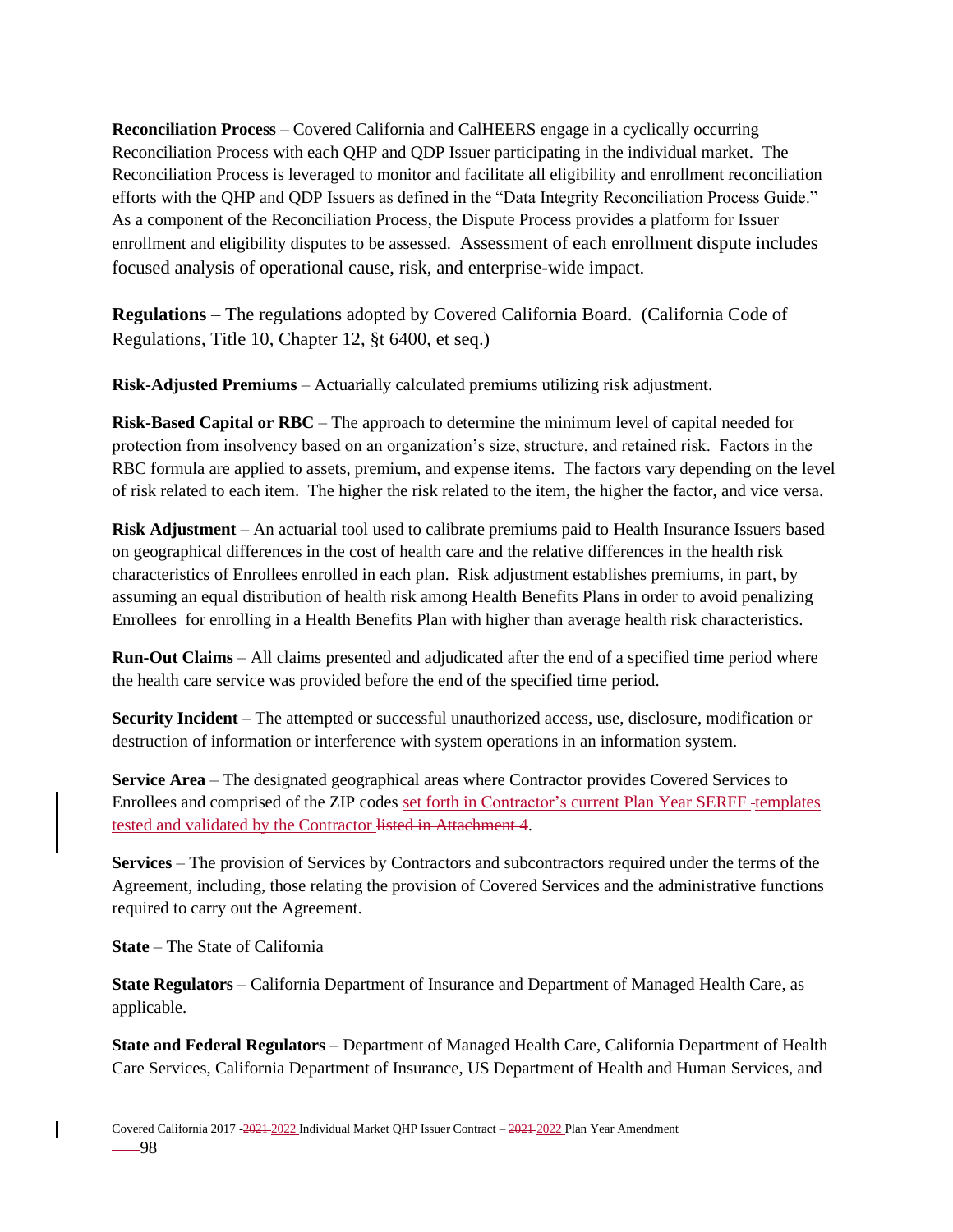**Reconciliation Process** – Covered California and CalHEERS engage in a cyclically occurring Reconciliation Process with each QHP and QDP Issuer participating in the individual market. The Reconciliation Process is leveraged to monitor and facilitate all eligibility and enrollment reconciliation efforts with the QHP and QDP Issuers as defined in the "Data Integrity Reconciliation Process Guide." As a component of the Reconciliation Process, the Dispute Process provides a platform for Issuer enrollment and eligibility disputes to be assessed. Assessment of each enrollment dispute includes focused analysis of operational cause, risk, and enterprise-wide impact.

**Regulations** – The regulations adopted by Covered California Board. (California Code of Regulations, Title 10, Chapter 12, §t 6400, et seq.)

**Risk-Adjusted Premiums** – Actuarially calculated premiums utilizing risk adjustment.

**Risk-Based Capital or RBC** – The approach to determine the minimum level of capital needed for protection from insolvency based on an organization's size, structure, and retained risk. Factors in the RBC formula are applied to assets, premium, and expense items. The factors vary depending on the level of risk related to each item. The higher the risk related to the item, the higher the factor, and vice versa.

**Risk Adjustment** – An actuarial tool used to calibrate premiums paid to Health Insurance Issuers based on geographical differences in the cost of health care and the relative differences in the health risk characteristics of Enrollees enrolled in each plan. Risk adjustment establishes premiums, in part, by assuming an equal distribution of health risk among Health Benefits Plans in order to avoid penalizing Enrollees for enrolling in a Health Benefits Plan with higher than average health risk characteristics.

**Run-Out Claims** – All claims presented and adjudicated after the end of a specified time period where the health care service was provided before the end of the specified time period.

**Security Incident** – The attempted or successful unauthorized access, use, disclosure, modification or destruction of information or interference with system operations in an information system.

**Service Area** – The designated geographical areas where Contractor provides Covered Services to Enrollees and comprised of the ZIP codes set forth in Contractor's current Plan Year SERFF templates tested and validated by the Contractor listed in Attachment 4.

**Services** – The provision of Services by Contractors and subcontractors required under the terms of the Agreement, including, those relating the provision of Covered Services and the administrative functions required to carry out the Agreement.

**State** – The State of California

**State Regulators** – California Department of Insurance and Department of Managed Health Care, as applicable.

**State and Federal Regulators** – Department of Managed Health Care, California Department of Health Care Services, California Department of Insurance, US Department of Health and Human Services, and